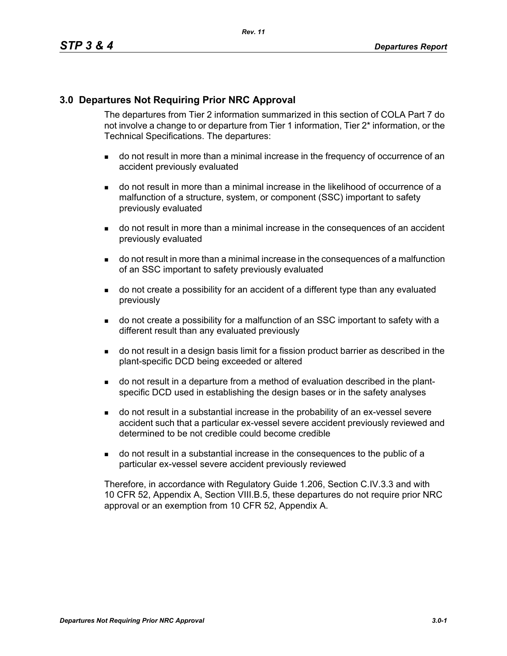### **3.0 Departures Not Requiring Prior NRC Approval**

The departures from Tier 2 information summarized in this section of COLA Part 7 do not involve a change to or departure from Tier 1 information, Tier 2\* information, or the Technical Specifications. The departures:

- do not result in more than a minimal increase in the frequency of occurrence of an accident previously evaluated
- do not result in more than a minimal increase in the likelihood of occurrence of a malfunction of a structure, system, or component (SSC) important to safety previously evaluated
- do not result in more than a minimal increase in the consequences of an accident previously evaluated
- do not result in more than a minimal increase in the consequences of a malfunction of an SSC important to safety previously evaluated
- do not create a possibility for an accident of a different type than any evaluated previously
- do not create a possibility for a malfunction of an SSC important to safety with a different result than any evaluated previously
- do not result in a design basis limit for a fission product barrier as described in the plant-specific DCD being exceeded or altered
- do not result in a departure from a method of evaluation described in the plantspecific DCD used in establishing the design bases or in the safety analyses
- do not result in a substantial increase in the probability of an ex-vessel severe accident such that a particular ex-vessel severe accident previously reviewed and determined to be not credible could become credible
- do not result in a substantial increase in the consequences to the public of a particular ex-vessel severe accident previously reviewed

Therefore, in accordance with Regulatory Guide 1.206, Section C.IV.3.3 and with 10 CFR 52, Appendix A, Section VIII.B.5, these departures do not require prior NRC approval or an exemption from 10 CFR 52, Appendix A.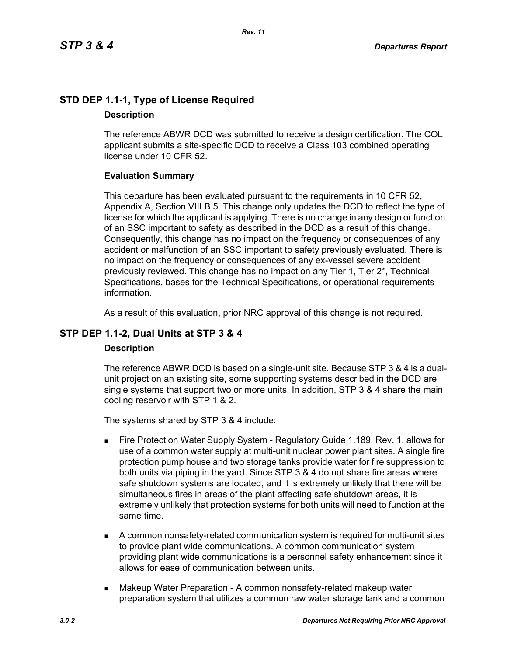# **STD DEP 1.1-1, Type of License Required Description**

The reference ABWR DCD was submitted to receive a design certification. The COL applicant submits a site-specific DCD to receive a Class 103 combined operating license under 10 CFR 52.

# **Evaluation Summary**

This departure has been evaluated pursuant to the requirements in 10 CFR 52, Appendix A, Section VIII.B.5. This change only updates the DCD to reflect the type of license for which the applicant is applying. There is no change in any design or function of an SSC important to safety as described in the DCD as a result of this change. Consequently, this change has no impact on the frequency or consequences of any accident or malfunction of an SSC important to safety previously evaluated. There is no impact on the frequency or consequences of any ex-vessel severe accident previously reviewed. This change has no impact on any Tier 1, Tier 2\*, Technical Specifications, bases for the Technical Specifications, or operational requirements information.

As a result of this evaluation, prior NRC approval of this change is not required.

# **STP DEP 1.1-2, Dual Units at STP 3 & 4**

### **Description**

The reference ABWR DCD is based on a single-unit site. Because STP 3 & 4 is a dualunit project on an existing site, some supporting systems described in the DCD are single systems that support two or more units. In addition, STP 3 & 4 share the main cooling reservoir with STP 1 & 2.

The systems shared by STP 3 & 4 include:

- Fire Protection Water Supply System Regulatory Guide 1.189, Rev. 1, allows for use of a common water supply at multi-unit nuclear power plant sites. A single fire protection pump house and two storage tanks provide water for fire suppression to both units via piping in the yard. Since STP 3 & 4 do not share fire areas where safe shutdown systems are located, and it is extremely unlikely that there will be simultaneous fires in areas of the plant affecting safe shutdown areas, it is extremely unlikely that protection systems for both units will need to function at the same time.
- A common nonsafety-related communication system is required for multi-unit sites to provide plant wide communications. A common communication system providing plant wide communications is a personnel safety enhancement since it allows for ease of communication between units.
- **Makeup Water Preparation A common nonsafety-related makeup water** preparation system that utilizes a common raw water storage tank and a common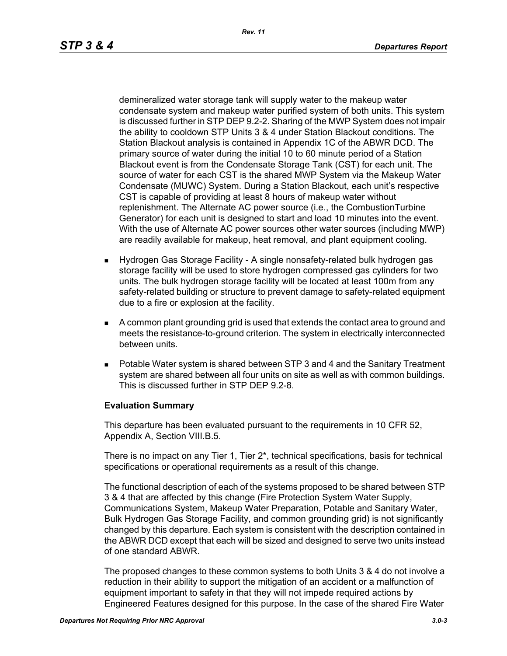demineralized water storage tank will supply water to the makeup water condensate system and makeup water purified system of both units. This system is discussed further in STP DEP 9.2-2. Sharing of the MWP System does not impair the ability to cooldown STP Units 3 & 4 under Station Blackout conditions. The Station Blackout analysis is contained in Appendix 1C of the ABWR DCD. The primary source of water during the initial 10 to 60 minute period of a Station Blackout event is from the Condensate Storage Tank (CST) for each unit. The source of water for each CST is the shared MWP System via the Makeup Water Condensate (MUWC) System. During a Station Blackout, each unit's respective CST is capable of providing at least 8 hours of makeup water without replenishment. The Alternate AC power source (i.e., the CombustionTurbine Generator) for each unit is designed to start and load 10 minutes into the event. With the use of Alternate AC power sources other water sources (including MWP) are readily available for makeup, heat removal, and plant equipment cooling.

- Hydrogen Gas Storage Facility A single nonsafety-related bulk hydrogen gas storage facility will be used to store hydrogen compressed gas cylinders for two units. The bulk hydrogen storage facility will be located at least 100m from any safety-related building or structure to prevent damage to safety-related equipment due to a fire or explosion at the facility.
- A common plant grounding grid is used that extends the contact area to ground and meets the resistance-to-ground criterion. The system in electrically interconnected between units.
- Potable Water system is shared between STP 3 and 4 and the Sanitary Treatment system are shared between all four units on site as well as with common buildings. This is discussed further in STP DEP 9.2-8.

### **Evaluation Summary**

This departure has been evaluated pursuant to the requirements in 10 CFR 52, Appendix A, Section VIII.B.5.

There is no impact on any Tier 1, Tier 2\*, technical specifications, basis for technical specifications or operational requirements as a result of this change.

The functional description of each of the systems proposed to be shared between STP 3 & 4 that are affected by this change (Fire Protection System Water Supply, Communications System, Makeup Water Preparation, Potable and Sanitary Water, Bulk Hydrogen Gas Storage Facility, and common grounding grid) is not significantly changed by this departure. Each system is consistent with the description contained in the ABWR DCD except that each will be sized and designed to serve two units instead of one standard ABWR.

The proposed changes to these common systems to both Units 3 & 4 do not involve a reduction in their ability to support the mitigation of an accident or a malfunction of equipment important to safety in that they will not impede required actions by Engineered Features designed for this purpose. In the case of the shared Fire Water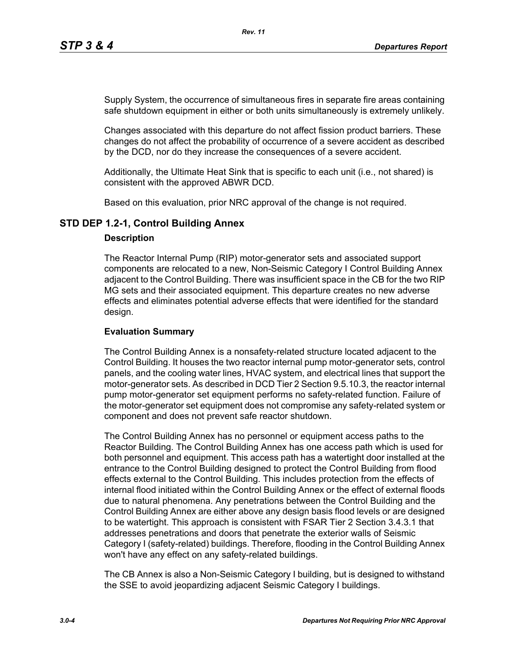Supply System, the occurrence of simultaneous fires in separate fire areas containing safe shutdown equipment in either or both units simultaneously is extremely unlikely.

Changes associated with this departure do not affect fission product barriers. These changes do not affect the probability of occurrence of a severe accident as described by the DCD, nor do they increase the consequences of a severe accident.

Additionally, the Ultimate Heat Sink that is specific to each unit (i.e., not shared) is consistent with the approved ABWR DCD.

Based on this evaluation, prior NRC approval of the change is not required.

# **STD DEP 1.2-1, Control Building Annex**

#### **Description**

The Reactor Internal Pump (RIP) motor-generator sets and associated support components are relocated to a new, Non-Seismic Category I Control Building Annex adjacent to the Control Building. There was insufficient space in the CB for the two RIP MG sets and their associated equipment. This departure creates no new adverse effects and eliminates potential adverse effects that were identified for the standard design.

#### **Evaluation Summary**

The Control Building Annex is a nonsafety-related structure located adjacent to the Control Building. It houses the two reactor internal pump motor-generator sets, control panels, and the cooling water lines, HVAC system, and electrical lines that support the motor-generator sets. As described in DCD Tier 2 Section 9.5.10.3, the reactor internal pump motor-generator set equipment performs no safety-related function. Failure of the motor-generator set equipment does not compromise any safety-related system or component and does not prevent safe reactor shutdown.

The Control Building Annex has no personnel or equipment access paths to the Reactor Building. The Control Building Annex has one access path which is used for both personnel and equipment. This access path has a watertight door installed at the entrance to the Control Building designed to protect the Control Building from flood effects external to the Control Building. This includes protection from the effects of internal flood initiated within the Control Building Annex or the effect of external floods due to natural phenomena. Any penetrations between the Control Building and the Control Building Annex are either above any design basis flood levels or are designed to be watertight. This approach is consistent with FSAR Tier 2 Section 3.4.3.1 that addresses penetrations and doors that penetrate the exterior walls of Seismic Category I (safety-related) buildings. Therefore, flooding in the Control Building Annex won't have any effect on any safety-related buildings.

The CB Annex is also a Non-Seismic Category I building, but is designed to withstand the SSE to avoid jeopardizing adjacent Seismic Category I buildings.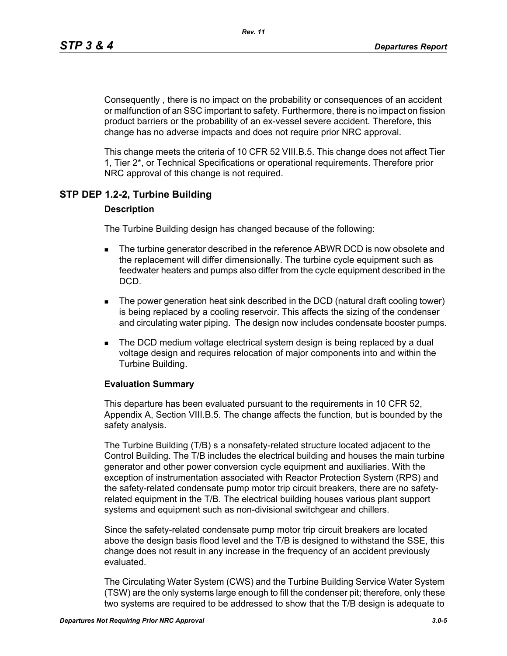Consequently , there is no impact on the probability or consequences of an accident or malfunction of an SSC important to safety. Furthermore, there is no impact on fission product barriers or the probability of an ex-vessel severe accident. Therefore, this change has no adverse impacts and does not require prior NRC approval.

This change meets the criteria of 10 CFR 52 VIII.B.5. This change does not affect Tier 1, Tier 2\*, or Technical Specifications or operational requirements. Therefore prior NRC approval of this change is not required.

# **STP DEP 1.2-2, Turbine Building**

#### **Description**

The Turbine Building design has changed because of the following:

- **The turbine generator described in the reference ABWR DCD is now obsolete and** the replacement will differ dimensionally. The turbine cycle equipment such as feedwater heaters and pumps also differ from the cycle equipment described in the DCD.
- The power generation heat sink described in the DCD (natural draft cooling tower) is being replaced by a cooling reservoir. This affects the sizing of the condenser and circulating water piping. The design now includes condensate booster pumps.
- **The DCD medium voltage electrical system design is being replaced by a dual** voltage design and requires relocation of major components into and within the Turbine Building.

#### **Evaluation Summary**

This departure has been evaluated pursuant to the requirements in 10 CFR 52, Appendix A, Section VIII.B.5. The change affects the function, but is bounded by the safety analysis.

The Turbine Building (T/B) s a nonsafety-related structure located adjacent to the Control Building. The T/B includes the electrical building and houses the main turbine generator and other power conversion cycle equipment and auxiliaries. With the exception of instrumentation associated with Reactor Protection System (RPS) and the safety-related condensate pump motor trip circuit breakers, there are no safetyrelated equipment in the T/B. The electrical building houses various plant support systems and equipment such as non-divisional switchgear and chillers.

Since the safety-related condensate pump motor trip circuit breakers are located above the design basis flood level and the T/B is designed to withstand the SSE, this change does not result in any increase in the frequency of an accident previously evaluated.

The Circulating Water System (CWS) and the Turbine Building Service Water System (TSW) are the only systems large enough to fill the condenser pit; therefore, only these two systems are required to be addressed to show that the T/B design is adequate to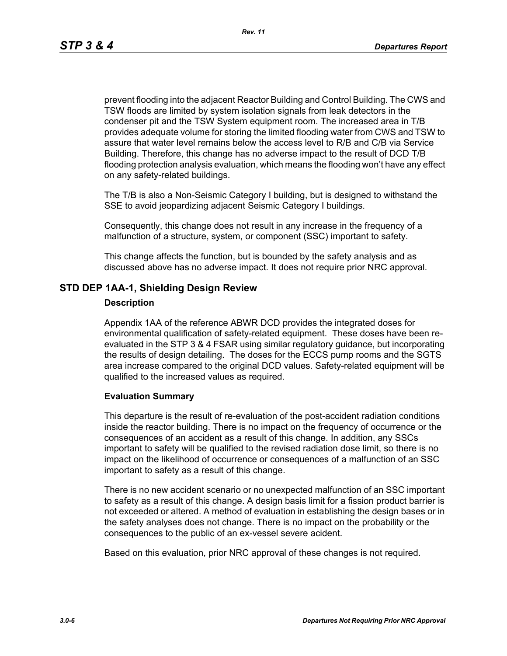prevent flooding into the adjacent Reactor Building and Control Building. The CWS and TSW floods are limited by system isolation signals from leak detectors in the condenser pit and the TSW System equipment room. The increased area in T/B provides adequate volume for storing the limited flooding water from CWS and TSW to assure that water level remains below the access level to R/B and C/B via Service Building. Therefore, this change has no adverse impact to the result of DCD T/B flooding protection analysis evaluation, which means the flooding won't have any effect on any safety-related buildings.

The T/B is also a Non-Seismic Category I building, but is designed to withstand the SSE to avoid jeopardizing adjacent Seismic Category I buildings.

Consequently, this change does not result in any increase in the frequency of a malfunction of a structure, system, or component (SSC) important to safety.

This change affects the function, but is bounded by the safety analysis and as discussed above has no adverse impact. It does not require prior NRC approval.

### **STD DEP 1AA-1, Shielding Design Review**

#### **Description**

Appendix 1AA of the reference ABWR DCD provides the integrated doses for environmental qualification of safety-related equipment. These doses have been reevaluated in the STP 3 & 4 FSAR using similar regulatory guidance, but incorporating the results of design detailing. The doses for the ECCS pump rooms and the SGTS area increase compared to the original DCD values. Safety-related equipment will be qualified to the increased values as required.

#### **Evaluation Summary**

This departure is the result of re-evaluation of the post-accident radiation conditions inside the reactor building. There is no impact on the frequency of occurrence or the consequences of an accident as a result of this change. In addition, any SSCs important to safety will be qualified to the revised radiation dose limit, so there is no impact on the likelihood of occurrence or consequences of a malfunction of an SSC important to safety as a result of this change.

There is no new accident scenario or no unexpected malfunction of an SSC important to safety as a result of this change. A design basis limit for a fission product barrier is not exceeded or altered. A method of evaluation in establishing the design bases or in the safety analyses does not change. There is no impact on the probability or the consequences to the public of an ex-vessel severe acident.

Based on this evaluation, prior NRC approval of these changes is not required.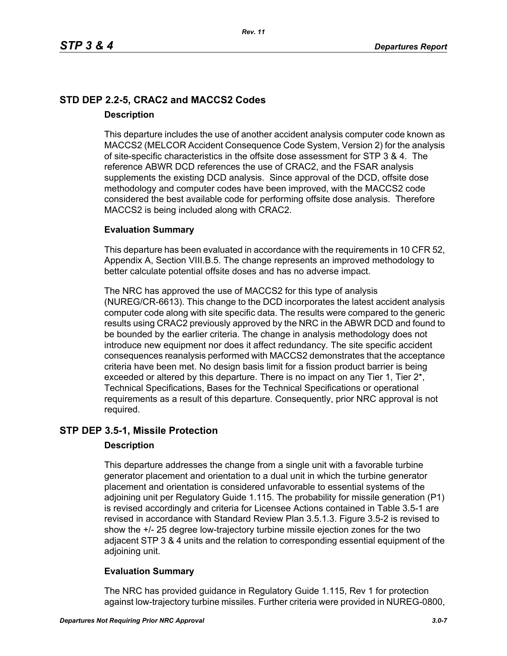# **STD DEP 2.2-5, CRAC2 and MACCS2 Codes Description**

This departure includes the use of another accident analysis computer code known as MACCS2 (MELCOR Accident Consequence Code System, Version 2) for the analysis of site-specific characteristics in the offsite dose assessment for STP 3 & 4. The reference ABWR DCD references the use of CRAC2, and the FSAR analysis supplements the existing DCD analysis. Since approval of the DCD, offsite dose methodology and computer codes have been improved, with the MACCS2 code considered the best available code for performing offsite dose analysis. Therefore MACCS2 is being included along with CRAC2.

# **Evaluation Summary**

This departure has been evaluated in accordance with the requirements in 10 CFR 52, Appendix A, Section VIII.B.5. The change represents an improved methodology to better calculate potential offsite doses and has no adverse impact.

The NRC has approved the use of MACCS2 for this type of analysis (NUREG/CR-6613). This change to the DCD incorporates the latest accident analysis computer code along with site specific data. The results were compared to the generic results using CRAC2 previously approved by the NRC in the ABWR DCD and found to be bounded by the earlier criteria. The change in analysis methodology does not introduce new equipment nor does it affect redundancy. The site specific accident consequences reanalysis performed with MACCS2 demonstrates that the acceptance criteria have been met. No design basis limit for a fission product barrier is being exceeded or altered by this departure. There is no impact on any Tier 1, Tier 2<sup>\*</sup>, Technical Specifications, Bases for the Technical Specifications or operational requirements as a result of this departure. Consequently, prior NRC approval is not required.

# **STP DEP 3.5-1, Missile Protection**

### **Description**

This departure addresses the change from a single unit with a favorable turbine generator placement and orientation to a dual unit in which the turbine generator placement and orientation is considered unfavorable to essential systems of the adjoining unit per Regulatory Guide 1.115. The probability for missile generation (P1) is revised accordingly and criteria for Licensee Actions contained in Table 3.5-1 are revised in accordance with Standard Review Plan 3.5.1.3. Figure 3.5-2 is revised to show the +/- 25 degree low-trajectory turbine missile ejection zones for the two adjacent STP 3 & 4 units and the relation to corresponding essential equipment of the adjoining unit.

# **Evaluation Summary**

The NRC has provided guidance in Regulatory Guide 1.115, Rev 1 for protection against low-trajectory turbine missiles. Further criteria were provided in NUREG-0800,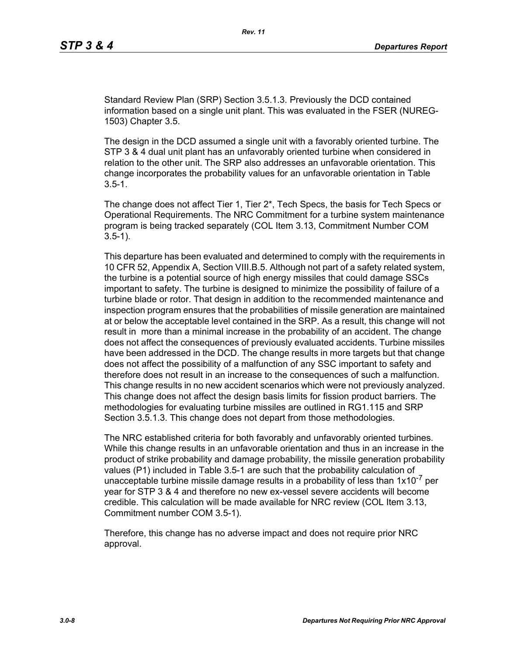Standard Review Plan (SRP) Section 3.5.1.3. Previously the DCD contained information based on a single unit plant. This was evaluated in the FSER (NUREG-1503) Chapter 3.5.

The design in the DCD assumed a single unit with a favorably oriented turbine. The STP 3 & 4 dual unit plant has an unfavorably oriented turbine when considered in relation to the other unit. The SRP also addresses an unfavorable orientation. This change incorporates the probability values for an unfavorable orientation in Table  $3.5 - 1.$ 

The change does not affect Tier 1, Tier 2\*, Tech Specs, the basis for Tech Specs or Operational Requirements. The NRC Commitment for a turbine system maintenance program is being tracked separately (COL Item 3.13, Commitment Number COM 3.5-1).

This departure has been evaluated and determined to comply with the requirements in 10 CFR 52, Appendix A, Section VIII.B.5. Although not part of a safety related system, the turbine is a potential source of high energy missiles that could damage SSCs important to safety. The turbine is designed to minimize the possibility of failure of a turbine blade or rotor. That design in addition to the recommended maintenance and inspection program ensures that the probabilities of missile generation are maintained at or below the acceptable level contained in the SRP. As a result, this change will not result in more than a minimal increase in the probability of an accident. The change does not affect the consequences of previously evaluated accidents. Turbine missiles have been addressed in the DCD. The change results in more targets but that change does not affect the possibility of a malfunction of any SSC important to safety and therefore does not result in an increase to the consequences of such a malfunction. This change results in no new accident scenarios which were not previously analyzed. This change does not affect the design basis limits for fission product barriers. The methodologies for evaluating turbine missiles are outlined in RG1.115 and SRP Section 3.5.1.3. This change does not depart from those methodologies.

The NRC established criteria for both favorably and unfavorably oriented turbines. While this change results in an unfavorable orientation and thus in an increase in the product of strike probability and damage probability, the missile generation probability values (P1) included in Table 3.5-1 are such that the probability calculation of unacceptable turbine missile damage results in a probability of less than  $1x10^{-7}$  per year for STP 3 & 4 and therefore no new ex-vessel severe accidents will become credible. This calculation will be made available for NRC review (COL Item 3.13, Commitment number COM 3.5-1).

Therefore, this change has no adverse impact and does not require prior NRC approval.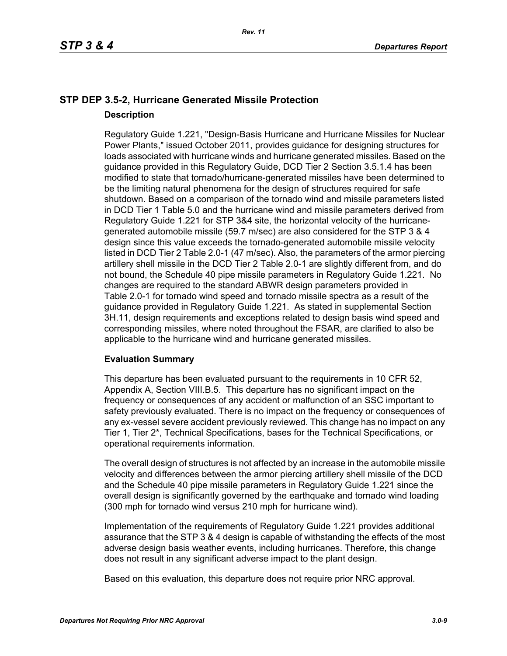# **STP DEP 3.5-2, Hurricane Generated Missile Protection Description**

Regulatory Guide 1.221, "Design-Basis Hurricane and Hurricane Missiles for Nuclear Power Plants," issued October 2011, provides guidance for designing structures for loads associated with hurricane winds and hurricane generated missiles. Based on the guidance provided in this Regulatory Guide, DCD Tier 2 Section 3.5.1.4 has been modified to state that tornado/hurricane-generated missiles have been determined to be the limiting natural phenomena for the design of structures required for safe shutdown. Based on a comparison of the tornado wind and missile parameters listed in DCD Tier 1 Table 5.0 and the hurricane wind and missile parameters derived from Regulatory Guide 1.221 for STP 3&4 site, the horizontal velocity of the hurricanegenerated automobile missile (59.7 m/sec) are also considered for the STP 3 & 4 design since this value exceeds the tornado-generated automobile missile velocity listed in DCD Tier 2 Table 2.0-1 (47 m/sec). Also, the parameters of the armor piercing artillery shell missile in the DCD Tier 2 Table 2.0-1 are slightly different from, and do not bound, the Schedule 40 pipe missile parameters in Regulatory Guide 1.221. No changes are required to the standard ABWR design parameters provided in Table 2.0-1 for tornado wind speed and tornado missile spectra as a result of the guidance provided in Regulatory Guide 1.221. As stated in supplemental Section 3H.11, design requirements and exceptions related to design basis wind speed and corresponding missiles, where noted throughout the FSAR, are clarified to also be applicable to the hurricane wind and hurricane generated missiles.

### **Evaluation Summary**

This departure has been evaluated pursuant to the requirements in 10 CFR 52, Appendix A, Section VIII.B.5. This departure has no significant impact on the frequency or consequences of any accident or malfunction of an SSC important to safety previously evaluated. There is no impact on the frequency or consequences of any ex-vessel severe accident previously reviewed. This change has no impact on any Tier 1, Tier 2\*, Technical Specifications, bases for the Technical Specifications, or operational requirements information.

The overall design of structures is not affected by an increase in the automobile missile velocity and differences between the armor piercing artillery shell missile of the DCD and the Schedule 40 pipe missile parameters in Regulatory Guide 1.221 since the overall design is significantly governed by the earthquake and tornado wind loading (300 mph for tornado wind versus 210 mph for hurricane wind).

Implementation of the requirements of Regulatory Guide 1.221 provides additional assurance that the STP 3 & 4 design is capable of withstanding the effects of the most adverse design basis weather events, including hurricanes. Therefore, this change does not result in any significant adverse impact to the plant design.

Based on this evaluation, this departure does not require prior NRC approval.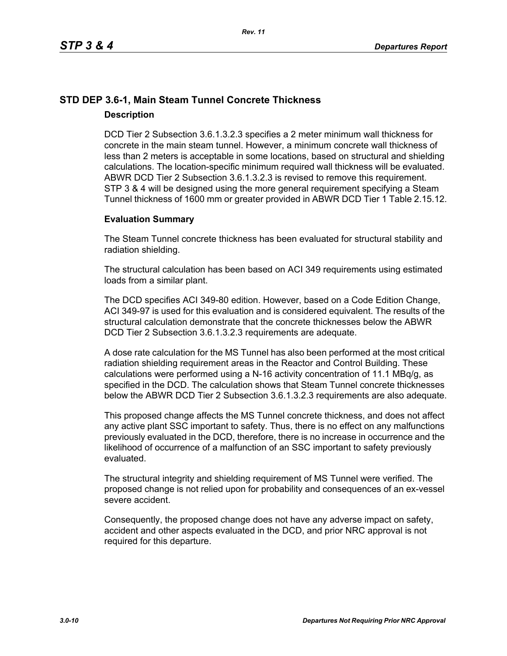# **STD DEP 3.6-1, Main Steam Tunnel Concrete Thickness Description**

DCD Tier 2 Subsection 3.6.1.3.2.3 specifies a 2 meter minimum wall thickness for concrete in the main steam tunnel. However, a minimum concrete wall thickness of less than 2 meters is acceptable in some locations, based on structural and shielding calculations. The location-specific minimum required wall thickness will be evaluated. ABWR DCD Tier 2 Subsection 3.6.1.3.2.3 is revised to remove this requirement. STP 3 & 4 will be designed using the more general requirement specifying a Steam Tunnel thickness of 1600 mm or greater provided in ABWR DCD Tier 1 Table 2.15.12.

### **Evaluation Summary**

The Steam Tunnel concrete thickness has been evaluated for structural stability and radiation shielding.

The structural calculation has been based on ACI 349 requirements using estimated loads from a similar plant.

The DCD specifies ACI 349-80 edition. However, based on a Code Edition Change, ACI 349-97 is used for this evaluation and is considered equivalent. The results of the structural calculation demonstrate that the concrete thicknesses below the ABWR DCD Tier 2 Subsection 3.6.1.3.2.3 requirements are adequate.

A dose rate calculation for the MS Tunnel has also been performed at the most critical radiation shielding requirement areas in the Reactor and Control Building. These calculations were performed using a N-16 activity concentration of 11.1 MBq/g, as specified in the DCD. The calculation shows that Steam Tunnel concrete thicknesses below the ABWR DCD Tier 2 Subsection 3.6.1.3.2.3 requirements are also adequate.

This proposed change affects the MS Tunnel concrete thickness, and does not affect any active plant SSC important to safety. Thus, there is no effect on any malfunctions previously evaluated in the DCD, therefore, there is no increase in occurrence and the likelihood of occurrence of a malfunction of an SSC important to safety previously evaluated.

The structural integrity and shielding requirement of MS Tunnel were verified. The proposed change is not relied upon for probability and consequences of an ex-vessel severe accident.

Consequently, the proposed change does not have any adverse impact on safety, accident and other aspects evaluated in the DCD, and prior NRC approval is not required for this departure.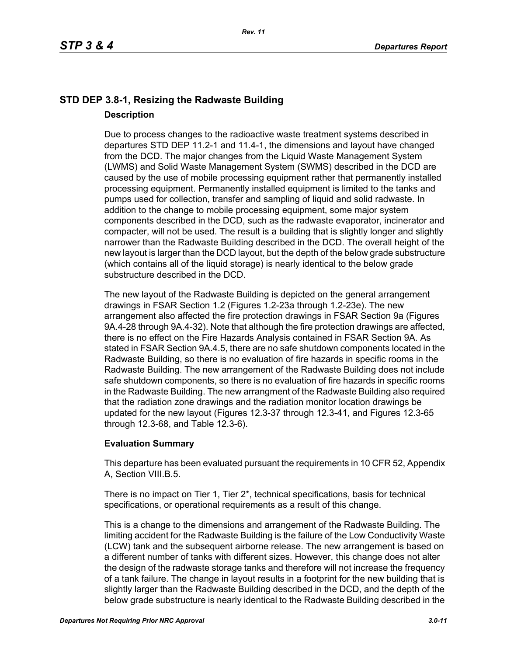# **STD DEP 3.8-1, Resizing the Radwaste Building Description**

Due to process changes to the radioactive waste treatment systems described in departures STD DEP 11.2-1 and 11.4-1, the dimensions and layout have changed from the DCD. The major changes from the Liquid Waste Management System (LWMS) and Solid Waste Management System (SWMS) described in the DCD are caused by the use of mobile processing equipment rather that permanently installed processing equipment. Permanently installed equipment is limited to the tanks and pumps used for collection, transfer and sampling of liquid and solid radwaste. In addition to the change to mobile processing equipment, some major system components described in the DCD, such as the radwaste evaporator, incinerator and compacter, will not be used. The result is a building that is slightly longer and slightly narrower than the Radwaste Building described in the DCD. The overall height of the new layout is larger than the DCD layout, but the depth of the below grade substructure (which contains all of the liquid storage) is nearly identical to the below grade substructure described in the DCD.

The new layout of the Radwaste Building is depicted on the general arrangement drawings in FSAR Section 1.2 (Figures 1.2-23a through 1.2-23e). The new arrangement also affected the fire protection drawings in FSAR Section 9a (Figures 9A.4-28 through 9A.4-32). Note that although the fire protection drawings are affected, there is no effect on the Fire Hazards Analysis contained in FSAR Section 9A. As stated in FSAR Section 9A.4.5, there are no safe shutdown components located in the Radwaste Building, so there is no evaluation of fire hazards in specific rooms in the Radwaste Building. The new arrangement of the Radwaste Building does not include safe shutdown components, so there is no evaluation of fire hazards in specific rooms in the Radwaste Building. The new arrangment of the Radwaste Building also required that the radiation zone drawings and the radiation monitor location drawings be updated for the new layout (Figures 12.3-37 through 12.3-41, and Figures 12.3-65 through 12.3-68, and Table 12.3-6).

# **Evaluation Summary**

This departure has been evaluated pursuant the requirements in 10 CFR 52, Appendix A, Section VIII.B.5.

There is no impact on Tier 1, Tier 2\*, technical specifications, basis for technical specifications, or operational requirements as a result of this change.

This is a change to the dimensions and arrangement of the Radwaste Building. The limiting accident for the Radwaste Building is the failure of the Low Conductivity Waste (LCW) tank and the subsequent airborne release. The new arrangement is based on a different number of tanks with different sizes. However, this change does not alter the design of the radwaste storage tanks and therefore will not increase the frequency of a tank failure. The change in layout results in a footprint for the new building that is slightly larger than the Radwaste Building described in the DCD, and the depth of the below grade substructure is nearly identical to the Radwaste Building described in the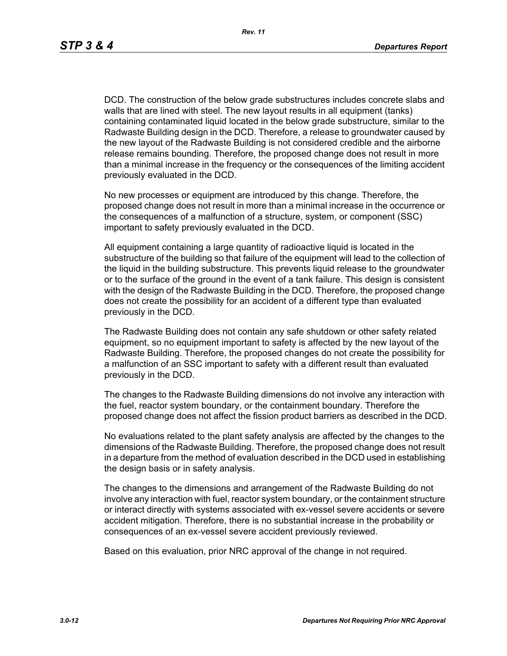DCD. The construction of the below grade substructures includes concrete slabs and walls that are lined with steel. The new layout results in all equipment (tanks) containing contaminated liquid located in the below grade substructure, similar to the Radwaste Building design in the DCD. Therefore, a release to groundwater caused by the new layout of the Radwaste Building is not considered credible and the airborne release remains bounding. Therefore, the proposed change does not result in more than a minimal increase in the frequency or the consequences of the limiting accident previously evaluated in the DCD.

No new processes or equipment are introduced by this change. Therefore, the proposed change does not result in more than a minimal increase in the occurrence or the consequences of a malfunction of a structure, system, or component (SSC) important to safety previously evaluated in the DCD.

All equipment containing a large quantity of radioactive liquid is located in the substructure of the building so that failure of the equipment will lead to the collection of the liquid in the building substructure. This prevents liquid release to the groundwater or to the surface of the ground in the event of a tank failure. This design is consistent with the design of the Radwaste Building in the DCD. Therefore, the proposed change does not create the possibility for an accident of a different type than evaluated previously in the DCD.

The Radwaste Building does not contain any safe shutdown or other safety related equipment, so no equipment important to safety is affected by the new layout of the Radwaste Building. Therefore, the proposed changes do not create the possibility for a malfunction of an SSC important to safety with a different result than evaluated previously in the DCD.

The changes to the Radwaste Building dimensions do not involve any interaction with the fuel, reactor system boundary, or the containment boundary. Therefore the proposed change does not affect the fission product barriers as described in the DCD.

No evaluations related to the plant safety analysis are affected by the changes to the dimensions of the Radwaste Building. Therefore, the proposed change does not result in a departure from the method of evaluation described in the DCD used in establishing the design basis or in safety analysis.

The changes to the dimensions and arrangement of the Radwaste Building do not involve any interaction with fuel, reactor system boundary, or the containment structure or interact directly with systems associated with ex-vessel severe accidents or severe accident mitigation. Therefore, there is no substantial increase in the probability or consequences of an ex-vessel severe accident previously reviewed.

Based on this evaluation, prior NRC approval of the change in not required.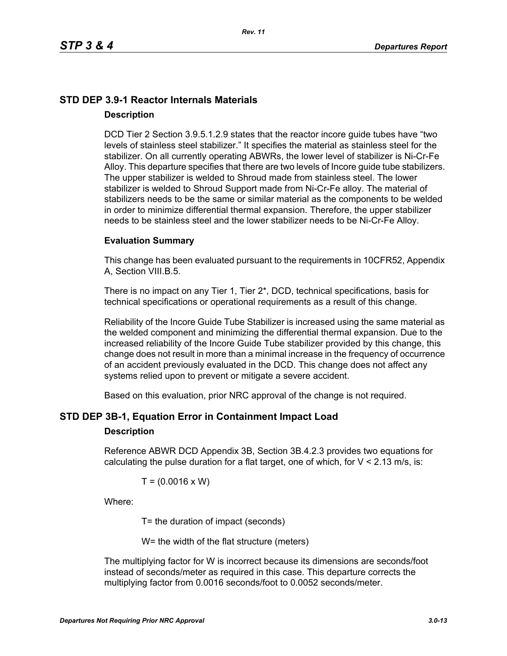# **STD DEP 3.9-1 Reactor Internals Materials Description**

DCD Tier 2 Section 3.9.5.1.2.9 states that the reactor incore guide tubes have "two levels of stainless steel stabilizer." It specifies the material as stainless steel for the stabilizer. On all currently operating ABWRs, the lower level of stabilizer is Ni-Cr-Fe Alloy. This departure specifies that there are two levels of Incore guide tube stabilizers. The upper stabilizer is welded to Shroud made from stainless steel. The lower stabilizer is welded to Shroud Support made from Ni-Cr-Fe alloy. The material of stabilizers needs to be the same or similar material as the components to be welded in order to minimize differential thermal expansion. Therefore, the upper stabilizer needs to be stainless steel and the lower stabilizer needs to be Ni-Cr-Fe Alloy.

### **Evaluation Summary**

This change has been evaluated pursuant to the requirements in 10CFR52, Appendix A, Section VIII.B.5.

There is no impact on any Tier 1, Tier 2\*, DCD, technical specifications, basis for technical specifications or operational requirements as a result of this change.

Reliability of the Incore Guide Tube Stabilizer is increased using the same material as the welded component and minimizing the differential thermal expansion. Due to the increased reliability of the Incore Guide Tube stabilizer provided by this change, this change does not result in more than a minimal increase in the frequency of occurrence of an accident previously evaluated in the DCD. This change does not affect any systems relied upon to prevent or mitigate a severe accident.

Based on this evaluation, prior NRC approval of the change is not required.

# **STD DEP 3B-1, Equation Error in Containment Impact Load**

### **Description**

Reference ABWR DCD Appendix 3B, Section 3B.4.2.3 provides two equations for calculating the pulse duration for a flat target, one of which, for  $V < 2.13$  m/s, is:

$$
T = (0.0016 \times W)
$$

Where:

T= the duration of impact (seconds)

W= the width of the flat structure (meters)

The multiplying factor for W is incorrect because its dimensions are seconds/foot instead of seconds/meter as required in this case. This departure corrects the multiplying factor from 0.0016 seconds/foot to 0.0052 seconds/meter.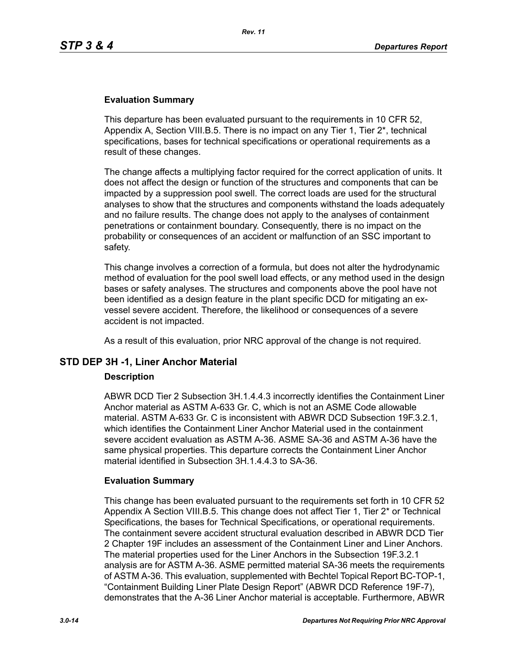#### **Evaluation Summary**

This departure has been evaluated pursuant to the requirements in 10 CFR 52, Appendix A, Section VIII.B.5. There is no impact on any Tier 1, Tier 2\*, technical specifications, bases for technical specifications or operational requirements as a result of these changes.

The change affects a multiplying factor required for the correct application of units. It does not affect the design or function of the structures and components that can be impacted by a suppression pool swell. The correct loads are used for the structural analyses to show that the structures and components withstand the loads adequately and no failure results. The change does not apply to the analyses of containment penetrations or containment boundary. Consequently, there is no impact on the probability or consequences of an accident or malfunction of an SSC important to safety.

This change involves a correction of a formula, but does not alter the hydrodynamic method of evaluation for the pool swell load effects, or any method used in the design bases or safety analyses. The structures and components above the pool have not been identified as a design feature in the plant specific DCD for mitigating an exvessel severe accident. Therefore, the likelihood or consequences of a severe accident is not impacted.

As a result of this evaluation, prior NRC approval of the change is not required.

### **STD DEP 3H -1, Liner Anchor Material**

#### **Description**

ABWR DCD Tier 2 Subsection 3H.1.4.4.3 incorrectly identifies the Containment Liner Anchor material as ASTM A-633 Gr. C, which is not an ASME Code allowable material. ASTM A-633 Gr. C is inconsistent with ABWR DCD Subsection 19F.3.2.1, which identifies the Containment Liner Anchor Material used in the containment severe accident evaluation as ASTM A-36. ASME SA-36 and ASTM A-36 have the same physical properties. This departure corrects the Containment Liner Anchor material identified in Subsection 3H.1.4.4.3 to SA-36.

#### **Evaluation Summary**

This change has been evaluated pursuant to the requirements set forth in 10 CFR 52 Appendix A Section VIII.B.5. This change does not affect Tier 1, Tier 2\* or Technical Specifications, the bases for Technical Specifications, or operational requirements. The containment severe accident structural evaluation described in ABWR DCD Tier 2 Chapter 19F includes an assessment of the Containment Liner and Liner Anchors. The material properties used for the Liner Anchors in the Subsection 19F.3.2.1 analysis are for ASTM A-36. ASME permitted material SA-36 meets the requirements of ASTM A-36. This evaluation, supplemented with Bechtel Topical Report BC-TOP-1, "Containment Building Liner Plate Design Report" (ABWR DCD Reference 19F-7), demonstrates that the A-36 Liner Anchor material is acceptable. Furthermore, ABWR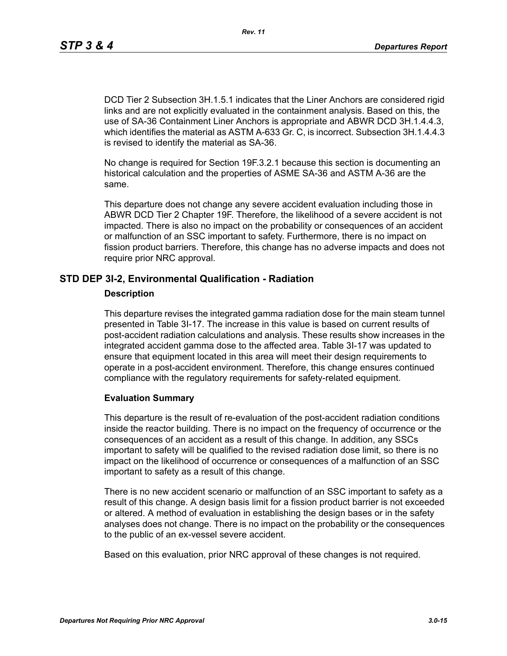DCD Tier 2 Subsection 3H.1.5.1 indicates that the Liner Anchors are considered rigid links and are not explicitly evaluated in the containment analysis. Based on this, the use of SA-36 Containment Liner Anchors is appropriate and ABWR DCD 3H.1.4.4.3, which identifies the material as ASTM A-633 Gr. C, is incorrect. Subsection 3H.1.4.4.3 is revised to identify the material as SA-36.

No change is required for Section 19F.3.2.1 because this section is documenting an historical calculation and the properties of ASME SA-36 and ASTM A-36 are the same.

This departure does not change any severe accident evaluation including those in ABWR DCD Tier 2 Chapter 19F. Therefore, the likelihood of a severe accident is not impacted. There is also no impact on the probability or consequences of an accident or malfunction of an SSC important to safety. Furthermore, there is no impact on fission product barriers. Therefore, this change has no adverse impacts and does not require prior NRC approval.

# **STD DEP 3I-2, Environmental Qualification - Radiation**

#### **Description**

This departure revises the integrated gamma radiation dose for the main steam tunnel presented in Table 3I-17. The increase in this value is based on current results of post-accident radiation calculations and analysis. These results show increases in the integrated accident gamma dose to the affected area. Table 3I-17 was updated to ensure that equipment located in this area will meet their design requirements to operate in a post-accident environment. Therefore, this change ensures continued compliance with the regulatory requirements for safety-related equipment.

### **Evaluation Summary**

This departure is the result of re-evaluation of the post-accident radiation conditions inside the reactor building. There is no impact on the frequency of occurrence or the consequences of an accident as a result of this change. In addition, any SSCs important to safety will be qualified to the revised radiation dose limit, so there is no impact on the likelihood of occurrence or consequences of a malfunction of an SSC important to safety as a result of this change.

There is no new accident scenario or malfunction of an SSC important to safety as a result of this change. A design basis limit for a fission product barrier is not exceeded or altered. A method of evaluation in establishing the design bases or in the safety analyses does not change. There is no impact on the probability or the consequences to the public of an ex-vessel severe accident.

Based on this evaluation, prior NRC approval of these changes is not required.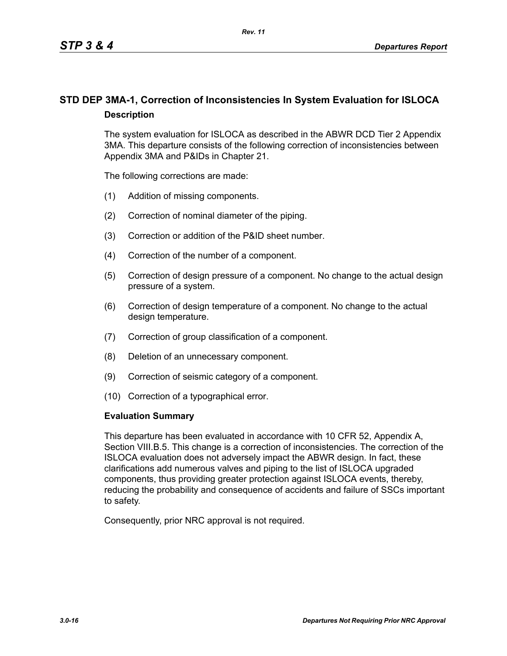# **STD DEP 3MA-1, Correction of Inconsistencies In System Evaluation for ISLOCA Description**

The system evaluation for ISLOCA as described in the ABWR DCD Tier 2 Appendix 3MA. This departure consists of the following correction of inconsistencies between Appendix 3MA and P&IDs in Chapter 21.

The following corrections are made:

- (1) Addition of missing components.
- (2) Correction of nominal diameter of the piping.
- (3) Correction or addition of the P&ID sheet number.
- (4) Correction of the number of a component.
- (5) Correction of design pressure of a component. No change to the actual design pressure of a system.
- (6) Correction of design temperature of a component. No change to the actual design temperature.
- (7) Correction of group classification of a component.
- (8) Deletion of an unnecessary component.
- (9) Correction of seismic category of a component.
- (10) Correction of a typographical error.

#### **Evaluation Summary**

This departure has been evaluated in accordance with 10 CFR 52, Appendix A, Section VIII.B.5. This change is a correction of inconsistencies. The correction of the ISLOCA evaluation does not adversely impact the ABWR design. In fact, these clarifications add numerous valves and piping to the list of ISLOCA upgraded components, thus providing greater protection against ISLOCA events, thereby, reducing the probability and consequence of accidents and failure of SSCs important to safety.

Consequently, prior NRC approval is not required.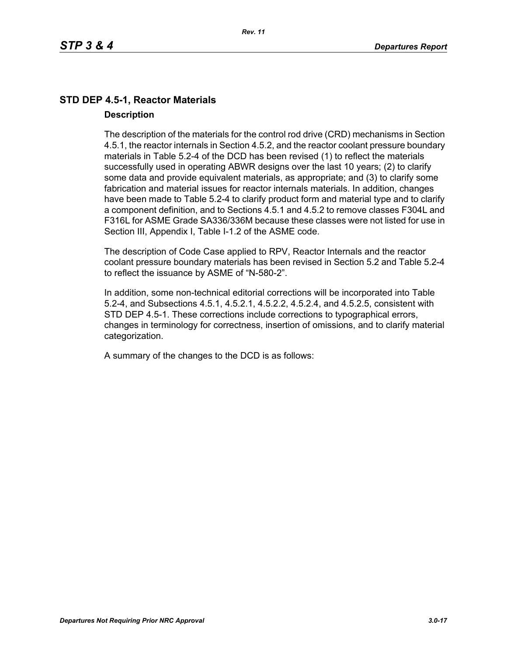# **STD DEP 4.5-1, Reactor Materials Description**

The description of the materials for the control rod drive (CRD) mechanisms in Section 4.5.1, the reactor internals in Section 4.5.2, and the reactor coolant pressure boundary materials in Table 5.2-4 of the DCD has been revised (1) to reflect the materials successfully used in operating ABWR designs over the last 10 years; (2) to clarify some data and provide equivalent materials, as appropriate; and (3) to clarify some fabrication and material issues for reactor internals materials. In addition, changes have been made to Table 5.2-4 to clarify product form and material type and to clarify a component definition, and to Sections 4.5.1 and 4.5.2 to remove classes F304L and F316L for ASME Grade SA336/336M because these classes were not listed for use in Section III, Appendix I, Table I-1.2 of the ASME code.

The description of Code Case applied to RPV, Reactor Internals and the reactor coolant pressure boundary materials has been revised in Section 5.2 and Table 5.2-4 to reflect the issuance by ASME of "N-580-2".

In addition, some non-technical editorial corrections will be incorporated into Table 5.2-4, and Subsections 4.5.1, 4.5.2.1, 4.5.2.2, 4.5.2.4, and 4.5.2.5, consistent with STD DEP 4.5-1. These corrections include corrections to typographical errors, changes in terminology for correctness, insertion of omissions, and to clarify material categorization.

A summary of the changes to the DCD is as follows: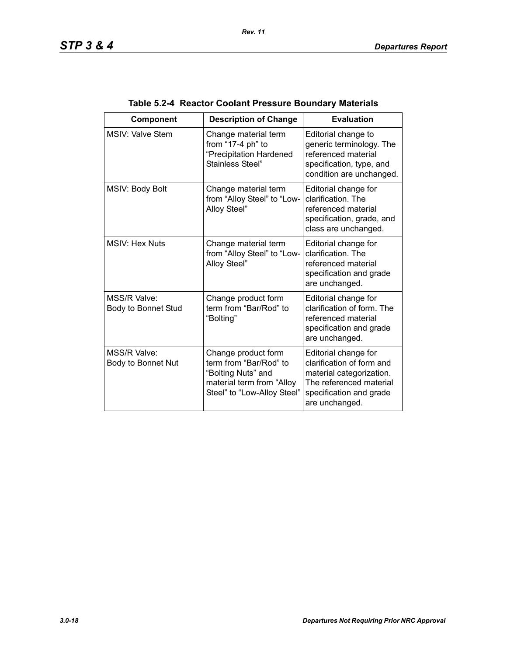| <b>Component</b>                    | <b>Description of Change</b>                                                                                                    | <b>Evaluation</b>                                                                                                                                     |
|-------------------------------------|---------------------------------------------------------------------------------------------------------------------------------|-------------------------------------------------------------------------------------------------------------------------------------------------------|
| MSIV: Valve Stem                    | Change material term<br>from "17-4 ph" to<br>"Precipitation Hardened<br>Stainless Steel"                                        | Editorial change to<br>generic terminology. The<br>referenced material<br>specification, type, and<br>condition are unchanged.                        |
| MSIV: Body Bolt                     | Change material term<br>from "Alloy Steel" to "Low-<br>Alloy Steel"                                                             | Editorial change for<br>clarification. The<br>referenced material<br>specification, grade, and<br>class are unchanged.                                |
| <b>MSIV: Hex Nuts</b>               | Change material term<br>from "Alloy Steel" to "Low-<br>Alloy Steel"                                                             | Editorial change for<br>clarification. The<br>referenced material<br>specification and grade<br>are unchanged.                                        |
| MSS/R Valve:<br>Body to Bonnet Stud | Change product form<br>term from "Bar/Rod" to<br>"Bolting"                                                                      | Editorial change for<br>clarification of form. The<br>referenced material<br>specification and grade<br>are unchanged.                                |
| MSS/R Valve:<br>Body to Bonnet Nut  | Change product form<br>term from "Bar/Rod" to<br>"Bolting Nuts" and<br>material term from "Alloy<br>Steel" to "Low-Alloy Steel" | Editorial change for<br>clarification of form and<br>material categorization.<br>The referenced material<br>specification and grade<br>are unchanged. |

# **Table 5.2-4 Reactor Coolant Pressure Boundary Materials**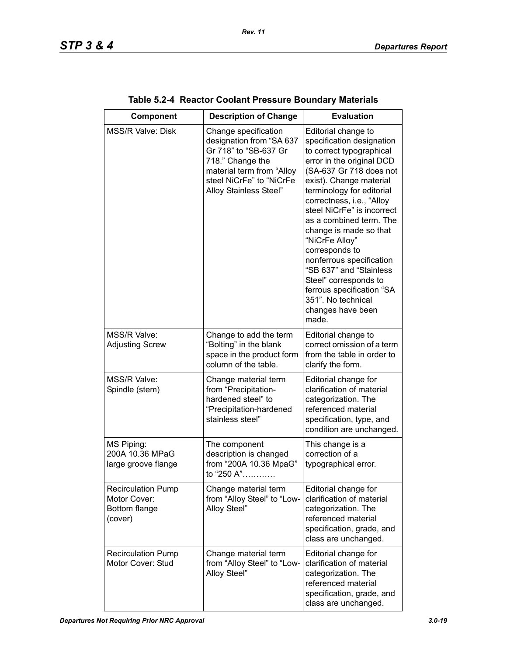| <b>Component</b>                                                      | <b>Description of Change</b>                                                                                                                                                     | <b>Evaluation</b>                                                                                                                                                                                                                                                                                                                                                                                                                                                                                                 |
|-----------------------------------------------------------------------|----------------------------------------------------------------------------------------------------------------------------------------------------------------------------------|-------------------------------------------------------------------------------------------------------------------------------------------------------------------------------------------------------------------------------------------------------------------------------------------------------------------------------------------------------------------------------------------------------------------------------------------------------------------------------------------------------------------|
| <b>MSS/R Valve: Disk</b>                                              | Change specification<br>designation from "SA 637<br>Gr 718" to "SB-637 Gr<br>718." Change the<br>material term from "Alloy<br>steel NiCrFe" to "NiCrFe<br>Alloy Stainless Steel" | Editorial change to<br>specification designation<br>to correct typographical<br>error in the original DCD<br>(SA-637 Gr 718 does not<br>exist). Change material<br>terminology for editorial<br>correctness, i.e., "Alloy<br>steel NiCrFe" is incorrect<br>as a combined term. The<br>change is made so that<br>"NiCrFe Alloy"<br>corresponds to<br>nonferrous specification<br>"SB 637" and "Stainless<br>Steel" corresponds to<br>ferrous specification "SA<br>351". No technical<br>changes have been<br>made. |
| MSS/R Valve:<br><b>Adjusting Screw</b>                                | Change to add the term<br>"Bolting" in the blank<br>space in the product form<br>column of the table.                                                                            | Editorial change to<br>correct omission of a term<br>from the table in order to<br>clarify the form.                                                                                                                                                                                                                                                                                                                                                                                                              |
| MSS/R Valve:<br>Spindle (stem)                                        | Change material term<br>from "Precipitation-<br>hardened steel" to<br>"Precipitation-hardened<br>stainless steel"                                                                | Editorial change for<br>clarification of material<br>categorization. The<br>referenced material<br>specification, type, and<br>condition are unchanged.                                                                                                                                                                                                                                                                                                                                                           |
| MS Piping:<br>200A 10.36 MPaG<br>large groove flange                  | The component<br>description is changed<br>from "200A 10.36 MpaG"<br>to "250 A"                                                                                                  | This change is a<br>correction of a<br>typographical error.                                                                                                                                                                                                                                                                                                                                                                                                                                                       |
| <b>Recirculation Pump</b><br>Motor Cover:<br>Bottom flange<br>(cover) | Change material term<br>from "Alloy Steel" to "Low-<br>Alloy Steel"                                                                                                              | Editorial change for<br>clarification of material<br>categorization. The<br>referenced material<br>specification, grade, and<br>class are unchanged.                                                                                                                                                                                                                                                                                                                                                              |
| <b>Recirculation Pump</b><br>Motor Cover: Stud                        | Change material term<br>from "Alloy Steel" to "Low-<br>Alloy Steel"                                                                                                              | Editorial change for<br>clarification of material<br>categorization. The<br>referenced material<br>specification, grade, and<br>class are unchanged.                                                                                                                                                                                                                                                                                                                                                              |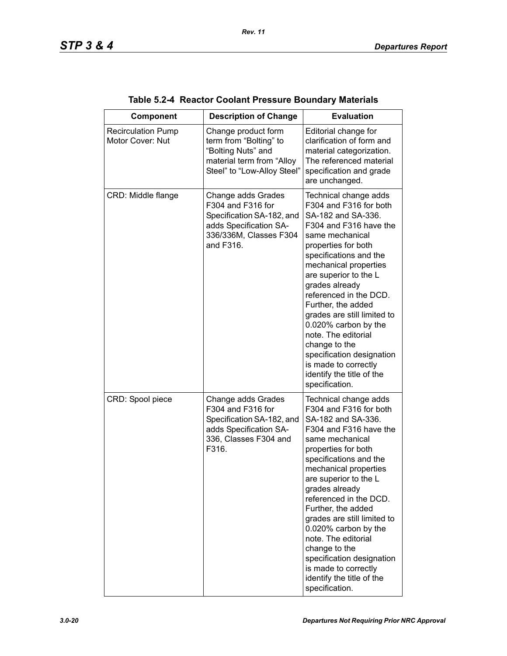| <b>Component</b>                              | <b>Description of Change</b>                                                                                                          | <b>Evaluation</b>                                                                                                                                                                                                                                                                                                                                                                                                                                                                          |
|-----------------------------------------------|---------------------------------------------------------------------------------------------------------------------------------------|--------------------------------------------------------------------------------------------------------------------------------------------------------------------------------------------------------------------------------------------------------------------------------------------------------------------------------------------------------------------------------------------------------------------------------------------------------------------------------------------|
| <b>Recirculation Pump</b><br>Motor Cover: Nut | Change product form<br>term from "Bolting" to<br>"Bolting Nuts" and<br>material term from "Alloy<br>Steel" to "Low-Alloy Steel"       | Editorial change for<br>clarification of form and<br>material categorization.<br>The referenced material<br>specification and grade<br>are unchanged.                                                                                                                                                                                                                                                                                                                                      |
| CRD: Middle flange                            | Change adds Grades<br>F304 and F316 for<br>Specification SA-182, and<br>adds Specification SA-<br>336/336M, Classes F304<br>and F316. | Technical change adds<br>F304 and F316 for both<br>SA-182 and SA-336.<br>F304 and F316 have the<br>same mechanical<br>properties for both<br>specifications and the<br>mechanical properties<br>are superior to the L<br>grades already<br>referenced in the DCD.<br>Further, the added<br>grades are still limited to<br>0.020% carbon by the<br>note. The editorial<br>change to the<br>specification designation<br>is made to correctly<br>identify the title of the<br>specification. |
| CRD: Spool piece                              | Change adds Grades<br>F304 and F316 for<br>Specification SA-182, and<br>adds Specification SA-<br>336, Classes F304 and<br>F316.      | Technical change adds<br>F304 and F316 for both<br>SA-182 and SA-336.<br>F304 and F316 have the<br>same mechanical<br>properties for both<br>specifications and the<br>mechanical properties<br>are superior to the L<br>grades already<br>referenced in the DCD.<br>Further, the added<br>grades are still limited to<br>0.020% carbon by the<br>note. The editorial<br>change to the<br>specification designation<br>is made to correctly<br>identify the title of the<br>specification. |

| Table 5.2-4 Reactor Coolant Pressure Boundary Materials |  |
|---------------------------------------------------------|--|
|---------------------------------------------------------|--|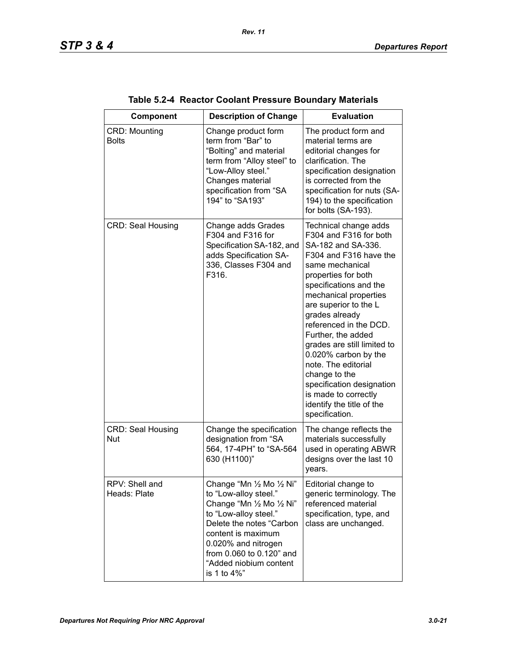| Component                              | <b>Description of Change</b>                                                                                                                                                                                                                           | <b>Evaluation</b>                                                                                                                                                                                                                                                                                                                                                                                                                                                                          |
|----------------------------------------|--------------------------------------------------------------------------------------------------------------------------------------------------------------------------------------------------------------------------------------------------------|--------------------------------------------------------------------------------------------------------------------------------------------------------------------------------------------------------------------------------------------------------------------------------------------------------------------------------------------------------------------------------------------------------------------------------------------------------------------------------------------|
| CRD: Mounting<br><b>Bolts</b>          | Change product form<br>term from "Bar" to<br>"Bolting" and material<br>term from "Alloy steel" to<br>"Low-Alloy steel."<br>Changes material<br>specification from "SA<br>194" to "SA193"                                                               | The product form and<br>material terms are<br>editorial changes for<br>clarification. The<br>specification designation<br>is corrected from the<br>specification for nuts (SA-<br>194) to the specification<br>for bolts (SA-193).                                                                                                                                                                                                                                                         |
| <b>CRD: Seal Housing</b>               | Change adds Grades<br>F304 and F316 for<br>Specification SA-182, and<br>adds Specification SA-<br>336, Classes F304 and<br>F316.                                                                                                                       | Technical change adds<br>F304 and F316 for both<br>SA-182 and SA-336.<br>F304 and F316 have the<br>same mechanical<br>properties for both<br>specifications and the<br>mechanical properties<br>are superior to the L<br>grades already<br>referenced in the DCD.<br>Further, the added<br>grades are still limited to<br>0.020% carbon by the<br>note. The editorial<br>change to the<br>specification designation<br>is made to correctly<br>identify the title of the<br>specification. |
| <b>CRD: Seal Housing</b><br><b>Nut</b> | Change the specification<br>designation from "SA<br>564, 17-4PH" to "SA-564<br>630 (H1100)"                                                                                                                                                            | The change reflects the<br>materials successfully<br>used in operating ABWR<br>designs over the last 10<br>years.                                                                                                                                                                                                                                                                                                                                                                          |
| RPV: Shell and<br>Heads: Plate         | Change "Mn 1/2 Mo 1/2 Ni"<br>to "Low-alloy steel."<br>Change "Mn 1/2 Mo 1/2 Ni"<br>to "Low-alloy steel."<br>Delete the notes "Carbon<br>content is maximum<br>0.020% and nitrogen<br>from 0.060 to 0.120" and<br>"Added niobium content<br>is 1 to 4%" | Editorial change to<br>generic terminology. The<br>referenced material<br>specification, type, and<br>class are unchanged.                                                                                                                                                                                                                                                                                                                                                                 |

| Table 5.2-4 Reactor Coolant Pressure Boundary Materials |  |  |  |  |  |
|---------------------------------------------------------|--|--|--|--|--|
|---------------------------------------------------------|--|--|--|--|--|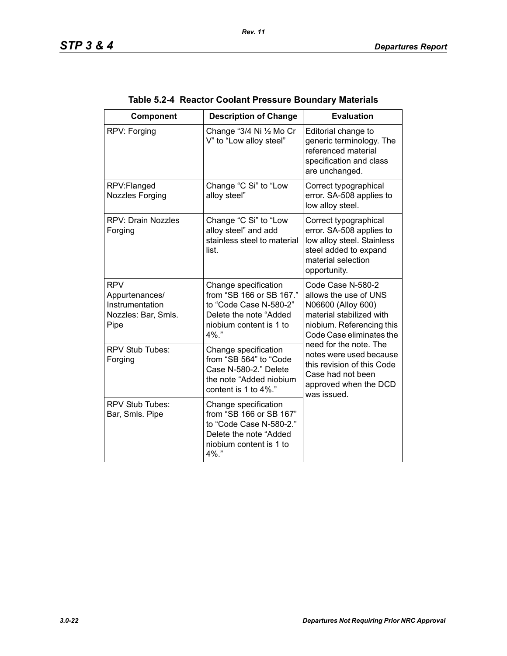| Component                                                                      | <b>Description of Change</b>                                                                                                                | <b>Evaluation</b>                                                                                                                                                                                                                                                                                     |
|--------------------------------------------------------------------------------|---------------------------------------------------------------------------------------------------------------------------------------------|-------------------------------------------------------------------------------------------------------------------------------------------------------------------------------------------------------------------------------------------------------------------------------------------------------|
| RPV: Forging                                                                   | Change "3/4 Ni 1/2 Mo Cr<br>V" to "Low alloy steel"                                                                                         | Editorial change to<br>generic terminology. The<br>referenced material<br>specification and class<br>are unchanged.                                                                                                                                                                                   |
| RPV:Flanged<br>Nozzles Forging                                                 | Change "C Si" to "Low<br>alloy steel"                                                                                                       | Correct typographical<br>error. SA-508 applies to<br>low alloy steel.                                                                                                                                                                                                                                 |
| <b>RPV: Drain Nozzles</b><br>Forging                                           | Change "C Si" to "Low<br>alloy steel" and add<br>stainless steel to material<br>list.                                                       | Correct typographical<br>error. SA-508 applies to<br>low alloy steel. Stainless<br>steel added to expand<br>material selection<br>opportunity.                                                                                                                                                        |
| <b>RPV</b><br>Appurtenances/<br>Instrumentation<br>Nozzles: Bar, Smls.<br>Pipe | Change specification<br>from "SB 166 or SB 167."<br>to "Code Case N-580-2"<br>Delete the note "Added<br>niobium content is 1 to<br>$4\%$ ." | Code Case N-580-2<br>allows the use of UNS<br>N06600 (Alloy 600)<br>material stabilized with<br>niobium. Referencing this<br>Code Case eliminates the<br>need for the note. The<br>notes were used because<br>this revision of this Code<br>Case had not been<br>approved when the DCD<br>was issued. |
| RPV Stub Tubes:<br>Forging                                                     | Change specification<br>from "SB 564" to "Code<br>Case N-580-2." Delete<br>the note "Added niobium<br>content is 1 to 4%."                  |                                                                                                                                                                                                                                                                                                       |
| <b>RPV Stub Tubes:</b><br>Bar, Smls. Pipe                                      | Change specification<br>from "SB 166 or SB 167"<br>to "Code Case N-580-2."<br>Delete the note "Added<br>niobium content is 1 to<br>4%."     |                                                                                                                                                                                                                                                                                                       |

| Table 5.2-4 Reactor Coolant Pressure Boundary Materials |  |
|---------------------------------------------------------|--|
|                                                         |  |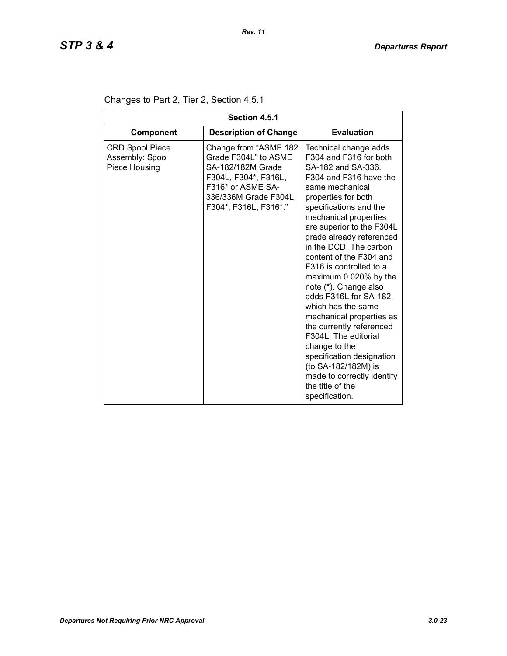| Section 4.5.1                                              |                                                                                                                                                                   |                                                                                                                                                                                                                                                                                                                                                                                                                                                                                                                                                                                                                                                                  |  |
|------------------------------------------------------------|-------------------------------------------------------------------------------------------------------------------------------------------------------------------|------------------------------------------------------------------------------------------------------------------------------------------------------------------------------------------------------------------------------------------------------------------------------------------------------------------------------------------------------------------------------------------------------------------------------------------------------------------------------------------------------------------------------------------------------------------------------------------------------------------------------------------------------------------|--|
| <b>Component</b>                                           | <b>Description of Change</b>                                                                                                                                      | <b>Evaluation</b>                                                                                                                                                                                                                                                                                                                                                                                                                                                                                                                                                                                                                                                |  |
| <b>CRD Spool Piece</b><br>Assembly: Spool<br>Piece Housing | Change from "ASME 182<br>Grade F304L" to ASME<br>SA-182/182M Grade<br>F304L, F304*, F316L,<br>F316* or ASME SA-<br>336/336M Grade F304L,<br>F304*, F316L, F316*." | Technical change adds<br>F304 and F316 for both<br>SA-182 and SA-336.<br>F304 and F316 have the<br>same mechanical<br>properties for both<br>specifications and the<br>mechanical properties<br>are superior to the F304L<br>grade already referenced<br>in the DCD. The carbon<br>content of the F304 and<br>F316 is controlled to a<br>maximum 0.020% by the<br>note (*). Change also<br>adds F316L for SA-182,<br>which has the same<br>mechanical properties as<br>the currently referenced<br>F304L. The editorial<br>change to the<br>specification designation<br>(to SA-182/182M) is<br>made to correctly identify<br>the title of the<br>specification. |  |

# Changes to Part 2, Tier 2, Section 4.5.1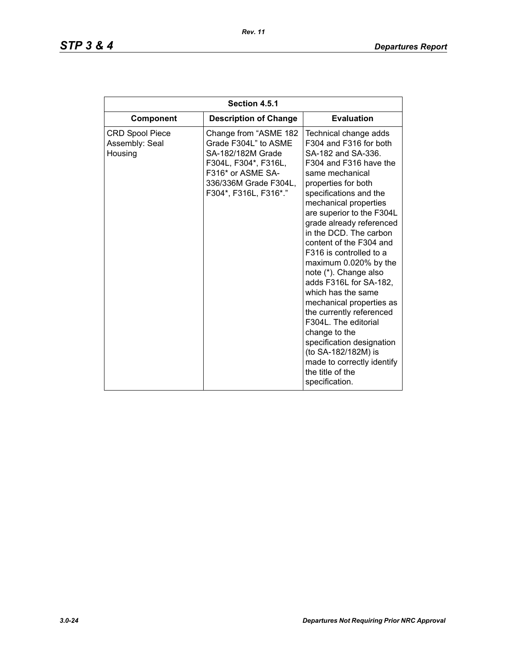| Section 4.5.1                                       |                                                                                                                                                                   |                                                                                                                                                                                                                                                                                                                                                                                                                                                                                                                                                                                                                                                                  |  |
|-----------------------------------------------------|-------------------------------------------------------------------------------------------------------------------------------------------------------------------|------------------------------------------------------------------------------------------------------------------------------------------------------------------------------------------------------------------------------------------------------------------------------------------------------------------------------------------------------------------------------------------------------------------------------------------------------------------------------------------------------------------------------------------------------------------------------------------------------------------------------------------------------------------|--|
| Component                                           | <b>Description of Change</b>                                                                                                                                      | <b>Evaluation</b>                                                                                                                                                                                                                                                                                                                                                                                                                                                                                                                                                                                                                                                |  |
| <b>CRD Spool Piece</b><br>Assembly: Seal<br>Housing | Change from "ASME 182<br>Grade F304L" to ASME<br>SA-182/182M Grade<br>F304L, F304*, F316L,<br>F316* or ASME SA-<br>336/336M Grade F304L,<br>F304*, F316L, F316*." | Technical change adds<br>F304 and F316 for both<br>SA-182 and SA-336.<br>F304 and F316 have the<br>same mechanical<br>properties for both<br>specifications and the<br>mechanical properties<br>are superior to the F304L<br>grade already referenced<br>in the DCD. The carbon<br>content of the F304 and<br>F316 is controlled to a<br>maximum 0.020% by the<br>note (*). Change also<br>adds F316L for SA-182,<br>which has the same<br>mechanical properties as<br>the currently referenced<br>F304L. The editorial<br>change to the<br>specification designation<br>(to SA-182/182M) is<br>made to correctly identify<br>the title of the<br>specification. |  |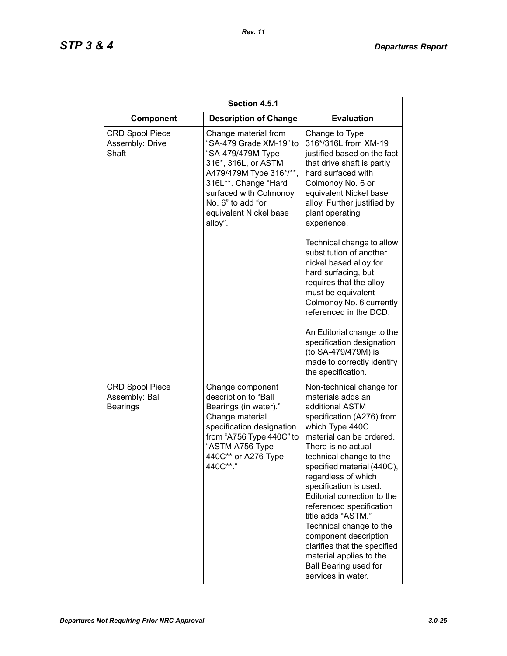| Section 4.5.1                                               |                                                                                                                                                                                                                                    |                                                                                                                                                                                                                                                                                                                                                                                                                                                                                                                                    |  |
|-------------------------------------------------------------|------------------------------------------------------------------------------------------------------------------------------------------------------------------------------------------------------------------------------------|------------------------------------------------------------------------------------------------------------------------------------------------------------------------------------------------------------------------------------------------------------------------------------------------------------------------------------------------------------------------------------------------------------------------------------------------------------------------------------------------------------------------------------|--|
| Component                                                   | <b>Description of Change</b>                                                                                                                                                                                                       | <b>Evaluation</b>                                                                                                                                                                                                                                                                                                                                                                                                                                                                                                                  |  |
| <b>CRD Spool Piece</b><br>Assembly: Drive<br>Shaft          | Change material from<br>"SA-479 Grade XM-19" to<br>"SA-479/479M Type<br>316*, 316L, or ASTM<br>A479/479M Type 316*/**,<br>316L**. Change "Hard<br>surfaced with Colmonoy<br>No. 6" to add "or<br>equivalent Nickel base<br>alloy". | Change to Type<br>316*/316L from XM-19<br>justified based on the fact<br>that drive shaft is partly<br>hard surfaced with<br>Colmonoy No. 6 or<br>equivalent Nickel base<br>alloy. Further justified by<br>plant operating<br>experience.                                                                                                                                                                                                                                                                                          |  |
|                                                             |                                                                                                                                                                                                                                    | Technical change to allow<br>substitution of another<br>nickel based alloy for<br>hard surfacing, but<br>requires that the alloy<br>must be equivalent<br>Colmonoy No. 6 currently<br>referenced in the DCD.<br>An Editorial change to the<br>specification designation<br>(to SA-479/479M) is<br>made to correctly identify<br>the specification.                                                                                                                                                                                 |  |
| <b>CRD Spool Piece</b><br>Assembly: Ball<br><b>Bearings</b> | Change component<br>description to "Ball<br>Bearings (in water)."<br>Change material<br>specification designation<br>from "A756 Type 440C" to<br>"ASTM A756 Type<br>440C** or A276 Type<br>440C**."                                | Non-technical change for<br>materials adds an<br>additional ASTM<br>specification (A276) from<br>which Type 440C<br>material can be ordered.<br>There is no actual<br>technical change to the<br>specified material (440C),<br>regardless of which<br>specification is used.<br>Editorial correction to the<br>referenced specification<br>title adds "ASTM."<br>Technical change to the<br>component description<br>clarifies that the specified<br>material applies to the<br><b>Ball Bearing used for</b><br>services in water. |  |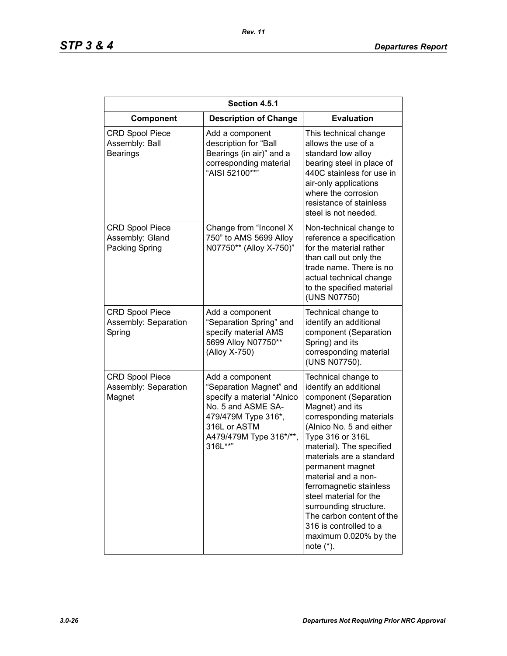| Section 4.5.1                                               |                                                                                                                                                                             |                                                                                                                                                                                                                                                                                                                                                                                                                                                        |
|-------------------------------------------------------------|-----------------------------------------------------------------------------------------------------------------------------------------------------------------------------|--------------------------------------------------------------------------------------------------------------------------------------------------------------------------------------------------------------------------------------------------------------------------------------------------------------------------------------------------------------------------------------------------------------------------------------------------------|
| Component                                                   | <b>Description of Change</b>                                                                                                                                                | <b>Evaluation</b>                                                                                                                                                                                                                                                                                                                                                                                                                                      |
| <b>CRD Spool Piece</b><br>Assembly: Ball<br><b>Bearings</b> | Add a component<br>description for "Ball<br>Bearings (in air)" and a<br>corresponding material<br>"AISI 52100**"                                                            | This technical change<br>allows the use of a<br>standard low alloy<br>bearing steel in place of<br>440C stainless for use in<br>air-only applications<br>where the corrosion<br>resistance of stainless<br>steel is not needed.                                                                                                                                                                                                                        |
| <b>CRD Spool Piece</b><br>Assembly: Gland<br>Packing Spring | Change from "Inconel X<br>750" to AMS 5699 Alloy<br>N07750** (Alloy X-750)"                                                                                                 | Non-technical change to<br>reference a specification<br>for the material rather<br>than call out only the<br>trade name. There is no<br>actual technical change<br>to the specified material<br>(UNS N07750)                                                                                                                                                                                                                                           |
| <b>CRD Spool Piece</b><br>Assembly: Separation<br>Spring    | Add a component<br>"Separation Spring" and<br>specify material AMS<br>5699 Alloy N07750**<br>(Alloy X-750)                                                                  | Technical change to<br>identify an additional<br>component (Separation<br>Spring) and its<br>corresponding material<br>(UNS N07750).                                                                                                                                                                                                                                                                                                                   |
| <b>CRD Spool Piece</b><br>Assembly: Separation<br>Magnet    | Add a component<br>"Separation Magnet" and<br>specify a material "Alnico<br>No. 5 and ASME SA-<br>479/479M Type 316*,<br>316L or ASTM<br>A479/479M Type 316*/**,<br>316L**" | Technical change to<br>identify an additional<br>component (Separation<br>Magnet) and its<br>corresponding materials<br>(Alnico No. 5 and either<br>Type 316 or 316L<br>material). The specified<br>materials are a standard<br>permanent magnet<br>material and a non-<br>ferromagnetic stainless<br>steel material for the<br>surrounding structure.<br>The carbon content of the<br>316 is controlled to a<br>maximum 0.020% by the<br>note $(*)$ . |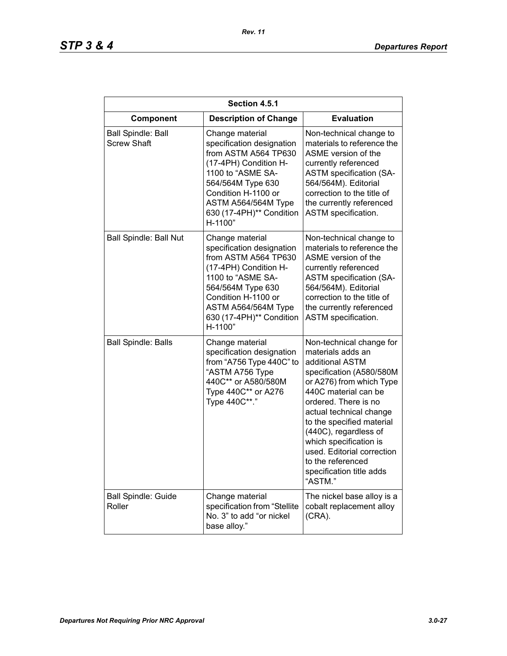| Section 4.5.1                                   |                                                                                                                                                                                                                              |                                                                                                                                                                                                                                                                                                                                                                               |
|-------------------------------------------------|------------------------------------------------------------------------------------------------------------------------------------------------------------------------------------------------------------------------------|-------------------------------------------------------------------------------------------------------------------------------------------------------------------------------------------------------------------------------------------------------------------------------------------------------------------------------------------------------------------------------|
| Component                                       | <b>Description of Change</b>                                                                                                                                                                                                 | <b>Evaluation</b>                                                                                                                                                                                                                                                                                                                                                             |
| <b>Ball Spindle: Ball</b><br><b>Screw Shaft</b> | Change material<br>specification designation<br>from ASTM A564 TP630<br>(17-4PH) Condition H-<br>1100 to "ASME SA-<br>564/564M Type 630<br>Condition H-1100 or<br>ASTM A564/564M Type<br>630 (17-4PH)** Condition<br>H-1100" | Non-technical change to<br>materials to reference the<br>ASME version of the<br>currently referenced<br><b>ASTM</b> specification (SA-<br>564/564M). Editorial<br>correction to the title of<br>the currently referenced<br>ASTM specification.                                                                                                                               |
| <b>Ball Spindle: Ball Nut</b>                   | Change material<br>specification designation<br>from ASTM A564 TP630<br>(17-4PH) Condition H-<br>1100 to "ASME SA-<br>564/564M Type 630<br>Condition H-1100 or<br>ASTM A564/564M Type<br>630 (17-4PH)** Condition<br>H-1100" | Non-technical change to<br>materials to reference the<br>ASME version of the<br>currently referenced<br><b>ASTM</b> specification (SA-<br>564/564M). Editorial<br>correction to the title of<br>the currently referenced<br>ASTM specification.                                                                                                                               |
| <b>Ball Spindle: Balls</b>                      | Change material<br>specification designation<br>from "A756 Type 440C" to<br>"ASTM A756 Type<br>440C** or A580/580M<br>Type 440C** or A276<br>Type 440C**."                                                                   | Non-technical change for<br>materials adds an<br>additional ASTM<br>specification (A580/580M<br>or A276) from which Type<br>440C material can be<br>ordered. There is no<br>actual technical change<br>to the specified material<br>(440C), regardless of<br>which specification is<br>used. Editorial correction<br>to the referenced<br>specification title adds<br>"ASTM." |
| <b>Ball Spindle: Guide</b><br>Roller            | Change material<br>specification from "Stellite<br>No. 3" to add "or nickel<br>base alloy."                                                                                                                                  | The nickel base alloy is a<br>cobalt replacement alloy<br>(CRA).                                                                                                                                                                                                                                                                                                              |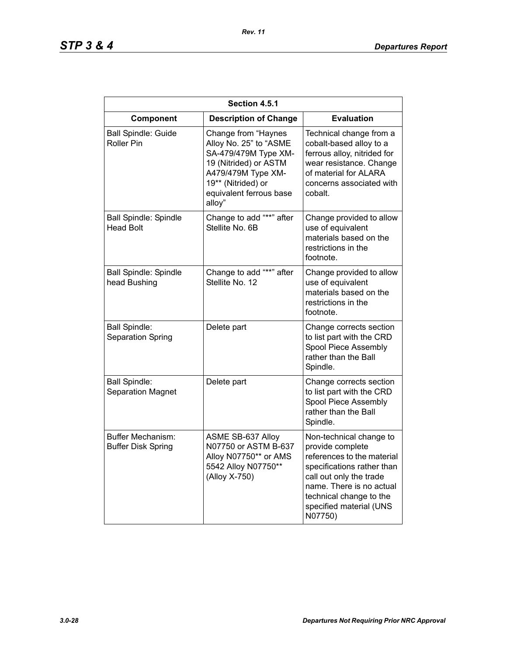| Section 4.5.1                                    |                                                                                                                                                                                 |                                                                                                                                                                                                                                 |
|--------------------------------------------------|---------------------------------------------------------------------------------------------------------------------------------------------------------------------------------|---------------------------------------------------------------------------------------------------------------------------------------------------------------------------------------------------------------------------------|
| Component                                        | <b>Description of Change</b>                                                                                                                                                    | <b>Evaluation</b>                                                                                                                                                                                                               |
| <b>Ball Spindle: Guide</b><br><b>Roller Pin</b>  | Change from "Haynes<br>Alloy No. 25" to "ASME<br>SA-479/479M Type XM-<br>19 (Nitrided) or ASTM<br>A479/479M Type XM-<br>19** (Nitrided) or<br>equivalent ferrous base<br>alloy" | Technical change from a<br>cobalt-based alloy to a<br>ferrous alloy, nitrided for<br>wear resistance. Change<br>of material for ALARA<br>concerns associated with<br>cobalt.                                                    |
| <b>Ball Spindle: Spindle</b><br><b>Head Bolt</b> | Change to add "**" after<br>Stellite No. 6B                                                                                                                                     | Change provided to allow<br>use of equivalent<br>materials based on the<br>restrictions in the<br>footnote.                                                                                                                     |
| <b>Ball Spindle: Spindle</b><br>head Bushing     | Change to add "**" after<br>Stellite No. 12                                                                                                                                     | Change provided to allow<br>use of equivalent<br>materials based on the<br>restrictions in the<br>footnote.                                                                                                                     |
| <b>Ball Spindle:</b><br>Separation Spring        | Delete part                                                                                                                                                                     | Change corrects section<br>to list part with the CRD<br>Spool Piece Assembly<br>rather than the Ball<br>Spindle.                                                                                                                |
| <b>Ball Spindle:</b><br><b>Separation Magnet</b> | Delete part                                                                                                                                                                     | Change corrects section<br>to list part with the CRD<br>Spool Piece Assembly<br>rather than the Ball<br>Spindle.                                                                                                                |
| Buffer Mechanism:<br><b>Buffer Disk Spring</b>   | <b>ASME SB-637 Alloy</b><br>N07750 or ASTM B-637<br>Alloy N07750** or AMS<br>5542 Alloy N07750**<br>(Alloy X-750)                                                               | Non-technical change to<br>provide complete<br>references to the material<br>specifications rather than<br>call out only the trade<br>name. There is no actual<br>technical change to the<br>specified material (UNS<br>N07750) |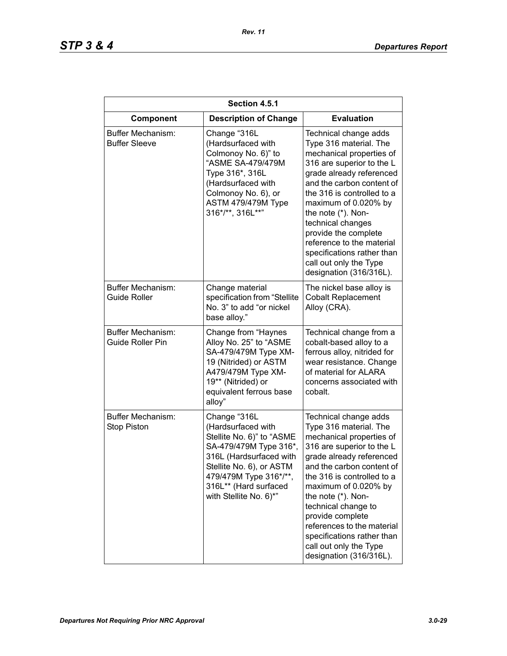| Section 4.5.1                                  |                                                                                                                                                                                                                               |                                                                                                                                                                                                                                                                                                                                                                                                            |
|------------------------------------------------|-------------------------------------------------------------------------------------------------------------------------------------------------------------------------------------------------------------------------------|------------------------------------------------------------------------------------------------------------------------------------------------------------------------------------------------------------------------------------------------------------------------------------------------------------------------------------------------------------------------------------------------------------|
| Component                                      | <b>Description of Change</b>                                                                                                                                                                                                  | <b>Evaluation</b>                                                                                                                                                                                                                                                                                                                                                                                          |
| Buffer Mechanism:<br><b>Buffer Sleeve</b>      | Change "316L<br>(Hardsurfaced with<br>Colmonoy No. 6)" to<br>"ASME SA-479/479M<br>Type 316*, 316L<br>(Hardsurfaced with<br>Colmonoy No. 6), or<br>ASTM 479/479M Type<br>316*/**, 316L**"                                      | Technical change adds<br>Type 316 material. The<br>mechanical properties of<br>316 are superior to the L<br>grade already referenced<br>and the carbon content of<br>the 316 is controlled to a<br>maximum of 0.020% by<br>the note (*). Non-<br>technical changes<br>provide the complete<br>reference to the material<br>specifications rather than<br>call out only the Type<br>designation (316/316L). |
| Buffer Mechanism:<br><b>Guide Roller</b>       | Change material<br>specification from "Stellite<br>No. 3" to add "or nickel<br>base alloy."                                                                                                                                   | The nickel base alloy is<br><b>Cobalt Replacement</b><br>Alloy (CRA).                                                                                                                                                                                                                                                                                                                                      |
| Buffer Mechanism:<br><b>Guide Roller Pin</b>   | Change from "Haynes<br>Alloy No. 25" to "ASME<br>SA-479/479M Type XM-<br>19 (Nitrided) or ASTM<br>A479/479M Type XM-<br>19** (Nitrided) or<br>equivalent ferrous base<br>alloy"                                               | Technical change from a<br>cobalt-based alloy to a<br>ferrous alloy, nitrided for<br>wear resistance. Change<br>of material for ALARA<br>concerns associated with<br>cobalt.                                                                                                                                                                                                                               |
| <b>Buffer Mechanism:</b><br><b>Stop Piston</b> | Change "316L<br>(Hardsurfaced with<br>Stellite No. 6)" to "ASME<br>SA-479/479M Type 316*,<br>316L (Hardsurfaced with<br>Stellite No. 6), or ASTM<br>479/479M Type 316*/**,<br>316L** (Hard surfaced<br>with Stellite No. 6)*" | Technical change adds<br>Type 316 material. The<br>mechanical properties of<br>316 are superior to the L<br>grade already referenced<br>and the carbon content of<br>the 316 is controlled to a<br>maximum of 0.020% by<br>the note (*). Non-<br>technical change to<br>provide complete<br>references to the material<br>specifications rather than<br>call out only the Type<br>designation (316/316L).  |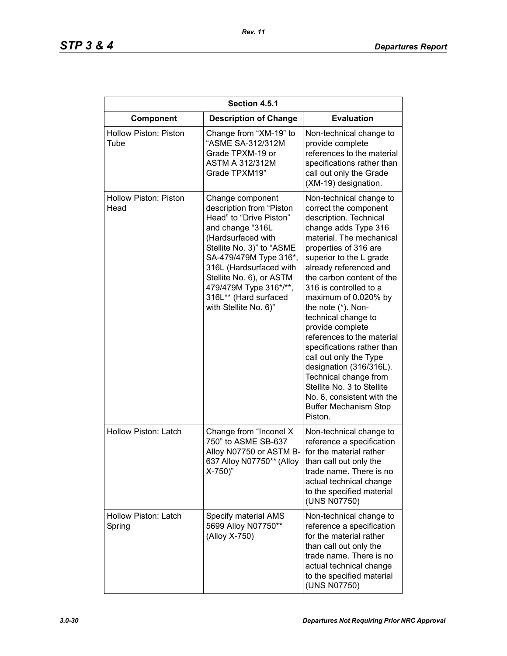| Section 4.5.1                        |                                                                                                                                                                                                                                                                                                             |                                                                                                                                                                                                                                                                                                                                                                                                                                                                                                                                                                                                               |
|--------------------------------------|-------------------------------------------------------------------------------------------------------------------------------------------------------------------------------------------------------------------------------------------------------------------------------------------------------------|---------------------------------------------------------------------------------------------------------------------------------------------------------------------------------------------------------------------------------------------------------------------------------------------------------------------------------------------------------------------------------------------------------------------------------------------------------------------------------------------------------------------------------------------------------------------------------------------------------------|
| Component                            | <b>Description of Change</b>                                                                                                                                                                                                                                                                                | <b>Evaluation</b>                                                                                                                                                                                                                                                                                                                                                                                                                                                                                                                                                                                             |
| <b>Hollow Piston: Piston</b><br>Tube | Change from "XM-19" to<br>"ASME SA-312/312M<br>Grade TPXM-19 or<br><b>ASTM A 312/312M</b><br>Grade TPXM19"                                                                                                                                                                                                  | Non-technical change to<br>provide complete<br>references to the material<br>specifications rather than<br>call out only the Grade<br>(XM-19) designation.                                                                                                                                                                                                                                                                                                                                                                                                                                                    |
| Hollow Piston: Piston<br>Head        | Change component<br>description from "Piston<br>Head" to "Drive Piston"<br>and change "316L<br>(Hardsurfaced with<br>Stellite No. 3)" to "ASME<br>SA-479/479M Type 316*,<br>316L (Hardsurfaced with<br>Stellite No. 6), or ASTM<br>479/479M Type 316*/**,<br>316L** (Hard surfaced<br>with Stellite No. 6)" | Non-technical change to<br>correct the component<br>description. Technical<br>change adds Type 316<br>material. The mechanical<br>properties of 316 are<br>superior to the L grade<br>already referenced and<br>the carbon content of the<br>316 is controlled to a<br>maximum of 0.020% by<br>the note (*). Non-<br>technical change to<br>provide complete<br>references to the material<br>specifications rather than<br>call out only the Type<br>designation (316/316L).<br>Technical change from<br>Stellite No. 3 to Stellite<br>No. 6, consistent with the<br><b>Buffer Mechanism Stop</b><br>Piston. |
| Hollow Piston: Latch                 | Change from "Inconel X<br>750" to ASME SB-637<br>Alloy N07750 or ASTM B-<br>637 Alloy N07750** (Alloy<br>$X-750$ )"                                                                                                                                                                                         | Non-technical change to<br>reference a specification<br>for the material rather<br>than call out only the<br>trade name. There is no<br>actual technical change<br>to the specified material<br>(UNS N07750)                                                                                                                                                                                                                                                                                                                                                                                                  |
| Hollow Piston: Latch<br>Spring       | Specify material AMS<br>5699 Alloy N07750**<br>(Alloy X-750)                                                                                                                                                                                                                                                | Non-technical change to<br>reference a specification<br>for the material rather<br>than call out only the<br>trade name. There is no<br>actual technical change<br>to the specified material<br>(UNS N07750)                                                                                                                                                                                                                                                                                                                                                                                                  |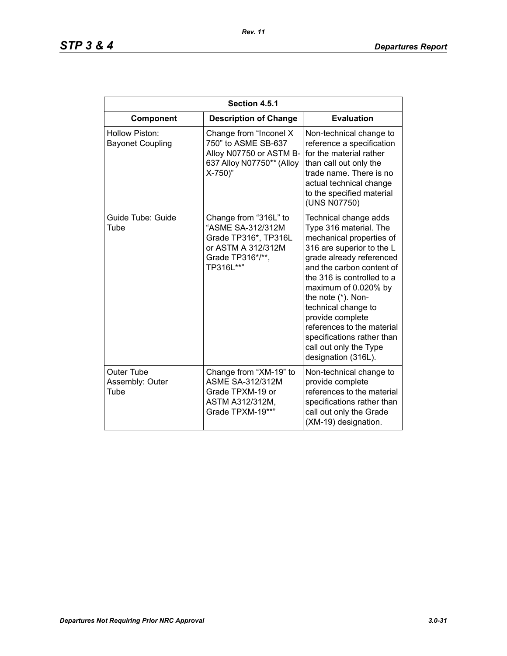| Section 4.5.1                             |                                                                                                                           |                                                                                                                                                                                                                                                                                                                                                                                                       |
|-------------------------------------------|---------------------------------------------------------------------------------------------------------------------------|-------------------------------------------------------------------------------------------------------------------------------------------------------------------------------------------------------------------------------------------------------------------------------------------------------------------------------------------------------------------------------------------------------|
| Component                                 | <b>Description of Change</b>                                                                                              | <b>Evaluation</b>                                                                                                                                                                                                                                                                                                                                                                                     |
| Hollow Piston:<br><b>Bayonet Coupling</b> | Change from "Inconel X<br>750" to ASME SB-637<br>Alloy N07750 or ASTM B-<br>637 Alloy N07750** (Alloy<br>$X-750"$         | Non-technical change to<br>reference a specification<br>for the material rather<br>than call out only the<br>trade name. There is no<br>actual technical change<br>to the specified material<br>(UNS N07750)                                                                                                                                                                                          |
| Guide Tube: Guide<br>Tube                 | Change from "316L" to<br>"ASME SA-312/312M<br>Grade TP316*, TP316L<br>or ASTM A 312/312M<br>Grade TP316*/**,<br>TP316L**" | Technical change adds<br>Type 316 material. The<br>mechanical properties of<br>316 are superior to the L<br>grade already referenced<br>and the carbon content of<br>the 316 is controlled to a<br>maximum of 0.020% by<br>the note (*). Non-<br>technical change to<br>provide complete<br>references to the material<br>specifications rather than<br>call out only the Type<br>designation (316L). |
| Outer Tube<br>Assembly: Outer<br>Tube     | Change from "XM-19" to<br><b>ASME SA-312/312M</b><br>Grade TPXM-19 or<br>ASTM A312/312M,<br>Grade TPXM-19**"              | Non-technical change to<br>provide complete<br>references to the material<br>specifications rather than<br>call out only the Grade<br>(XM-19) designation.                                                                                                                                                                                                                                            |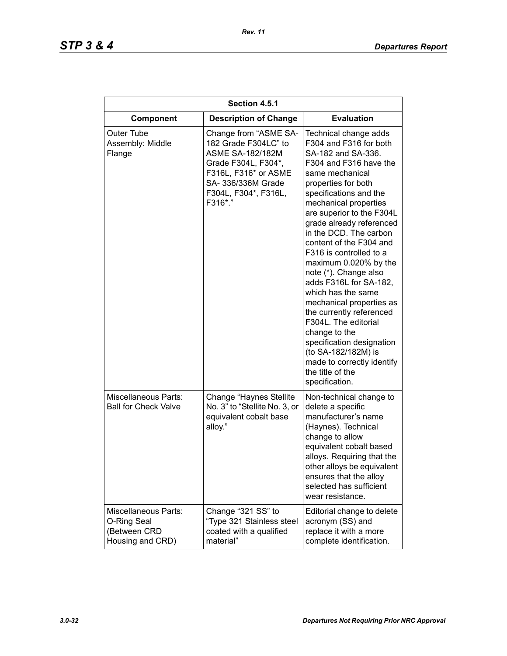| Section 4.5.1                                                                  |                                                                                                                                                                                  |                                                                                                                                                                                                                                                                                                                                                                                                                                                                                                                                                                                                                                                                  |
|--------------------------------------------------------------------------------|----------------------------------------------------------------------------------------------------------------------------------------------------------------------------------|------------------------------------------------------------------------------------------------------------------------------------------------------------------------------------------------------------------------------------------------------------------------------------------------------------------------------------------------------------------------------------------------------------------------------------------------------------------------------------------------------------------------------------------------------------------------------------------------------------------------------------------------------------------|
| Component                                                                      | <b>Description of Change</b>                                                                                                                                                     | <b>Evaluation</b>                                                                                                                                                                                                                                                                                                                                                                                                                                                                                                                                                                                                                                                |
| Outer Tube<br>Assembly: Middle<br>Flange                                       | Change from "ASME SA-<br>182 Grade F304LC" to<br><b>ASME SA-182/182M</b><br>Grade F304L, F304*,<br>F316L, F316* or ASME<br>SA- 336/336M Grade<br>F304L, F304*, F316L,<br>F316*." | Technical change adds<br>F304 and F316 for both<br>SA-182 and SA-336.<br>F304 and F316 have the<br>same mechanical<br>properties for both<br>specifications and the<br>mechanical properties<br>are superior to the F304L<br>grade already referenced<br>in the DCD. The carbon<br>content of the F304 and<br>F316 is controlled to a<br>maximum 0.020% by the<br>note (*). Change also<br>adds F316L for SA-182,<br>which has the same<br>mechanical properties as<br>the currently referenced<br>F304L. The editorial<br>change to the<br>specification designation<br>(to SA-182/182M) is<br>made to correctly identify<br>the title of the<br>specification. |
| <b>Miscellaneous Parts:</b><br><b>Ball for Check Valve</b>                     | Change "Haynes Stellite<br>No. 3" to "Stellite No. 3, or<br>equivalent cobalt base<br>alloy."                                                                                    | Non-technical change to<br>delete a specific<br>manufacturer's name<br>(Haynes). Technical<br>change to allow<br>equivalent cobalt based<br>alloys. Requiring that the<br>other alloys be equivalent<br>ensures that the alloy<br>selected has sufficient<br>wear resistance.                                                                                                                                                                                                                                                                                                                                                                                    |
| <b>Miscellaneous Parts:</b><br>O-Ring Seal<br>(Between CRD<br>Housing and CRD) | Change "321 SS" to<br>"Type 321 Stainless steel<br>coated with a qualified<br>material"                                                                                          | Editorial change to delete<br>acronym (SS) and<br>replace it with a more<br>complete identification.                                                                                                                                                                                                                                                                                                                                                                                                                                                                                                                                                             |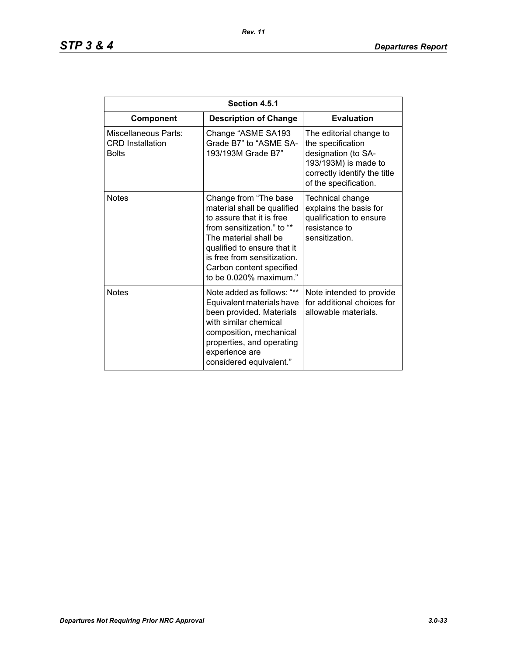| Section 4.5.1                                                   |                                                                                                                                                                                                                                                               |                                                                                                                                                      |
|-----------------------------------------------------------------|---------------------------------------------------------------------------------------------------------------------------------------------------------------------------------------------------------------------------------------------------------------|------------------------------------------------------------------------------------------------------------------------------------------------------|
| Component                                                       | <b>Description of Change</b>                                                                                                                                                                                                                                  | <b>Evaluation</b>                                                                                                                                    |
| Miscellaneous Parts:<br><b>CRD</b> Installation<br><b>Bolts</b> | Change "ASME SA193<br>Grade B7" to "ASME SA-<br>193/193M Grade B7"                                                                                                                                                                                            | The editorial change to<br>the specification<br>designation (to SA-<br>193/193M) is made to<br>correctly identify the title<br>of the specification. |
| <b>Notes</b>                                                    | Change from "The base"<br>material shall be qualified<br>to assure that it is free<br>from sensitization." to "*<br>The material shall be<br>qualified to ensure that it<br>is free from sensitization.<br>Carbon content specified<br>to be 0.020% maximum." | Technical change<br>explains the basis for<br>qualification to ensure<br>resistance to<br>sensitization.                                             |
| <b>Notes</b>                                                    | Note added as follows: "**<br>Equivalent materials have<br>been provided. Materials<br>with similar chemical<br>composition, mechanical<br>properties, and operating<br>experience are<br>considered equivalent."                                             | Note intended to provide<br>for additional choices for<br>allowable materials.                                                                       |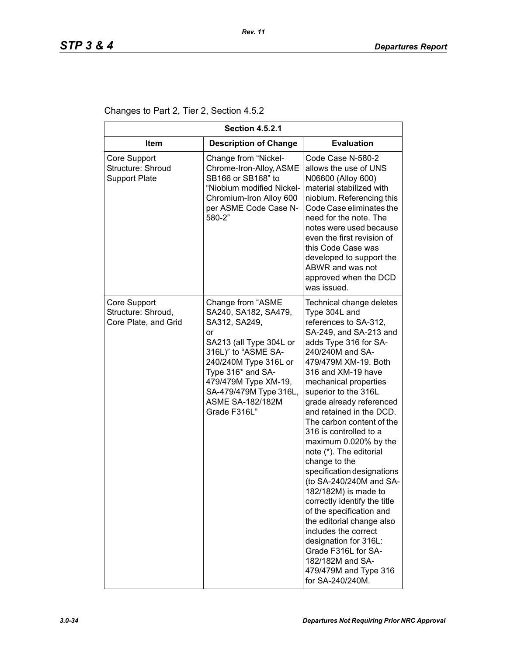Changes to Part 2, Tier 2, Section 4.5.2

| <b>Section 4.5.2.1</b>                                     |                                                                                                                                                                                                                                                               |                                                                                                                                                                                                                                                                                                                                                                                                                                                                                                                                                                                                                                                                                                                                                 |
|------------------------------------------------------------|---------------------------------------------------------------------------------------------------------------------------------------------------------------------------------------------------------------------------------------------------------------|-------------------------------------------------------------------------------------------------------------------------------------------------------------------------------------------------------------------------------------------------------------------------------------------------------------------------------------------------------------------------------------------------------------------------------------------------------------------------------------------------------------------------------------------------------------------------------------------------------------------------------------------------------------------------------------------------------------------------------------------------|
| <b>Item</b>                                                | <b>Description of Change</b>                                                                                                                                                                                                                                  | <b>Evaluation</b>                                                                                                                                                                                                                                                                                                                                                                                                                                                                                                                                                                                                                                                                                                                               |
| Core Support<br>Structure: Shroud<br><b>Support Plate</b>  | Change from "Nickel-<br>Chrome-Iron-Alloy, ASME<br>SB166 or SB168" to<br>"Niobium modified Nickel-<br>Chromium-Iron Alloy 600<br>per ASME Code Case N-<br>580-2"                                                                                              | Code Case N-580-2<br>allows the use of UNS<br>N06600 (Alloy 600)<br>material stabilized with<br>niobium. Referencing this<br>Code Case eliminates the<br>need for the note. The<br>notes were used because<br>even the first revision of<br>this Code Case was<br>developed to support the<br>ABWR and was not<br>approved when the DCD<br>was issued.                                                                                                                                                                                                                                                                                                                                                                                          |
| Core Support<br>Structure: Shroud,<br>Core Plate, and Grid | Change from "ASME<br>SA240, SA182, SA479,<br>SA312, SA249,<br>or<br>SA213 (all Type 304L or<br>316L)" to "ASME SA-<br>240/240M Type 316L or<br>Type 316* and SA-<br>479/479M Type XM-19,<br>SA-479/479M Type 316L,<br><b>ASME SA-182/182M</b><br>Grade F316L" | Technical change deletes<br>Type 304L and<br>references to SA-312,<br>SA-249, and SA-213 and<br>adds Type 316 for SA-<br>240/240M and SA-<br>479/479M XM-19. Both<br>316 and XM-19 have<br>mechanical properties<br>superior to the 316L<br>grade already referenced<br>and retained in the DCD.<br>The carbon content of the<br>316 is controlled to a<br>maximum 0.020% by the<br>note (*). The editorial<br>change to the<br>specification designations<br>(to SA-240/240M and SA-<br>182/182M) is made to<br>correctly identify the title<br>of the specification and<br>the editorial change also<br>includes the correct<br>designation for 316L:<br>Grade F316L for SA-<br>182/182M and SA-<br>479/479M and Type 316<br>for SA-240/240M. |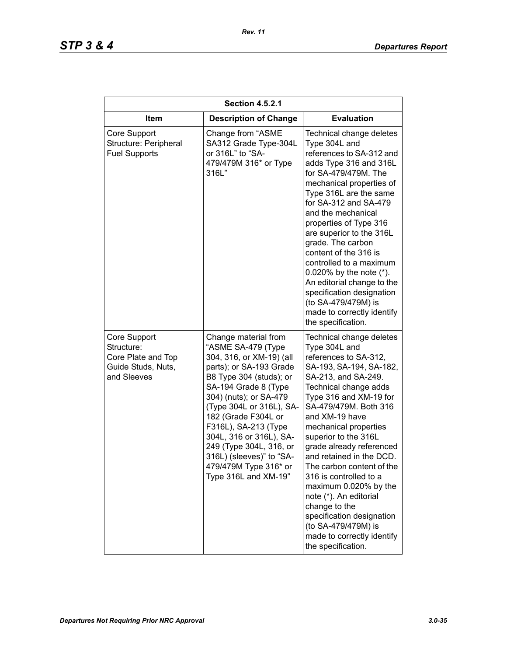| <b>Section 4.5.2.1</b>                                                                |                                                                                                                                                                                                                                                                                                                                                                                              |                                                                                                                                                                                                                                                                                                                                                                                                                                                                                                                                                                |
|---------------------------------------------------------------------------------------|----------------------------------------------------------------------------------------------------------------------------------------------------------------------------------------------------------------------------------------------------------------------------------------------------------------------------------------------------------------------------------------------|----------------------------------------------------------------------------------------------------------------------------------------------------------------------------------------------------------------------------------------------------------------------------------------------------------------------------------------------------------------------------------------------------------------------------------------------------------------------------------------------------------------------------------------------------------------|
| <b>Item</b>                                                                           | <b>Description of Change</b>                                                                                                                                                                                                                                                                                                                                                                 | <b>Evaluation</b>                                                                                                                                                                                                                                                                                                                                                                                                                                                                                                                                              |
| Core Support<br>Structure: Peripheral<br><b>Fuel Supports</b>                         | Change from "ASME<br>SA312 Grade Type-304L<br>or 316L" to "SA-<br>479/479M 316* or Type<br>316L"                                                                                                                                                                                                                                                                                             | Technical change deletes<br>Type 304L and<br>references to SA-312 and<br>adds Type 316 and 316L<br>for SA-479/479M. The<br>mechanical properties of<br>Type 316L are the same<br>for SA-312 and SA-479<br>and the mechanical<br>properties of Type 316<br>are superior to the 316L<br>grade. The carbon<br>content of the 316 is<br>controlled to a maximum<br>0.020% by the note $(*)$ .<br>An editorial change to the<br>specification designation<br>(to SA-479/479M) is<br>made to correctly identify<br>the specification.                                |
| Core Support<br>Structure:<br>Core Plate and Top<br>Guide Studs, Nuts,<br>and Sleeves | Change material from<br>"ASME SA-479 (Type<br>304, 316, or XM-19) (all<br>parts); or SA-193 Grade<br>B8 Type 304 (studs); or<br>SA-194 Grade 8 (Type<br>304) (nuts); or SA-479<br>(Type 304L or 316L), SA-<br>182 (Grade F304L or<br>F316L), SA-213 (Type<br>304L, 316 or 316L), SA-<br>249 (Type 304L, 316, or<br>316L) (sleeves)" to "SA-<br>479/479M Type 316* or<br>Type 316L and XM-19" | Technical change deletes<br>Type 304L and<br>references to SA-312,<br>SA-193, SA-194, SA-182,<br>SA-213, and SA-249.<br>Technical change adds<br>Type 316 and XM-19 for<br>SA-479/479M. Both 316<br>and XM-19 have<br>mechanical properties<br>superior to the 316L<br>grade already referenced<br>and retained in the DCD.<br>The carbon content of the<br>316 is controlled to a<br>maximum 0.020% by the<br>note (*). An editorial<br>change to the<br>specification designation<br>(to SA-479/479M) is<br>made to correctly identify<br>the specification. |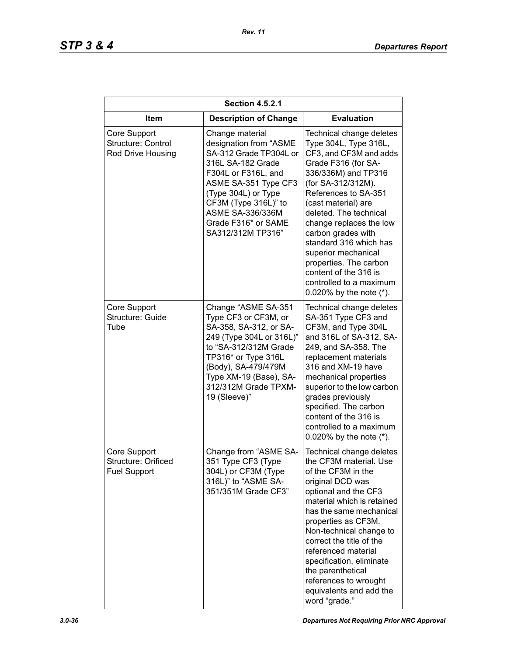| <b>Section 4.5.2.1</b>                                     |                                                                                                                                                                                                                                                               |                                                                                                                                                                                                                                                                                                                                                                                                                                        |
|------------------------------------------------------------|---------------------------------------------------------------------------------------------------------------------------------------------------------------------------------------------------------------------------------------------------------------|----------------------------------------------------------------------------------------------------------------------------------------------------------------------------------------------------------------------------------------------------------------------------------------------------------------------------------------------------------------------------------------------------------------------------------------|
| <b>Item</b>                                                | <b>Description of Change</b>                                                                                                                                                                                                                                  | <b>Evaluation</b>                                                                                                                                                                                                                                                                                                                                                                                                                      |
| Core Support<br>Structure: Control<br>Rod Drive Housing    | Change material<br>designation from "ASME<br>SA-312 Grade TP304L or<br>316L SA-182 Grade<br>F304L or F316L, and<br>ASME SA-351 Type CF3<br>(Type 304L) or Type<br>CF3M (Type 316L)" to<br><b>ASME SA-336/336M</b><br>Grade F316* or SAME<br>SA312/312M TP316" | Technical change deletes<br>Type 304L, Type 316L,<br>CF3, and CF3M and adds<br>Grade F316 (for SA-<br>336/336M) and TP316<br>(for SA-312/312M).<br>References to SA-351<br>(cast material) are<br>deleted. The technical<br>change replaces the low<br>carbon grades with<br>standard 316 which has<br>superior mechanical<br>properties. The carbon<br>content of the 316 is<br>controlled to a maximum<br>0.020% by the note $(*)$ . |
| Core Support<br>Structure: Guide<br>Tube                   | Change "ASME SA-351<br>Type CF3 or CF3M, or<br>SA-358, SA-312, or SA-<br>249 (Type 304L or 316L)"<br>to "SA-312/312M Grade<br>TP316* or Type 316L<br>(Body), SA-479/479M<br>Type XM-19 (Base), SA-<br>312/312M Grade TPXM-<br>19 (Sleeve)"                    | Technical change deletes<br>SA-351 Type CF3 and<br>CF3M, and Type 304L<br>and 316L of SA-312, SA-<br>249, and SA-358. The<br>replacement materials<br>316 and XM-19 have<br>mechanical properties<br>superior to the low carbon<br>grades previously<br>specified. The carbon<br>content of the 316 is<br>controlled to a maximum<br>0.020% by the note $(*)$ .                                                                        |
| Core Support<br>Structure: Orificed<br><b>Fuel Support</b> | Change from "ASME SA-<br>351 Type CF3 (Type<br>304L) or CF3M (Type<br>316L)" to "ASME SA-<br>351/351M Grade CF3"                                                                                                                                              | Technical change deletes<br>the CF3M material. Use<br>of the CF3M in the<br>original DCD was<br>optional and the CF3<br>material which is retained<br>has the same mechanical<br>properties as CF3M.<br>Non-technical change to<br>correct the title of the<br>referenced material<br>specification, eliminate<br>the parenthetical<br>references to wrought<br>equivalents and add the<br>word "grade."                               |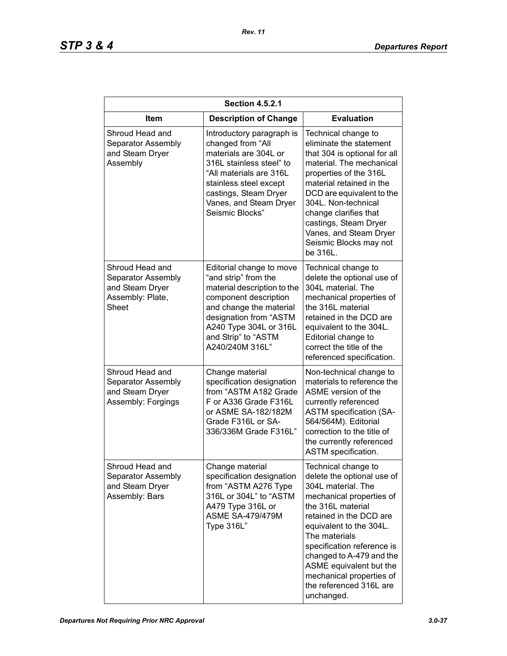| <b>Section 4.5.2.1</b>                                                                |                                                                                                                                                                                                                                   |                                                                                                                                                                                                                                                                                                                                                           |  |
|---------------------------------------------------------------------------------------|-----------------------------------------------------------------------------------------------------------------------------------------------------------------------------------------------------------------------------------|-----------------------------------------------------------------------------------------------------------------------------------------------------------------------------------------------------------------------------------------------------------------------------------------------------------------------------------------------------------|--|
| Item                                                                                  | <b>Description of Change</b>                                                                                                                                                                                                      | <b>Evaluation</b>                                                                                                                                                                                                                                                                                                                                         |  |
| Shroud Head and<br>Separator Assembly<br>and Steam Dryer<br>Assembly                  | Introductory paragraph is<br>changed from "All<br>materials are 304L or<br>316L stainless steel" to<br>"All materials are 316L<br>stainless steel except<br>castings, Steam Dryer<br>Vanes, and Steam Dryer<br>Seismic Blocks"    | Technical change to<br>eliminate the statement<br>that 304 is optional for all<br>material. The mechanical<br>properties of the 316L<br>material retained in the<br>DCD are equivalent to the<br>304L. Non-technical<br>change clarifies that<br>castings, Steam Dryer<br>Vanes, and Steam Dryer<br>Seismic Blocks may not<br>be 316L.                    |  |
| Shroud Head and<br>Separator Assembly<br>and Steam Dryer<br>Assembly: Plate,<br>Sheet | Editorial change to move<br>"and strip" from the<br>material description to the<br>component description<br>and change the material<br>designation from "ASTM<br>A240 Type 304L or 316L<br>and Strip" to "ASTM<br>A240/240M 316L" | Technical change to<br>delete the optional use of<br>304L material. The<br>mechanical properties of<br>the 316L material<br>retained in the DCD are<br>equivalent to the 304L.<br>Editorial change to<br>correct the title of the<br>referenced specification.                                                                                            |  |
| Shroud Head and<br>Separator Assembly<br>and Steam Dryer<br>Assembly: Forgings        | Change material<br>specification designation<br>from "ASTM A182 Grade<br>F or A336 Grade F316L<br>or ASME SA-182/182M<br>Grade F316L or SA-<br>336/336M Grade F316L"                                                              | Non-technical change to<br>materials to reference the<br>ASME version of the<br>currently referenced<br><b>ASTM specification (SA-</b><br>564/564M). Editorial<br>correction to the title of<br>the currently referenced<br>ASTM specification.                                                                                                           |  |
| Shroud Head and<br>Separator Assembly<br>and Steam Dryer<br>Assembly: Bars            | Change material<br>specification designation<br>from "ASTM A276 Type<br>316L or 304L" to "ASTM<br>A479 Type 316L or<br><b>ASME SA-479/479M</b><br>Type 316L"                                                                      | Technical change to<br>delete the optional use of<br>304L material. The<br>mechanical properties of<br>the 316L material<br>retained in the DCD are<br>equivalent to the 304L.<br>The materials<br>specification reference is<br>changed to A-479 and the<br>ASME equivalent but the<br>mechanical properties of<br>the referenced 316L are<br>unchanged. |  |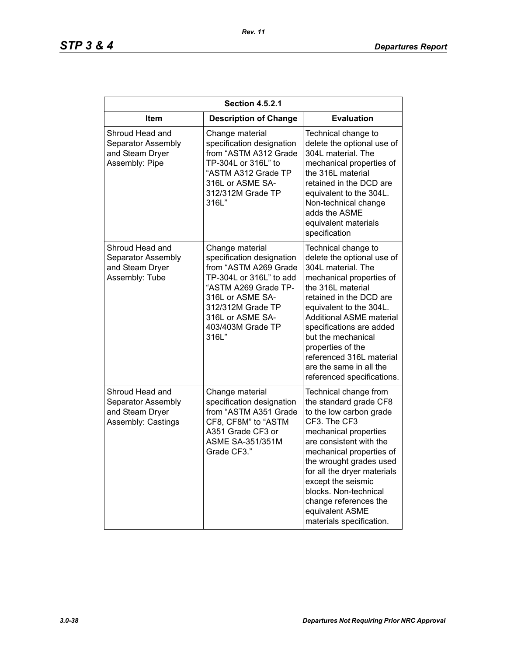| <b>Section 4.5.2.1</b>                                                         |                                                                                                                                                                                                                     |                                                                                                                                                                                                                                                                                                                                                                               |  |
|--------------------------------------------------------------------------------|---------------------------------------------------------------------------------------------------------------------------------------------------------------------------------------------------------------------|-------------------------------------------------------------------------------------------------------------------------------------------------------------------------------------------------------------------------------------------------------------------------------------------------------------------------------------------------------------------------------|--|
| Item                                                                           | <b>Description of Change</b>                                                                                                                                                                                        | <b>Evaluation</b>                                                                                                                                                                                                                                                                                                                                                             |  |
| Shroud Head and<br>Separator Assembly<br>and Steam Dryer<br>Assembly: Pipe     | Change material<br>specification designation<br>from "ASTM A312 Grade<br>TP-304L or 316L" to<br>"ASTM A312 Grade TP<br>316L or ASME SA-<br>312/312M Grade TP<br>316L"                                               | Technical change to<br>delete the optional use of<br>304L material. The<br>mechanical properties of<br>the 316L material<br>retained in the DCD are<br>equivalent to the 304L.<br>Non-technical change<br>adds the ASME<br>equivalent materials<br>specification                                                                                                              |  |
| Shroud Head and<br>Separator Assembly<br>and Steam Dryer<br>Assembly: Tube     | Change material<br>specification designation<br>from "ASTM A269 Grade<br>TP-304L or 316L" to add<br>"ASTM A269 Grade TP-<br>316L or ASME SA-<br>312/312M Grade TP<br>316L or ASME SA-<br>403/403M Grade TP<br>316L" | Technical change to<br>delete the optional use of<br>304L material. The<br>mechanical properties of<br>the 316L material<br>retained in the DCD are<br>equivalent to the 304L.<br><b>Additional ASME material</b><br>specifications are added<br>but the mechanical<br>properties of the<br>referenced 316L material<br>are the same in all the<br>referenced specifications. |  |
| Shroud Head and<br>Separator Assembly<br>and Steam Dryer<br>Assembly: Castings | Change material<br>specification designation<br>from "ASTM A351 Grade<br>CF8, CF8M" to "ASTM<br>A351 Grade CF3 or<br><b>ASME SA-351/351M</b><br>Grade CF3."                                                         | Technical change from<br>the standard grade CF8<br>to the low carbon grade<br>CF3. The CF3<br>mechanical properties<br>are consistent with the<br>mechanical properties of<br>the wrought grades used<br>for all the dryer materials<br>except the seismic<br>blocks. Non-technical<br>change references the<br>equivalent ASME<br>materials specification.                   |  |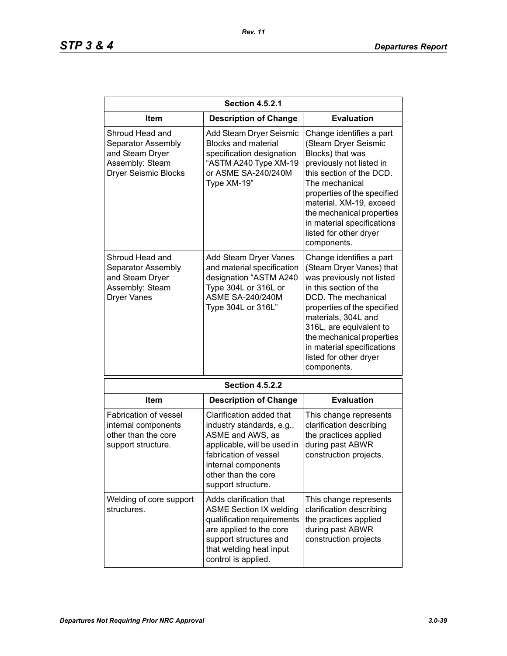| <b>Section 4.5.2.1</b>                                                                                     |                                                                                                                                                                                                       |                                                                                                                                                                                                                                                                                                                         |
|------------------------------------------------------------------------------------------------------------|-------------------------------------------------------------------------------------------------------------------------------------------------------------------------------------------------------|-------------------------------------------------------------------------------------------------------------------------------------------------------------------------------------------------------------------------------------------------------------------------------------------------------------------------|
| Item                                                                                                       | <b>Description of Change</b>                                                                                                                                                                          | <b>Evaluation</b>                                                                                                                                                                                                                                                                                                       |
| Shroud Head and<br>Separator Assembly<br>and Steam Dryer<br>Assembly: Steam<br><b>Dryer Seismic Blocks</b> | Add Steam Dryer Seismic<br><b>Blocks and material</b><br>specification designation<br>"ASTM A240 Type XM-19<br>or ASME SA-240/240M<br>Type XM-19"                                                     | Change identifies a part<br>(Steam Dryer Seismic<br>Blocks) that was<br>previously not listed in<br>this section of the DCD.<br>The mechanical<br>properties of the specified<br>material, XM-19, exceed<br>the mechanical properties<br>in material specifications<br>listed for other dryer<br>components.            |
| Shroud Head and<br>Separator Assembly<br>and Steam Dryer<br>Assembly: Steam<br><b>Dryer Vanes</b>          | Add Steam Dryer Vanes<br>and material specification<br>designation "ASTM A240<br>Type 304L or 316L or<br><b>ASME SA-240/240M</b><br>Type 304L or 316L"                                                | Change identifies a part<br>(Steam Dryer Vanes) that<br>was previously not listed<br>in this section of the<br>DCD. The mechanical<br>properties of the specified<br>materials, 304L and<br>316L, are equivalent to<br>the mechanical properties<br>in material specifications<br>listed for other dryer<br>components. |
|                                                                                                            | <b>Section 4.5.2.2</b>                                                                                                                                                                                |                                                                                                                                                                                                                                                                                                                         |
| Item                                                                                                       | <b>Description of Change</b>                                                                                                                                                                          | <b>Evaluation</b>                                                                                                                                                                                                                                                                                                       |
| <b>Fabrication of vessel</b><br>internal components<br>other than the core<br>support structure.           | Clarification added that<br>industry standards, e.g.,<br>ASME and AWS, as<br>applicable, will be used in<br>fabrication of vessel<br>internal components<br>other than the core<br>support structure. | This change represents<br>clarification describing<br>the practices applied<br>during past ABWR<br>construction projects.                                                                                                                                                                                               |
| Welding of core support<br>structures.                                                                     | Adds clarification that<br><b>ASME Section IX welding</b><br>qualification requirements<br>are applied to the core<br>support structures and<br>that welding heat input<br>control is applied.        | This change represents<br>clarification describing<br>the practices applied<br>during past ABWR<br>construction projects                                                                                                                                                                                                |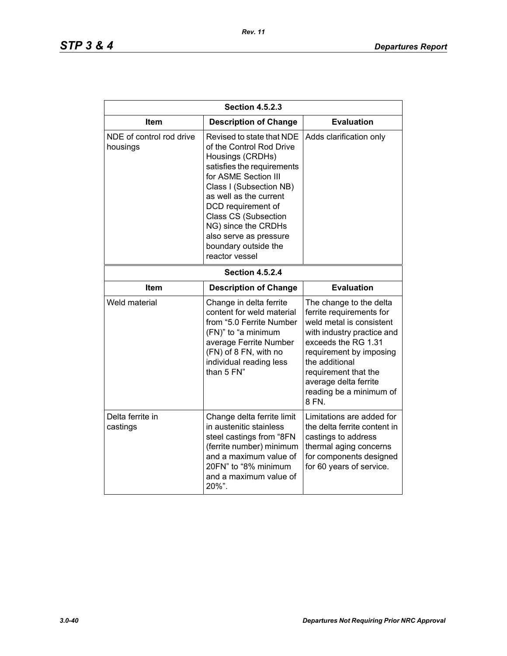| <b>Section 4.5.2.3</b>               |                                                                                                                                                                                                                                                                                                                                      |                                                                                                                                                                                                                                                                        |  |
|--------------------------------------|--------------------------------------------------------------------------------------------------------------------------------------------------------------------------------------------------------------------------------------------------------------------------------------------------------------------------------------|------------------------------------------------------------------------------------------------------------------------------------------------------------------------------------------------------------------------------------------------------------------------|--|
| Item                                 | <b>Description of Change</b>                                                                                                                                                                                                                                                                                                         | <b>Evaluation</b>                                                                                                                                                                                                                                                      |  |
| NDE of control rod drive<br>housings | Revised to state that NDE<br>of the Control Rod Drive<br>Housings (CRDHs)<br>satisfies the requirements<br>for ASME Section III<br>Class I (Subsection NB)<br>as well as the current<br>DCD requirement of<br><b>Class CS (Subsection</b><br>NG) since the CRDHs<br>also serve as pressure<br>boundary outside the<br>reactor vessel | Adds clarification only                                                                                                                                                                                                                                                |  |
| <b>Section 4.5.2.4</b>               |                                                                                                                                                                                                                                                                                                                                      |                                                                                                                                                                                                                                                                        |  |
| Item                                 | <b>Description of Change</b>                                                                                                                                                                                                                                                                                                         | <b>Evaluation</b>                                                                                                                                                                                                                                                      |  |
| Weld material                        | Change in delta ferrite<br>content for weld material<br>from "5.0 Ferrite Number<br>(FN)" to "a minimum<br>average Ferrite Number<br>(FN) of 8 FN, with no<br>individual reading less<br>than 5 FN"                                                                                                                                  | The change to the delta<br>ferrite requirements for<br>weld metal is consistent<br>with industry practice and<br>exceeds the RG 1.31<br>requirement by imposing<br>the additional<br>requirement that the<br>average delta ferrite<br>reading be a minimum of<br>8 FN. |  |
| Delta ferrite in<br>castings         | Change delta ferrite limit<br>in austenitic stainless<br>steel castings from "8FN<br>(ferrite number) minimum<br>and a maximum value of<br>20FN" to "8% minimum<br>and a maximum value of<br>20%".                                                                                                                                   | Limitations are added for<br>the delta ferrite content in<br>castings to address<br>thermal aging concerns<br>for components designed<br>for 60 years of service.                                                                                                      |  |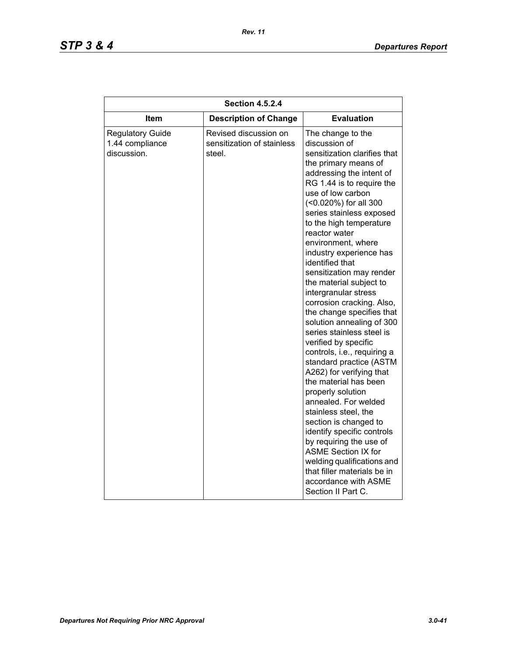| <b>Description of Change</b><br>Item                                                                                       | <b>Evaluation</b>                                                                                                                                                                                                                                                                                                                                                                                                                                                                                                                                                                                                                                                                                                                                                                                                                                                                                                                                                                       |
|----------------------------------------------------------------------------------------------------------------------------|-----------------------------------------------------------------------------------------------------------------------------------------------------------------------------------------------------------------------------------------------------------------------------------------------------------------------------------------------------------------------------------------------------------------------------------------------------------------------------------------------------------------------------------------------------------------------------------------------------------------------------------------------------------------------------------------------------------------------------------------------------------------------------------------------------------------------------------------------------------------------------------------------------------------------------------------------------------------------------------------|
| Revised discussion on<br><b>Regulatory Guide</b><br>1.44 compliance<br>sensitization of stainless<br>discussion.<br>steel. | The change to the<br>discussion of<br>sensitization clarifies that<br>the primary means of<br>addressing the intent of<br>RG 1.44 is to require the<br>use of low carbon<br>(<0.020%) for all 300<br>series stainless exposed<br>to the high temperature<br>reactor water<br>environment, where<br>industry experience has<br>identified that<br>sensitization may render<br>the material subject to<br>intergranular stress<br>corrosion cracking. Also,<br>the change specifies that<br>solution annealing of 300<br>series stainless steel is<br>verified by specific<br>controls, i.e., requiring a<br>standard practice (ASTM<br>A262) for verifying that<br>the material has been<br>properly solution<br>annealed. For welded<br>stainless steel, the<br>section is changed to<br>identify specific controls<br>by requiring the use of<br><b>ASME Section IX for</b><br>welding qualifications and<br>that filler materials be in<br>accordance with ASME<br>Section II Part C. |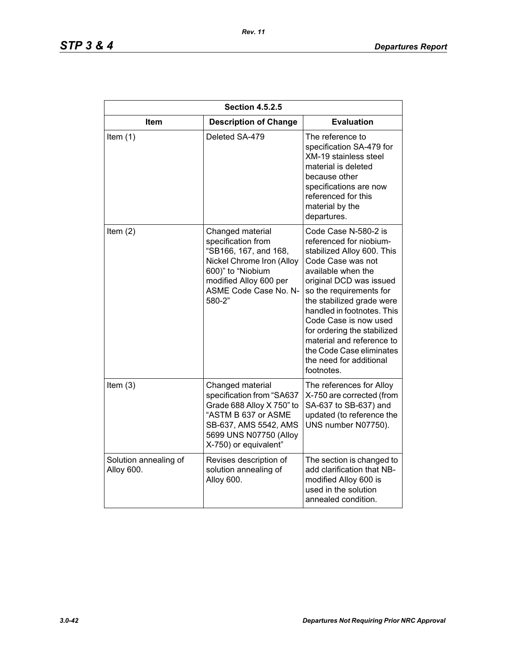| <b>Section 4.5.2.5</b>              |                                                                                                                                                                                |                                                                                                                                                                                                                                                                                                                                                                                                     |
|-------------------------------------|--------------------------------------------------------------------------------------------------------------------------------------------------------------------------------|-----------------------------------------------------------------------------------------------------------------------------------------------------------------------------------------------------------------------------------------------------------------------------------------------------------------------------------------------------------------------------------------------------|
| <b>Item</b>                         | <b>Description of Change</b>                                                                                                                                                   | <b>Evaluation</b>                                                                                                                                                                                                                                                                                                                                                                                   |
| Item $(1)$                          | Deleted SA-479                                                                                                                                                                 | The reference to<br>specification SA-479 for<br><b>XM-19 stainless steel</b><br>material is deleted<br>because other<br>specifications are now<br>referenced for this<br>material by the<br>departures.                                                                                                                                                                                             |
| Item $(2)$                          | Changed material<br>specification from<br>"SB166, 167, and 168,<br>Nickel Chrome Iron (Alloy<br>600)" to "Niobium<br>modified Alloy 600 per<br>ASME Code Case No. N-<br>580-2" | Code Case N-580-2 is<br>referenced for niobium-<br>stabilized Alloy 600. This<br>Code Case was not<br>available when the<br>original DCD was issued<br>so the requirements for<br>the stabilized grade were<br>handled in footnotes. This<br>Code Case is now used<br>for ordering the stabilized<br>material and reference to<br>the Code Case eliminates<br>the need for additional<br>footnotes. |
| Item $(3)$                          | Changed material<br>specification from "SA637<br>Grade 688 Alloy X 750" to<br>"ASTM B 637 or ASME<br>SB-637, AMS 5542, AMS<br>5699 UNS N07750 (Alloy<br>X-750) or equivalent"  | The references for Alloy<br>X-750 are corrected (from<br>SA-637 to SB-637) and<br>updated (to reference the<br>UNS number N07750).                                                                                                                                                                                                                                                                  |
| Solution annealing of<br>Alloy 600. | Revises description of<br>solution annealing of<br>Alloy 600.                                                                                                                  | The section is changed to<br>add clarification that NB-<br>modified Alloy 600 is<br>used in the solution<br>annealed condition.                                                                                                                                                                                                                                                                     |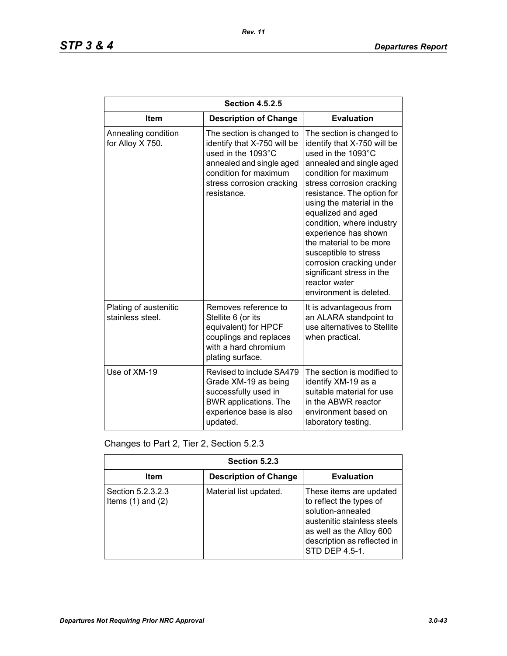| <b>Section 4.5.2.5</b>                    |                                                                                                                                                                                 |                                                                                                                                                                                                                                                                                                                                                                                                                                                                 |
|-------------------------------------------|---------------------------------------------------------------------------------------------------------------------------------------------------------------------------------|-----------------------------------------------------------------------------------------------------------------------------------------------------------------------------------------------------------------------------------------------------------------------------------------------------------------------------------------------------------------------------------------------------------------------------------------------------------------|
| <b>Item</b>                               | <b>Description of Change</b>                                                                                                                                                    | <b>Evaluation</b>                                                                                                                                                                                                                                                                                                                                                                                                                                               |
| Annealing condition<br>for Alloy X 750.   | The section is changed to<br>identify that X-750 will be<br>used in the 1093°C<br>annealed and single aged<br>condition for maximum<br>stress corrosion cracking<br>resistance. | The section is changed to<br>identify that X-750 will be<br>used in the 1093°C<br>annealed and single aged<br>condition for maximum<br>stress corrosion cracking<br>resistance. The option for<br>using the material in the<br>equalized and aged<br>condition, where industry<br>experience has shown<br>the material to be more<br>susceptible to stress<br>corrosion cracking under<br>significant stress in the<br>reactor water<br>environment is deleted. |
| Plating of austenitic<br>stainless steel. | Removes reference to<br>Stellite 6 (or its<br>equivalent) for HPCF<br>couplings and replaces<br>with a hard chromium<br>plating surface.                                        | It is advantageous from<br>an ALARA standpoint to<br>use alternatives to Stellite<br>when practical.                                                                                                                                                                                                                                                                                                                                                            |
| Use of XM-19                              | Revised to include SA479<br>Grade XM-19 as being<br>successfully used in<br><b>BWR</b> applications. The<br>experience base is also<br>updated.                                 | The section is modified to<br>identify XM-19 as a<br>suitable material for use<br>in the ABWR reactor<br>environment based on<br>laboratory testing.                                                                                                                                                                                                                                                                                                            |

Changes to Part 2, Tier 2, Section 5.2.3

| Section 5.2.3                              |                              |                                                                                                                                                                                     |
|--------------------------------------------|------------------------------|-------------------------------------------------------------------------------------------------------------------------------------------------------------------------------------|
| Item                                       | <b>Description of Change</b> | <b>Evaluation</b>                                                                                                                                                                   |
| Section 5.2.3.2.3<br>Items $(1)$ and $(2)$ | Material list updated.       | These items are updated<br>to reflect the types of<br>solution-annealed<br>austenitic stainless steels<br>as well as the Alloy 600<br>description as reflected in<br>STD DEP 4.5-1. |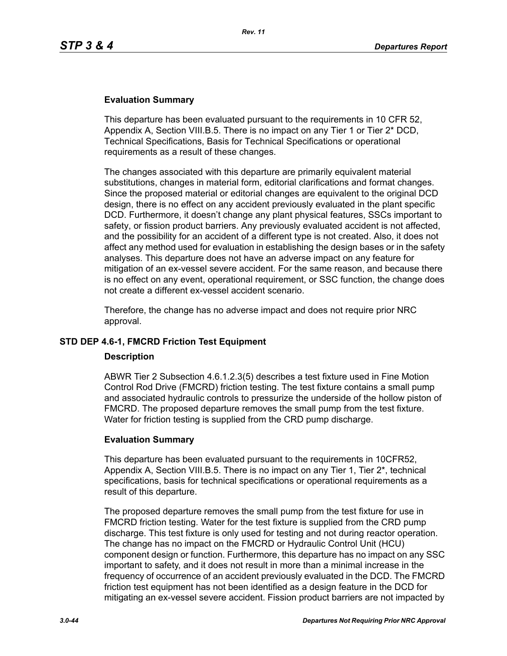### **Evaluation Summary**

This departure has been evaluated pursuant to the requirements in 10 CFR 52, Appendix A, Section VIII.B.5. There is no impact on any Tier 1 or Tier 2\* DCD, Technical Specifications, Basis for Technical Specifications or operational requirements as a result of these changes.

The changes associated with this departure are primarily equivalent material substitutions, changes in material form, editorial clarifications and format changes. Since the proposed material or editorial changes are equivalent to the original DCD design, there is no effect on any accident previously evaluated in the plant specific DCD. Furthermore, it doesn't change any plant physical features, SSCs important to safety, or fission product barriers. Any previously evaluated accident is not affected, and the possibility for an accident of a different type is not created. Also, it does not affect any method used for evaluation in establishing the design bases or in the safety analyses. This departure does not have an adverse impact on any feature for mitigation of an ex-vessel severe accident. For the same reason, and because there is no effect on any event, operational requirement, or SSC function, the change does not create a different ex-vessel accident scenario.

Therefore, the change has no adverse impact and does not require prior NRC approval.

# **STD DEP 4.6-1, FMCRD Friction Test Equipment**

### **Description**

ABWR Tier 2 Subsection 4.6.1.2.3(5) describes a test fixture used in Fine Motion Control Rod Drive (FMCRD) friction testing. The test fixture contains a small pump and associated hydraulic controls to pressurize the underside of the hollow piston of FMCRD. The proposed departure removes the small pump from the test fixture. Water for friction testing is supplied from the CRD pump discharge.

### **Evaluation Summary**

This departure has been evaluated pursuant to the requirements in 10CFR52, Appendix A, Section VIII.B.5. There is no impact on any Tier 1, Tier 2\*, technical specifications, basis for technical specifications or operational requirements as a result of this departure.

The proposed departure removes the small pump from the test fixture for use in FMCRD friction testing. Water for the test fixture is supplied from the CRD pump discharge. This test fixture is only used for testing and not during reactor operation. The change has no impact on the FMCRD or Hydraulic Control Unit (HCU) component design or function. Furthermore, this departure has no impact on any SSC important to safety, and it does not result in more than a minimal increase in the frequency of occurrence of an accident previously evaluated in the DCD. The FMCRD friction test equipment has not been identified as a design feature in the DCD for mitigating an ex-vessel severe accident. Fission product barriers are not impacted by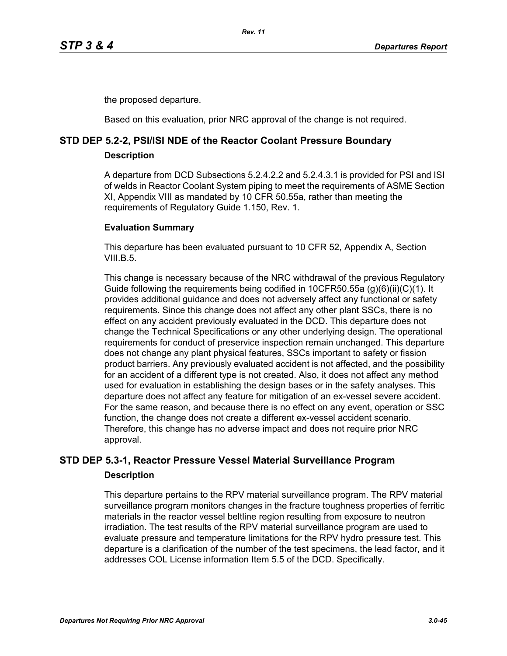the proposed departure.

Based on this evaluation, prior NRC approval of the change is not required.

# **STD DEP 5.2-2, PSI/ISI NDE of the Reactor Coolant Pressure Boundary**

**Description**

A departure from DCD Subsections 5.2.4.2.2 and 5.2.4.3.1 is provided for PSI and ISI of welds in Reactor Coolant System piping to meet the requirements of ASME Section XI, Appendix VIII as mandated by 10 CFR 50.55a, rather than meeting the requirements of Regulatory Guide 1.150, Rev. 1.

# **Evaluation Summary**

This departure has been evaluated pursuant to 10 CFR 52, Appendix A, Section VIII $B<sub>5</sub>$ 

This change is necessary because of the NRC withdrawal of the previous Regulatory Guide following the requirements being codified in 10CFR50.55a (g)(6)(ii)(C)(1). It provides additional guidance and does not adversely affect any functional or safety requirements. Since this change does not affect any other plant SSCs, there is no effect on any accident previously evaluated in the DCD. This departure does not change the Technical Specifications or any other underlying design. The operational requirements for conduct of preservice inspection remain unchanged. This departure does not change any plant physical features, SSCs important to safety or fission product barriers. Any previously evaluated accident is not affected, and the possibility for an accident of a different type is not created. Also, it does not affect any method used for evaluation in establishing the design bases or in the safety analyses. This departure does not affect any feature for mitigation of an ex-vessel severe accident. For the same reason, and because there is no effect on any event, operation or SSC function, the change does not create a different ex-vessel accident scenario. Therefore, this change has no adverse impact and does not require prior NRC approval.

# **STD DEP 5.3-1, Reactor Pressure Vessel Material Surveillance Program Description**

This departure pertains to the RPV material surveillance program. The RPV material surveillance program monitors changes in the fracture toughness properties of ferritic materials in the reactor vessel beltline region resulting from exposure to neutron irradiation. The test results of the RPV material surveillance program are used to evaluate pressure and temperature limitations for the RPV hydro pressure test. This departure is a clarification of the number of the test specimens, the lead factor, and it addresses COL License information Item 5.5 of the DCD. Specifically.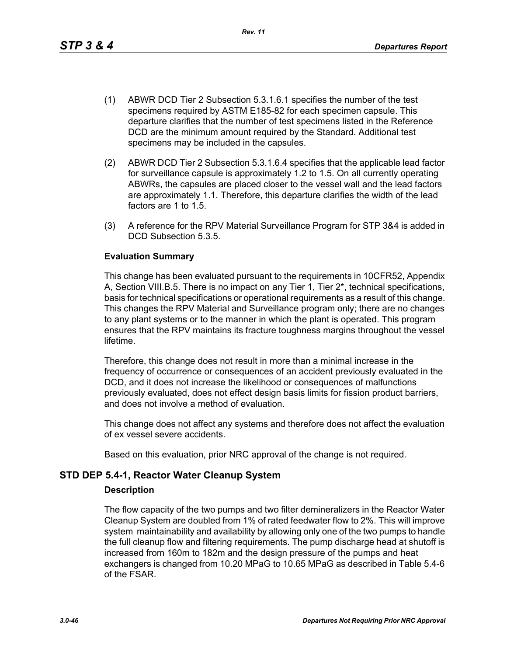This change has been evaluated pursuant to the requirements in 10CFR52, Appendix A, Section VIII.B.5. There is no impact on any Tier 1, Tier 2\*, technical specifications, basis for technical specifications or operational requirements as a result of this change. This changes the RPV Material and Surveillance program only; there are no changes to any plant systems or to the manner in which the plant is operated. This program ensures that the RPV maintains its fracture toughness margins throughout the vessel lifetime.

Therefore, this change does not result in more than a minimal increase in the frequency of occurrence or consequences of an accident previously evaluated in the DCD, and it does not increase the likelihood or consequences of malfunctions previously evaluated, does not effect design basis limits for fission product barriers, and does not involve a method of evaluation.

This change does not affect any systems and therefore does not affect the evaluation of ex vessel severe accidents.

Based on this evaluation, prior NRC approval of the change is not required.

# **STD DEP 5.4-1, Reactor Water Cleanup System**

### **Description**

The flow capacity of the two pumps and two filter demineralizers in the Reactor Water Cleanup System are doubled from 1% of rated feedwater flow to 2%. This will improve system maintainability and availability by allowing only one of the two pumps to handle the full cleanup flow and filtering requirements. The pump discharge head at shutoff is increased from 160m to 182m and the design pressure of the pumps and heat exchangers is changed from 10.20 MPaG to 10.65 MPaG as described in Table 5.4-6 of the FSAR.

- (1) ABWR DCD Tier 2 Subsection 5.3.1.6.1 specifies the number of the test specimens required by ASTM E185-82 for each specimen capsule. This departure clarifies that the number of test specimens listed in the Reference DCD are the minimum amount required by the Standard. Additional test specimens may be included in the capsules.
- (2) ABWR DCD Tier 2 Subsection 5.3.1.6.4 specifies that the applicable lead factor for surveillance capsule is approximately 1.2 to 1.5. On all currently operating ABWRs, the capsules are placed closer to the vessel wall and the lead factors are approximately 1.1. Therefore, this departure clarifies the width of the lead factors are 1 to 1.5.
- (3) A reference for the RPV Material Surveillance Program for STP 3&4 is added in DCD Subsection 5.3.5.

# **Evaluation Summary**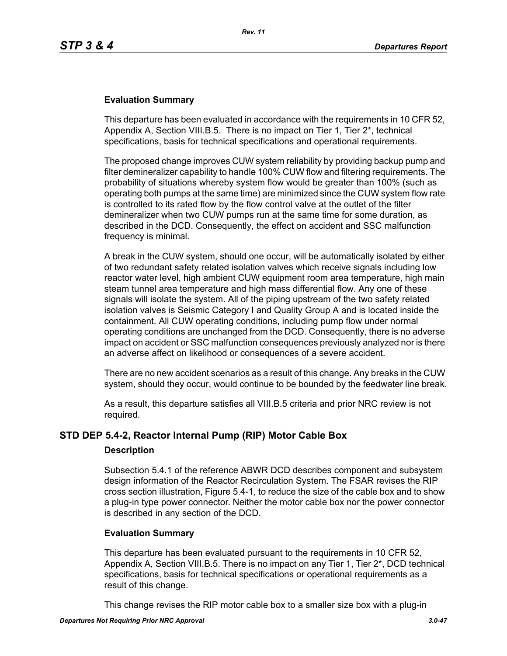### **Evaluation Summary**

This departure has been evaluated in accordance with the requirements in 10 CFR 52, Appendix A, Section VIII.B.5. There is no impact on Tier 1, Tier 2\*, technical specifications, basis for technical specifications and operational requirements.

The proposed change improves CUW system reliability by providing backup pump and filter demineralizer capability to handle 100% CUW flow and filtering requirements. The probability of situations whereby system flow would be greater than 100% (such as operating both pumps at the same time) are minimized since the CUW system flow rate is controlled to its rated flow by the flow control valve at the outlet of the filter demineralizer when two CUW pumps run at the same time for some duration, as described in the DCD. Consequently, the effect on accident and SSC malfunction frequency is minimal.

A break in the CUW system, should one occur, will be automatically isolated by either of two redundant safety related isolation valves which receive signals including low reactor water level, high ambient CUW equipment room area temperature, high main steam tunnel area temperature and high mass differential flow. Any one of these signals will isolate the system. All of the piping upstream of the two safety related isolation valves is Seismic Category I and Quality Group A and is located inside the containment. All CUW operating conditions, including pump flow under normal operating conditions are unchanged from the DCD. Consequently, there is no adverse impact on accident or SSC malfunction consequences previously analyzed nor is there an adverse affect on likelihood or consequences of a severe accident.

There are no new accident scenarios as a result of this change. Any breaks in the CUW system, should they occur, would continue to be bounded by the feedwater line break.

As a result, this departure satisfies all VIII.B.5 criteria and prior NRC review is not required.

# **STD DEP 5.4-2, Reactor Internal Pump (RIP) Motor Cable Box**

### **Description**

Subsection 5.4.1 of the reference ABWR DCD describes component and subsystem design information of the Reactor Recirculation System. The FSAR revises the RIP cross section illustration, Figure 5.4-1, to reduce the size of the cable box and to show a plug-in type power connector. Neither the motor cable box nor the power connector is described in any section of the DCD.

### **Evaluation Summary**

This departure has been evaluated pursuant to the requirements in 10 CFR 52, Appendix A, Section VIII.B.5. There is no impact on any Tier 1, Tier 2\*, DCD technical specifications, basis for technical specifications or operational requirements as a result of this change.

This change revises the RIP motor cable box to a smaller size box with a plug-in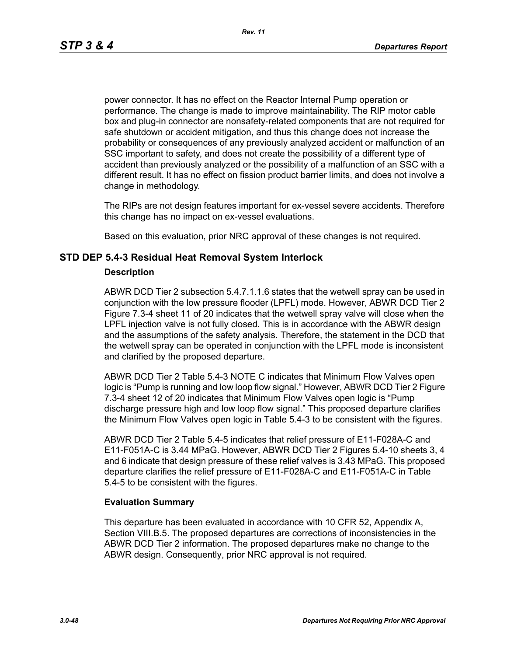power connector. It has no effect on the Reactor Internal Pump operation or performance. The change is made to improve maintainability. The RIP motor cable box and plug-in connector are nonsafety-related components that are not required for safe shutdown or accident mitigation, and thus this change does not increase the probability or consequences of any previously analyzed accident or malfunction of an SSC important to safety, and does not create the possibility of a different type of accident than previously analyzed or the possibility of a malfunction of an SSC with a different result. It has no effect on fission product barrier limits, and does not involve a change in methodology.

The RIPs are not design features important for ex-vessel severe accidents. Therefore this change has no impact on ex-vessel evaluations.

Based on this evaluation, prior NRC approval of these changes is not required.

# **STD DEP 5.4-3 Residual Heat Removal System Interlock**

### **Description**

ABWR DCD Tier 2 subsection 5.4.7.1.1.6 states that the wetwell spray can be used in conjunction with the low pressure flooder (LPFL) mode. However, ABWR DCD Tier 2 Figure 7.3-4 sheet 11 of 20 indicates that the wetwell spray valve will close when the LPFL injection valve is not fully closed. This is in accordance with the ABWR design and the assumptions of the safety analysis. Therefore, the statement in the DCD that the wetwell spray can be operated in conjunction with the LPFL mode is inconsistent and clarified by the proposed departure.

ABWR DCD Tier 2 Table 5.4-3 NOTE C indicates that Minimum Flow Valves open logic is "Pump is running and low loop flow signal." However, ABWR DCD Tier 2 Figure 7.3-4 sheet 12 of 20 indicates that Minimum Flow Valves open logic is "Pump discharge pressure high and low loop flow signal." This proposed departure clarifies the Minimum Flow Valves open logic in Table 5.4-3 to be consistent with the figures.

ABWR DCD Tier 2 Table 5.4-5 indicates that relief pressure of E11-F028A-C and E11-F051A-C is 3.44 MPaG. However, ABWR DCD Tier 2 Figures 5.4-10 sheets 3, 4 and 6 indicate that design pressure of these relief valves is 3.43 MPaG. This proposed departure clarifies the relief pressure of E11-F028A-C and E11-F051A-C in Table 5.4-5 to be consistent with the figures.

# **Evaluation Summary**

This departure has been evaluated in accordance with 10 CFR 52, Appendix A, Section VIII.B.5. The proposed departures are corrections of inconsistencies in the ABWR DCD Tier 2 information. The proposed departures make no change to the ABWR design. Consequently, prior NRC approval is not required.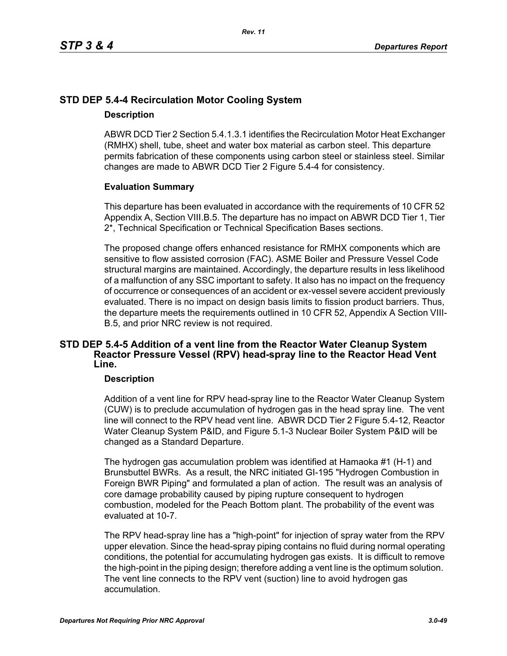# **STD DEP 5.4-4 Recirculation Motor Cooling System**

### **Description**

ABWR DCD Tier 2 Section 5.4.1.3.1 identifies the Recirculation Motor Heat Exchanger (RMHX) shell, tube, sheet and water box material as carbon steel. This departure permits fabrication of these components using carbon steel or stainless steel. Similar changes are made to ABWR DCD Tier 2 Figure 5.4-4 for consistency.

# **Evaluation Summary**

This departure has been evaluated in accordance with the requirements of 10 CFR 52 Appendix A, Section VIII.B.5. The departure has no impact on ABWR DCD Tier 1, Tier 2\*, Technical Specification or Technical Specification Bases sections.

The proposed change offers enhanced resistance for RMHX components which are sensitive to flow assisted corrosion (FAC). ASME Boiler and Pressure Vessel Code structural margins are maintained. Accordingly, the departure results in less likelihood of a malfunction of any SSC important to safety. It also has no impact on the frequency of occurrence or consequences of an accident or ex-vessel severe accident previously evaluated. There is no impact on design basis limits to fission product barriers. Thus, the departure meets the requirements outlined in 10 CFR 52, Appendix A Section VIII-B.5, and prior NRC review is not required.

# **STD DEP 5.4-5 Addition of a vent line from the Reactor Water Cleanup System Reactor Pressure Vessel (RPV) head-spray line to the Reactor Head Vent Line.**

# **Description**

Addition of a vent line for RPV head-spray line to the Reactor Water Cleanup System (CUW) is to preclude accumulation of hydrogen gas in the head spray line. The vent line will connect to the RPV head vent line. ABWR DCD Tier 2 Figure 5.4-12, Reactor Water Cleanup System P&ID, and Figure 5.1-3 Nuclear Boiler System P&ID will be changed as a Standard Departure.

The hydrogen gas accumulation problem was identified at Hamaoka #1 (H-1) and Brunsbuttel BWRs. As a result, the NRC initiated GI-195 "Hydrogen Combustion in Foreign BWR Piping" and formulated a plan of action. The result was an analysis of core damage probability caused by piping rupture consequent to hydrogen combustion, modeled for the Peach Bottom plant. The probability of the event was evaluated at 10-7.

The RPV head-spray line has a "high-point" for injection of spray water from the RPV upper elevation. Since the head-spray piping contains no fluid during normal operating conditions, the potential for accumulating hydrogen gas exists. It is difficult to remove the high-point in the piping design; therefore adding a vent line is the optimum solution. The vent line connects to the RPV vent (suction) line to avoid hydrogen gas accumulation.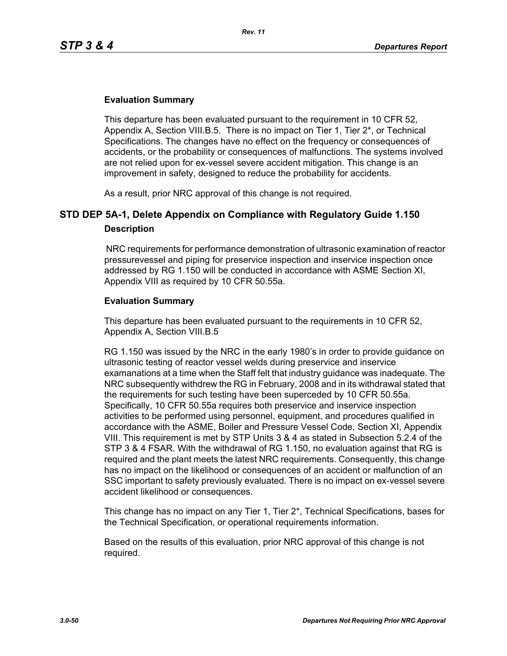### **Evaluation Summary**

This departure has been evaluated pursuant to the requirement in 10 CFR 52, Appendix A, Section VIII.B.5. There is no impact on Tier 1, Tier 2\*, or Technical Specifications. The changes have no effect on the frequency or consequences of accidents, or the probability or consequences of malfunctions. The systems involved are not relied upon for ex-vessel severe accident mitigation. This change is an improvement in safety, designed to reduce the probability for accidents.

As a result, prior NRC approval of this change is not required.

# **STD DEP 5A-1, Delete Appendix on Compliance with Regulatory Guide 1.150 Description**

 NRC requirements for performance demonstration of ultrasonic examination of reactor pressurevessel and piping for preservice inspection and inservice inspection once addressed by RG 1.150 will be conducted in accordance with ASME Section XI, Appendix VIII as required by 10 CFR 50.55a.

### **Evaluation Summary**

This departure has been evaluated pursuant to the requirements in 10 CFR 52, Appendix A, Section VIII.B.5

RG 1.150 was issued by the NRC in the early 1980's in order to provide guidance on ultrasonic testing of reactor vessel welds during preservice and inservice examanations at a time when the Staff felt that industry guidance was inadequate. The NRC subsequently withdrew the RG in February, 2008 and in its withdrawal stated that the requirements for such testing have been superceded by 10 CFR 50.55a. Specifically, 10 CFR 50.55a requires both preservice and inservice inspection activities to be performed using personnel, equipment, and procedures qualified in accordance with the ASME, Boiler and Pressure Vessel Code, Section XI, Appendix VIII. This requirement is met by STP Units 3 & 4 as stated in Subsection 5.2.4 of the STP 3 & 4 FSAR. With the withdrawal of RG 1.150, no evaluation against that RG is required and the plant meets the latest NRC requirements. Consequently, this change has no impact on the likelihood or consequences of an accident or malfunction of an SSC important to safety previously evaluated. There is no impact on ex-vessel severe accident likelihood or consequences.

This change has no impact on any Tier 1, Tier 2\*, Technical Specifications, bases for the Technical Specification, or operational requirements information.

Based on the results of this evaluation, prior NRC approval of this change is not required.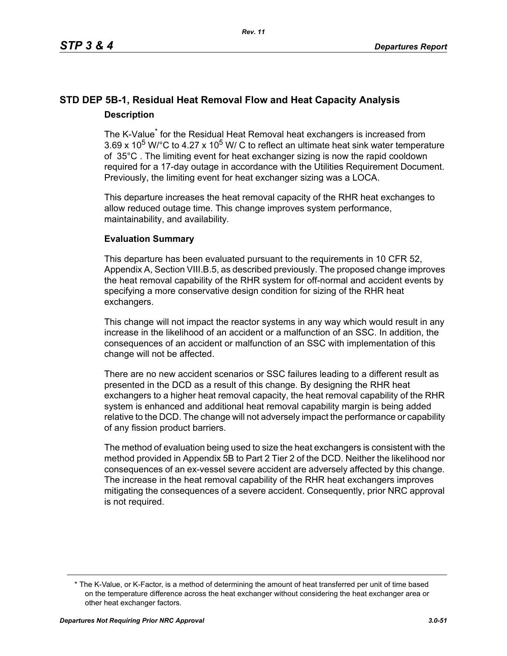# **STD DEP 5B-1, Residual Heat Removal Flow and Heat Capacity Analysis Description**

The K-Value<sup>\*</sup> for the Residual Heat Removal heat exchangers is increased from 3.69 x 10<sup>5</sup> W/ $^{\circ}$ C to 4.27 x 10<sup>5</sup> W/ C to reflect an ultimate heat sink water temperature of 35°C . The limiting event for heat exchanger sizing is now the rapid cooldown required for a 17-day outage in accordance with the Utilities Requirement Document. Previously, the limiting event for heat exchanger sizing was a LOCA.

This departure increases the heat removal capacity of the RHR heat exchanges to allow reduced outage time. This change improves system performance, maintainability, and availability.

# **Evaluation Summary**

This departure has been evaluated pursuant to the requirements in 10 CFR 52, Appendix A, Section VIII.B.5, as described previously. The proposed change improves the heat removal capability of the RHR system for off-normal and accident events by specifying a more conservative design condition for sizing of the RHR heat exchangers.

This change will not impact the reactor systems in any way which would result in any increase in the likelihood of an accident or a malfunction of an SSC. In addition, the consequences of an accident or malfunction of an SSC with implementation of this change will not be affected.

There are no new accident scenarios or SSC failures leading to a different result as presented in the DCD as a result of this change. By designing the RHR heat exchangers to a higher heat removal capacity, the heat removal capability of the RHR system is enhanced and additional heat removal capability margin is being added relative to the DCD. The change will not adversely impact the performance or capability of any fission product barriers.

The method of evaluation being used to size the heat exchangers is consistent with the method provided in Appendix 5B to Part 2 Tier 2 of the DCD. Neither the likelihood nor consequences of an ex-vessel severe accident are adversely affected by this change. The increase in the heat removal capability of the RHR heat exchangers improves mitigating the consequences of a severe accident. Consequently, prior NRC approval is not required.

<sup>\*</sup> The K-Value, or K-Factor, is a method of determining the amount of heat transferred per unit of time based on the temperature difference across the heat exchanger without considering the heat exchanger area or other heat exchanger factors.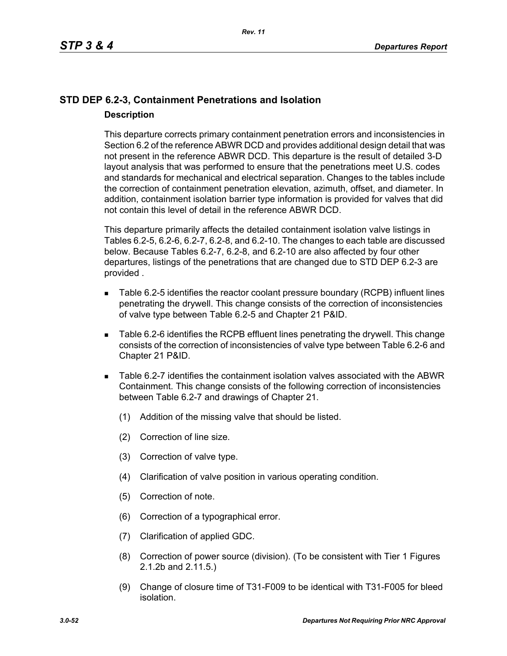# **STD DEP 6.2-3, Containment Penetrations and Isolation Description**

This departure corrects primary containment penetration errors and inconsistencies in Section 6.2 of the reference ABWR DCD and provides additional design detail that was not present in the reference ABWR DCD. This departure is the result of detailed 3-D layout analysis that was performed to ensure that the penetrations meet U.S. codes and standards for mechanical and electrical separation. Changes to the tables include the correction of containment penetration elevation, azimuth, offset, and diameter. In addition, containment isolation barrier type information is provided for valves that did not contain this level of detail in the reference ABWR DCD.

This departure primarily affects the detailed containment isolation valve listings in Tables 6.2-5, 6.2-6, 6.2-7, 6.2-8, and 6.2-10. The changes to each table are discussed below. Because Tables 6.2-7, 6.2-8, and 6.2-10 are also affected by four other departures, listings of the penetrations that are changed due to STD DEP 6.2-3 are provided .

- Table 6.2-5 identifies the reactor coolant pressure boundary (RCPB) influent lines penetrating the drywell. This change consists of the correction of inconsistencies of valve type between Table 6.2-5 and Chapter 21 P&ID.
- Table 6.2-6 identifies the RCPB effluent lines penetrating the drywell. This change consists of the correction of inconsistencies of valve type between Table 6.2-6 and Chapter 21 P&ID.
- Table 6.2-7 identifies the containment isolation valves associated with the ABWR Containment. This change consists of the following correction of inconsistencies between Table 6.2-7 and drawings of Chapter 21.
	- (1) Addition of the missing valve that should be listed.
	- (2) Correction of line size.
	- (3) Correction of valve type.
	- (4) Clarification of valve position in various operating condition.
	- (5) Correction of note.
	- (6) Correction of a typographical error.
	- (7) Clarification of applied GDC.
	- (8) Correction of power source (division). (To be consistent with Tier 1 Figures 2.1.2b and 2.11.5.)
	- (9) Change of closure time of T31-F009 to be identical with T31-F005 for bleed isolation.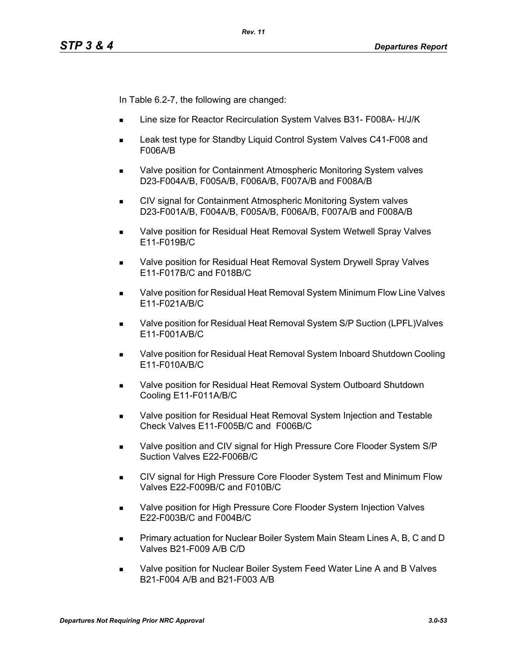In Table 6.2-7, the following are changed:

- Line size for Reactor Recirculation System Valves B31- F008A- H/J/K
- Leak test type for Standby Liquid Control System Valves C41-F008 and F006A/B
- Valve position for Containment Atmospheric Monitoring System valves D23-F004A/B, F005A/B, F006A/B, F007A/B and F008A/B
- **EXECT** CIV signal for Containment Atmospheric Monitoring System valves D23-F001A/B, F004A/B, F005A/B, F006A/B, F007A/B and F008A/B
- **Notable 20 as Valve position for Residual Heat Removal System Wetwell Spray Valves** E11-F019B/C
- Valve position for Residual Heat Removal System Drywell Spray Valves E11-F017B/C and F018B/C
- Valve position for Residual Heat Removal System Minimum Flow Line Valves E11-F021A/B/C
- Valve position for Residual Heat Removal System S/P Suction (LPFL)Valves E11-F001A/B/C
- Valve position for Residual Heat Removal System Inboard Shutdown Cooling E11-F010A/B/C
- Valve position for Residual Heat Removal System Outboard Shutdown Cooling E11-F011A/B/C
- **Nalve position for Residual Heat Removal System Injection and Testable** Check Valves E11-F005B/C and F006B/C
- Valve position and CIV signal for High Pressure Core Flooder System S/P Suction Valves E22-F006B/C
- CIV signal for High Pressure Core Flooder System Test and Minimum Flow Valves E22-F009B/C and F010B/C
- **Nalve position for High Pressure Core Flooder System Injection Valves** E22-F003B/C and F004B/C
- **Primary actuation for Nuclear Boiler System Main Steam Lines A, B, C and D** Valves B21-F009 A/B C/D
- Valve position for Nuclear Boiler System Feed Water Line A and B Valves B21-F004 A/B and B21-F003 A/B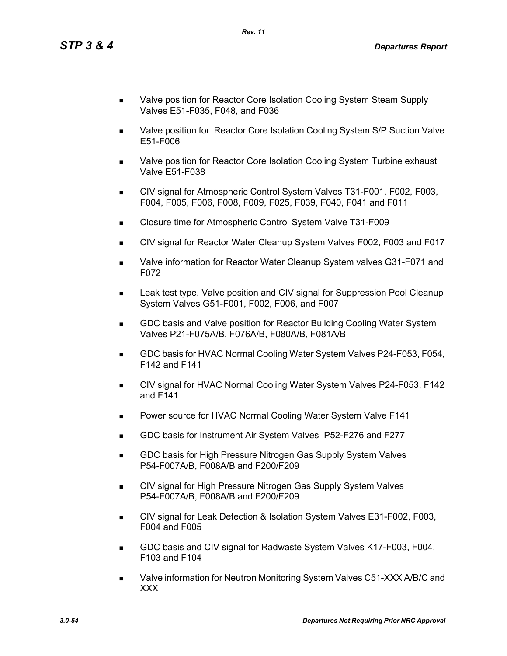- Valve position for Reactor Core Isolation Cooling System Steam Supply Valves E51-F035, F048, and F036
- Valve position for Reactor Core Isolation Cooling System S/P Suction Valve E51-F006
- Valve position for Reactor Core Isolation Cooling System Turbine exhaust Valve E51-F038
- CIV signal for Atmospheric Control System Valves T31-F001, F002, F003, F004, F005, F006, F008, F009, F025, F039, F040, F041 and F011
- Closure time for Atmospheric Control System Valve T31-F009
- CIV signal for Reactor Water Cleanup System Valves F002, F003 and F017
- Valve information for Reactor Water Cleanup System valves G31-F071 and F072
- Leak test type, Valve position and CIV signal for Suppression Pool Cleanup System Valves G51-F001, F002, F006, and F007
- GDC basis and Valve position for Reactor Building Cooling Water System Valves P21-F075A/B, F076A/B, F080A/B, F081A/B
- GDC basis for HVAC Normal Cooling Water System Valves P24-F053, F054, F142 and F141
- CIV signal for HVAC Normal Cooling Water System Valves P24-F053, F142 and F141
- **Power source for HVAC Normal Cooling Water System Valve F141**
- GDC basis for Instrument Air System Valves P52-F276 and F277
- **GDC basis for High Pressure Nitrogen Gas Supply System Valves** P54-F007A/B, F008A/B and F200/F209
- CIV signal for High Pressure Nitrogen Gas Supply System Valves P54-F007A/B, F008A/B and F200/F209
- CIV signal for Leak Detection & Isolation System Valves E31-F002, F003, F004 and F005
- GDC basis and CIV signal for Radwaste System Valves K17-F003, F004, F103 and F104
- Valve information for Neutron Monitoring System Valves C51-XXX A/B/C and XXX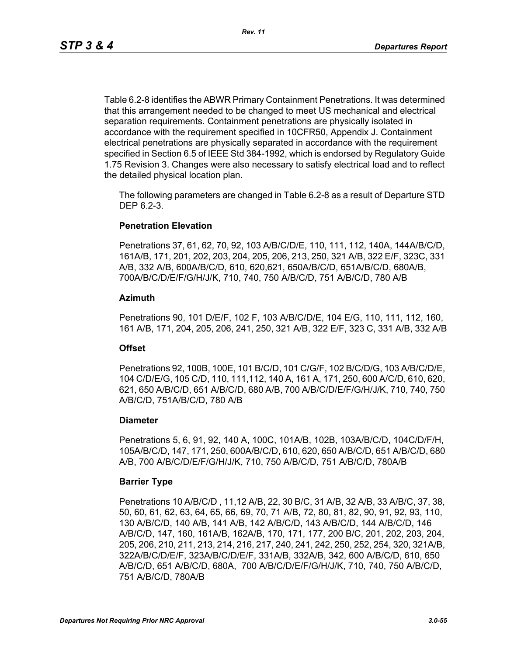Table 6.2-8 identifies the ABWR Primary Containment Penetrations. It was determined that this arrangement needed to be changed to meet US mechanical and electrical separation requirements. Containment penetrations are physically isolated in accordance with the requirement specified in 10CFR50, Appendix J. Containment electrical penetrations are physically separated in accordance with the requirement specified in Section 6.5 of IEEE Std 384-1992, which is endorsed by Regulatory Guide 1.75 Revision 3. Changes were also necessary to satisfy electrical load and to reflect the detailed physical location plan.

The following parameters are changed in Table 6.2-8 as a result of Departure STD DEP 6.2-3.

### **Penetration Elevation**

Penetrations 37, 61, 62, 70, 92, 103 A/B/C/D/E, 110, 111, 112, 140A, 144A/B/C/D, 161A/B, 171, 201, 202, 203, 204, 205, 206, 213, 250, 321 A/B, 322 E/F, 323C, 331 A/B, 332 A/B, 600A/B/C/D, 610, 620,621, 650A/B/C/D, 651A/B/C/D, 680A/B, 700A/B/C/D/E/F/G/H/J/K, 710, 740, 750 A/B/C/D, 751 A/B/C/D, 780 A/B

### **Azimuth**

Penetrations 90, 101 D/E/F, 102 F, 103 A/B/C/D/E, 104 E/G, 110, 111, 112, 160, 161 A/B, 171, 204, 205, 206, 241, 250, 321 A/B, 322 E/F, 323 C, 331 A/B, 332 A/B

### **Offset**

Penetrations 92, 100B, 100E, 101 B/C/D, 101 C/G/F, 102 B/C/D/G, 103 A/B/C/D/E, 104 C/D/E/G, 105 C/D, 110, 111,112, 140 A, 161 A, 171, 250, 600 A/C/D, 610, 620, 621, 650 A/B/C/D, 651 A/B/C/D, 680 A/B, 700 A/B/C/D/E/F/G/H/J/K, 710, 740, 750 A/B/C/D, 751A/B/C/D, 780 A/B

### **Diameter**

Penetrations 5, 6, 91, 92, 140 A, 100C, 101A/B, 102B, 103A/B/C/D, 104C/D/F/H, 105A/B/C/D, 147, 171, 250, 600A/B/C/D, 610, 620, 650 A/B/C/D, 651 A/B/C/D, 680 A/B, 700 A/B/C/D/E/F/G/H/J/K, 710, 750 A/B/C/D, 751 A/B/C/D, 780A/B

### **Barrier Type**

Penetrations 10 A/B/C/D , 11,12 A/B, 22, 30 B/C, 31 A/B, 32 A/B, 33 A/B/C, 37, 38, 50, 60, 61, 62, 63, 64, 65, 66, 69, 70, 71 A/B, 72, 80, 81, 82, 90, 91, 92, 93, 110, 130 A/B/C/D, 140 A/B, 141 A/B, 142 A/B/C/D, 143 A/B/C/D, 144 A/B/C/D, 146 A/B/C/D, 147, 160, 161A/B, 162A/B, 170, 171, 177, 200 B/C, 201, 202, 203, 204, 205, 206, 210, 211, 213, 214, 216, 217, 240, 241, 242, 250, 252, 254, 320, 321A/B, 322A/B/C/D/E/F, 323A/B/C/D/E/F, 331A/B, 332A/B, 342, 600 A/B/C/D, 610, 650 A/B/C/D, 651 A/B/C/D, 680A, 700 A/B/C/D/E/F/G/H/J/K, 710, 740, 750 A/B/C/D, 751 A/B/C/D, 780A/B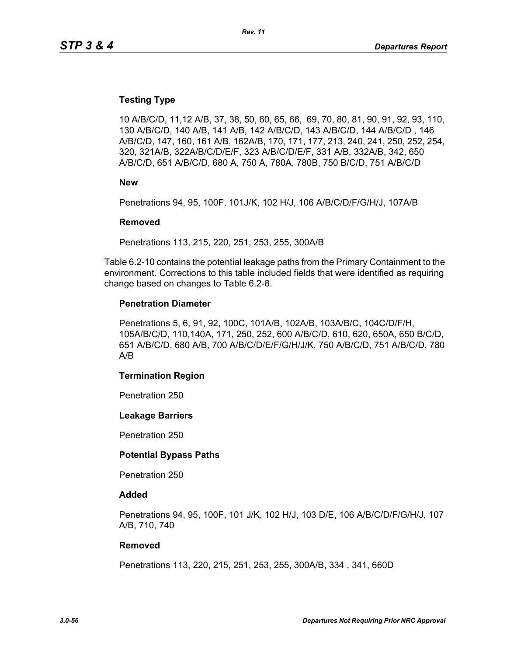### **Testing Type**

10 A/B/C/D, 11,12 A/B, 37, 38, 50, 60, 65, 66, 69, 70, 80, 81, 90, 91, 92, 93, 110, 130 A/B/C/D, 140 A/B, 141 A/B, 142 A/B/C/D, 143 A/B/C/D, 144 A/B/C/D , 146 A/B/C/D, 147, 160, 161 A/B, 162A/B, 170, 171, 177, 213, 240, 241, 250, 252, 254, 320, 321A/B, 322A/B/C/D/E/F, 323 A/B/C/D/E/F, 331 A/B, 332A/B, 342, 650 A/B/C/D, 651 A/B/C/D, 680 A, 750 A, 780A, 780B, 750 B/C/D, 751 A/B/C/D

**New**

Penetrations 94, 95, 100F, 101J/K, 102 H/J, 106 A/B/C/D/F/G/H/J, 107A/B

#### **Removed**

Penetrations 113, 215, 220, 251, 253, 255, 300A/B

Table 6.2-10 contains the potential leakage paths from the Primary Containment to the environment. Corrections to this table included fields that were identified as requiring change based on changes to Table 6.2-8.

#### **Penetration Diameter**

Penetrations 5, 6, 91, 92, 100C, 101A/B, 102A/B, 103A/B/C, 104C/D/F/H, 105A/B/C/D, 110,140A, 171, 250, 252, 600 A/B/C/D, 610, 620, 650A, 650 B/C/D, 651 A/B/C/D, 680 A/B, 700 A/B/C/D/E/F/G/H/J/K, 750 A/B/C/D, 751 A/B/C/D, 780 A/B

#### **Termination Region**

Penetration 250

#### **Leakage Barriers**

Penetration 250

#### **Potential Bypass Paths**

Penetration 250

#### **Added**

Penetrations 94, 95, 100F, 101 J/K, 102 H/J, 103 D/E, 106 A/B/C/D/F/G/H/J, 107 A/B, 710, 740

#### **Removed**

Penetrations 113, 220, 215, 251, 253, 255, 300A/B, 334 , 341, 660D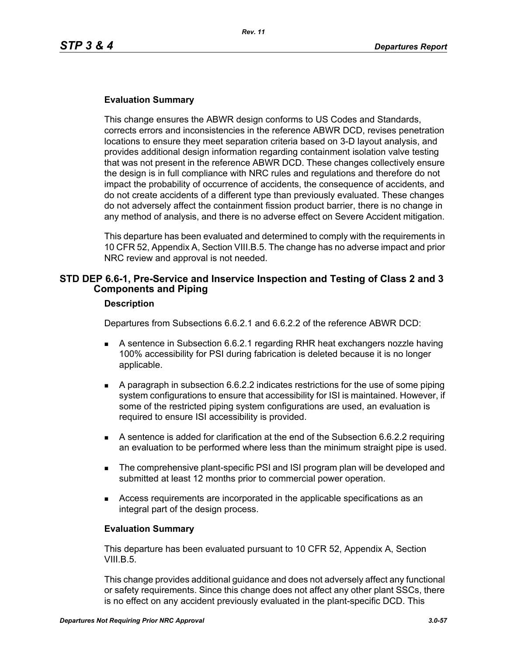### **Evaluation Summary**

This change ensures the ABWR design conforms to US Codes and Standards, corrects errors and inconsistencies in the reference ABWR DCD, revises penetration locations to ensure they meet separation criteria based on 3-D layout analysis, and provides additional design information regarding containment isolation valve testing that was not present in the reference ABWR DCD. These changes collectively ensure the design is in full compliance with NRC rules and regulations and therefore do not impact the probability of occurrence of accidents, the consequence of accidents, and do not create accidents of a different type than previously evaluated. These changes do not adversely affect the containment fission product barrier, there is no change in any method of analysis, and there is no adverse effect on Severe Accident mitigation.

This departure has been evaluated and determined to comply with the requirements in 10 CFR 52, Appendix A, Section VIII.B.5. The change has no adverse impact and prior NRC review and approval is not needed.

# **STD DEP 6.6-1, Pre-Service and Inservice Inspection and Testing of Class 2 and 3 Components and Piping**

#### **Description**

Departures from Subsections 6.6.2.1 and 6.6.2.2 of the reference ABWR DCD:

- A sentence in Subsection 6.6.2.1 regarding RHR heat exchangers nozzle having 100% accessibility for PSI during fabrication is deleted because it is no longer applicable.
- A paragraph in subsection 6.6.2.2 indicates restrictions for the use of some piping system configurations to ensure that accessibility for ISI is maintained. However, if some of the restricted piping system configurations are used, an evaluation is required to ensure ISI accessibility is provided.
- A sentence is added for clarification at the end of the Subsection 6.6.2.2 requiring an evaluation to be performed where less than the minimum straight pipe is used.
- **The comprehensive plant-specific PSI and ISI program plan will be developed and** submitted at least 12 months prior to commercial power operation.
- Access requirements are incorporated in the applicable specifications as an integral part of the design process.

#### **Evaluation Summary**

This departure has been evaluated pursuant to 10 CFR 52, Appendix A, Section VIII.B.5.

This change provides additional guidance and does not adversely affect any functional or safety requirements. Since this change does not affect any other plant SSCs, there is no effect on any accident previously evaluated in the plant-specific DCD. This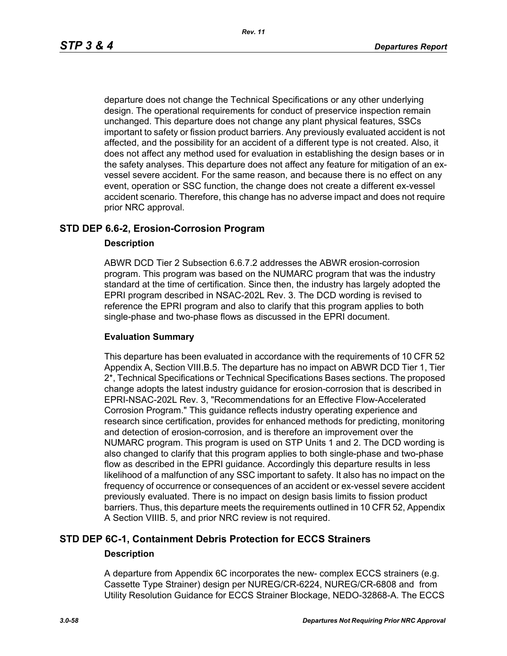departure does not change the Technical Specifications or any other underlying design. The operational requirements for conduct of preservice inspection remain unchanged. This departure does not change any plant physical features, SSCs important to safety or fission product barriers. Any previously evaluated accident is not affected, and the possibility for an accident of a different type is not created. Also, it does not affect any method used for evaluation in establishing the design bases or in the safety analyses. This departure does not affect any feature for mitigation of an exvessel severe accident. For the same reason, and because there is no effect on any event, operation or SSC function, the change does not create a different ex-vessel accident scenario. Therefore, this change has no adverse impact and does not require prior NRC approval.

# **STD DEP 6.6-2, Erosion-Corrosion Program**

### **Description**

ABWR DCD Tier 2 Subsection 6.6.7.2 addresses the ABWR erosion-corrosion program. This program was based on the NUMARC program that was the industry standard at the time of certification. Since then, the industry has largely adopted the EPRI program described in NSAC-202L Rev. 3. The DCD wording is revised to reference the EPRI program and also to clarify that this program applies to both single-phase and two-phase flows as discussed in the EPRI document.

### **Evaluation Summary**

This departure has been evaluated in accordance with the requirements of 10 CFR 52 Appendix A, Section VIII.B.5. The departure has no impact on ABWR DCD Tier 1, Tier 2\*, Technical Specifications or Technical Specifications Bases sections. The proposed change adopts the latest industry guidance for erosion-corrosion that is described in EPRI-NSAC-202L Rev. 3, "Recommendations for an Effective Flow-Accelerated Corrosion Program." This guidance reflects industry operating experience and research since certification, provides for enhanced methods for predicting, monitoring and detection of erosion-corrosion, and is therefore an improvement over the NUMARC program. This program is used on STP Units 1 and 2. The DCD wording is also changed to clarify that this program applies to both single-phase and two-phase flow as described in the EPRI guidance. Accordingly this departure results in less likelihood of a malfunction of any SSC important to safety. It also has no impact on the frequency of occurrence or consequences of an accident or ex-vessel severe accident previously evaluated. There is no impact on design basis limits to fission product barriers. Thus, this departure meets the requirements outlined in 10 CFR 52, Appendix A Section VIIIB. 5, and prior NRC review is not required.

# **STD DEP 6C-1, Containment Debris Protection for ECCS Strainers Description**

A departure from Appendix 6C incorporates the new- complex ECCS strainers (e.g. Cassette Type Strainer) design per NUREG/CR-6224, NUREG/CR-6808 and from Utility Resolution Guidance for ECCS Strainer Blockage, NEDO-32868-A. The ECCS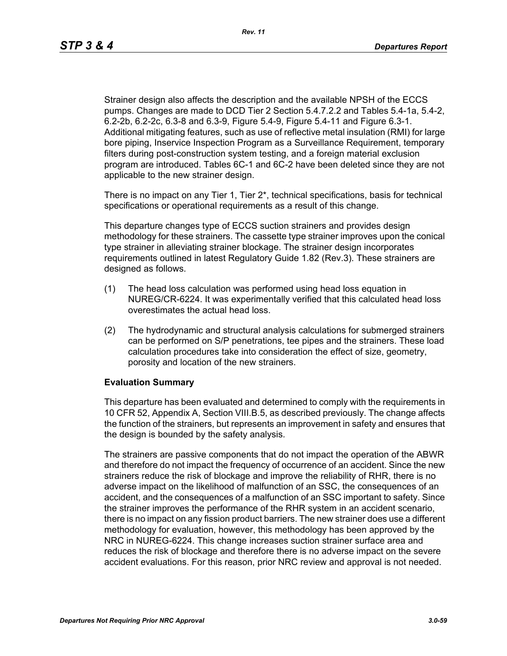Strainer design also affects the description and the available NPSH of the ECCS pumps. Changes are made to DCD Tier 2 Section 5.4.7.2.2 and Tables 5.4-1a, 5.4-2, 6.2-2b, 6.2-2c, 6.3-8 and 6.3-9, Figure 5.4-9, Figure 5.4-11 and Figure 6.3-1. Additional mitigating features, such as use of reflective metal insulation (RMI) for large bore piping, Inservice Inspection Program as a Surveillance Requirement, temporary filters during post-construction system testing, and a foreign material exclusion program are introduced. Tables 6C-1 and 6C-2 have been deleted since they are not applicable to the new strainer design.

There is no impact on any Tier 1, Tier  $2^*$ , technical specifications, basis for technical specifications or operational requirements as a result of this change.

This departure changes type of ECCS suction strainers and provides design methodology for these strainers. The cassette type strainer improves upon the conical type strainer in alleviating strainer blockage. The strainer design incorporates requirements outlined in latest Regulatory Guide 1.82 (Rev.3). These strainers are designed as follows.

- (1) The head loss calculation was performed using head loss equation in NUREG/CR-6224. It was experimentally verified that this calculated head loss overestimates the actual head loss.
- (2) The hydrodynamic and structural analysis calculations for submerged strainers can be performed on S/P penetrations, tee pipes and the strainers. These load calculation procedures take into consideration the effect of size, geometry, porosity and location of the new strainers.

# **Evaluation Summary**

This departure has been evaluated and determined to comply with the requirements in 10 CFR 52, Appendix A, Section VIII.B.5, as described previously. The change affects the function of the strainers, but represents an improvement in safety and ensures that the design is bounded by the safety analysis.

The strainers are passive components that do not impact the operation of the ABWR and therefore do not impact the frequency of occurrence of an accident. Since the new strainers reduce the risk of blockage and improve the reliability of RHR, there is no adverse impact on the likelihood of malfunction of an SSC, the consequences of an accident, and the consequences of a malfunction of an SSC important to safety. Since the strainer improves the performance of the RHR system in an accident scenario, there is no impact on any fission product barriers. The new strainer does use a different methodology for evaluation, however, this methodology has been approved by the NRC in NUREG-6224. This change increases suction strainer surface area and reduces the risk of blockage and therefore there is no adverse impact on the severe accident evaluations. For this reason, prior NRC review and approval is not needed.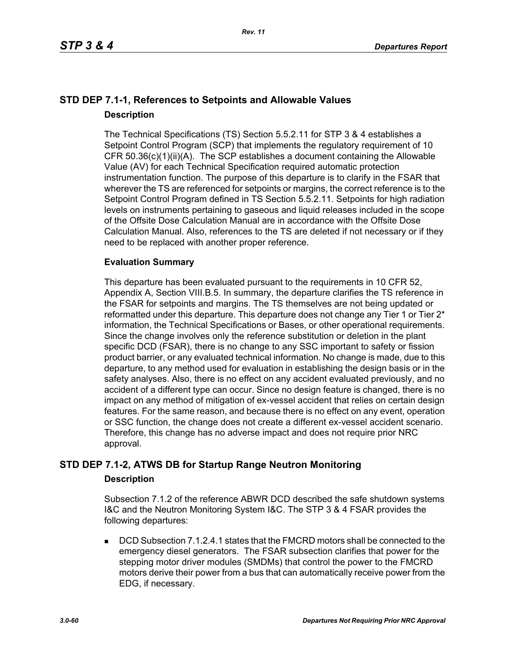# **STD DEP 7.1-1, References to Setpoints and Allowable Values Description**

The Technical Specifications (TS) Section 5.5.2.11 for STP 3 & 4 establishes a Setpoint Control Program (SCP) that implements the regulatory requirement of 10 CFR 50.36(c)(1)(ii)(A). The SCP establishes a document containing the Allowable Value (AV) for each Technical Specification required automatic protection instrumentation function. The purpose of this departure is to clarify in the FSAR that wherever the TS are referenced for setpoints or margins, the correct reference is to the Setpoint Control Program defined in TS Section 5.5.2.11. Setpoints for high radiation levels on instruments pertaining to gaseous and liquid releases included in the scope of the Offsite Dose Calculation Manual are in accordance with the Offsite Dose Calculation Manual. Also, references to the TS are deleted if not necessary or if they need to be replaced with another proper reference.

# **Evaluation Summary**

This departure has been evaluated pursuant to the requirements in 10 CFR 52, Appendix A, Section VIII.B.5. In summary, the departure clarifies the TS reference in the FSAR for setpoints and margins. The TS themselves are not being updated or reformatted under this departure. This departure does not change any Tier 1 or Tier 2<sup>\*</sup> information, the Technical Specifications or Bases, or other operational requirements. Since the change involves only the reference substitution or deletion in the plant specific DCD (FSAR), there is no change to any SSC important to safety or fission product barrier, or any evaluated technical information. No change is made, due to this departure, to any method used for evaluation in establishing the design basis or in the safety analyses. Also, there is no effect on any accident evaluated previously, and no accident of a different type can occur. Since no design feature is changed, there is no impact on any method of mitigation of ex-vessel accident that relies on certain design features. For the same reason, and because there is no effect on any event, operation or SSC function, the change does not create a different ex-vessel accident scenario. Therefore, this change has no adverse impact and does not require prior NRC approval.

# **STD DEP 7.1-2, ATWS DB for Startup Range Neutron Monitoring**

# **Description**

Subsection 7.1.2 of the reference ABWR DCD described the safe shutdown systems I&C and the Neutron Monitoring System I&C. The STP 3 & 4 FSAR provides the following departures:

 DCD Subsection 7.1.2.4.1 states that the FMCRD motors shall be connected to the emergency diesel generators. The FSAR subsection clarifies that power for the stepping motor driver modules (SMDMs) that control the power to the FMCRD motors derive their power from a bus that can automatically receive power from the EDG, if necessary.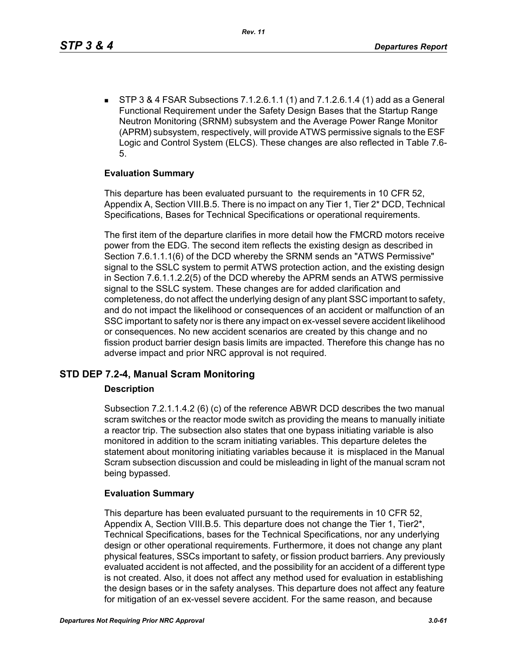STP 3 & 4 FSAR Subsections 7.1.2.6.1.1 (1) and 7.1.2.6.1.4 (1) add as a General Functional Requirement under the Safety Design Bases that the Startup Range Neutron Monitoring (SRNM) subsystem and the Average Power Range Monitor (APRM) subsystem, respectively, will provide ATWS permissive signals to the ESF Logic and Control System (ELCS). These changes are also reflected in Table 7.6- 5.

# **Evaluation Summary**

This departure has been evaluated pursuant to the requirements in 10 CFR 52, Appendix A, Section VIII.B.5. There is no impact on any Tier 1, Tier 2\* DCD, Technical Specifications, Bases for Technical Specifications or operational requirements.

The first item of the departure clarifies in more detail how the FMCRD motors receive power from the EDG. The second item reflects the existing design as described in Section 7.6.1.1.1(6) of the DCD whereby the SRNM sends an "ATWS Permissive" signal to the SSLC system to permit ATWS protection action, and the existing design in Section 7.6.1.1.2.2(5) of the DCD whereby the APRM sends an ATWS permissive signal to the SSLC system. These changes are for added clarification and completeness, do not affect the underlying design of any plant SSC important to safety, and do not impact the likelihood or consequences of an accident or malfunction of an SSC important to safety nor is there any impact on ex-vessel severe accident likelihood or consequences. No new accident scenarios are created by this change and no fission product barrier design basis limits are impacted. Therefore this change has no adverse impact and prior NRC approval is not required.

# **STD DEP 7.2-4, Manual Scram Monitoring**

# **Description**

Subsection 7.2.1.1.4.2 (6) (c) of the reference ABWR DCD describes the two manual scram switches or the reactor mode switch as providing the means to manually initiate a reactor trip. The subsection also states that one bypass initiating variable is also monitored in addition to the scram initiating variables. This departure deletes the statement about monitoring initiating variables because it is misplaced in the Manual Scram subsection discussion and could be misleading in light of the manual scram not being bypassed.

# **Evaluation Summary**

This departure has been evaluated pursuant to the requirements in 10 CFR 52, Appendix A, Section VIII.B.5. This departure does not change the Tier 1, Tier2\*, Technical Specifications, bases for the Technical Specifications, nor any underlying design or other operational requirements. Furthermore, it does not change any plant physical features, SSCs important to safety, or fission product barriers. Any previously evaluated accident is not affected, and the possibility for an accident of a different type is not created. Also, it does not affect any method used for evaluation in establishing the design bases or in the safety analyses. This departure does not affect any feature for mitigation of an ex-vessel severe accident. For the same reason, and because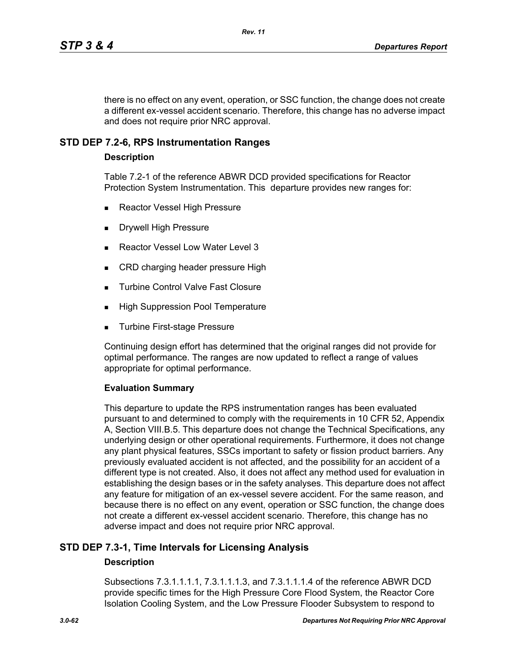there is no effect on any event, operation, or SSC function, the change does not create a different ex-vessel accident scenario. Therefore, this change has no adverse impact and does not require prior NRC approval.

# **STD DEP 7.2-6, RPS Instrumentation Ranges**

### **Description**

Table 7.2-1 of the reference ABWR DCD provided specifications for Reactor Protection System Instrumentation. This departure provides new ranges for:

- Reactor Vessel High Pressure
- Drywell High Pressure
- Reactor Vessel Low Water Level 3
- CRD charging header pressure High
- **Turbine Control Valve Fast Closure**
- **High Suppression Pool Temperature**
- Turbine First-stage Pressure

Continuing design effort has determined that the original ranges did not provide for optimal performance. The ranges are now updated to reflect a range of values appropriate for optimal performance.

### **Evaluation Summary**

This departure to update the RPS instrumentation ranges has been evaluated pursuant to and determined to comply with the requirements in 10 CFR 52, Appendix A, Section VIII.B.5. This departure does not change the Technical Specifications, any underlying design or other operational requirements. Furthermore, it does not change any plant physical features, SSCs important to safety or fission product barriers. Any previously evaluated accident is not affected, and the possibility for an accident of a different type is not created. Also, it does not affect any method used for evaluation in establishing the design bases or in the safety analyses. This departure does not affect any feature for mitigation of an ex-vessel severe accident. For the same reason, and because there is no effect on any event, operation or SSC function, the change does not create a different ex-vessel accident scenario. Therefore, this change has no adverse impact and does not require prior NRC approval.

# **STD DEP 7.3-1, Time Intervals for Licensing Analysis**

### **Description**

Subsections 7.3.1.1.1.1, 7.3.1.1.1.3, and 7.3.1.1.1.4 of the reference ABWR DCD provide specific times for the High Pressure Core Flood System, the Reactor Core Isolation Cooling System, and the Low Pressure Flooder Subsystem to respond to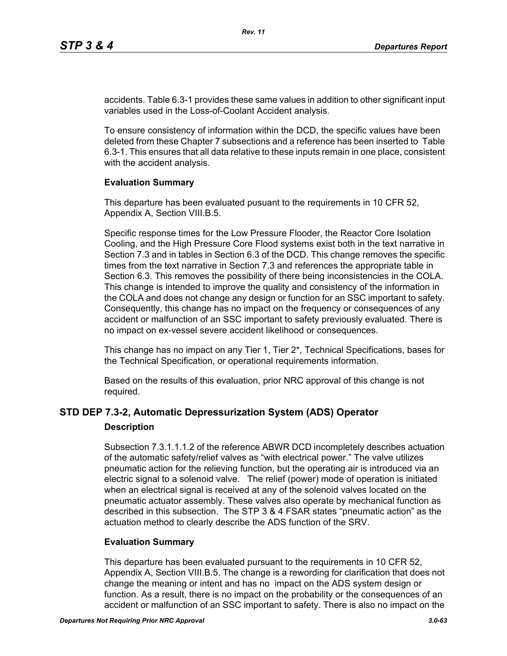accidents. Table 6.3-1 provides these same values in addition to other significant input variables used in the Loss-of-Coolant Accident analysis.

To ensure consistency of information within the DCD, the specific values have been deleted from these Chapter 7 subsections and a reference has been inserted to Table 6.3-1. This ensures that all data relative to these inputs remain in one place, consistent with the accident analysis.

### **Evaluation Summary**

This departure has been evaluated pusuant to the requirements in 10 CFR 52, Appendix A, Section VIII.B.5.

Specific response times for the Low Pressure Flooder, the Reactor Core Isolation Cooling, and the High Pressure Core Flood systems exist both in the text narrative in Section 7.3 and in tables in Section 6.3 of the DCD. This change removes the specific times from the text narrative in Section 7.3 and references the appropriate table in Section 6.3. This removes the possibility of there being inconsistencies in the COLA. This change is intended to improve the quality and consistency of the information in the COLA and does not change any design or function for an SSC important to safety. Consequently, this change has no impact on the frequency or consequences of any accident or malfunction of an SSC important to safety previously evaluated. There is no impact on ex-vessel severe accident likelihood or consequences.

This change has no impact on any Tier 1, Tier 2\*, Technical Specifications, bases for the Technical Specification, or operational requirements information.

Based on the results of this evaluation, prior NRC approval of this change is not required.

# **STD DEP 7.3-2, Automatic Depressurization System (ADS) Operator**

### **Description**

Subsection 7.3.1.1.1.2 of the reference ABWR DCD incompletely describes actuation of the automatic safety/relief valves as "with electrical power." The valve utilizes pneumatic action for the relieving function, but the operating air is introduced via an electric signal to a solenoid valve. The relief (power) mode of operation is initiated when an electrical signal is received at any of the solenoid valves located on the pneumatic actuator assembly. These valves also operate by mechanical function as described in this subsection. The STP 3 & 4 FSAR states "pneumatic action" as the actuation method to clearly describe the ADS function of the SRV.

# **Evaluation Summary**

This departure has been evaluated pursuant to the requirements in 10 CFR 52, Appendix A, Section VIII.B.5. The change is a rewording for clarification that does not change the meaning or intent and has no impact on the ADS system design or function. As a result, there is no impact on the probability or the consequences of an accident or malfunction of an SSC important to safety. There is also no impact on the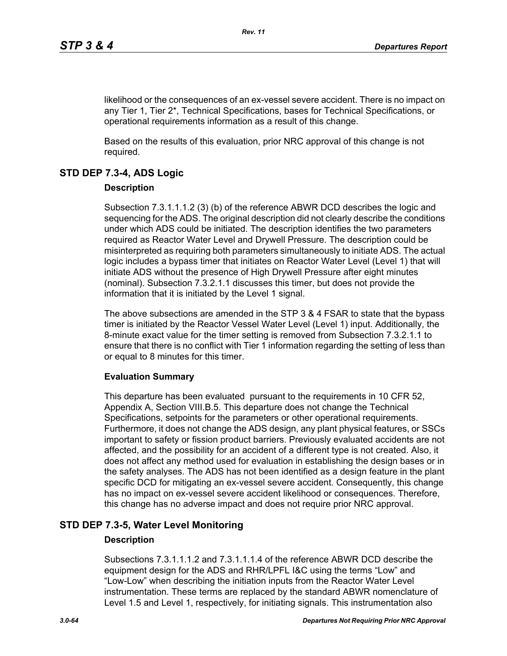likelihood or the consequences of an ex-vessel severe accident. There is no impact on any Tier 1, Tier 2\*, Technical Specifications, bases for Technical Specifications, or operational requirements information as a result of this change.

Based on the results of this evaluation, prior NRC approval of this change is not required.

# **STD DEP 7.3-4, ADS Logic**

# **Description**

Subsection 7.3.1.1.1.2 (3) (b) of the reference ABWR DCD describes the logic and sequencing for the ADS. The original description did not clearly describe the conditions under which ADS could be initiated. The description identifies the two parameters required as Reactor Water Level and Drywell Pressure. The description could be misinterpreted as requiring both parameters simultaneously to initiate ADS. The actual logic includes a bypass timer that initiates on Reactor Water Level (Level 1) that will initiate ADS without the presence of High Drywell Pressure after eight minutes (nominal). Subsection 7.3.2.1.1 discusses this timer, but does not provide the information that it is initiated by the Level 1 signal.

The above subsections are amended in the STP 3 & 4 FSAR to state that the bypass timer is initiated by the Reactor Vessel Water Level (Level 1) input. Additionally, the 8-minute exact value for the timer setting is removed from Subsection 7.3.2.1.1 to ensure that there is no conflict with Tier 1 information regarding the setting of less than or equal to 8 minutes for this timer.

# **Evaluation Summary**

This departure has been evaluated pursuant to the requirements in 10 CFR 52, Appendix A, Section VIII.B.5. This departure does not change the Technical Specifications, setpoints for the parameters or other operational requirements. Furthermore, it does not change the ADS design, any plant physical features, or SSCs important to safety or fission product barriers. Previously evaluated accidents are not affected, and the possibility for an accident of a different type is not created. Also, it does not affect any method used for evaluation in establishing the design bases or in the safety analyses. The ADS has not been identified as a design feature in the plant specific DCD for mitigating an ex-vessel severe accident. Consequently, this change has no impact on ex-vessel severe accident likelihood or consequences. Therefore, this change has no adverse impact and does not require prior NRC approval.

# **STD DEP 7.3-5, Water Level Monitoring**

# **Description**

Subsections 7.3.1.1.1.2 and 7.3.1.1.1.4 of the reference ABWR DCD describe the equipment design for the ADS and RHR/LPFL I&C using the terms "Low" and "Low-Low" when describing the initiation inputs from the Reactor Water Level instrumentation. These terms are replaced by the standard ABWR nomenclature of Level 1.5 and Level 1, respectively, for initiating signals. This instrumentation also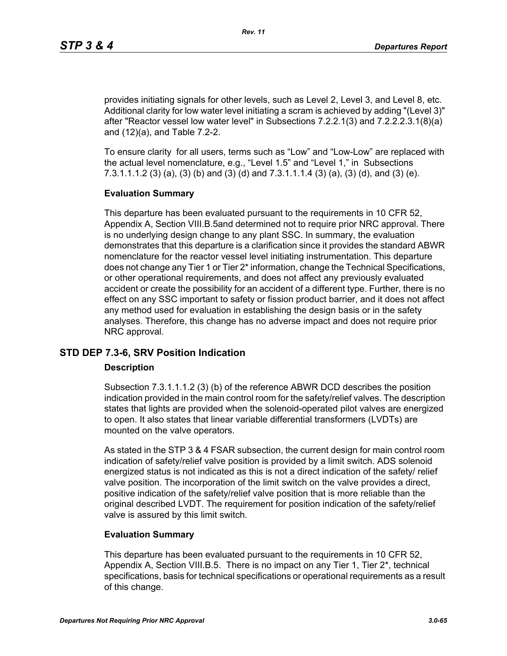provides initiating signals for other levels, such as Level 2, Level 3, and Level 8, etc. Additional clarity for low water level initiating a scram is achieved by adding "(Level 3)" after "Reactor vessel low water level" in Subsections 7.2.2.1(3) and 7.2.2.2.3.1(8)(a) and (12)(a), and Table 7.2-2.

To ensure clarity for all users, terms such as "Low" and "Low-Low" are replaced with the actual level nomenclature, e.g., "Level 1.5" and "Level 1," in Subsections 7.3.1.1.1.2 (3) (a), (3) (b) and (3) (d) and 7.3.1.1.1.4 (3) (a), (3) (d), and (3) (e).

### **Evaluation Summary**

This departure has been evaluated pursuant to the requirements in 10 CFR 52, Appendix A, Section VIII.B.5and determined not to require prior NRC approval. There is no underlying design change to any plant SSC. In summary, the evaluation demonstrates that this departure is a clarification since it provides the standard ABWR nomenclature for the reactor vessel level initiating instrumentation. This departure does not change any Tier 1 or Tier 2\* information, change the Technical Specifications, or other operational requirements, and does not affect any previously evaluated accident or create the possibility for an accident of a different type. Further, there is no effect on any SSC important to safety or fission product barrier, and it does not affect any method used for evaluation in establishing the design basis or in the safety analyses. Therefore, this change has no adverse impact and does not require prior NRC approval.

# **STD DEP 7.3-6, SRV Position Indication**

### **Description**

Subsection 7.3.1.1.1.2 (3) (b) of the reference ABWR DCD describes the position indication provided in the main control room for the safety/relief valves. The description states that lights are provided when the solenoid-operated pilot valves are energized to open. It also states that linear variable differential transformers (LVDTs) are mounted on the valve operators.

As stated in the STP 3 & 4 FSAR subsection, the current design for main control room indication of safety/relief valve position is provided by a limit switch. ADS solenoid energized status is not indicated as this is not a direct indication of the safety/ relief valve position. The incorporation of the limit switch on the valve provides a direct, positive indication of the safety/relief valve position that is more reliable than the original described LVDT. The requirement for position indication of the safety/relief valve is assured by this limit switch.

# **Evaluation Summary**

This departure has been evaluated pursuant to the requirements in 10 CFR 52, Appendix A, Section VIII.B.5. There is no impact on any Tier 1, Tier 2\*, technical specifications, basis for technical specifications or operational requirements as a result of this change.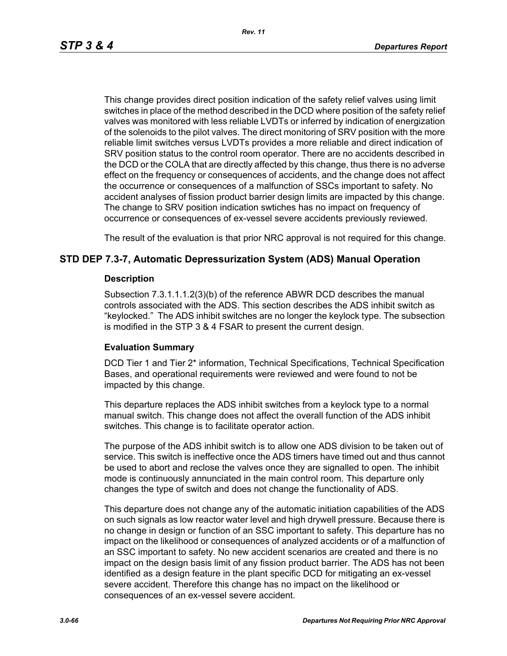*Rev. 11*

This change provides direct position indication of the safety relief valves using limit switches in place of the method described in the DCD where position of the safety relief valves was monitored with less reliable LVDTs or inferred by indication of energization of the solenoids to the pilot valves. The direct monitoring of SRV position with the more reliable limit switches versus LVDTs provides a more reliable and direct indication of SRV position status to the control room operator. There are no accidents described in the DCD or the COLA that are directly affected by this change, thus there is no adverse effect on the frequency or consequences of accidents, and the change does not affect the occurrence or consequences of a malfunction of SSCs important to safety. No accident analyses of fission product barrier design limits are impacted by this change. The change to SRV position indication swtiches has no impact on frequency of occurrence or consequences of ex-vessel severe accidents previously reviewed.

The result of the evaluation is that prior NRC approval is not required for this change.

# **STD DEP 7.3-7, Automatic Depressurization System (ADS) Manual Operation**

### **Description**

Subsection 7.3.1.1.1.2(3)(b) of the reference ABWR DCD describes the manual controls associated with the ADS. This section describes the ADS inhibit switch as "keylocked." The ADS inhibit switches are no longer the keylock type. The subsection is modified in the STP 3 & 4 FSAR to present the current design.

# **Evaluation Summary**

DCD Tier 1 and Tier 2\* information, Technical Specifications, Technical Specification Bases, and operational requirements were reviewed and were found to not be impacted by this change.

This departure replaces the ADS inhibit switches from a keylock type to a normal manual switch. This change does not affect the overall function of the ADS inhibit switches. This change is to facilitate operator action.

The purpose of the ADS inhibit switch is to allow one ADS division to be taken out of service. This switch is ineffective once the ADS timers have timed out and thus cannot be used to abort and reclose the valves once they are signalled to open. The inhibit mode is continuously annunciated in the main control room. This departure only changes the type of switch and does not change the functionality of ADS.

This departure does not change any of the automatic initiation capabilities of the ADS on such signals as low reactor water level and high drywell pressure. Because there is no change in design or function of an SSC important to safety. This departure has no impact on the likelihood or consequences of analyzed accidents or of a malfunction of an SSC important to safety. No new accident scenarios are created and there is no impact on the design basis limit of any fission product barrier. The ADS has not been identified as a design feature in the plant specific DCD for mitigating an ex-vessel severe accident. Therefore this change has no impact on the likelihood or consequences of an ex-vessel severe accident.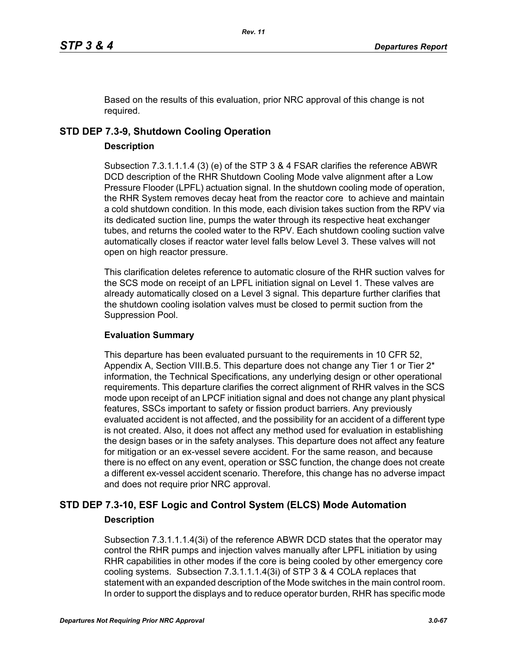Based on the results of this evaluation, prior NRC approval of this change is not required.

# **STD DEP 7.3-9, Shutdown Cooling Operation**

### **Description**

Subsection 7.3.1.1.1.4 (3) (e) of the STP 3 & 4 FSAR clarifies the reference ABWR DCD description of the RHR Shutdown Cooling Mode valve alignment after a Low Pressure Flooder (LPFL) actuation signal. In the shutdown cooling mode of operation, the RHR System removes decay heat from the reactor core to achieve and maintain a cold shutdown condition. In this mode, each division takes suction from the RPV via its dedicated suction line, pumps the water through its respective heat exchanger tubes, and returns the cooled water to the RPV. Each shutdown cooling suction valve automatically closes if reactor water level falls below Level 3. These valves will not open on high reactor pressure.

This clarification deletes reference to automatic closure of the RHR suction valves for the SCS mode on receipt of an LPFL initiation signal on Level 1. These valves are already automatically closed on a Level 3 signal. This departure further clarifies that the shutdown cooling isolation valves must be closed to permit suction from the Suppression Pool.

# **Evaluation Summary**

This departure has been evaluated pursuant to the requirements in 10 CFR 52, Appendix A, Section VIII.B.5. This departure does not change any Tier 1 or Tier 2<sup>\*</sup> information, the Technical Specifications, any underlying design or other operational requirements. This departure clarifies the correct alignment of RHR valves in the SCS mode upon receipt of an LPCF initiation signal and does not change any plant physical features, SSCs important to safety or fission product barriers. Any previously evaluated accident is not affected, and the possibility for an accident of a different type is not created. Also, it does not affect any method used for evaluation in establishing the design bases or in the safety analyses. This departure does not affect any feature for mitigation or an ex-vessel severe accident. For the same reason, and because there is no effect on any event, operation or SSC function, the change does not create a different ex-vessel accident scenario. Therefore, this change has no adverse impact and does not require prior NRC approval.

# **STD DEP 7.3-10, ESF Logic and Control System (ELCS) Mode Automation Description**

Subsection 7.3.1.1.1.4(3i) of the reference ABWR DCD states that the operator may control the RHR pumps and injection valves manually after LPFL initiation by using RHR capabilities in other modes if the core is being cooled by other emergency core cooling systems. Subsection 7.3.1.1.1.4(3i) of STP 3 & 4 COLA replaces that statement with an expanded description of the Mode switches in the main control room. In order to support the displays and to reduce operator burden, RHR has specific mode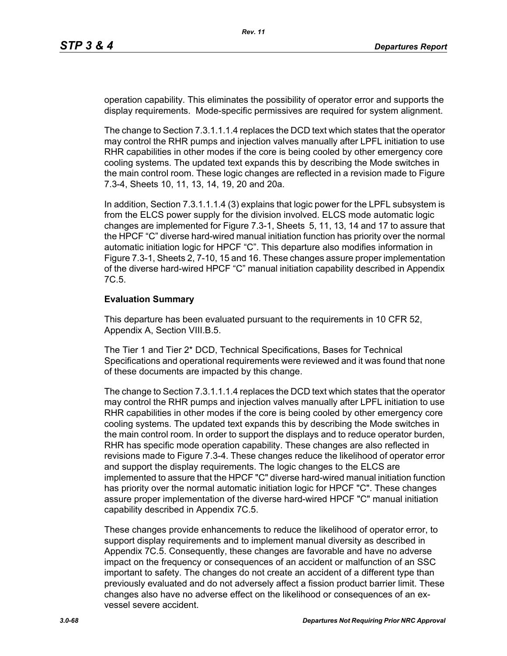operation capability. This eliminates the possibility of operator error and supports the display requirements. Mode-specific permissives are required for system alignment.

The change to Section 7.3.1.1.1.4 replaces the DCD text which states that the operator may control the RHR pumps and injection valves manually after LPFL initiation to use RHR capabilities in other modes if the core is being cooled by other emergency core cooling systems. The updated text expands this by describing the Mode switches in the main control room. These logic changes are reflected in a revision made to Figure 7.3-4, Sheets 10, 11, 13, 14, 19, 20 and 20a.

In addition, Section 7.3.1.1.1.4 (3) explains that logic power for the LPFL subsystem is from the ELCS power supply for the division involved. ELCS mode automatic logic changes are implemented for Figure 7.3-1, Sheets 5, 11, 13, 14 and 17 to assure that the HPCF "C" diverse hard-wired manual initiation function has priority over the normal automatic initiation logic for HPCF "C". This departure also modifies information in Figure 7.3-1, Sheets 2, 7-10, 15 and 16. These changes assure proper implementation of the diverse hard-wired HPCF "C" manual initiation capability described in Appendix 7C.5.

### **Evaluation Summary**

This departure has been evaluated pursuant to the requirements in 10 CFR 52, Appendix A, Section VIII.B.5.

The Tier 1 and Tier 2\* DCD, Technical Specifications, Bases for Technical Specifications and operational requirements were reviewed and it was found that none of these documents are impacted by this change.

The change to Section 7.3.1.1.1.4 replaces the DCD text which states that the operator may control the RHR pumps and injection valves manually after LPFL initiation to use RHR capabilities in other modes if the core is being cooled by other emergency core cooling systems. The updated text expands this by describing the Mode switches in the main control room. In order to support the displays and to reduce operator burden, RHR has specific mode operation capability. These changes are also reflected in revisions made to Figure 7.3-4. These changes reduce the likelihood of operator error and support the display requirements. The logic changes to the ELCS are implemented to assure that the HPCF "C" diverse hard-wired manual initiation function has priority over the normal automatic initiation logic for HPCF "C". These changes assure proper implementation of the diverse hard-wired HPCF "C" manual initiation capability described in Appendix 7C.5.

These changes provide enhancements to reduce the likelihood of operator error, to support display requirements and to implement manual diversity as described in Appendix 7C.5. Consequently, these changes are favorable and have no adverse impact on the frequency or consequences of an accident or malfunction of an SSC important to safety. The changes do not create an accident of a different type than previously evaluated and do not adversely affect a fission product barrier limit. These changes also have no adverse effect on the likelihood or consequences of an exvessel severe accident.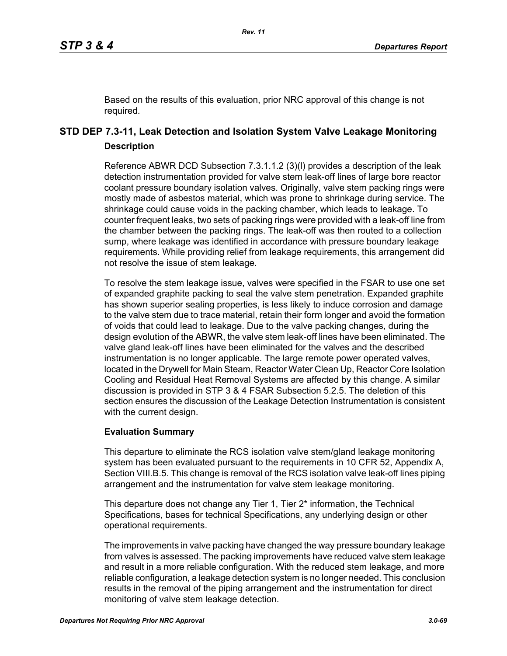Based on the results of this evaluation, prior NRC approval of this change is not required.

# **STD DEP 7.3-11, Leak Detection and Isolation System Valve Leakage Monitoring Description**

Reference ABWR DCD Subsection 7.3.1.1.2 (3)(l) provides a description of the leak detection instrumentation provided for valve stem leak-off lines of large bore reactor coolant pressure boundary isolation valves. Originally, valve stem packing rings were mostly made of asbestos material, which was prone to shrinkage during service. The shrinkage could cause voids in the packing chamber, which leads to leakage. To counter frequent leaks, two sets of packing rings were provided with a leak-off line from the chamber between the packing rings. The leak-off was then routed to a collection sump, where leakage was identified in accordance with pressure boundary leakage requirements. While providing relief from leakage requirements, this arrangement did not resolve the issue of stem leakage.

To resolve the stem leakage issue, valves were specified in the FSAR to use one set of expanded graphite packing to seal the valve stem penetration. Expanded graphite has shown superior sealing properties, is less likely to induce corrosion and damage to the valve stem due to trace material, retain their form longer and avoid the formation of voids that could lead to leakage. Due to the valve packing changes, during the design evolution of the ABWR, the valve stem leak-off lines have been eliminated. The valve gland leak-off lines have been eliminated for the valves and the described instrumentation is no longer applicable. The large remote power operated valves, located in the Drywell for Main Steam, Reactor Water Clean Up, Reactor Core Isolation Cooling and Residual Heat Removal Systems are affected by this change. A similar discussion is provided in STP 3 & 4 FSAR Subsection 5.2.5. The deletion of this section ensures the discussion of the Leakage Detection Instrumentation is consistent with the current design.

# **Evaluation Summary**

This departure to eliminate the RCS isolation valve stem/gland leakage monitoring system has been evaluated pursuant to the requirements in 10 CFR 52, Appendix A, Section VIII.B.5. This change is removal of the RCS isolation valve leak-off lines piping arrangement and the instrumentation for valve stem leakage monitoring.

This departure does not change any Tier 1, Tier 2<sup>\*</sup> information, the Technical Specifications, bases for technical Specifications, any underlying design or other operational requirements.

The improvements in valve packing have changed the way pressure boundary leakage from valves is assessed. The packing improvements have reduced valve stem leakage and result in a more reliable configuration. With the reduced stem leakage, and more reliable configuration, a leakage detection system is no longer needed. This conclusion results in the removal of the piping arrangement and the instrumentation for direct monitoring of valve stem leakage detection.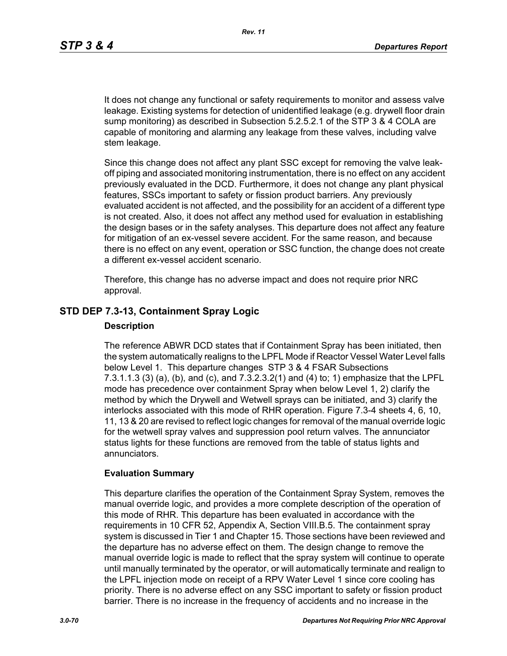It does not change any functional or safety requirements to monitor and assess valve leakage. Existing systems for detection of unidentified leakage (e.g. drywell floor drain sump monitoring) as described in Subsection 5.2.5.2.1 of the STP 3 & 4 COLA are capable of monitoring and alarming any leakage from these valves, including valve stem leakage.

Since this change does not affect any plant SSC except for removing the valve leakoff piping and associated monitoring instrumentation, there is no effect on any accident previously evaluated in the DCD. Furthermore, it does not change any plant physical features, SSCs important to safety or fission product barriers. Any previously evaluated accident is not affected, and the possibility for an accident of a different type is not created. Also, it does not affect any method used for evaluation in establishing the design bases or in the safety analyses. This departure does not affect any feature for mitigation of an ex-vessel severe accident. For the same reason, and because there is no effect on any event, operation or SSC function, the change does not create a different ex-vessel accident scenario.

Therefore, this change has no adverse impact and does not require prior NRC approval.

# **STD DEP 7.3-13, Containment Spray Logic**

#### **Description**

The reference ABWR DCD states that if Containment Spray has been initiated, then the system automatically realigns to the LPFL Mode if Reactor Vessel Water Level falls below Level 1. This departure changes STP 3 & 4 FSAR Subsections 7.3.1.1.3 (3) (a), (b), and (c), and 7.3.2.3.2(1) and (4) to; 1) emphasize that the LPFL mode has precedence over containment Spray when below Level 1, 2) clarify the method by which the Drywell and Wetwell sprays can be initiated, and 3) clarify the interlocks associated with this mode of RHR operation. Figure 7.3-4 sheets 4, 6, 10, 11, 13 & 20 are revised to reflect logic changes for removal of the manual override logic for the wetwell spray valves and suppression pool return valves. The annunciator status lights for these functions are removed from the table of status lights and annunciators.

### **Evaluation Summary**

This departure clarifies the operation of the Containment Spray System, removes the manual override logic, and provides a more complete description of the operation of this mode of RHR. This departure has been evaluated in accordance with the requirements in 10 CFR 52, Appendix A, Section VIII.B.5. The containment spray system is discussed in Tier 1 and Chapter 15. Those sections have been reviewed and the departure has no adverse effect on them. The design change to remove the manual override logic is made to reflect that the spray system will continue to operate until manually terminated by the operator, or will automatically terminate and realign to the LPFL injection mode on receipt of a RPV Water Level 1 since core cooling has priority. There is no adverse effect on any SSC important to safety or fission product barrier. There is no increase in the frequency of accidents and no increase in the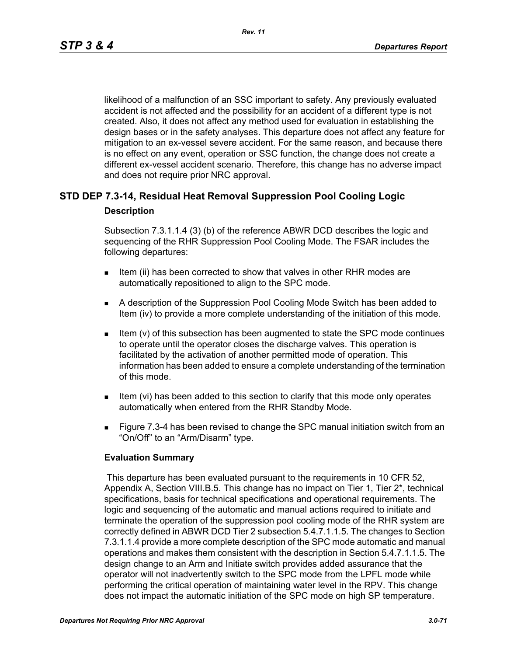likelihood of a malfunction of an SSC important to safety. Any previously evaluated accident is not affected and the possibility for an accident of a different type is not created. Also, it does not affect any method used for evaluation in establishing the design bases or in the safety analyses. This departure does not affect any feature for mitigation to an ex-vessel severe accident. For the same reason, and because there is no effect on any event, operation or SSC function, the change does not create a different ex-vessel accident scenario. Therefore, this change has no adverse impact and does not require prior NRC approval.

# **STD DEP 7.3-14, Residual Heat Removal Suppression Pool Cooling Logic Description**

Subsection 7.3.1.1.4 (3) (b) of the reference ABWR DCD describes the logic and sequencing of the RHR Suppression Pool Cooling Mode. The FSAR includes the following departures:

- Item (ii) has been corrected to show that valves in other RHR modes are automatically repositioned to align to the SPC mode.
- A description of the Suppression Pool Cooling Mode Switch has been added to Item (iv) to provide a more complete understanding of the initiation of this mode.
- Item (v) of this subsection has been augmented to state the SPC mode continues to operate until the operator closes the discharge valves. This operation is facilitated by the activation of another permitted mode of operation. This information has been added to ensure a complete understanding of the termination of this mode.
- Item (vi) has been added to this section to clarify that this mode only operates automatically when entered from the RHR Standby Mode.
- **Figure 7.3-4 has been revised to change the SPC manual initiation switch from an** "On/Off" to an "Arm/Disarm" type.

# **Evaluation Summary**

 This departure has been evaluated pursuant to the requirements in 10 CFR 52, Appendix A, Section VIII.B.5. This change has no impact on Tier 1, Tier 2\*, technical specifications, basis for technical specifications and operational requirements. The logic and sequencing of the automatic and manual actions required to initiate and terminate the operation of the suppression pool cooling mode of the RHR system are correctly defined in ABWR DCD Tier 2 subsection 5.4.7.1.1.5. The changes to Section 7.3.1.1.4 provide a more complete description of the SPC mode automatic and manual operations and makes them consistent with the description in Section 5.4.7.1.1.5. The design change to an Arm and Initiate switch provides added assurance that the operator will not inadvertently switch to the SPC mode from the LPFL mode while performing the critical operation of maintaining water level in the RPV. This change does not impact the automatic initiation of the SPC mode on high SP temperature.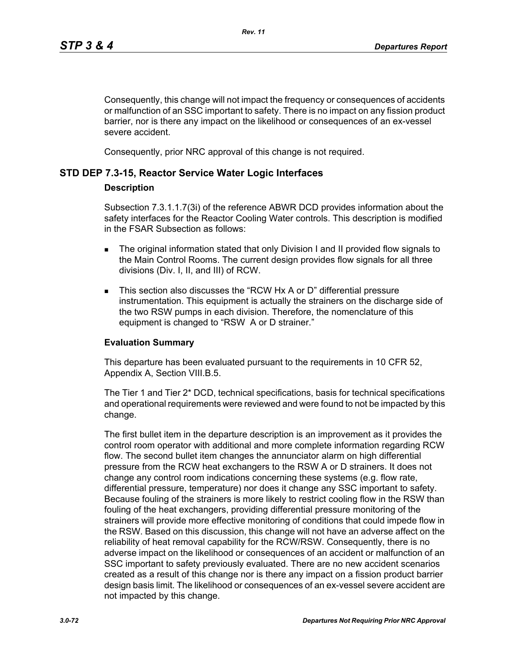Consequently, this change will not impact the frequency or consequences of accidents or malfunction of an SSC important to safety. There is no impact on any fission product barrier, nor is there any impact on the likelihood or consequences of an ex-vessel severe accident.

Consequently, prior NRC approval of this change is not required.

# **STD DEP 7.3-15, Reactor Service Water Logic Interfaces**

### **Description**

Subsection 7.3.1.1.7(3i) of the reference ABWR DCD provides information about the safety interfaces for the Reactor Cooling Water controls. This description is modified in the FSAR Subsection as follows:

- The original information stated that only Division I and II provided flow signals to the Main Control Rooms. The current design provides flow signals for all three divisions (Div. I, II, and III) of RCW.
- This section also discusses the "RCW Hx A or D" differential pressure instrumentation. This equipment is actually the strainers on the discharge side of the two RSW pumps in each division. Therefore, the nomenclature of this equipment is changed to "RSW A or D strainer."

# **Evaluation Summary**

This departure has been evaluated pursuant to the requirements in 10 CFR 52, Appendix A, Section VIII.B.5.

The Tier 1 and Tier 2\* DCD, technical specifications, basis for technical specifications and operational requirements were reviewed and were found to not be impacted by this change.

The first bullet item in the departure description is an improvement as it provides the control room operator with additional and more complete information regarding RCW flow. The second bullet item changes the annunciator alarm on high differential pressure from the RCW heat exchangers to the RSW A or D strainers. It does not change any control room indications concerning these systems (e.g. flow rate, differential pressure, temperature) nor does it change any SSC important to safety. Because fouling of the strainers is more likely to restrict cooling flow in the RSW than fouling of the heat exchangers, providing differential pressure monitoring of the strainers will provide more effective monitoring of conditions that could impede flow in the RSW. Based on this discussion, this change will not have an adverse affect on the reliability of heat removal capability for the RCW/RSW. Consequently, there is no adverse impact on the likelihood or consequences of an accident or malfunction of an SSC important to safety previously evaluated. There are no new accident scenarios created as a result of this change nor is there any impact on a fission product barrier design basis limit. The likelihood or consequences of an ex-vessel severe accident are not impacted by this change.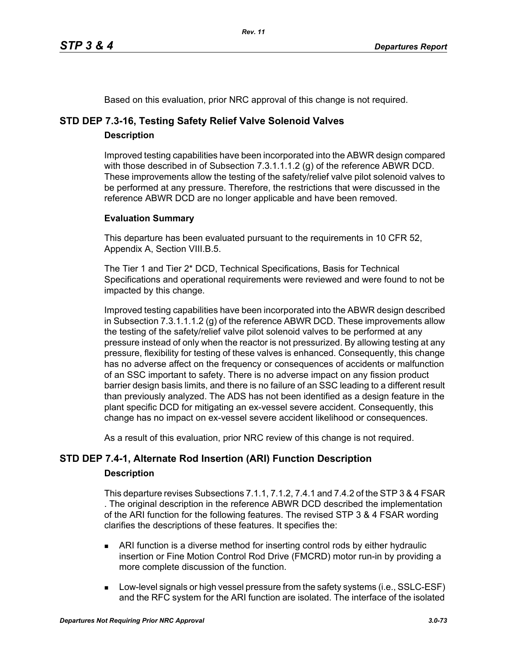Based on this evaluation, prior NRC approval of this change is not required.

# **STD DEP 7.3-16, Testing Safety Relief Valve Solenoid Valves**

# **Description**

Improved testing capabilities have been incorporated into the ABWR design compared with those described in of Subsection 7.3.1.1.1.2 (g) of the reference ABWR DCD. These improvements allow the testing of the safety/relief valve pilot solenoid valves to be performed at any pressure. Therefore, the restrictions that were discussed in the reference ABWR DCD are no longer applicable and have been removed.

# **Evaluation Summary**

This departure has been evaluated pursuant to the requirements in 10 CFR 52, Appendix A, Section VIII.B.5.

The Tier 1 and Tier 2\* DCD, Technical Specifications, Basis for Technical Specifications and operational requirements were reviewed and were found to not be impacted by this change.

Improved testing capabilities have been incorporated into the ABWR design described in Subsection 7.3.1.1.1.2 (g) of the reference ABWR DCD. These improvements allow the testing of the safety/relief valve pilot solenoid valves to be performed at any pressure instead of only when the reactor is not pressurized. By allowing testing at any pressure, flexibility for testing of these valves is enhanced. Consequently, this change has no adverse affect on the frequency or consequences of accidents or malfunction of an SSC important to safety. There is no adverse impact on any fission product barrier design basis limits, and there is no failure of an SSC leading to a different result than previously analyzed. The ADS has not been identified as a design feature in the plant specific DCD for mitigating an ex-vessel severe accident. Consequently, this change has no impact on ex-vessel severe accident likelihood or consequences.

As a result of this evaluation, prior NRC review of this change is not required.

# **STD DEP 7.4-1, Alternate Rod Insertion (ARI) Function Description**

### **Description**

This departure revises Subsections 7.1.1, 7.1.2, 7.4.1 and 7.4.2 of the STP 3 & 4 FSAR . The original description in the reference ABWR DCD described the implementation of the ARI function for the following features. The revised STP 3 & 4 FSAR wording clarifies the descriptions of these features. It specifies the:

- ARI function is a diverse method for inserting control rods by either hydraulic insertion or Fine Motion Control Rod Drive (FMCRD) motor run-in by providing a more complete discussion of the function.
- **Low-level signals or high vessel pressure from the safety systems (i.e., SSLC-ESF)** and the RFC system for the ARI function are isolated. The interface of the isolated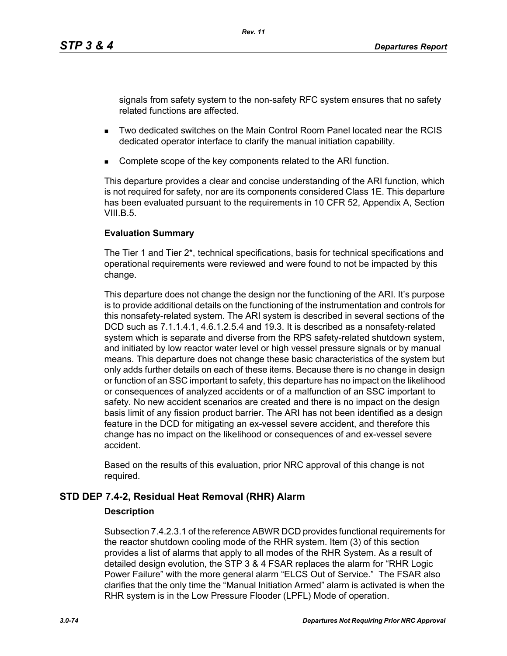signals from safety system to the non-safety RFC system ensures that no safety related functions are affected.

- Two dedicated switches on the Main Control Room Panel located near the RCIS dedicated operator interface to clarify the manual initiation capability.
- Complete scope of the key components related to the ARI function.

This departure provides a clear and concise understanding of the ARI function, which is not required for safety, nor are its components considered Class 1E. This departure has been evaluated pursuant to the requirements in 10 CFR 52, Appendix A, Section  $VIII$  B.5.

# **Evaluation Summary**

The Tier 1 and Tier 2\*, technical specifications, basis for technical specifications and operational requirements were reviewed and were found to not be impacted by this change.

This departure does not change the design nor the functioning of the ARI. It's purpose is to provide additional details on the functioning of the instrumentation and controls for this nonsafety-related system. The ARI system is described in several sections of the DCD such as 7.1.1.4.1, 4.6.1.2.5.4 and 19.3. It is described as a nonsafety-related system which is separate and diverse from the RPS safety-related shutdown system, and initiated by low reactor water level or high vessel pressure signals or by manual means. This departure does not change these basic characteristics of the system but only adds further details on each of these items. Because there is no change in design or function of an SSC important to safety, this departure has no impact on the likelihood or consequences of analyzed accidents or of a malfunction of an SSC important to safety. No new accident scenarios are created and there is no impact on the design basis limit of any fission product barrier. The ARI has not been identified as a design feature in the DCD for mitigating an ex-vessel severe accident, and therefore this change has no impact on the likelihood or consequences of and ex-vessel severe accident.

Based on the results of this evaluation, prior NRC approval of this change is not required.

# **STD DEP 7.4-2, Residual Heat Removal (RHR) Alarm**

### **Description**

Subsection 7.4.2.3.1 of the reference ABWR DCD provides functional requirements for the reactor shutdown cooling mode of the RHR system. Item (3) of this section provides a list of alarms that apply to all modes of the RHR System. As a result of detailed design evolution, the STP 3 & 4 FSAR replaces the alarm for "RHR Logic Power Failure" with the more general alarm "ELCS Out of Service." The FSAR also clarifies that the only time the "Manual Initiation Armed" alarm is activated is when the RHR system is in the Low Pressure Flooder (LPFL) Mode of operation.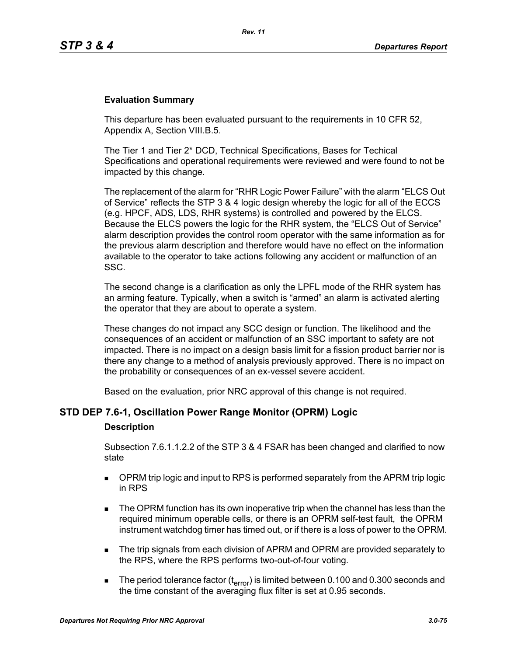### **Evaluation Summary**

This departure has been evaluated pursuant to the requirements in 10 CFR 52, Appendix A, Section VIII.B.5.

The Tier 1 and Tier 2\* DCD, Technical Specifications, Bases for Techical Specifications and operational requirements were reviewed and were found to not be impacted by this change.

The replacement of the alarm for "RHR Logic Power Failure" with the alarm "ELCS Out of Service" reflects the STP 3 & 4 logic design whereby the logic for all of the ECCS (e.g. HPCF, ADS, LDS, RHR systems) is controlled and powered by the ELCS. Because the ELCS powers the logic for the RHR system, the "ELCS Out of Service" alarm description provides the control room operator with the same information as for the previous alarm description and therefore would have no effect on the information available to the operator to take actions following any accident or malfunction of an SSC.

The second change is a clarification as only the LPFL mode of the RHR system has an arming feature. Typically, when a switch is "armed" an alarm is activated alerting the operator that they are about to operate a system.

These changes do not impact any SCC design or function. The likelihood and the consequences of an accident or malfunction of an SSC important to safety are not impacted. There is no impact on a design basis limit for a fission product barrier nor is there any change to a method of analysis previously approved. There is no impact on the probability or consequences of an ex-vessel severe accident.

Based on the evaluation, prior NRC approval of this change is not required.

### **STD DEP 7.6-1, Oscillation Power Range Monitor (OPRM) Logic**

### **Description**

Subsection 7.6.1.1.2.2 of the STP 3 & 4 FSAR has been changed and clarified to now state

- **DPRM trip logic and input to RPS is performed separately from the APRM trip logic** in RPS
- The OPRM function has its own inoperative trip when the channel has less than the required minimum operable cells, or there is an OPRM self-test fault, the OPRM instrument watchdog timer has timed out, or if there is a loss of power to the OPRM.
- The trip signals from each division of APRM and OPRM are provided separately to the RPS, where the RPS performs two-out-of-four voting.
- The period tolerance factor ( $t_{\text{error}}$ ) is limited between 0.100 and 0.300 seconds and the time constant of the averaging flux filter is set at 0.95 seconds.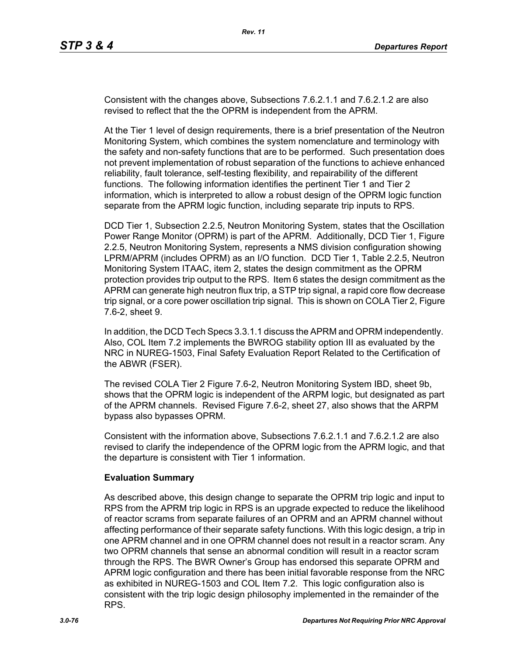Consistent with the changes above, Subsections 7.6.2.1.1 and 7.6.2.1.2 are also revised to reflect that the the OPRM is independent from the APRM.

At the Tier 1 level of design requirements, there is a brief presentation of the Neutron Monitoring System, which combines the system nomenclature and terminology with the safety and non-safety functions that are to be performed. Such presentation does not prevent implementation of robust separation of the functions to achieve enhanced reliability, fault tolerance, self-testing flexibility, and repairability of the different functions. The following information identifies the pertinent Tier 1 and Tier 2 information, which is interpreted to allow a robust design of the OPRM logic function separate from the APRM logic function, including separate trip inputs to RPS.

DCD Tier 1, Subsection 2.2.5, Neutron Monitoring System, states that the Oscillation Power Range Monitor (OPRM) is part of the APRM. Additionally, DCD Tier 1, Figure 2.2.5, Neutron Monitoring System, represents a NMS division configuration showing LPRM/APRM (includes OPRM) as an I/O function. DCD Tier 1, Table 2.2.5, Neutron Monitoring System ITAAC, item 2, states the design commitment as the OPRM protection provides trip output to the RPS. Item 6 states the design commitment as the APRM can generate high neutron flux trip, a STP trip signal, a rapid core flow decrease trip signal, or a core power oscillation trip signal. This is shown on COLA Tier 2, Figure 7.6-2, sheet 9.

In addition, the DCD Tech Specs 3.3.1.1 discuss the APRM and OPRM independently. Also, COL Item 7.2 implements the BWROG stability option III as evaluated by the NRC in NUREG-1503, Final Safety Evaluation Report Related to the Certification of the ABWR (FSER).

The revised COLA Tier 2 Figure 7.6-2, Neutron Monitoring System IBD, sheet 9b, shows that the OPRM logic is independent of the ARPM logic, but designated as part of the APRM channels. Revised Figure 7.6-2, sheet 27, also shows that the ARPM bypass also bypasses OPRM.

Consistent with the information above, Subsections 7.6.2.1.1 and 7.6.2.1.2 are also revised to clarify the independence of the OPRM logic from the APRM logic, and that the departure is consistent with Tier 1 information.

### **Evaluation Summary**

As described above, this design change to separate the OPRM trip logic and input to RPS from the APRM trip logic in RPS is an upgrade expected to reduce the likelihood of reactor scrams from separate failures of an OPRM and an APRM channel without affecting performance of their separate safety functions. With this logic design, a trip in one APRM channel and in one OPRM channel does not result in a reactor scram. Any two OPRM channels that sense an abnormal condition will result in a reactor scram through the RPS. The BWR Owner's Group has endorsed this separate OPRM and APRM logic configuration and there has been initial favorable response from the NRC as exhibited in NUREG-1503 and COL Item 7.2. This logic configuration also is consistent with the trip logic design philosophy implemented in the remainder of the RPS.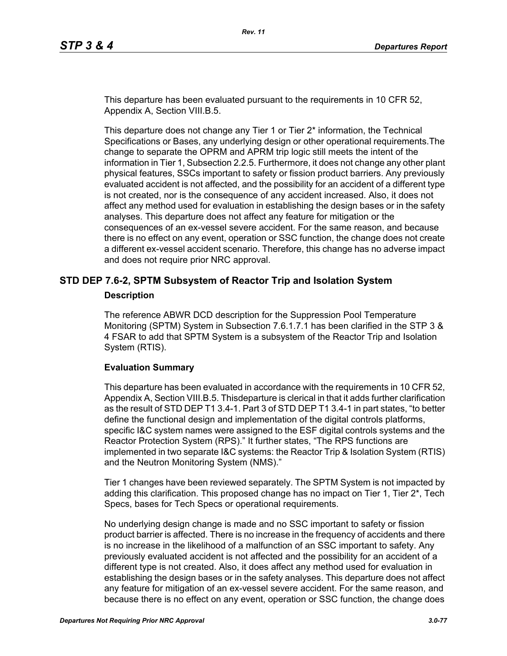This departure has been evaluated pursuant to the requirements in 10 CFR 52, Appendix A, Section VIII.B.5.

This departure does not change any Tier 1 or Tier 2\* information, the Technical Specifications or Bases, any underlying design or other operational requirements.The change to separate the OPRM and APRM trip logic still meets the intent of the information in Tier 1, Subsection 2.2.5. Furthermore, it does not change any other plant physical features, SSCs important to safety or fission product barriers. Any previously evaluated accident is not affected, and the possibility for an accident of a different type is not created, nor is the consequence of any accident increased. Also, it does not affect any method used for evaluation in establishing the design bases or in the safety analyses. This departure does not affect any feature for mitigation or the consequences of an ex-vessel severe accident. For the same reason, and because there is no effect on any event, operation or SSC function, the change does not create a different ex-vessel accident scenario. Therefore, this change has no adverse impact and does not require prior NRC approval.

### **STD DEP 7.6-2, SPTM Subsystem of Reactor Trip and Isolation System**

#### **Description**

The reference ABWR DCD description for the Suppression Pool Temperature Monitoring (SPTM) System in Subsection 7.6.1.7.1 has been clarified in the STP 3 & 4 FSAR to add that SPTM System is a subsystem of the Reactor Trip and Isolation System (RTIS).

### **Evaluation Summary**

This departure has been evaluated in accordance with the requirements in 10 CFR 52, Appendix A, Section VIII.B.5. Thisdeparture is clerical in that it adds further clarification as the result of STD DEP T1 3.4-1. Part 3 of STD DEP T1 3.4-1 in part states, "to better define the functional design and implementation of the digital controls platforms, specific I&C system names were assigned to the ESF digital controls systems and the Reactor Protection System (RPS)." It further states, "The RPS functions are implemented in two separate I&C systems: the Reactor Trip & Isolation System (RTIS) and the Neutron Monitoring System (NMS)."

Tier 1 changes have been reviewed separately. The SPTM System is not impacted by adding this clarification. This proposed change has no impact on Tier 1, Tier  $2^*$ , Tech Specs, bases for Tech Specs or operational requirements.

No underlying design change is made and no SSC important to safety or fission product barrier is affected. There is no increase in the frequency of accidents and there is no increase in the likelihood of a malfunction of an SSC important to safety. Any previously evaluated accident is not affected and the possibility for an accident of a different type is not created. Also, it does affect any method used for evaluation in establishing the design bases or in the safety analyses. This departure does not affect any feature for mitigation of an ex-vessel severe accident. For the same reason, and because there is no effect on any event, operation or SSC function, the change does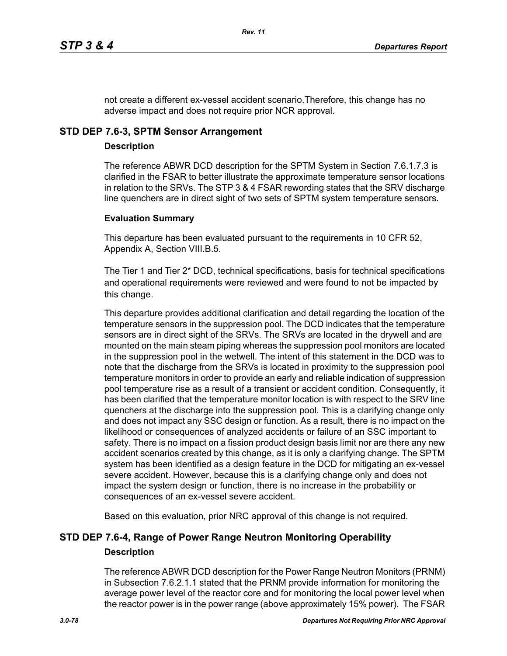not create a different ex-vessel accident scenario.Therefore, this change has no adverse impact and does not require prior NCR approval.

# **STD DEP 7.6-3, SPTM Sensor Arrangement**

### **Description**

The reference ABWR DCD description for the SPTM System in Section 7.6.1.7.3 is clarified in the FSAR to better illustrate the approximate temperature sensor locations in relation to the SRVs. The STP 3 & 4 FSAR rewording states that the SRV discharge line quenchers are in direct sight of two sets of SPTM system temperature sensors.

### **Evaluation Summary**

This departure has been evaluated pursuant to the requirements in 10 CFR 52, Appendix A, Section VIII.B.5.

The Tier 1 and Tier 2\* DCD, technical specifications, basis for technical specifications and operational requirements were reviewed and were found to not be impacted by this change.

This departure provides additional clarification and detail regarding the location of the temperature sensors in the suppression pool. The DCD indicates that the temperature sensors are in direct sight of the SRVs. The SRVs are located in the drywell and are mounted on the main steam piping whereas the suppression pool monitors are located in the suppression pool in the wetwell. The intent of this statement in the DCD was to note that the discharge from the SRVs is located in proximity to the suppression pool temperature monitors in order to provide an early and reliable indication of suppression pool temperature rise as a result of a transient or accident condition. Consequently, it has been clarified that the temperature monitor location is with respect to the SRV line quenchers at the discharge into the suppression pool. This is a clarifying change only and does not impact any SSC design or function. As a result, there is no impact on the likelihood or consequences of analyzed accidents or failure of an SSC important to safety. There is no impact on a fission product design basis limit nor are there any new accident scenarios created by this change, as it is only a clarifying change. The SPTM system has been identified as a design feature in the DCD for mitigating an ex-vessel severe accident. However, because this is a clarifying change only and does not impact the system design or function, there is no increase in the probability or consequences of an ex-vessel severe accident.

Based on this evaluation, prior NRC approval of this change is not required.

# **STD DEP 7.6-4, Range of Power Range Neutron Monitoring Operability Description**

The reference ABWR DCD description for the Power Range Neutron Monitors (PRNM) in Subsection 7.6.2.1.1 stated that the PRNM provide information for monitoring the average power level of the reactor core and for monitoring the local power level when the reactor power is in the power range (above approximately 15% power). The FSAR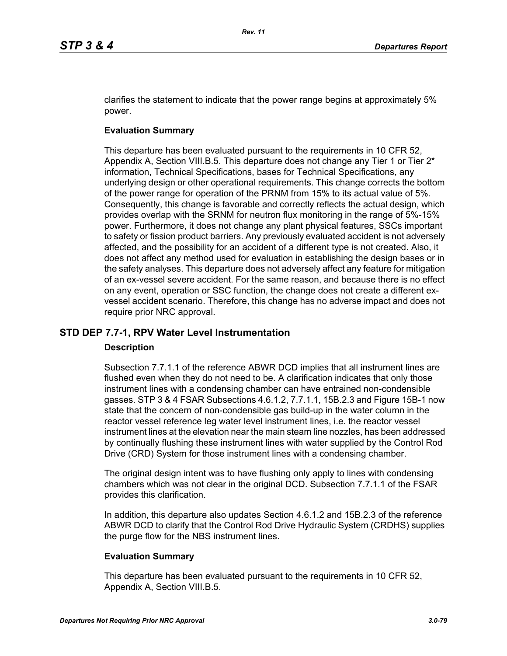clarifies the statement to indicate that the power range begins at approximately 5% power.

# **Evaluation Summary**

This departure has been evaluated pursuant to the requirements in 10 CFR 52, Appendix A, Section VIII.B.5. This departure does not change any Tier 1 or Tier  $2^*$ information, Technical Specifications, bases for Technical Specifications, any underlying design or other operational requirements. This change corrects the bottom of the power range for operation of the PRNM from 15% to its actual value of 5%. Consequently, this change is favorable and correctly reflects the actual design, which provides overlap with the SRNM for neutron flux monitoring in the range of 5%-15% power. Furthermore, it does not change any plant physical features, SSCs important to safety or fission product barriers. Any previously evaluated accident is not adversely affected, and the possibility for an accident of a different type is not created. Also, it does not affect any method used for evaluation in establishing the design bases or in the safety analyses. This departure does not adversely affect any feature for mitigation of an ex-vessel severe accident. For the same reason, and because there is no effect on any event, operation or SSC function, the change does not create a different exvessel accident scenario. Therefore, this change has no adverse impact and does not require prior NRC approval.

# **STD DEP 7.7-1, RPV Water Level Instrumentation**

### **Description**

Subsection 7.7.1.1 of the reference ABWR DCD implies that all instrument lines are flushed even when they do not need to be. A clarification indicates that only those instrument lines with a condensing chamber can have entrained non-condensible gasses. STP 3 & 4 FSAR Subsections 4.6.1.2, 7.7.1.1, 15B.2.3 and Figure 15B-1 now state that the concern of non-condensible gas build-up in the water column in the reactor vessel reference leg water level instrument lines, i.e. the reactor vessel instrument lines at the elevation near the main steam line nozzles, has been addressed by continually flushing these instrument lines with water supplied by the Control Rod Drive (CRD) System for those instrument lines with a condensing chamber.

The original design intent was to have flushing only apply to lines with condensing chambers which was not clear in the original DCD. Subsection 7.7.1.1 of the FSAR provides this clarification.

In addition, this departure also updates Section 4.6.1.2 and 15B.2.3 of the reference ABWR DCD to clarify that the Control Rod Drive Hydraulic System (CRDHS) supplies the purge flow for the NBS instrument lines.

# **Evaluation Summary**

This departure has been evaluated pursuant to the requirements in 10 CFR 52, Appendix A, Section VIII.B.5.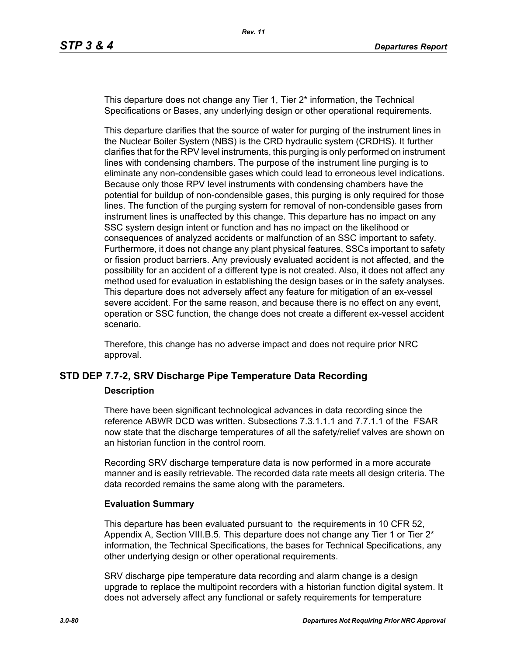This departure does not change any Tier 1, Tier 2\* information, the Technical Specifications or Bases, any underlying design or other operational requirements.

This departure clarifies that the source of water for purging of the instrument lines in the Nuclear Boiler System (NBS) is the CRD hydraulic system (CRDHS). It further clarifies that for the RPV level instruments, this purging is only performed on instrument lines with condensing chambers. The purpose of the instrument line purging is to eliminate any non-condensible gases which could lead to erroneous level indications. Because only those RPV level instruments with condensing chambers have the potential for buildup of non-condensible gases, this purging is only required for those lines. The function of the purging system for removal of non-condensible gases from instrument lines is unaffected by this change. This departure has no impact on any SSC system design intent or function and has no impact on the likelihood or consequences of analyzed accidents or malfunction of an SSC important to safety. Furthermore, it does not change any plant physical features, SSCs important to safety or fission product barriers. Any previously evaluated accident is not affected, and the possibility for an accident of a different type is not created. Also, it does not affect any method used for evaluation in establishing the design bases or in the safety analyses. This departure does not adversely affect any feature for mitigation of an ex-vessel severe accident. For the same reason, and because there is no effect on any event, operation or SSC function, the change does not create a different ex-vessel accident scenario.

Therefore, this change has no adverse impact and does not require prior NRC approval.

### **STD DEP 7.7-2, SRV Discharge Pipe Temperature Data Recording**

#### **Description**

There have been significant technological advances in data recording since the reference ABWR DCD was written. Subsections 7.3.1.1.1 and 7.7.1.1 of the FSAR now state that the discharge temperatures of all the safety/relief valves are shown on an historian function in the control room.

Recording SRV discharge temperature data is now performed in a more accurate manner and is easily retrievable. The recorded data rate meets all design criteria. The data recorded remains the same along with the parameters.

### **Evaluation Summary**

This departure has been evaluated pursuant to the requirements in 10 CFR 52, Appendix A, Section VIII.B.5. This departure does not change any Tier 1 or Tier  $2^*$ information, the Technical Specifications, the bases for Technical Specifications, any other underlying design or other operational requirements.

SRV discharge pipe temperature data recording and alarm change is a design upgrade to replace the multipoint recorders with a historian function digital system. It does not adversely affect any functional or safety requirements for temperature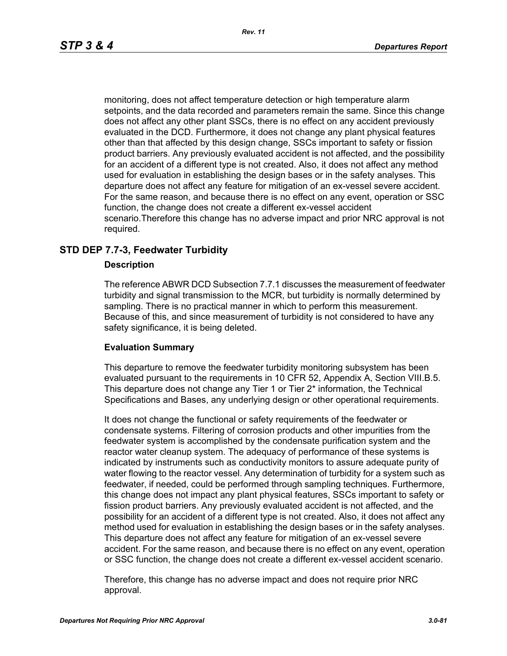monitoring, does not affect temperature detection or high temperature alarm setpoints, and the data recorded and parameters remain the same. Since this change does not affect any other plant SSCs, there is no effect on any accident previously evaluated in the DCD. Furthermore, it does not change any plant physical features other than that affected by this design change, SSCs important to safety or fission product barriers. Any previously evaluated accident is not affected, and the possibility for an accident of a different type is not created. Also, it does not affect any method used for evaluation in establishing the design bases or in the safety analyses. This departure does not affect any feature for mitigation of an ex-vessel severe accident. For the same reason, and because there is no effect on any event, operation or SSC function, the change does not create a different ex-vessel accident scenario.Therefore this change has no adverse impact and prior NRC approval is not required.

# **STD DEP 7.7-3, Feedwater Turbidity**

### **Description**

The reference ABWR DCD Subsection 7.7.1 discusses the measurement of feedwater turbidity and signal transmission to the MCR, but turbidity is normally determined by sampling. There is no practical manner in which to perform this measurement. Because of this, and since measurement of turbidity is not considered to have any safety significance, it is being deleted.

### **Evaluation Summary**

This departure to remove the feedwater turbidity monitoring subsystem has been evaluated pursuant to the requirements in 10 CFR 52, Appendix A, Section VIII.B.5. This departure does not change any Tier 1 or Tier 2\* information, the Technical Specifications and Bases, any underlying design or other operational requirements.

It does not change the functional or safety requirements of the feedwater or condensate systems. Filtering of corrosion products and other impurities from the feedwater system is accomplished by the condensate purification system and the reactor water cleanup system. The adequacy of performance of these systems is indicated by instruments such as conductivity monitors to assure adequate purity of water flowing to the reactor vessel. Any determination of turbidity for a system such as feedwater, if needed, could be performed through sampling techniques. Furthermore, this change does not impact any plant physical features, SSCs important to safety or fission product barriers. Any previously evaluated accident is not affected, and the possibility for an accident of a different type is not created. Also, it does not affect any method used for evaluation in establishing the design bases or in the safety analyses. This departure does not affect any feature for mitigation of an ex-vessel severe accident. For the same reason, and because there is no effect on any event, operation or SSC function, the change does not create a different ex-vessel accident scenario.

Therefore, this change has no adverse impact and does not require prior NRC approval.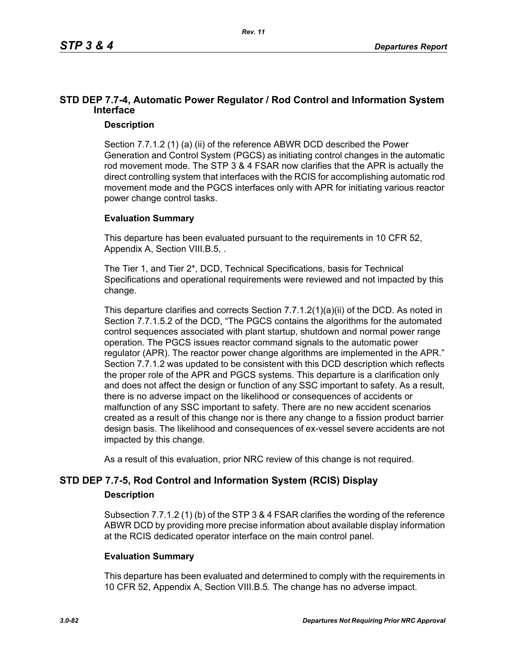# **STD DEP 7.7-4, Automatic Power Regulator / Rod Control and Information System Interface**

### **Description**

Section 7.7.1.2 (1) (a) (ii) of the reference ABWR DCD described the Power Generation and Control System (PGCS) as initiating control changes in the automatic rod movement mode. The STP 3 & 4 FSAR now clarifies that the APR is actually the direct controlling system that interfaces with the RCIS for accomplishing automatic rod movement mode and the PGCS interfaces only with APR for initiating various reactor power change control tasks.

# **Evaluation Summary**

This departure has been evaluated pursuant to the requirements in 10 CFR 52, Appendix A, Section VIII.B.5, .

The Tier 1, and Tier 2\*, DCD, Technical Specifications, basis for Technical Specifications and operational requirements were reviewed and not impacted by this change.

This departure clarifies and corrects Section 7.7.1.2(1)(a)(ii) of the DCD. As noted in Section 7.7.1.5.2 of the DCD, "The PGCS contains the algorithms for the automated control sequences associated with plant startup, shutdown and normal power range operation. The PGCS issues reactor command signals to the automatic power regulator (APR). The reactor power change algorithms are implemented in the APR." Section 7.7.1.2 was updated to be consistent with this DCD description which reflects the proper role of the APR and PGCS systems. This departure is a clarification only and does not affect the design or function of any SSC important to safety. As a result, there is no adverse impact on the likelihood or consequences of accidents or malfunction of any SSC important to safety. There are no new accident scenarios created as a result of this change nor is there any change to a fission product barrier design basis. The likelihood and consequences of ex-vessel severe accidents are not impacted by this change.

As a result of this evaluation, prior NRC review of this change is not required.

# **STD DEP 7.7-5, Rod Control and Information System (RCIS) Display**

### **Description**

Subsection 7.7.1.2 (1) (b) of the STP 3 & 4 FSAR clarifies the wording of the reference ABWR DCD by providing more precise information about available display information at the RCIS dedicated operator interface on the main control panel.

### **Evaluation Summary**

This departure has been evaluated and determined to comply with the requirements in 10 CFR 52, Appendix A, Section VIII.B.5. The change has no adverse impact.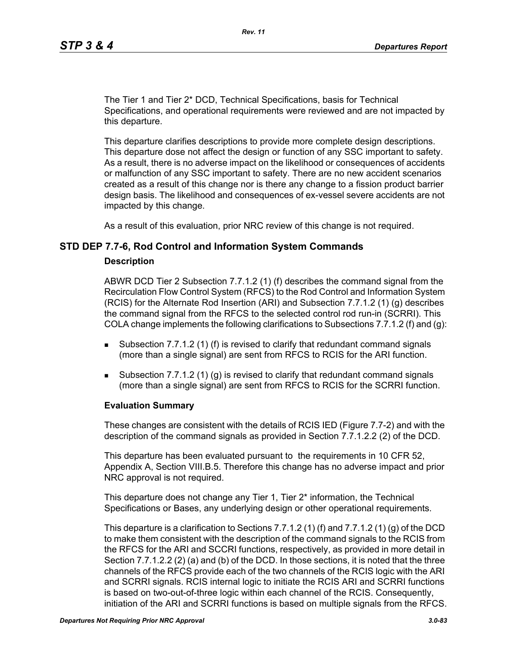The Tier 1 and Tier 2\* DCD, Technical Specifications, basis for Technical Specifications, and operational requirements were reviewed and are not impacted by this departure.

This departure clarifies descriptions to provide more complete design descriptions. This departure dose not affect the design or function of any SSC important to safety. As a result, there is no adverse impact on the likelihood or consequences of accidents or malfunction of any SSC important to safety. There are no new accident scenarios created as a result of this change nor is there any change to a fission product barrier design basis. The likelihood and consequences of ex-vessel severe accidents are not impacted by this change.

As a result of this evaluation, prior NRC review of this change is not required.

### **STD DEP 7.7-6, Rod Control and Information System Commands**

#### **Description**

ABWR DCD Tier 2 Subsection 7.7.1.2 (1) (f) describes the command signal from the Recirculation Flow Control System (RFCS) to the Rod Control and Information System (RCIS) for the Alternate Rod Insertion (ARI) and Subsection 7.7.1.2 (1) (g) describes the command signal from the RFCS to the selected control rod run-in (SCRRI). This COLA change implements the following clarifications to Subsections 7.7.1.2 (f) and (q):

- **Subsection 7.7.1.2 (1) (f) is revised to clarify that redundant command signals** (more than a single signal) are sent from RFCS to RCIS for the ARI function.
- Subsection 7.7.1.2 (1) (g) is revised to clarify that redundant command signals (more than a single signal) are sent from RFCS to RCIS for the SCRRI function.

#### **Evaluation Summary**

These changes are consistent with the details of RCIS IED (Figure 7.7-2) and with the description of the command signals as provided in Section 7.7.1.2.2 (2) of the DCD.

This departure has been evaluated pursuant to the requirements in 10 CFR 52, Appendix A, Section VIII.B.5. Therefore this change has no adverse impact and prior NRC approval is not required.

This departure does not change any Tier 1, Tier 2\* information, the Technical Specifications or Bases, any underlying design or other operational requirements.

This departure is a clarification to Sections 7.7.1.2 (1) (f) and 7.7.1.2 (1) (g) of the DCD to make them consistent with the description of the command signals to the RCIS from the RFCS for the ARI and SCCRI functions, respectively, as provided in more detail in Section 7.7.1.2.2 (2) (a) and (b) of the DCD. In those sections, it is noted that the three channels of the RFCS provide each of the two channels of the RCIS logic with the ARI and SCRRI signals. RCIS internal logic to initiate the RCIS ARI and SCRRI functions is based on two-out-of-three logic within each channel of the RCIS. Consequently, initiation of the ARI and SCRRI functions is based on multiple signals from the RFCS.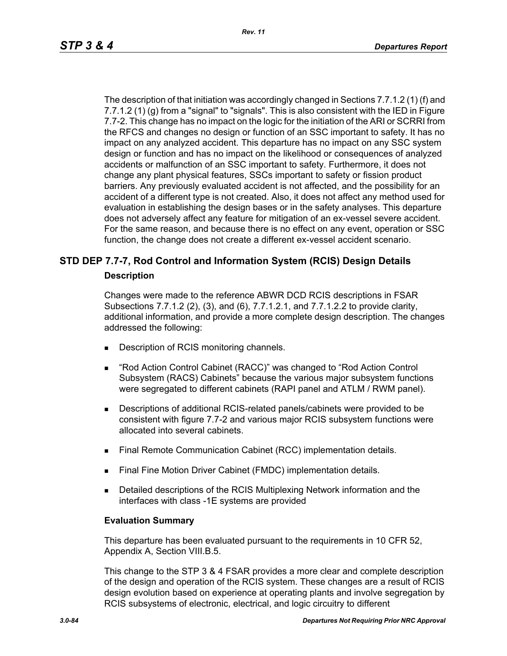The description of that initiation was accordingly changed in Sections 7.7.1.2 (1) (f) and 7.7.1.2 (1) (g) from a "signal" to "signals". This is also consistent with the IED in Figure 7.7-2. This change has no impact on the logic for the initiation of the ARI or SCRRI from the RFCS and changes no design or function of an SSC important to safety. It has no impact on any analyzed accident. This departure has no impact on any SSC system design or function and has no impact on the likelihood or consequences of analyzed accidents or malfunction of an SSC important to safety. Furthermore, it does not change any plant physical features, SSCs important to safety or fission product barriers. Any previously evaluated accident is not affected, and the possibility for an accident of a different type is not created. Also, it does not affect any method used for evaluation in establishing the design bases or in the safety analyses. This departure does not adversely affect any feature for mitigation of an ex-vessel severe accident. For the same reason, and because there is no effect on any event, operation or SSC function, the change does not create a different ex-vessel accident scenario.

# **STD DEP 7.7-7, Rod Control and Information System (RCIS) Design Details**

### **Description**

Changes were made to the reference ABWR DCD RCIS descriptions in FSAR Subsections 7.7.1.2 (2), (3), and (6), 7.7.1.2.1, and 7.7.1.2.2 to provide clarity, additional information, and provide a more complete design description. The changes addressed the following:

- Description of RCIS monitoring channels.
- "Rod Action Control Cabinet (RACC)" was changed to "Rod Action Control Subsystem (RACS) Cabinets" because the various major subsystem functions were segregated to different cabinets (RAPI panel and ATLM / RWM panel).
- Descriptions of additional RCIS-related panels/cabinets were provided to be consistent with figure 7.7-2 and various major RCIS subsystem functions were allocated into several cabinets.
- **Final Remote Communication Cabinet (RCC) implementation details.**
- Final Fine Motion Driver Cabinet (FMDC) implementation details.
- **Detailed descriptions of the RCIS Multiplexing Network information and the** interfaces with class -1E systems are provided

### **Evaluation Summary**

This departure has been evaluated pursuant to the requirements in 10 CFR 52, Appendix A, Section VIII.B.5.

This change to the STP 3 & 4 FSAR provides a more clear and complete description of the design and operation of the RCIS system. These changes are a result of RCIS design evolution based on experience at operating plants and involve segregation by RCIS subsystems of electronic, electrical, and logic circuitry to different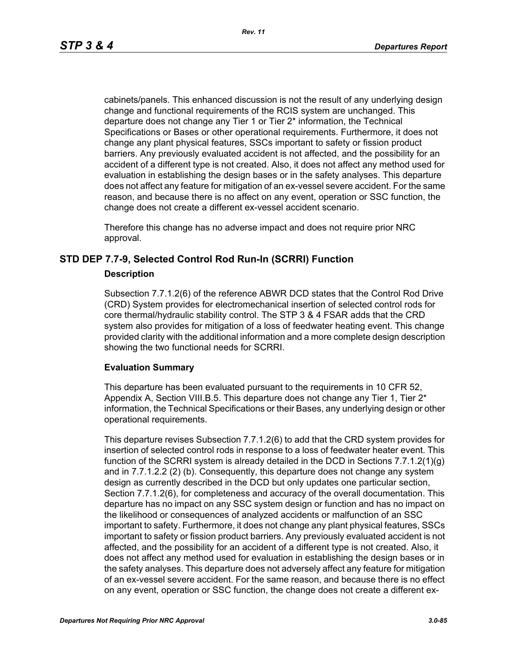cabinets/panels. This enhanced discussion is not the result of any underlying design change and functional requirements of the RCIS system are unchanged. This departure does not change any Tier 1 or Tier 2\* information, the Technical Specifications or Bases or other operational requirements. Furthermore, it does not change any plant physical features, SSCs important to safety or fission product barriers. Any previously evaluated accident is not affected, and the possibility for an accident of a different type is not created. Also, it does not affect any method used for evaluation in establishing the design bases or in the safety analyses. This departure does not affect any feature for mitigation of an ex-vessel severe accident. For the same reason, and because there is no affect on any event, operation or SSC function, the change does not create a different ex-vessel accident scenario.

Therefore this change has no adverse impact and does not require prior NRC approval.

### **STD DEP 7.7-9, Selected Control Rod Run-In (SCRRI) Function**

### **Description**

Subsection 7.7.1.2(6) of the reference ABWR DCD states that the Control Rod Drive (CRD) System provides for electromechanical insertion of selected control rods for core thermal/hydraulic stability control. The STP 3 & 4 FSAR adds that the CRD system also provides for mitigation of a loss of feedwater heating event. This change provided clarity with the additional information and a more complete design description showing the two functional needs for SCRRI.

### **Evaluation Summary**

This departure has been evaluated pursuant to the requirements in 10 CFR 52, Appendix A, Section VIII.B.5. This departure does not change any Tier 1, Tier  $2^*$ information, the Technical Specifications or their Bases, any underlying design or other operational requirements.

This departure revises Subsection 7.7.1.2(6) to add that the CRD system provides for insertion of selected control rods in response to a loss of feedwater heater event. This function of the SCRRI system is already detailed in the DCD in Sections 7.7.1.2(1)(g) and in 7.7.1.2.2 (2) (b). Consequently, this departure does not change any system design as currently described in the DCD but only updates one particular section, Section 7.7.1.2(6), for completeness and accuracy of the overall documentation. This departure has no impact on any SSC system design or function and has no impact on the likelihood or consequences of analyzed accidents or malfunction of an SSC important to safety. Furthermore, it does not change any plant physical features, SSCs important to safety or fission product barriers. Any previously evaluated accident is not affected, and the possibility for an accident of a different type is not created. Also, it does not affect any method used for evaluation in establishing the design bases or in the safety analyses. This departure does not adversely affect any feature for mitigation of an ex-vessel severe accident. For the same reason, and because there is no effect on any event, operation or SSC function, the change does not create a different ex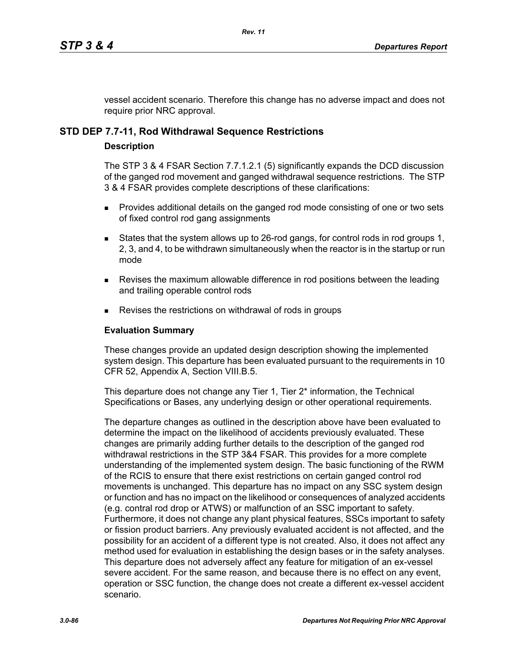vessel accident scenario. Therefore this change has no adverse impact and does not require prior NRC approval.

# **STD DEP 7.7-11, Rod Withdrawal Sequence Restrictions**

# **Description**

The STP 3 & 4 FSAR Section 7.7.1.2.1 (5) significantly expands the DCD discussion of the ganged rod movement and ganged withdrawal sequence restrictions. The STP 3 & 4 FSAR provides complete descriptions of these clarifications:

- **Provides additional details on the ganged rod mode consisting of one or two sets** of fixed control rod gang assignments
- States that the system allows up to 26-rod gangs, for control rods in rod groups 1, 2, 3, and 4, to be withdrawn simultaneously when the reactor is in the startup or run mode
- **Revises the maximum allowable difference in rod positions between the leading** and trailing operable control rods
- Revises the restrictions on withdrawal of rods in groups

# **Evaluation Summary**

These changes provide an updated design description showing the implemented system design. This departure has been evaluated pursuant to the requirements in 10 CFR 52, Appendix A, Section VIII.B.5.

This departure does not change any Tier 1, Tier 2<sup>\*</sup> information, the Technical Specifications or Bases, any underlying design or other operational requirements.

The departure changes as outlined in the description above have been evaluated to determine the impact on the likelihood of accidents previously evaluated. These changes are primarily adding further details to the description of the ganged rod withdrawal restrictions in the STP 3&4 FSAR. This provides for a more complete understanding of the implemented system design. The basic functioning of the RWM of the RCIS to ensure that there exist restrictions on certain ganged control rod movements is unchanged. This departure has no impact on any SSC system design or function and has no impact on the likelihood or consequences of analyzed accidents (e.g. contral rod drop or ATWS) or malfunction of an SSC important to safety. Furthermore, it does not change any plant physical features, SSCs important to safety or fission product barriers. Any previously evaluated accident is not affected, and the possibility for an accident of a different type is not created. Also, it does not affect any method used for evaluation in establishing the design bases or in the safety analyses. This departure does not adversely affect any feature for mitigation of an ex-vessel severe accident. For the same reason, and because there is no effect on any event, operation or SSC function, the change does not create a different ex-vessel accident scenario.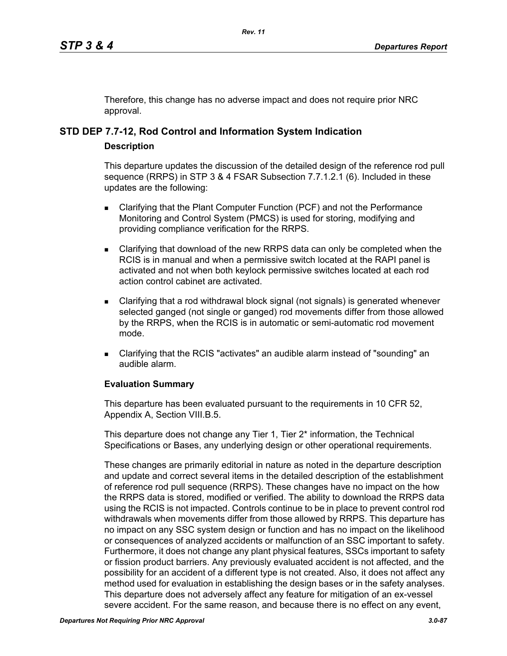Therefore, this change has no adverse impact and does not require prior NRC approval.

# **STD DEP 7.7-12, Rod Control and Information System Indication**

# **Description**

This departure updates the discussion of the detailed design of the reference rod pull sequence (RRPS) in STP 3 & 4 FSAR Subsection 7.7.1.2.1 (6). Included in these updates are the following:

- **EXEC** Clarifying that the Plant Computer Function (PCF) and not the Performance Monitoring and Control System (PMCS) is used for storing, modifying and providing compliance verification for the RRPS.
- Clarifying that download of the new RRPS data can only be completed when the RCIS is in manual and when a permissive switch located at the RAPI panel is activated and not when both keylock permissive switches located at each rod action control cabinet are activated.
- Clarifying that a rod withdrawal block signal (not signals) is generated whenever selected ganged (not single or ganged) rod movements differ from those allowed by the RRPS, when the RCIS is in automatic or semi-automatic rod movement mode.
- Clarifying that the RCIS "activates" an audible alarm instead of "sounding" an audible alarm.

# **Evaluation Summary**

This departure has been evaluated pursuant to the requirements in 10 CFR 52, Appendix A, Section VIII.B.5.

This departure does not change any Tier 1, Tier 2<sup>\*</sup> information, the Technical Specifications or Bases, any underlying design or other operational requirements.

These changes are primarily editorial in nature as noted in the departure description and update and correct several items in the detailed description of the establishment of reference rod pull sequence (RRPS). These changes have no impact on the how the RRPS data is stored, modified or verified. The ability to download the RRPS data using the RCIS is not impacted. Controls continue to be in place to prevent control rod withdrawals when movements differ from those allowed by RRPS. This departure has no impact on any SSC system design or function and has no impact on the likelihood or consequences of analyzed accidents or malfunction of an SSC important to safety. Furthermore, it does not change any plant physical features, SSCs important to safety or fission product barriers. Any previously evaluated accident is not affected, and the possibility for an accident of a different type is not created. Also, it does not affect any method used for evaluation in establishing the design bases or in the safety analyses. This departure does not adversely affect any feature for mitigation of an ex-vessel severe accident. For the same reason, and because there is no effect on any event,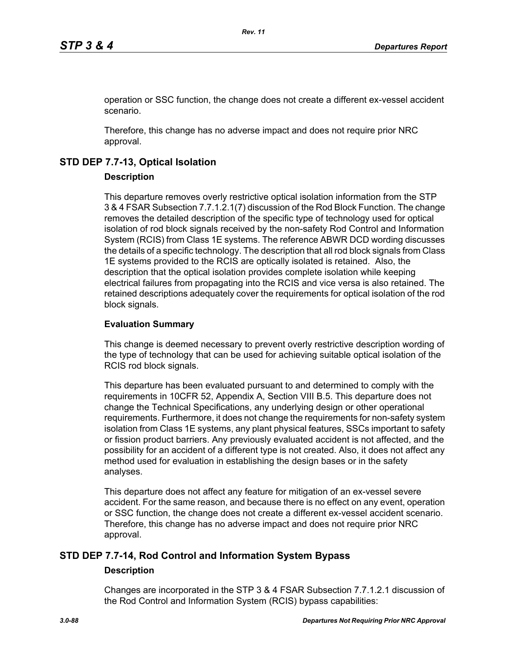operation or SSC function, the change does not create a different ex-vessel accident scenario.

Therefore, this change has no adverse impact and does not require prior NRC approval.

# **STD DEP 7.7-13, Optical Isolation**

# **Description**

This departure removes overly restrictive optical isolation information from the STP 3 & 4 FSAR Subsection 7.7.1.2.1(7) discussion of the Rod Block Function. The change removes the detailed description of the specific type of technology used for optical isolation of rod block signals received by the non-safety Rod Control and Information System (RCIS) from Class 1E systems. The reference ABWR DCD wording discusses the details of a specific technology. The description that all rod block signals from Class 1E systems provided to the RCIS are optically isolated is retained. Also, the description that the optical isolation provides complete isolation while keeping electrical failures from propagating into the RCIS and vice versa is also retained. The retained descriptions adequately cover the requirements for optical isolation of the rod block signals.

# **Evaluation Summary**

This change is deemed necessary to prevent overly restrictive description wording of the type of technology that can be used for achieving suitable optical isolation of the RCIS rod block signals.

This departure has been evaluated pursuant to and determined to comply with the requirements in 10CFR 52, Appendix A, Section VIII B.5. This departure does not change the Technical Specifications, any underlying design or other operational requirements. Furthermore, it does not change the requirements for non-safety system isolation from Class 1E systems, any plant physical features, SSCs important to safety or fission product barriers. Any previously evaluated accident is not affected, and the possibility for an accident of a different type is not created. Also, it does not affect any method used for evaluation in establishing the design bases or in the safety analyses.

This departure does not affect any feature for mitigation of an ex-vessel severe accident. For the same reason, and because there is no effect on any event, operation or SSC function, the change does not create a different ex-vessel accident scenario. Therefore, this change has no adverse impact and does not require prior NRC approval.

# **STD DEP 7.7-14, Rod Control and Information System Bypass**

### **Description**

Changes are incorporated in the STP 3 & 4 FSAR Subsection 7.7.1.2.1 discussion of the Rod Control and Information System (RCIS) bypass capabilities: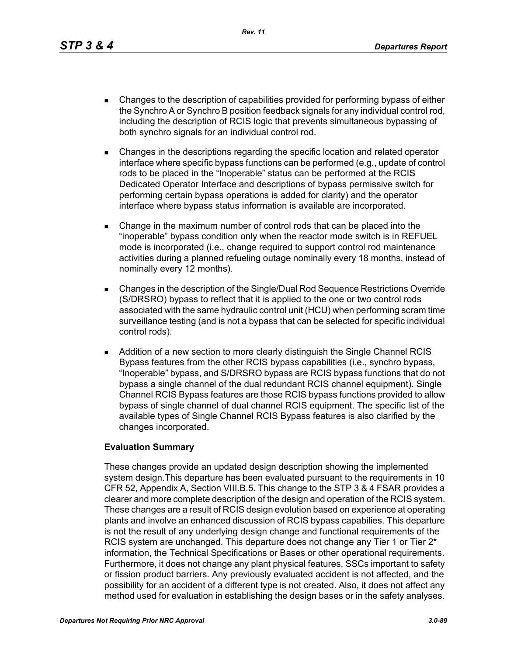*Rev. 11*

- Changes to the description of capabilities provided for performing bypass of either the Synchro A or Synchro B position feedback signals for any individual control rod, including the description of RCIS logic that prevents simultaneous bypassing of both synchro signals for an individual control rod.
- Changes in the descriptions regarding the specific location and related operator interface where specific bypass functions can be performed (e.g., update of control rods to be placed in the "Inoperable" status can be performed at the RCIS Dedicated Operator Interface and descriptions of bypass permissive switch for performing certain bypass operations is added for clarity) and the operator interface where bypass status information is available are incorporated.
- Change in the maximum number of control rods that can be placed into the "inoperable" bypass condition only when the reactor mode switch is in REFUEL mode is incorporated (i.e., change required to support control rod maintenance activities during a planned refueling outage nominally every 18 months, instead of nominally every 12 months).
- Changes in the description of the Single/Dual Rod Sequence Restrictions Override (S/DRSRO) bypass to reflect that it is applied to the one or two control rods associated with the same hydraulic control unit (HCU) when performing scram time surveillance testing (and is not a bypass that can be selected for specific individual control rods).
- **Addition of a new section to more clearly distinguish the Single Channel RCIS** Bypass features from the other RCIS bypass capabilities (i.e., synchro bypass, "Inoperable" bypass, and S/DRSRO bypass are RCIS bypass functions that do not bypass a single channel of the dual redundant RCIS channel equipment). Single Channel RCIS Bypass features are those RCIS bypass functions provided to allow bypass of single channel of dual channel RCIS equipment. The specific list of the available types of Single Channel RCIS Bypass features is also clarified by the changes incorporated.

### **Evaluation Summary**

These changes provide an updated design description showing the implemented system design.This departure has been evaluated pursuant to the requirements in 10 CFR 52, Appendix A, Section VIII.B.5. This change to the STP 3 & 4 FSAR provides a clearer and more complete description of the design and operation of the RCIS system. These changes are a result of RCIS design evolution based on experience at operating plants and involve an enhanced discussion of RCIS bypass capabilies. This departure is not the result of any underlying design change and functional requirements of the RCIS system are unchanged. This departure does not change any Tier 1 or Tier 2<sup>\*</sup> information, the Technical Specifications or Bases or other operational requirements. Furthermore, it does not change any plant physical features, SSCs important to safety or fission product barriers. Any previously evaluated accident is not affected, and the possibility for an accident of a different type is not created. Also, it does not affect any method used for evaluation in establishing the design bases or in the safety analyses.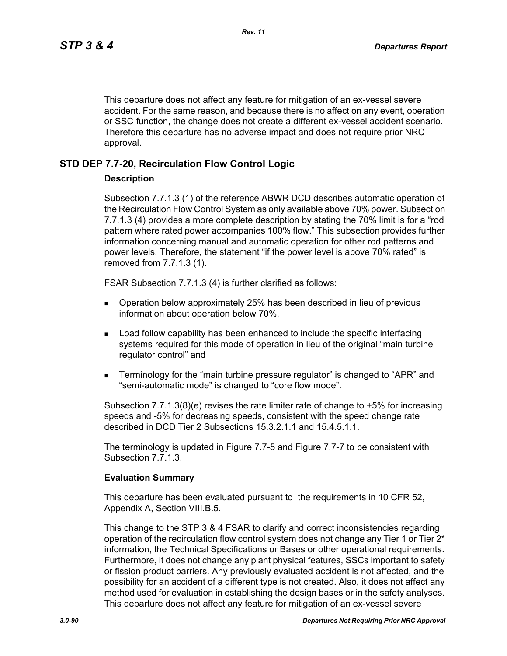This departure does not affect any feature for mitigation of an ex-vessel severe accident. For the same reason, and because there is no affect on any event, operation or SSC function, the change does not create a different ex-vessel accident scenario. Therefore this departure has no adverse impact and does not require prior NRC approval.

### **STD DEP 7.7-20, Recirculation Flow Control Logic**

### **Description**

Subsection 7.7.1.3 (1) of the reference ABWR DCD describes automatic operation of the Recirculation Flow Control System as only available above 70% power. Subsection 7.7.1.3 (4) provides a more complete description by stating the 70% limit is for a "rod pattern where rated power accompanies 100% flow." This subsection provides further information concerning manual and automatic operation for other rod patterns and power levels. Therefore, the statement "if the power level is above 70% rated" is removed from 7.7.1.3 (1).

FSAR Subsection 7.7.1.3 (4) is further clarified as follows:

- Operation below approximately 25% has been described in lieu of previous information about operation below 70%,
- **Load follow capability has been enhanced to include the specific interfacing** systems required for this mode of operation in lieu of the original "main turbine regulator control" and
- Terminology for the "main turbine pressure regulator" is changed to "APR" and "semi-automatic mode" is changed to "core flow mode".

Subsection 7.7.1.3(8)(e) revises the rate limiter rate of change to +5% for increasing speeds and -5% for decreasing speeds, consistent with the speed change rate described in DCD Tier 2 Subsections 15.3.2.1.1 and 15.4.5.1.1.

The terminology is updated in Figure 7.7-5 and Figure 7.7-7 to be consistent with Subsection 7.7.1.3.

### **Evaluation Summary**

This departure has been evaluated pursuant to the requirements in 10 CFR 52, Appendix A, Section VIII.B.5.

This change to the STP 3 & 4 FSAR to clarify and correct inconsistencies regarding operation of the recirculation flow control system does not change any Tier 1 or Tier  $2^*$ information, the Technical Specifications or Bases or other operational requirements. Furthermore, it does not change any plant physical features, SSCs important to safety or fission product barriers. Any previously evaluated accident is not affected, and the possibility for an accident of a different type is not created. Also, it does not affect any method used for evaluation in establishing the design bases or in the safety analyses. This departure does not affect any feature for mitigation of an ex-vessel severe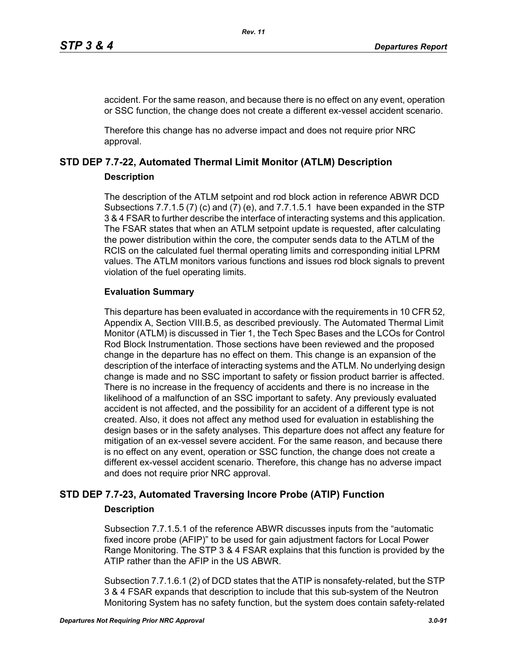accident. For the same reason, and because there is no effect on any event, operation or SSC function, the change does not create a different ex-vessel accident scenario.

Therefore this change has no adverse impact and does not require prior NRC approval.

# **STD DEP 7.7-22, Automated Thermal Limit Monitor (ATLM) Description**

### **Description**

The description of the ATLM setpoint and rod block action in reference ABWR DCD Subsections 7.7.1.5 (7) (c) and (7) (e), and 7.7.1.5.1 have been expanded in the STP 3 & 4 FSAR to further describe the interface of interacting systems and this application. The FSAR states that when an ATLM setpoint update is requested, after calculating the power distribution within the core, the computer sends data to the ATLM of the RCIS on the calculated fuel thermal operating limits and corresponding initial LPRM values. The ATLM monitors various functions and issues rod block signals to prevent violation of the fuel operating limits.

# **Evaluation Summary**

This departure has been evaluated in accordance with the requirements in 10 CFR 52, Appendix A, Section VIII.B.5, as described previously. The Automated Thermal Limit Monitor (ATLM) is discussed in Tier 1, the Tech Spec Bases and the LCOs for Control Rod Block Instrumentation. Those sections have been reviewed and the proposed change in the departure has no effect on them. This change is an expansion of the description of the interface of interacting systems and the ATLM. No underlying design change is made and no SSC important to safety or fission product barrier is affected. There is no increase in the frequency of accidents and there is no increase in the likelihood of a malfunction of an SSC important to safety. Any previously evaluated accident is not affected, and the possibility for an accident of a different type is not created. Also, it does not affect any method used for evaluation in establishing the design bases or in the safety analyses. This departure does not affect any feature for mitigation of an ex-vessel severe accident. For the same reason, and because there is no effect on any event, operation or SSC function, the change does not create a different ex-vessel accident scenario. Therefore, this change has no adverse impact and does not require prior NRC approval.

# **STD DEP 7.7-23, Automated Traversing Incore Probe (ATIP) Function**

# **Description**

Subsection 7.7.1.5.1 of the reference ABWR discusses inputs from the "automatic fixed incore probe (AFIP)" to be used for gain adjustment factors for Local Power Range Monitoring. The STP 3 & 4 FSAR explains that this function is provided by the ATIP rather than the AFIP in the US ABWR.

Subsection 7.7.1.6.1 (2) of DCD states that the ATIP is nonsafety-related, but the STP 3 & 4 FSAR expands that description to include that this sub-system of the Neutron Monitoring System has no safety function, but the system does contain safety-related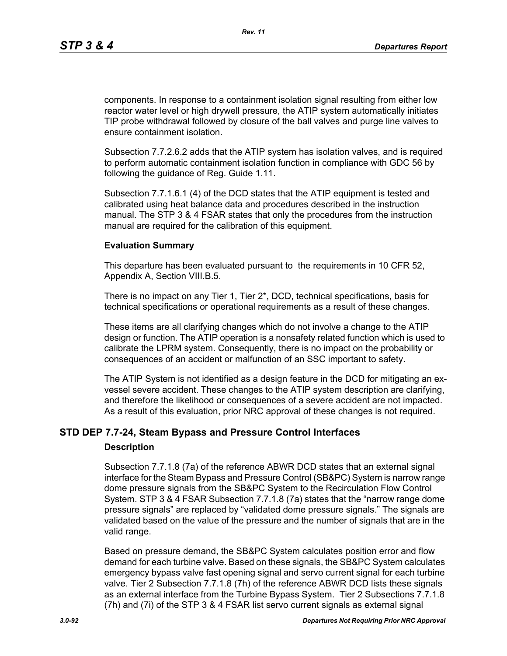components. In response to a containment isolation signal resulting from either low reactor water level or high drywell pressure, the ATIP system automatically initiates TIP probe withdrawal followed by closure of the ball valves and purge line valves to ensure containment isolation.

Subsection 7.7.2.6.2 adds that the ATIP system has isolation valves, and is required to perform automatic containment isolation function in compliance with GDC 56 by following the guidance of Reg. Guide 1.11.

Subsection 7.7.1.6.1 (4) of the DCD states that the ATIP equipment is tested and calibrated using heat balance data and procedures described in the instruction manual. The STP 3 & 4 FSAR states that only the procedures from the instruction manual are required for the calibration of this equipment.

### **Evaluation Summary**

This departure has been evaluated pursuant to the requirements in 10 CFR 52, Appendix A, Section VIII.B.5.

There is no impact on any Tier 1, Tier 2\*, DCD, technical specifications, basis for technical specifications or operational requirements as a result of these changes.

These items are all clarifying changes which do not involve a change to the ATIP design or function. The ATIP operation is a nonsafety related function which is used to calibrate the LPRM system. Consequently, there is no impact on the probability or consequences of an accident or malfunction of an SSC important to safety.

The ATIP System is not identified as a design feature in the DCD for mitigating an exvessel severe accident. These changes to the ATIP system description are clarifying, and therefore the likelihood or consequences of a severe accident are not impacted. As a result of this evaluation, prior NRC approval of these changes is not required.

### **STD DEP 7.7-24, Steam Bypass and Pressure Control Interfaces**

#### **Description**

Subsection 7.7.1.8 (7a) of the reference ABWR DCD states that an external signal interface for the Steam Bypass and Pressure Control (SB&PC) System is narrow range dome pressure signals from the SB&PC System to the Recirculation Flow Control System. STP 3 & 4 FSAR Subsection 7.7.1.8 (7a) states that the "narrow range dome pressure signals" are replaced by "validated dome pressure signals." The signals are validated based on the value of the pressure and the number of signals that are in the valid range.

Based on pressure demand, the SB&PC System calculates position error and flow demand for each turbine valve. Based on these signals, the SB&PC System calculates emergency bypass valve fast opening signal and servo current signal for each turbine valve. Tier 2 Subsection 7.7.1.8 (7h) of the reference ABWR DCD lists these signals as an external interface from the Turbine Bypass System. Tier 2 Subsections 7.7.1.8 (7h) and (7i) of the STP 3 & 4 FSAR list servo current signals as external signal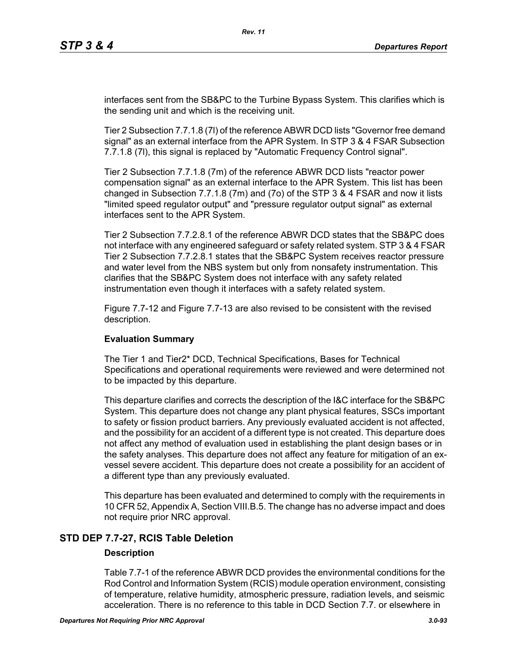interfaces sent from the SB&PC to the Turbine Bypass System. This clarifies which is the sending unit and which is the receiving unit.

Tier 2 Subsection 7.7.1.8 (7l) of the reference ABWR DCD lists "Governor free demand signal" as an external interface from the APR System. In STP 3 & 4 FSAR Subsection 7.7.1.8 (7l), this signal is replaced by "Automatic Frequency Control signal".

Tier 2 Subsection 7.7.1.8 (7m) of the reference ABWR DCD lists "reactor power compensation signal" as an external interface to the APR System. This list has been changed in Subsection 7.7.1.8 (7m) and (7o) of the STP 3 & 4 FSAR and now it lists "limited speed regulator output" and "pressure regulator output signal" as external interfaces sent to the APR System.

Tier 2 Subsection 7.7.2.8.1 of the reference ABWR DCD states that the SB&PC does not interface with any engineered safeguard or safety related system. STP 3 & 4 FSAR Tier 2 Subsection 7.7.2.8.1 states that the SB&PC System receives reactor pressure and water level from the NBS system but only from nonsafety instrumentation. This clarifies that the SB&PC System does not interface with any safety related instrumentation even though it interfaces with a safety related system.

Figure 7.7-12 and Figure 7.7-13 are also revised to be consistent with the revised description.

### **Evaluation Summary**

The Tier 1 and Tier2\* DCD, Technical Specifications, Bases for Technical Specifications and operational requirements were reviewed and were determined not to be impacted by this departure.

This departure clarifies and corrects the description of the I&C interface for the SB&PC System. This departure does not change any plant physical features, SSCs important to safety or fission product barriers. Any previously evaluated accident is not affected, and the possibility for an accident of a different type is not created. This departure does not affect any method of evaluation used in establishing the plant design bases or in the safety analyses. This departure does not affect any feature for mitigation of an exvessel severe accident. This departure does not create a possibility for an accident of a different type than any previously evaluated.

This departure has been evaluated and determined to comply with the requirements in 10 CFR 52, Appendix A, Section VIII.B.5. The change has no adverse impact and does not require prior NRC approval.

### **STD DEP 7.7-27, RCIS Table Deletion**

### **Description**

Table 7.7-1 of the reference ABWR DCD provides the environmental conditions for the Rod Control and Information System (RCIS) module operation environment, consisting of temperature, relative humidity, atmospheric pressure, radiation levels, and seismic acceleration. There is no reference to this table in DCD Section 7.7. or elsewhere in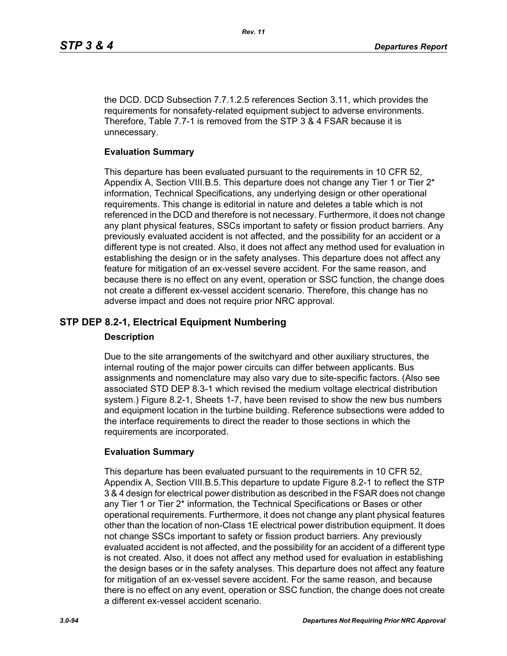the DCD. DCD Subsection 7.7.1.2.5 references Section 3.11, which provides the requirements for nonsafety-related equipment subject to adverse environments. Therefore, Table 7.7-1 is removed from the STP 3 & 4 FSAR because it is unnecessary.

### **Evaluation Summary**

This departure has been evaluated pursuant to the requirements in 10 CFR 52, Appendix A, Section VIII.B.5. This departure does not change any Tier 1 or Tier 2\* information, Technical Specifications, any underlying design or other operational requirements. This change is editorial in nature and deletes a table which is not referenced in the DCD and therefore is not necessary. Furthermore, it does not change any plant physical features, SSCs important to safety or fission product barriers. Any previously evaluated accident is not affected, and the possibility for an accident or a different type is not created. Also, it does not affect any method used for evaluation in establishing the design or in the safety analyses. This departure does not affect any feature for mitigation of an ex-vessel severe accident. For the same reason, and because there is no effect on any event, operation or SSC function, the change does not create a different ex-vessel accident scenario. Therefore, this change has no adverse impact and does not require prior NRC approval.

# **STP DEP 8.2-1, Electrical Equipment Numbering**

### **Description**

Due to the site arrangements of the switchyard and other auxiliary structures, the internal routing of the major power circuits can differ between applicants. Bus assignments and nomenclature may also vary due to site-specific factors. (Also see associated STD DEP 8.3-1 which revised the medium voltage electrical distribution system.) Figure 8.2-1, Sheets 1-7, have been revised to show the new bus numbers and equipment location in the turbine building. Reference subsections were added to the interface requirements to direct the reader to those sections in which the requirements are incorporated.

### **Evaluation Summary**

This departure has been evaluated pursuant to the requirements in 10 CFR 52, Appendix A, Section VIII.B.5.This departure to update Figure 8.2-1 to reflect the STP 3 & 4 design for electrical power distribution as described in the FSAR does not change any Tier 1 or Tier 2\* information, the Technical Specifications or Bases or other operational requirements. Furthermore, it does not change any plant physical features other than the location of non-Class 1E electrical power distribution equipment. It does not change SSCs important to safety or fission product barriers. Any previously evaluated accident is not affected, and the possibility for an accident of a different type is not created. Also, it does not affect any method used for evaluation in establishing the design bases or in the safety analyses. This departure does not affect any feature for mitigation of an ex-vessel severe accident. For the same reason, and because there is no effect on any event, operation or SSC function, the change does not create a different ex-vessel accident scenario.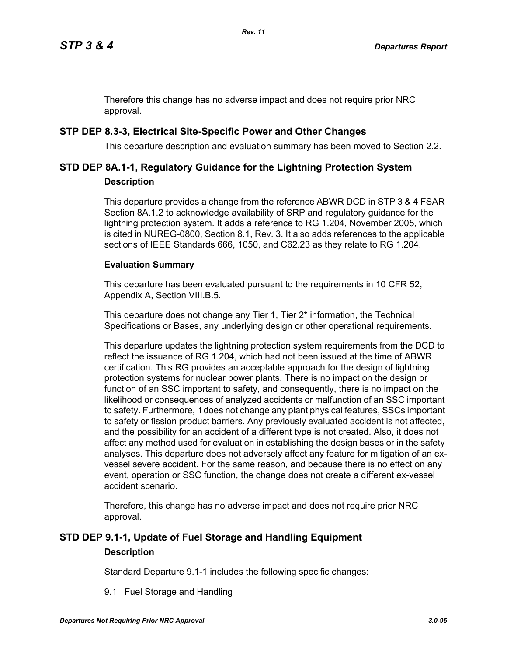Therefore this change has no adverse impact and does not require prior NRC approval.

# **STP DEP 8.3-3, Electrical Site-Specific Power and Other Changes**

This departure description and evaluation summary has been moved to Section 2.2.

# **STD DEP 8A.1-1, Regulatory Guidance for the Lightning Protection System Description**

This departure provides a change from the reference ABWR DCD in STP 3 & 4 FSAR Section 8A.1.2 to acknowledge availability of SRP and regulatory guidance for the lightning protection system. It adds a reference to RG 1.204, November 2005, which is cited in NUREG-0800, Section 8.1, Rev. 3. It also adds references to the applicable sections of IEEE Standards 666, 1050, and C62.23 as they relate to RG 1.204.

### **Evaluation Summary**

This departure has been evaluated pursuant to the requirements in 10 CFR 52, Appendix A, Section VIII.B.5.

This departure does not change any Tier 1, Tier 2<sup>\*</sup> information, the Technical Specifications or Bases, any underlying design or other operational requirements.

This departure updates the lightning protection system requirements from the DCD to reflect the issuance of RG 1.204, which had not been issued at the time of ABWR certification. This RG provides an acceptable approach for the design of lightning protection systems for nuclear power plants. There is no impact on the design or function of an SSC important to safety, and consequently, there is no impact on the likelihood or consequences of analyzed accidents or malfunction of an SSC important to safety. Furthermore, it does not change any plant physical features, SSCs important to safety or fission product barriers. Any previously evaluated accident is not affected, and the possibility for an accident of a different type is not created. Also, it does not affect any method used for evaluation in establishing the design bases or in the safety analyses. This departure does not adversely affect any feature for mitigation of an exvessel severe accident. For the same reason, and because there is no effect on any event, operation or SSC function, the change does not create a different ex-vessel accident scenario.

Therefore, this change has no adverse impact and does not require prior NRC approval.

# **STD DEP 9.1-1, Update of Fuel Storage and Handling Equipment Description**

Standard Departure 9.1-1 includes the following specific changes:

9.1 Fuel Storage and Handling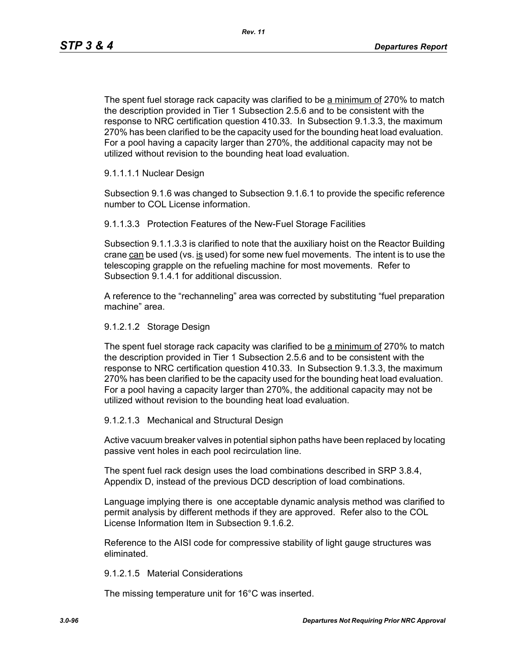The spent fuel storage rack capacity was clarified to be a minimum of 270% to match the description provided in Tier 1 Subsection 2.5.6 and to be consistent with the response to NRC certification question 410.33. In Subsection 9.1.3.3, the maximum 270% has been clarified to be the capacity used for the bounding heat load evaluation. For a pool having a capacity larger than 270%, the additional capacity may not be utilized without revision to the bounding heat load evaluation.

### 9.1.1.1.1 Nuclear Design

Subsection 9.1.6 was changed to Subsection 9.1.6.1 to provide the specific reference number to COL License information.

9.1.1.3.3 Protection Features of the New-Fuel Storage Facilities

Subsection 9.1.1.3.3 is clarified to note that the auxiliary hoist on the Reactor Building crane  $can$  be used (vs. is used) for some new fuel movements. The intent is to use the telescoping grapple on the refueling machine for most movements. Refer to Subsection 9.1.4.1 for additional discussion.

A reference to the "rechanneling" area was corrected by substituting "fuel preparation machine" area.

#### 9.1.2.1.2 Storage Design

The spent fuel storage rack capacity was clarified to be a minimum of 270% to match the description provided in Tier 1 Subsection 2.5.6 and to be consistent with the response to NRC certification question 410.33. In Subsection 9.1.3.3, the maximum 270% has been clarified to be the capacity used for the bounding heat load evaluation. For a pool having a capacity larger than 270%, the additional capacity may not be utilized without revision to the bounding heat load evaluation.

### 9.1.2.1.3 Mechanical and Structural Design

Active vacuum breaker valves in potential siphon paths have been replaced by locating passive vent holes in each pool recirculation line.

The spent fuel rack design uses the load combinations described in SRP 3.8.4, Appendix D, instead of the previous DCD description of load combinations.

Language implying there is one acceptable dynamic analysis method was clarified to permit analysis by different methods if they are approved. Refer also to the COL License Information Item in Subsection 9.1.6.2.

Reference to the AISI code for compressive stability of light gauge structures was eliminated.

#### 9.1.2.1.5 Material Considerations

The missing temperature unit for 16°C was inserted.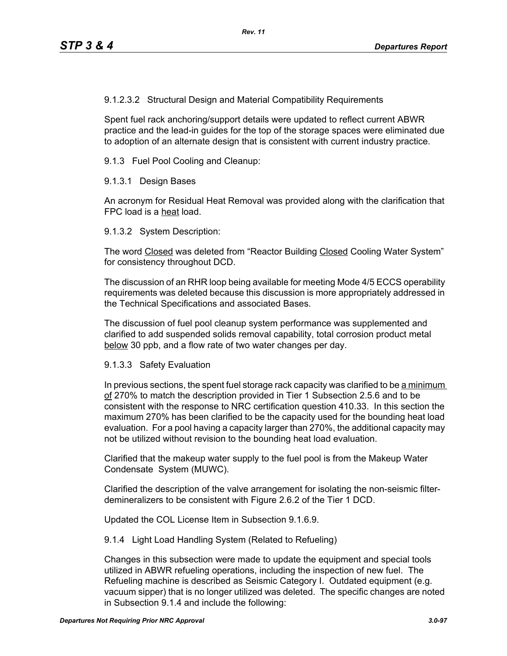9.1.2.3.2 Structural Design and Material Compatibility Requirements

Spent fuel rack anchoring/support details were updated to reflect current ABWR practice and the lead-in guides for the top of the storage spaces were eliminated due to adoption of an alternate design that is consistent with current industry practice.

9.1.3 Fuel Pool Cooling and Cleanup:

9.1.3.1 Design Bases

An acronym for Residual Heat Removal was provided along with the clarification that FPC load is a heat load.

9.1.3.2 System Description:

The word Closed was deleted from "Reactor Building Closed Cooling Water System" for consistency throughout DCD.

The discussion of an RHR loop being available for meeting Mode 4/5 ECCS operability requirements was deleted because this discussion is more appropriately addressed in the Technical Specifications and associated Bases.

The discussion of fuel pool cleanup system performance was supplemented and clarified to add suspended solids removal capability, total corrosion product metal below 30 ppb, and a flow rate of two water changes per day.

### 9.1.3.3 Safety Evaluation

In previous sections, the spent fuel storage rack capacity was clarified to be a minimum of 270% to match the description provided in Tier 1 Subsection 2.5.6 and to be consistent with the response to NRC certification question 410.33. In this section the maximum 270% has been clarified to be the capacity used for the bounding heat load evaluation. For a pool having a capacity larger than 270%, the additional capacity may not be utilized without revision to the bounding heat load evaluation.

Clarified that the makeup water supply to the fuel pool is from the Makeup Water Condensate System (MUWC).

Clarified the description of the valve arrangement for isolating the non-seismic filterdemineralizers to be consistent with Figure 2.6.2 of the Tier 1 DCD.

Updated the COL License Item in Subsection 9.1.6.9.

9.1.4 Light Load Handling System (Related to Refueling)

Changes in this subsection were made to update the equipment and special tools utilized in ABWR refueling operations, including the inspection of new fuel. The Refueling machine is described as Seismic Category I. Outdated equipment (e.g. vacuum sipper) that is no longer utilized was deleted. The specific changes are noted in Subsection 9.1.4 and include the following: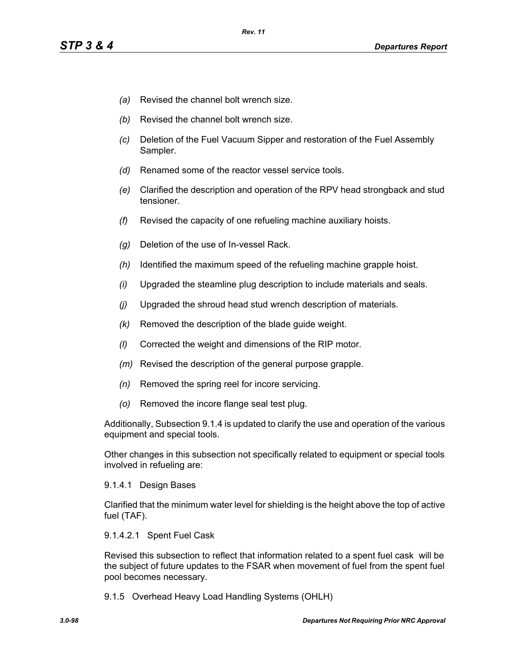- *(a)* Revised the channel bolt wrench size.
- *(b)* Revised the channel bolt wrench size.
- *(c)* Deletion of the Fuel Vacuum Sipper and restoration of the Fuel Assembly Sampler.
- *(d)* Renamed some of the reactor vessel service tools.
- *(e)* Clarified the description and operation of the RPV head strongback and stud tensioner.
- *(f)* Revised the capacity of one refueling machine auxiliary hoists.
- *(g)* Deletion of the use of In-vessel Rack.
- *(h)* Identified the maximum speed of the refueling machine grapple hoist.
- *(i)* Upgraded the steamline plug description to include materials and seals.
- *(j)* Upgraded the shroud head stud wrench description of materials.
- *(k)* Removed the description of the blade guide weight.
- *(l)* Corrected the weight and dimensions of the RIP motor.
- *(m)* Revised the description of the general purpose grapple.
- *(n)* Removed the spring reel for incore servicing.
- *(o)* Removed the incore flange seal test plug.

Additionally, Subsection 9.1.4 is updated to clarify the use and operation of the various equipment and special tools.

Other changes in this subsection not specifically related to equipment or special tools involved in refueling are:

### 9.1.4.1 Design Bases

Clarified that the minimum water level for shielding is the height above the top of active fuel (TAF).

### 9.1.4.2.1 Spent Fuel Cask

Revised this subsection to reflect that information related to a spent fuel cask will be the subject of future updates to the FSAR when movement of fuel from the spent fuel pool becomes necessary.

9.1.5 Overhead Heavy Load Handling Systems (OHLH)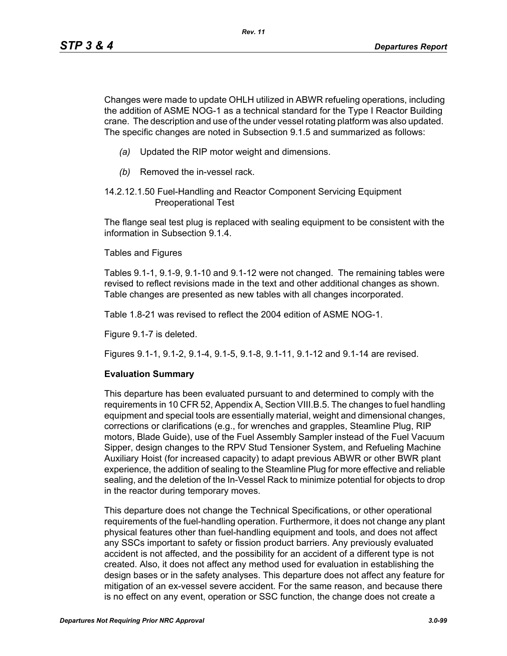Changes were made to update OHLH utilized in ABWR refueling operations, including the addition of ASME NOG-1 as a technical standard for the Type I Reactor Building crane. The description and use of the under vessel rotating platform was also updated. The specific changes are noted in Subsection 9.1.5 and summarized as follows:

- *(a)* Updated the RIP motor weight and dimensions.
- *(b)* Removed the in-vessel rack.
- 14.2.12.1.50 Fuel-Handling and Reactor Component Servicing Equipment Preoperational Test

The flange seal test plug is replaced with sealing equipment to be consistent with the information in Subsection 9.1.4.

Tables and Figures

Tables 9.1-1, 9.1-9, 9.1-10 and 9.1-12 were not changed. The remaining tables were revised to reflect revisions made in the text and other additional changes as shown. Table changes are presented as new tables with all changes incorporated.

Table 1.8-21 was revised to reflect the 2004 edition of ASME NOG-1.

Figure 9.1-7 is deleted.

Figures 9.1-1, 9.1-2, 9.1-4, 9.1-5, 9.1-8, 9.1-11, 9.1-12 and 9.1-14 are revised.

### **Evaluation Summary**

This departure has been evaluated pursuant to and determined to comply with the requirements in 10 CFR 52, Appendix A, Section VIII.B.5. The changes to fuel handling equipment and special tools are essentially material, weight and dimensional changes, corrections or clarifications (e.g., for wrenches and grapples, Steamline Plug, RIP motors, Blade Guide), use of the Fuel Assembly Sampler instead of the Fuel Vacuum Sipper, design changes to the RPV Stud Tensioner System, and Refueling Machine Auxiliary Hoist (for increased capacity) to adapt previous ABWR or other BWR plant experience, the addition of sealing to the Steamline Plug for more effective and reliable sealing, and the deletion of the In-Vessel Rack to minimize potential for objects to drop in the reactor during temporary moves.

This departure does not change the Technical Specifications, or other operational requirements of the fuel-handling operation. Furthermore, it does not change any plant physical features other than fuel-handling equipment and tools, and does not affect any SSCs important to safety or fission product barriers. Any previously evaluated accident is not affected, and the possibility for an accident of a different type is not created. Also, it does not affect any method used for evaluation in establishing the design bases or in the safety analyses. This departure does not affect any feature for mitigation of an ex-vessel severe accident. For the same reason, and because there is no effect on any event, operation or SSC function, the change does not create a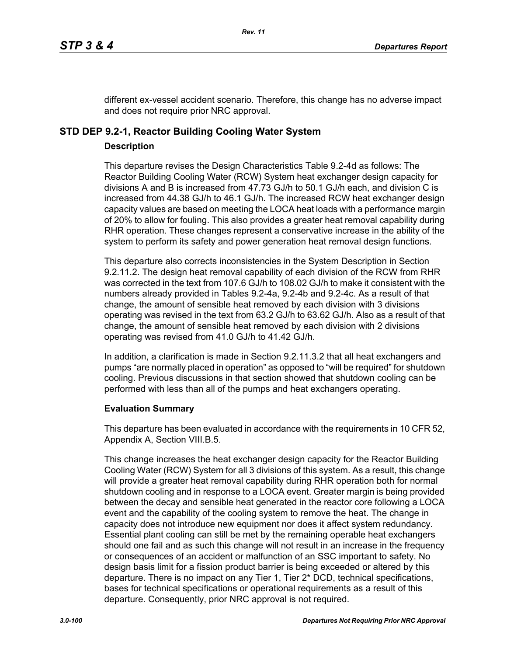different ex-vessel accident scenario. Therefore, this change has no adverse impact and does not require prior NRC approval.

# **STD DEP 9.2-1, Reactor Building Cooling Water System**

### **Description**

This departure revises the Design Characteristics Table 9.2-4d as follows: The Reactor Building Cooling Water (RCW) System heat exchanger design capacity for divisions A and B is increased from 47.73 GJ/h to 50.1 GJ/h each, and division C is increased from 44.38 GJ/h to 46.1 GJ/h. The increased RCW heat exchanger design capacity values are based on meeting the LOCA heat loads with a performance margin of 20% to allow for fouling. This also provides a greater heat removal capability during RHR operation. These changes represent a conservative increase in the ability of the system to perform its safety and power generation heat removal design functions.

This departure also corrects inconsistencies in the System Description in Section 9.2.11.2. The design heat removal capability of each division of the RCW from RHR was corrected in the text from 107.6 GJ/h to 108.02 GJ/h to make it consistent with the numbers already provided in Tables 9.2-4a, 9.2-4b and 9.2-4c. As a result of that change, the amount of sensible heat removed by each division with 3 divisions operating was revised in the text from 63.2 GJ/h to 63.62 GJ/h. Also as a result of that change, the amount of sensible heat removed by each division with 2 divisions operating was revised from 41.0 GJ/h to 41.42 GJ/h.

In addition, a clarification is made in Section 9.2.11.3.2 that all heat exchangers and pumps "are normally placed in operation" as opposed to "will be required" for shutdown cooling. Previous discussions in that section showed that shutdown cooling can be performed with less than all of the pumps and heat exchangers operating.

### **Evaluation Summary**

This departure has been evaluated in accordance with the requirements in 10 CFR 52, Appendix A, Section VIII.B.5.

This change increases the heat exchanger design capacity for the Reactor Building Cooling Water (RCW) System for all 3 divisions of this system. As a result, this change will provide a greater heat removal capability during RHR operation both for normal shutdown cooling and in response to a LOCA event. Greater margin is being provided between the decay and sensible heat generated in the reactor core following a LOCA event and the capability of the cooling system to remove the heat. The change in capacity does not introduce new equipment nor does it affect system redundancy. Essential plant cooling can still be met by the remaining operable heat exchangers should one fail and as such this change will not result in an increase in the frequency or consequences of an accident or malfunction of an SSC important to safety. No design basis limit for a fission product barrier is being exceeded or altered by this departure. There is no impact on any Tier 1, Tier 2\* DCD, technical specifications, bases for technical specifications or operational requirements as a result of this departure. Consequently, prior NRC approval is not required.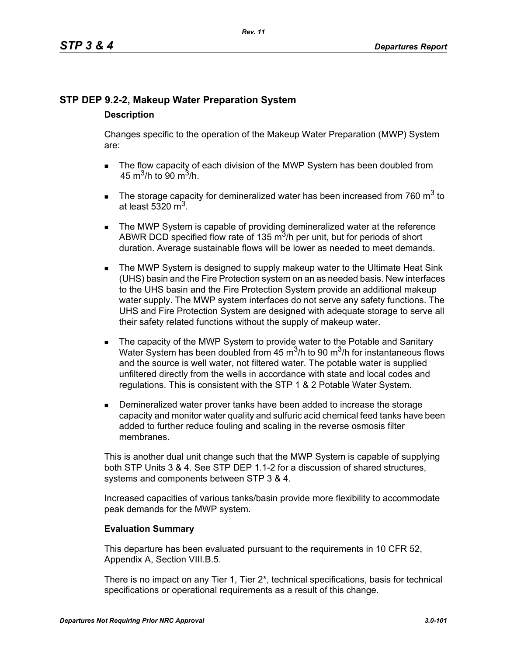# **STP DEP 9.2-2, Makeup Water Preparation System**

### **Description**

Changes specific to the operation of the Makeup Water Preparation (MWP) System are:

- The flow capacity of each division of the MWP System has been doubled from 45 m<sup>3</sup>/h to 90 m<sup>3</sup>/h.
- The storage capacity for demineralized water has been increased from 760  $m^3$  to at least 5320  $m<sup>3</sup>$ .
- **The MWP System is capable of providing demineralized water at the reference** ABWR DCD specified flow rate of 135  $\mathrm{m}^3$ /h per unit, but for periods of short duration. Average sustainable flows will be lower as needed to meet demands.
- **The MWP System is designed to supply makeup water to the Ultimate Heat Sink** (UHS) basin and the Fire Protection system on an as needed basis. New interfaces to the UHS basin and the Fire Protection System provide an additional makeup water supply. The MWP system interfaces do not serve any safety functions. The UHS and Fire Protection System are designed with adequate storage to serve all their safety related functions without the supply of makeup water.
- The capacity of the MWP System to provide water to the Potable and Sanitary Water System has been doubled from 45  $\mathrm{m}^3$ /h to 90  $\mathrm{m}^3$ /h for instantaneous flows and the source is well water, not filtered water. The potable water is supplied unfiltered directly from the wells in accordance with state and local codes and regulations. This is consistent with the STP 1 & 2 Potable Water System.
- **Demineralized water prover tanks have been added to increase the storage** capacity and monitor water quality and sulfuric acid chemical feed tanks have been added to further reduce fouling and scaling in the reverse osmosis filter membranes.

This is another dual unit change such that the MWP System is capable of supplying both STP Units 3 & 4. See STP DEP 1.1-2 for a discussion of shared structures, systems and components between STP 3 & 4.

Increased capacities of various tanks/basin provide more flexibility to accommodate peak demands for the MWP system.

# **Evaluation Summary**

This departure has been evaluated pursuant to the requirements in 10 CFR 52, Appendix A, Section VIII.B.5.

There is no impact on any Tier 1, Tier 2\*, technical specifications, basis for technical specifications or operational requirements as a result of this change.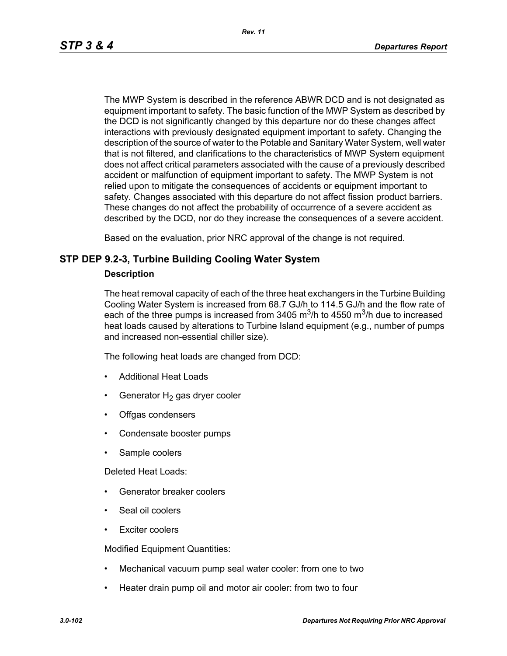The MWP System is described in the reference ABWR DCD and is not designated as equipment important to safety. The basic function of the MWP System as described by the DCD is not significantly changed by this departure nor do these changes affect interactions with previously designated equipment important to safety. Changing the description of the source of water to the Potable and Sanitary Water System, well water that is not filtered, and clarifications to the characteristics of MWP System equipment does not affect critical parameters associated with the cause of a previously described accident or malfunction of equipment important to safety. The MWP System is not relied upon to mitigate the consequences of accidents or equipment important to safety. Changes associated with this departure do not affect fission product barriers. These changes do not affect the probability of occurrence of a severe accident as described by the DCD, nor do they increase the consequences of a severe accident.

Based on the evaluation, prior NRC approval of the change is not required.

### **STP DEP 9.2-3, Turbine Building Cooling Water System**

### **Description**

The heat removal capacity of each of the three heat exchangers in the Turbine Building Cooling Water System is increased from 68.7 GJ/h to 114.5 GJ/h and the flow rate of each of the three pumps is increased from 3405  $\mathrm{m}^3$ /h to 4550  $\mathrm{m}^3$ /h due to increased heat loads caused by alterations to Turbine Island equipment (e.g., number of pumps and increased non-essential chiller size).

The following heat loads are changed from DCD:

- Additional Heat Loads
- Generator  $H_2$  gas dryer cooler
- Offgas condensers
- Condensate booster pumps
- Sample coolers

Deleted Heat Loads:

- Generator breaker coolers
- Seal oil coolers
- Exciter coolers

Modified Equipment Quantities:

- Mechanical vacuum pump seal water cooler: from one to two
- Heater drain pump oil and motor air cooler: from two to four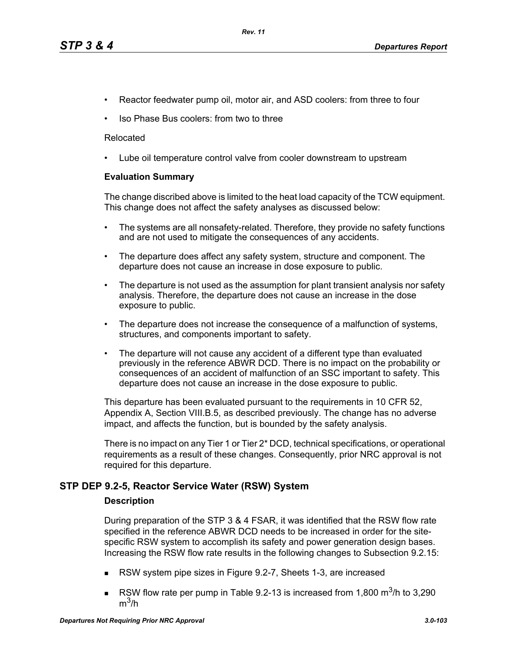- Reactor feedwater pump oil, motor air, and ASD coolers: from three to four
- Iso Phase Bus coolers: from two to three

### Relocated

• Lube oil temperature control valve from cooler downstream to upstream

### **Evaluation Summary**

The change discribed above is limited to the heat load capacity of the TCW equipment. This change does not affect the safety analyses as discussed below:

- The systems are all nonsafety-related. Therefore, they provide no safety functions and are not used to mitigate the consequences of any accidents.
- The departure does affect any safety system, structure and component. The departure does not cause an increase in dose exposure to public.
- The departure is not used as the assumption for plant transient analysis nor safety analysis. Therefore, the departure does not cause an increase in the dose exposure to public.
- The departure does not increase the consequence of a malfunction of systems, structures, and components important to safety.
- The departure will not cause any accident of a different type than evaluated previously in the reference ABWR DCD. There is no impact on the probability or consequences of an accident of malfunction of an SSC important to safety. This departure does not cause an increase in the dose exposure to public.

This departure has been evaluated pursuant to the requirements in 10 CFR 52, Appendix A, Section VIII.B.5, as described previously. The change has no adverse impact, and affects the function, but is bounded by the safety analysis.

There is no impact on any Tier 1 or Tier 2\* DCD, technical specifications, or operational requirements as a result of these changes. Consequently, prior NRC approval is not required for this departure.

### **STP DEP 9.2-5, Reactor Service Water (RSW) System**

### **Description**

During preparation of the STP 3 & 4 FSAR, it was identified that the RSW flow rate specified in the reference ABWR DCD needs to be increased in order for the sitespecific RSW system to accomplish its safety and power generation design bases. Increasing the RSW flow rate results in the following changes to Subsection 9.2.15:

- RSW system pipe sizes in Figure 9.2-7, Sheets 1-3, are increased
- RSW flow rate per pump in Table 9.2-13 is increased from 1,800  $\text{m}^3$ /h to 3,290  $m^3/h$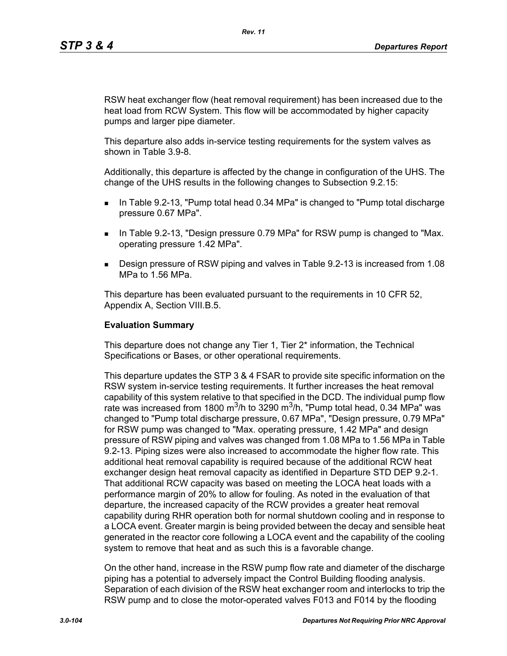RSW heat exchanger flow (heat removal requirement) has been increased due to the heat load from RCW System. This flow will be accommodated by higher capacity pumps and larger pipe diameter.

This departure also adds in-service testing requirements for the system valves as shown in Table 3.9-8.

Additionally, this departure is affected by the change in configuration of the UHS. The change of the UHS results in the following changes to Subsection 9.2.15:

- In Table 9.2-13, "Pump total head 0.34 MPa" is changed to "Pump total discharge pressure 0.67 MPa".
- **IF IN Table 9.2-13, "Design pressure 0.79 MPa" for RSW pump is changed to "Max.** operating pressure 1.42 MPa".
- Design pressure of RSW piping and valves in Table 9.2-13 is increased from 1.08 MPa to 1.56 MPa.

This departure has been evaluated pursuant to the requirements in 10 CFR 52, Appendix A, Section VIII.B.5.

#### **Evaluation Summary**

This departure does not change any Tier 1, Tier 2\* information, the Technical Specifications or Bases, or other operational requirements.

This departure updates the STP 3 & 4 FSAR to provide site specific information on the RSW system in-service testing requirements. It further increases the heat removal capability of this system relative to that specified in the DCD. The individual pump flow rate was increased from 1800 m<sup>3</sup>/h to 3290 m<sup>3</sup>/h, "Pump total head, 0.34 MPa" was changed to "Pump total discharge pressure, 0.67 MPa", "Design pressure, 0.79 MPa" for RSW pump was changed to "Max. operating pressure, 1.42 MPa" and design pressure of RSW piping and valves was changed from 1.08 MPa to 1.56 MPa in Table 9.2-13. Piping sizes were also increased to accommodate the higher flow rate. This additional heat removal capability is required because of the additional RCW heat exchanger design heat removal capacity as identified in Departure STD DEP 9.2-1. That additional RCW capacity was based on meeting the LOCA heat loads with a performance margin of 20% to allow for fouling. As noted in the evaluation of that departure, the increased capacity of the RCW provides a greater heat removal capability during RHR operation both for normal shutdown cooling and in response to a LOCA event. Greater margin is being provided between the decay and sensible heat generated in the reactor core following a LOCA event and the capability of the cooling system to remove that heat and as such this is a favorable change.

On the other hand, increase in the RSW pump flow rate and diameter of the discharge piping has a potential to adversely impact the Control Building flooding analysis. Separation of each division of the RSW heat exchanger room and interlocks to trip the RSW pump and to close the motor-operated valves F013 and F014 by the flooding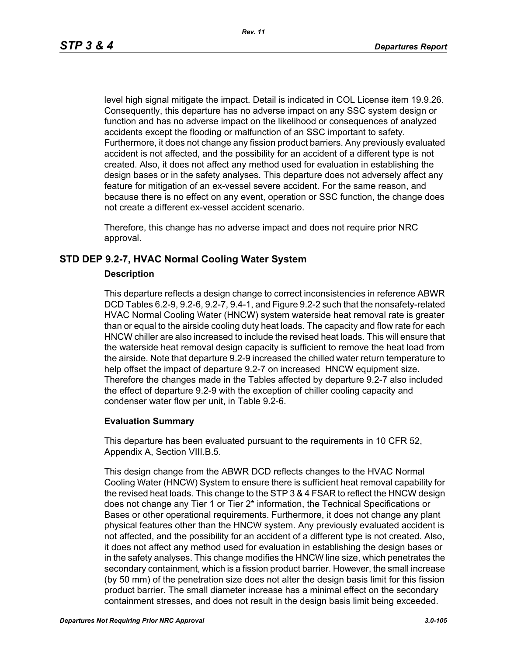level high signal mitigate the impact. Detail is indicated in COL License item 19.9.26. Consequently, this departure has no adverse impact on any SSC system design or function and has no adverse impact on the likelihood or consequences of analyzed accidents except the flooding or malfunction of an SSC important to safety. Furthermore, it does not change any fission product barriers. Any previously evaluated accident is not affected, and the possibility for an accident of a different type is not created. Also, it does not affect any method used for evaluation in establishing the design bases or in the safety analyses. This departure does not adversely affect any feature for mitigation of an ex-vessel severe accident. For the same reason, and because there is no effect on any event, operation or SSC function, the change does not create a different ex-vessel accident scenario.

Therefore, this change has no adverse impact and does not require prior NRC approval.

# **STD DEP 9.2-7, HVAC Normal Cooling Water System**

### **Description**

This departure reflects a design change to correct inconsistencies in reference ABWR DCD Tables 6.2-9, 9.2-6, 9.2-7, 9.4-1, and Figure 9.2-2 such that the nonsafety-related HVAC Normal Cooling Water (HNCW) system waterside heat removal rate is greater than or equal to the airside cooling duty heat loads. The capacity and flow rate for each HNCW chiller are also increased to include the revised heat loads. This will ensure that the waterside heat removal design capacity is sufficient to remove the heat load from the airside. Note that departure 9.2-9 increased the chilled water return temperature to help offset the impact of departure 9.2-7 on increased HNCW equipment size. Therefore the changes made in the Tables affected by departure 9.2-7 also included the effect of departure 9.2-9 with the exception of chiller cooling capacity and condenser water flow per unit, in Table 9.2-6.

### **Evaluation Summary**

This departure has been evaluated pursuant to the requirements in 10 CFR 52, Appendix A, Section VIII.B.5.

This design change from the ABWR DCD reflects changes to the HVAC Normal Cooling Water (HNCW) System to ensure there is sufficient heat removal capability for the revised heat loads. This change to the STP 3 & 4 FSAR to reflect the HNCW design does not change any Tier 1 or Tier 2\* information, the Technical Specifications or Bases or other operational requirements. Furthermore, it does not change any plant physical features other than the HNCW system. Any previously evaluated accident is not affected, and the possibility for an accident of a different type is not created. Also, it does not affect any method used for evaluation in establishing the design bases or in the safety analyses. This change modifies the HNCW line size, which penetrates the secondary containment, which is a fission product barrier. However, the small increase (by 50 mm) of the penetration size does not alter the design basis limit for this fission product barrier. The small diameter increase has a minimal effect on the secondary containment stresses, and does not result in the design basis limit being exceeded.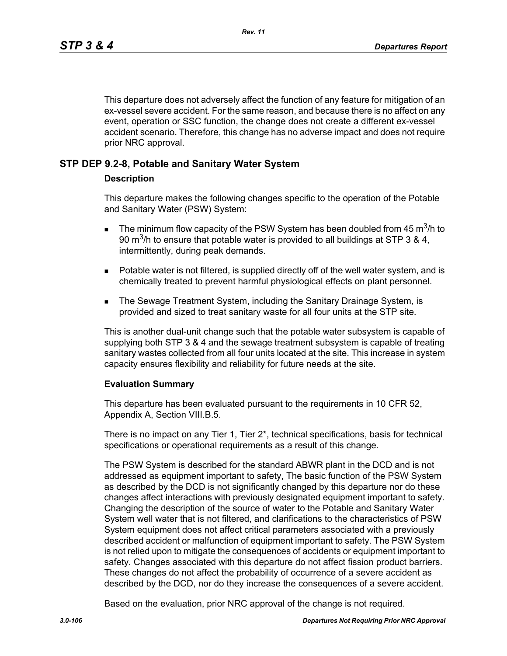This departure does not adversely affect the function of any feature for mitigation of an ex-vessel severe accident. For the same reason, and because there is no affect on any event, operation or SSC function, the change does not create a different ex-vessel accident scenario. Therefore, this change has no adverse impact and does not require prior NRC approval.

### **STP DEP 9.2-8, Potable and Sanitary Water System**

### **Description**

This departure makes the following changes specific to the operation of the Potable and Sanitary Water (PSW) System:

- **The minimum flow capacity of the PSW System has been doubled from 45 m<sup>3</sup>/h to** 90 m<sup>3</sup>/h to ensure that potable water is provided to all buildings at STP 3 & 4, intermittently, during peak demands.
- **Potable water is not filtered, is supplied directly off of the well water system, and is** chemically treated to prevent harmful physiological effects on plant personnel.
- **The Sewage Treatment System, including the Sanitary Drainage System, is** provided and sized to treat sanitary waste for all four units at the STP site.

This is another dual-unit change such that the potable water subsystem is capable of supplying both STP 3 & 4 and the sewage treatment subsystem is capable of treating sanitary wastes collected from all four units located at the site. This increase in system capacity ensures flexibility and reliability for future needs at the site.

### **Evaluation Summary**

This departure has been evaluated pursuant to the requirements in 10 CFR 52, Appendix A, Section VIII.B.5.

There is no impact on any Tier 1, Tier 2\*, technical specifications, basis for technical specifications or operational requirements as a result of this change.

The PSW System is described for the standard ABWR plant in the DCD and is not addressed as equipment important to safety, The basic function of the PSW System as described by the DCD is not significantly changed by this departure nor do these changes affect interactions with previously designated equipment important to safety. Changing the description of the source of water to the Potable and Sanitary Water System well water that is not filtered, and clarifications to the characteristics of PSW System equipment does not affect critical parameters associated with a previously described accident or malfunction of equipment important to safety. The PSW System is not relied upon to mitigate the consequences of accidents or equipment important to safety. Changes associated with this departure do not affect fission product barriers. These changes do not affect the probability of occurrence of a severe accident as described by the DCD, nor do they increase the consequences of a severe accident.

Based on the evaluation, prior NRC approval of the change is not required.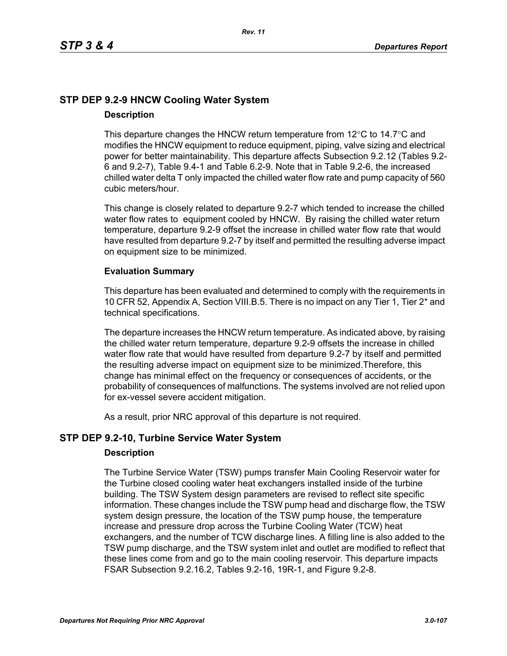# **STP DEP 9.2-9 HNCW Cooling Water System Description**

This departure changes the HNCW return temperature from  $12^{\circ}$ C to  $14.7^{\circ}$ C and modifies the HNCW equipment to reduce equipment, piping, valve sizing and electrical power for better maintainability. This departure affects Subsection 9.2.12 (Tables 9.2- 6 and 9.2-7), Table 9.4-1 and Table 6.2-9. Note that in Table 9.2-6, the increased chilled water delta T only impacted the chilled water flow rate and pump capacity of 560 cubic meters/hour.

This change is closely related to departure 9.2-7 which tended to increase the chilled water flow rates to equipment cooled by HNCW. By raising the chilled water return temperature, departure 9.2-9 offset the increase in chilled water flow rate that would have resulted from departure 9.2-7 by itself and permitted the resulting adverse impact on equipment size to be minimized.

# **Evaluation Summary**

This departure has been evaluated and determined to comply with the requirements in 10 CFR 52, Appendix A, Section VIII.B.5. There is no impact on any Tier 1, Tier 2\* and technical specifications.

The departure increases the HNCW return temperature. As indicated above, by raising the chilled water return temperature, departure 9.2-9 offsets the increase in chilled water flow rate that would have resulted from departure 9.2-7 by itself and permitted the resulting adverse impact on equipment size to be minimized.Therefore, this change has minimal effect on the frequency or consequences of accidents, or the probability of consequences of malfunctions. The systems involved are not relied upon for ex-vessel severe accident mitigation.

As a result, prior NRC approval of this departure is not required.

# **STP DEP 9.2-10, Turbine Service Water System**

### **Description**

The Turbine Service Water (TSW) pumps transfer Main Cooling Reservoir water for the Turbine closed cooling water heat exchangers installed inside of the turbine building. The TSW System design parameters are revised to reflect site specific information. These changes include the TSW pump head and discharge flow, the TSW system design pressure, the location of the TSW pump house, the temperature increase and pressure drop across the Turbine Cooling Water (TCW) heat exchangers, and the number of TCW discharge lines. A filling line is also added to the TSW pump discharge, and the TSW system inlet and outlet are modified to reflect that these lines come from and go to the main cooling reservoir. This departure impacts FSAR Subsection 9.2.16.2, Tables 9.2-16, 19R-1, and Figure 9.2-8.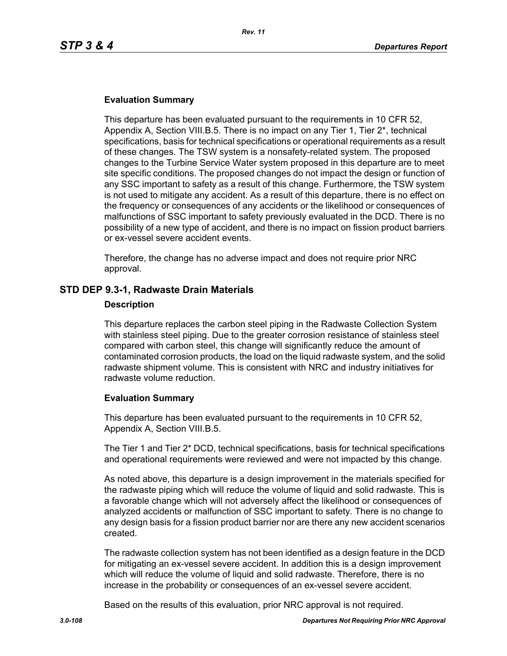### **Evaluation Summary**

This departure has been evaluated pursuant to the requirements in 10 CFR 52, Appendix A, Section VIII.B.5. There is no impact on any Tier 1, Tier 2\*, technical specifications, basis for technical specifications or operational requirements as a result of these changes. The TSW system is a nonsafety-related system. The proposed changes to the Turbine Service Water system proposed in this departure are to meet site specific conditions. The proposed changes do not impact the design or function of any SSC important to safety as a result of this change. Furthermore, the TSW system is not used to mitigate any accident. As a result of this departure, there is no effect on the frequency or consequences of any accidents or the likelihood or consequences of malfunctions of SSC important to safety previously evaluated in the DCD. There is no possibility of a new type of accident, and there is no impact on fission product barriers or ex-vessel severe accident events.

Therefore, the change has no adverse impact and does not require prior NRC approval.

### **STD DEP 9.3-1, Radwaste Drain Materials**

#### **Description**

This departure replaces the carbon steel piping in the Radwaste Collection System with stainless steel piping. Due to the greater corrosion resistance of stainless steel compared with carbon steel, this change will significantly reduce the amount of contaminated corrosion products, the load on the liquid radwaste system, and the solid radwaste shipment volume. This is consistent with NRC and industry initiatives for radwaste volume reduction.

### **Evaluation Summary**

This departure has been evaluated pursuant to the requirements in 10 CFR 52, Appendix A, Section VIII.B.5.

The Tier 1 and Tier 2\* DCD, technical specifications, basis for technical specifications and operational requirements were reviewed and were not impacted by this change.

As noted above, this departure is a design improvement in the materials specified for the radwaste piping which will reduce the volume of liquid and solid radwaste. This is a favorable change which will not adversely affect the likelihood or consequences of analyzed accidents or malfunction of SSC important to safety. There is no change to any design basis for a fission product barrier nor are there any new accident scenarios created.

The radwaste collection system has not been identified as a design feature in the DCD for mitigating an ex-vessel severe accident. In addition this is a design improvement which will reduce the volume of liquid and solid radwaste. Therefore, there is no increase in the probability or consequences of an ex-vessel severe accident.

Based on the results of this evaluation, prior NRC approval is not required.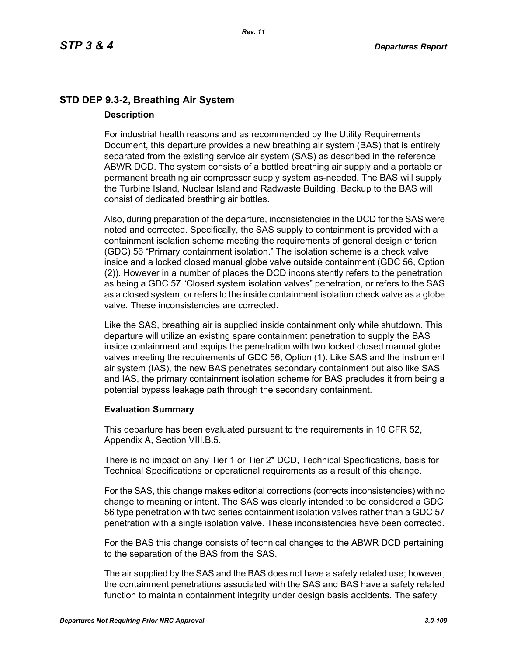# **STD DEP 9.3-2, Breathing Air System Description**

For industrial health reasons and as recommended by the Utility Requirements Document, this departure provides a new breathing air system (BAS) that is entirely separated from the existing service air system (SAS) as described in the reference ABWR DCD. The system consists of a bottled breathing air supply and a portable or permanent breathing air compressor supply system as-needed. The BAS will supply the Turbine Island, Nuclear Island and Radwaste Building. Backup to the BAS will consist of dedicated breathing air bottles.

Also, during preparation of the departure, inconsistencies in the DCD for the SAS were noted and corrected. Specifically, the SAS supply to containment is provided with a containment isolation scheme meeting the requirements of general design criterion (GDC) 56 "Primary containment isolation." The isolation scheme is a check valve inside and a locked closed manual globe valve outside containment (GDC 56, Option (2)). However in a number of places the DCD inconsistently refers to the penetration as being a GDC 57 "Closed system isolation valves" penetration, or refers to the SAS as a closed system, or refers to the inside containment isolation check valve as a globe valve. These inconsistencies are corrected.

Like the SAS, breathing air is supplied inside containment only while shutdown. This departure will utilize an existing spare containment penetration to supply the BAS inside containment and equips the penetration with two locked closed manual globe valves meeting the requirements of GDC 56, Option (1). Like SAS and the instrument air system (IAS), the new BAS penetrates secondary containment but also like SAS and IAS, the primary containment isolation scheme for BAS precludes it from being a potential bypass leakage path through the secondary containment.

## **Evaluation Summary**

This departure has been evaluated pursuant to the requirements in 10 CFR 52, Appendix A, Section VIII.B.5.

There is no impact on any Tier 1 or Tier 2\* DCD, Technical Specifications, basis for Technical Specifications or operational requirements as a result of this change.

For the SAS, this change makes editorial corrections (corrects inconsistencies) with no change to meaning or intent. The SAS was clearly intended to be considered a GDC 56 type penetration with two series containment isolation valves rather than a GDC 57 penetration with a single isolation valve. These inconsistencies have been corrected.

For the BAS this change consists of technical changes to the ABWR DCD pertaining to the separation of the BAS from the SAS.

The air supplied by the SAS and the BAS does not have a safety related use; however, the containment penetrations associated with the SAS and BAS have a safety related function to maintain containment integrity under design basis accidents. The safety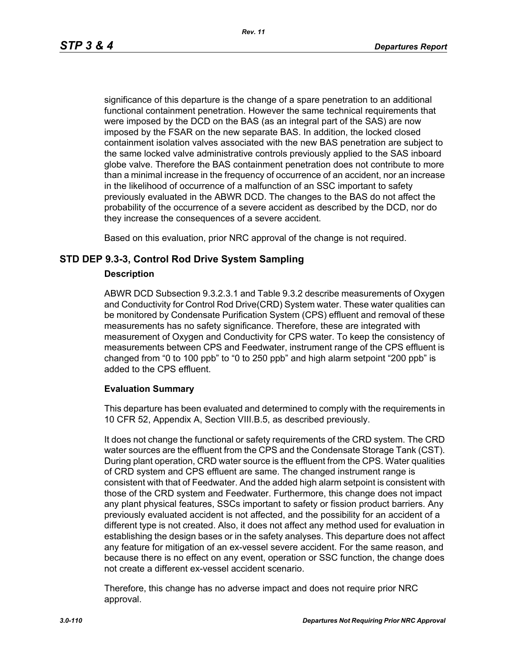significance of this departure is the change of a spare penetration to an additional functional containment penetration. However the same technical requirements that were imposed by the DCD on the BAS (as an integral part of the SAS) are now imposed by the FSAR on the new separate BAS. In addition, the locked closed containment isolation valves associated with the new BAS penetration are subject to the same locked valve administrative controls previously applied to the SAS inboard globe valve. Therefore the BAS containment penetration does not contribute to more than a minimal increase in the frequency of occurrence of an accident, nor an increase in the likelihood of occurrence of a malfunction of an SSC important to safety previously evaluated in the ABWR DCD. The changes to the BAS do not affect the probability of the occurrence of a severe accident as described by the DCD, nor do they increase the consequences of a severe accident.

Based on this evaluation, prior NRC approval of the change is not required.

## **STD DEP 9.3-3, Control Rod Drive System Sampling**

## **Description**

ABWR DCD Subsection 9.3.2.3.1 and Table 9.3.2 describe measurements of Oxygen and Conductivity for Control Rod Drive(CRD) System water. These water qualities can be monitored by Condensate Purification System (CPS) effluent and removal of these measurements has no safety significance. Therefore, these are integrated with measurement of Oxygen and Conductivity for CPS water. To keep the consistency of measurements between CPS and Feedwater, instrument range of the CPS effluent is changed from "0 to 100 ppb" to "0 to 250 ppb" and high alarm setpoint "200 ppb" is added to the CPS effluent.

## **Evaluation Summary**

This departure has been evaluated and determined to comply with the requirements in 10 CFR 52, Appendix A, Section VIII.B.5, as described previously.

It does not change the functional or safety requirements of the CRD system. The CRD water sources are the effluent from the CPS and the Condensate Storage Tank (CST). During plant operation, CRD water source is the effluent from the CPS. Water qualities of CRD system and CPS effluent are same. The changed instrument range is consistent with that of Feedwater. And the added high alarm setpoint is consistent with those of the CRD system and Feedwater. Furthermore, this change does not impact any plant physical features, SSCs important to safety or fission product barriers. Any previously evaluated accident is not affected, and the possibility for an accident of a different type is not created. Also, it does not affect any method used for evaluation in establishing the design bases or in the safety analyses. This departure does not affect any feature for mitigation of an ex-vessel severe accident. For the same reason, and because there is no effect on any event, operation or SSC function, the change does not create a different ex-vessel accident scenario.

Therefore, this change has no adverse impact and does not require prior NRC approval.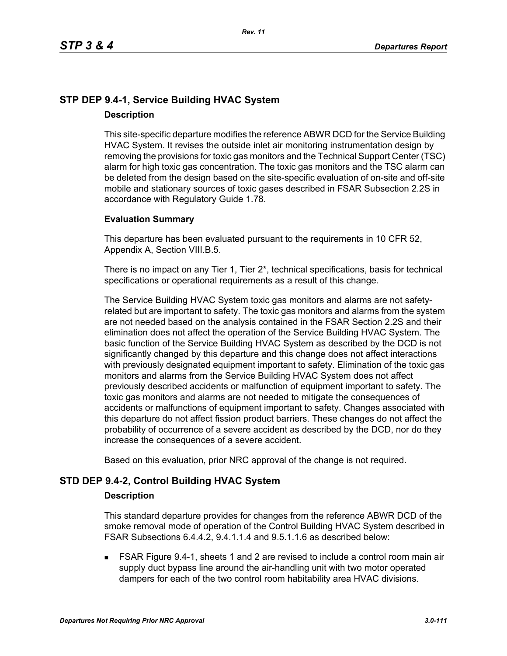# **STP DEP 9.4-1, Service Building HVAC System Description**

This site-specific departure modifies the reference ABWR DCD for the Service Building HVAC System. It revises the outside inlet air monitoring instrumentation design by removing the provisions for toxic gas monitors and the Technical Support Center (TSC) alarm for high toxic gas concentration. The toxic gas monitors and the TSC alarm can be deleted from the design based on the site-specific evaluation of on-site and off-site mobile and stationary sources of toxic gases described in FSAR Subsection 2.2S in accordance with Regulatory Guide 1.78.

## **Evaluation Summary**

This departure has been evaluated pursuant to the requirements in 10 CFR 52, Appendix A, Section VIII.B.5.

There is no impact on any Tier 1, Tier 2\*, technical specifications, basis for technical specifications or operational requirements as a result of this change.

The Service Building HVAC System toxic gas monitors and alarms are not safetyrelated but are important to safety. The toxic gas monitors and alarms from the system are not needed based on the analysis contained in the FSAR Section 2.2S and their elimination does not affect the operation of the Service Building HVAC System. The basic function of the Service Building HVAC System as described by the DCD is not significantly changed by this departure and this change does not affect interactions with previously designated equipment important to safety. Elimination of the toxic gas monitors and alarms from the Service Building HVAC System does not affect previously described accidents or malfunction of equipment important to safety. The toxic gas monitors and alarms are not needed to mitigate the consequences of accidents or malfunctions of equipment important to safety. Changes associated with this departure do not affect fission product barriers. These changes do not affect the probability of occurrence of a severe accident as described by the DCD, nor do they increase the consequences of a severe accident.

Based on this evaluation, prior NRC approval of the change is not required.

## **STD DEP 9.4-2, Control Building HVAC System**

## **Description**

This standard departure provides for changes from the reference ABWR DCD of the smoke removal mode of operation of the Control Building HVAC System described in FSAR Subsections 6.4.4.2, 9.4.1.1.4 and 9.5.1.1.6 as described below:

 FSAR Figure 9.4-1, sheets 1 and 2 are revised to include a control room main air supply duct bypass line around the air-handling unit with two motor operated dampers for each of the two control room habitability area HVAC divisions.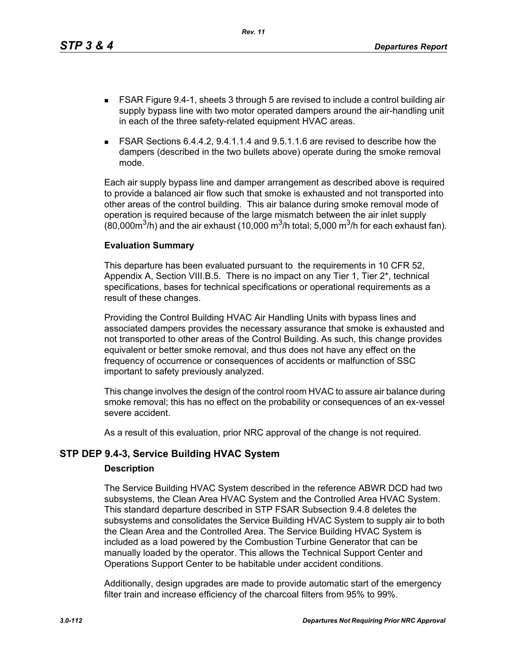This departure has been evaluated pursuant to the requirements in 10 CFR 52, Appendix A, Section VIII.B.5. There is no impact on any Tier 1, Tier 2\*, technical specifications, bases for technical specifications or operational requirements as a result of these changes.

Providing the Control Building HVAC Air Handling Units with bypass lines and associated dampers provides the necessary assurance that smoke is exhausted and not transported to other areas of the Control Building. As such, this change provides equivalent or better smoke removal, and thus does not have any effect on the frequency of occurrence or consequences of accidents or malfunction of SSC important to safety previously analyzed.

This change involves the design of the control room HVAC to assure air balance during smoke removal; this has no effect on the probability or consequences of an ex-vessel severe accident.

As a result of this evaluation, prior NRC approval of the change is not required.

# **STP DEP 9.4-3, Service Building HVAC System**

**Evaluation Summary**

## **Description**

The Service Building HVAC System described in the reference ABWR DCD had two subsystems, the Clean Area HVAC System and the Controlled Area HVAC System. This standard departure described in STP FSAR Subsection 9.4.8 deletes the subsystems and consolidates the Service Building HVAC System to supply air to both the Clean Area and the Controlled Area. The Service Building HVAC System is included as a load powered by the Combustion Turbine Generator that can be manually loaded by the operator. This allows the Technical Support Center and Operations Support Center to be habitable under accident conditions.

Additionally, design upgrades are made to provide automatic start of the emergency filter train and increase efficiency of the charcoal filters from 95% to 99%.

- FSAR Figure 9.4-1, sheets 3 through 5 are revised to include a control building air supply bypass line with two motor operated dampers around the air-handling unit in each of the three safety-related equipment HVAC areas.
- FSAR Sections 6.4.4.2, 9.4.1.1.4 and 9.5.1.1.6 are revised to describe how the dampers (described in the two bullets above) operate during the smoke removal mode.

Each air supply bypass line and damper arrangement as described above is required to provide a balanced air flow such that smoke is exhausted and not transported into other areas of the control building. This air balance during smoke removal mode of

operation is required because of the large mismatch between the air inlet supply (80,000 $\mathrm{m}^3$ /h) and the air exhaust (10,000  $\mathrm{m}^3$ /h total; 5,000  $\mathrm{m}^3$ /h for each exhaust fan).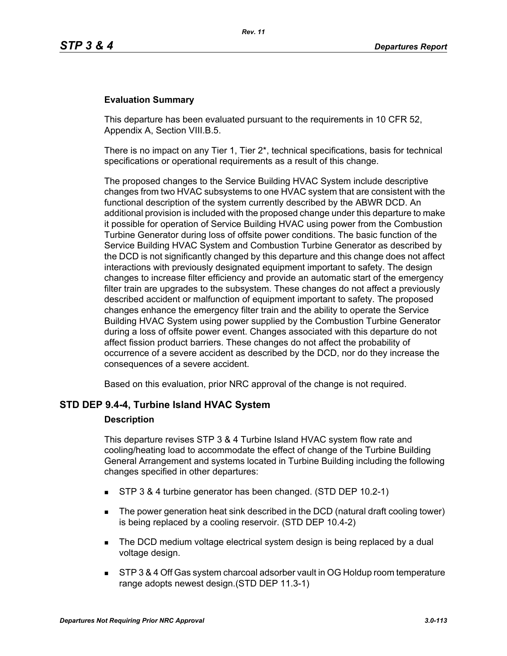## **Evaluation Summary**

This departure has been evaluated pursuant to the requirements in 10 CFR 52, Appendix A, Section VIII.B.5.

There is no impact on any Tier 1, Tier  $2^*$ , technical specifications, basis for technical specifications or operational requirements as a result of this change.

The proposed changes to the Service Building HVAC System include descriptive changes from two HVAC subsystems to one HVAC system that are consistent with the functional description of the system currently described by the ABWR DCD. An additional provision is included with the proposed change under this departure to make it possible for operation of Service Building HVAC using power from the Combustion Turbine Generator during loss of offsite power conditions. The basic function of the Service Building HVAC System and Combustion Turbine Generator as described by the DCD is not significantly changed by this departure and this change does not affect interactions with previously designated equipment important to safety. The design changes to increase filter efficiency and provide an automatic start of the emergency filter train are upgrades to the subsystem. These changes do not affect a previously described accident or malfunction of equipment important to safety. The proposed changes enhance the emergency filter train and the ability to operate the Service Building HVAC System using power supplied by the Combustion Turbine Generator during a loss of offsite power event. Changes associated with this departure do not affect fission product barriers. These changes do not affect the probability of occurrence of a severe accident as described by the DCD, nor do they increase the consequences of a severe accident.

Based on this evaluation, prior NRC approval of the change is not required.

## **STD DEP 9.4-4, Turbine Island HVAC System**

#### **Description**

This departure revises STP 3 & 4 Turbine Island HVAC system flow rate and cooling/heating load to accommodate the effect of change of the Turbine Building General Arrangement and systems located in Turbine Building including the following changes specified in other departures:

- STP 3 & 4 turbine generator has been changed. (STD DEP 10.2-1)
- The power generation heat sink described in the DCD (natural draft cooling tower) is being replaced by a cooling reservoir. (STD DEP 10.4-2)
- The DCD medium voltage electrical system design is being replaced by a dual voltage design.
- STP 3 & 4 Off Gas system charcoal adsorber vault in OG Holdup room temperature range adopts newest design.(STD DEP 11.3-1)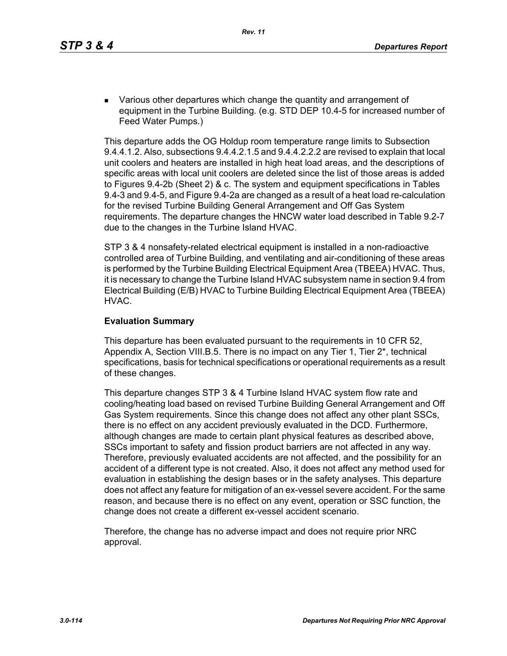**EXECT** Various other departures which change the quantity and arrangement of equipment in the Turbine Building. (e.g. STD DEP 10.4-5 for increased number of Feed Water Pumps.)

This departure adds the OG Holdup room temperature range limits to Subsection 9.4.4.1.2. Also, subsections 9.4.4.2.1.5 and 9.4.4.2.2.2 are revised to explain that local unit coolers and heaters are installed in high heat load areas, and the descriptions of specific areas with local unit coolers are deleted since the list of those areas is added to Figures 9.4-2b (Sheet 2) & c. The system and equipment specifications in Tables 9.4-3 and 9.4-5, and Figure 9.4-2a are changed as a result of a heat load re-calculation for the revised Turbine Building General Arrangement and Off Gas System requirements. The departure changes the HNCW water load described in Table 9.2-7 due to the changes in the Turbine Island HVAC.

STP 3 & 4 nonsafety-related electrical equipment is installed in a non-radioactive controlled area of Turbine Building, and ventilating and air-conditioning of these areas is performed by the Turbine Building Electrical Equipment Area (TBEEA) HVAC. Thus, it is necessary to change the Turbine Island HVAC subsystem name in section 9.4 from Electrical Building (E/B) HVAC to Turbine Building Electrical Equipment Area (TBEEA) HVAC.

## **Evaluation Summary**

This departure has been evaluated pursuant to the requirements in 10 CFR 52, Appendix A, Section VIII.B.5. There is no impact on any Tier 1, Tier 2\*, technical specifications, basis for technical specifications or operational requirements as a result of these changes.

This departure changes STP 3 & 4 Turbine Island HVAC system flow rate and cooling/heating load based on revised Turbine Building General Arrangement and Off Gas System requirements. Since this change does not affect any other plant SSCs, there is no effect on any accident previously evaluated in the DCD. Furthermore, although changes are made to certain plant physical features as described above, SSCs important to safety and fission product barriers are not affected in any way. Therefore, previously evaluated accidents are not affected, and the possibility for an accident of a different type is not created. Also, it does not affect any method used for evaluation in establishing the design bases or in the safety analyses. This departure does not affect any feature for mitigation of an ex-vessel severe accident. For the same reason, and because there is no effect on any event, operation or SSC function, the change does not create a different ex-vessel accident scenario.

Therefore, the change has no adverse impact and does not require prior NRC approval.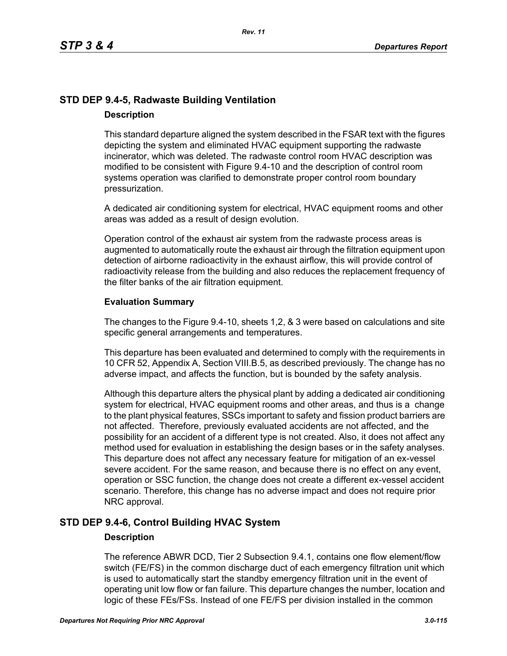# **STD DEP 9.4-5, Radwaste Building Ventilation Description**

This standard departure aligned the system described in the FSAR text with the figures depicting the system and eliminated HVAC equipment supporting the radwaste incinerator, which was deleted. The radwaste control room HVAC description was modified to be consistent with Figure 9.4-10 and the description of control room systems operation was clarified to demonstrate proper control room boundary pressurization.

A dedicated air conditioning system for electrical, HVAC equipment rooms and other areas was added as a result of design evolution.

Operation control of the exhaust air system from the radwaste process areas is augmented to automatically route the exhaust air through the filtration equipment upon detection of airborne radioactivity in the exhaust airflow, this will provide control of radioactivity release from the building and also reduces the replacement frequency of the filter banks of the air filtration equipment.

## **Evaluation Summary**

The changes to the Figure 9.4-10, sheets 1,2, & 3 were based on calculations and site specific general arrangements and temperatures.

This departure has been evaluated and determined to comply with the requirements in 10 CFR 52, Appendix A, Section VIII.B.5, as described previously. The change has no adverse impact, and affects the function, but is bounded by the safety analysis.

Although this departure alters the physical plant by adding a dedicated air conditioning system for electrical, HVAC equipment rooms and other areas, and thus is a change to the plant physical features, SSCs important to safety and fission product barriers are not affected. Therefore, previously evaluated accidents are not affected, and the possibility for an accident of a different type is not created. Also, it does not affect any method used for evaluation in establishing the design bases or in the safety analyses. This departure does not affect any necessary feature for mitigation of an ex-vessel severe accident. For the same reason, and because there is no effect on any event, operation or SSC function, the change does not create a different ex-vessel accident scenario. Therefore, this change has no adverse impact and does not require prior NRC approval.

# **STD DEP 9.4-6, Control Building HVAC System**

## **Description**

The reference ABWR DCD, Tier 2 Subsection 9.4.1, contains one flow element/flow switch (FE/FS) in the common discharge duct of each emergency filtration unit which is used to automatically start the standby emergency filtration unit in the event of operating unit low flow or fan failure. This departure changes the number, location and logic of these FEs/FSs. Instead of one FE/FS per division installed in the common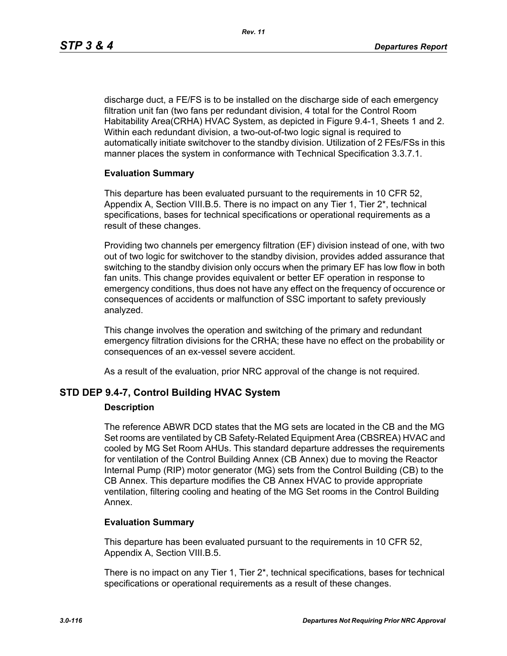discharge duct, a FE/FS is to be installed on the discharge side of each emergency filtration unit fan (two fans per redundant division, 4 total for the Control Room Habitability Area(CRHA) HVAC System, as depicted in Figure 9.4-1, Sheets 1 and 2. Within each redundant division, a two-out-of-two logic signal is required to automatically initiate switchover to the standby division. Utilization of 2 FEs/FSs in this manner places the system in conformance with Technical Specification 3.3.7.1.

## **Evaluation Summary**

This departure has been evaluated pursuant to the requirements in 10 CFR 52, Appendix A, Section VIII.B.5. There is no impact on any Tier 1, Tier 2\*, technical specifications, bases for technical specifications or operational requirements as a result of these changes.

Providing two channels per emergency filtration (EF) division instead of one, with two out of two logic for switchover to the standby division, provides added assurance that switching to the standby division only occurs when the primary EF has low flow in both fan units. This change provides equivalent or better EF operation in response to emergency conditions, thus does not have any effect on the frequency of occurence or consequences of accidents or malfunction of SSC important to safety previously analyzed.

This change involves the operation and switching of the primary and redundant emergency filtration divisions for the CRHA; these have no effect on the probability or consequences of an ex-vessel severe accident.

As a result of the evaluation, prior NRC approval of the change is not required.

## **STD DEP 9.4-7, Control Building HVAC System**

#### **Description**

The reference ABWR DCD states that the MG sets are located in the CB and the MG Set rooms are ventilated by CB Safety-Related Equipment Area (CBSREA) HVAC and cooled by MG Set Room AHUs. This standard departure addresses the requirements for ventilation of the Control Building Annex (CB Annex) due to moving the Reactor Internal Pump (RIP) motor generator (MG) sets from the Control Building (CB) to the CB Annex. This departure modifies the CB Annex HVAC to provide appropriate ventilation, filtering cooling and heating of the MG Set rooms in the Control Building Annex.

#### **Evaluation Summary**

This departure has been evaluated pursuant to the requirements in 10 CFR 52, Appendix A, Section VIII.B.5.

There is no impact on any Tier 1, Tier 2\*, technical specifications, bases for technical specifications or operational requirements as a result of these changes.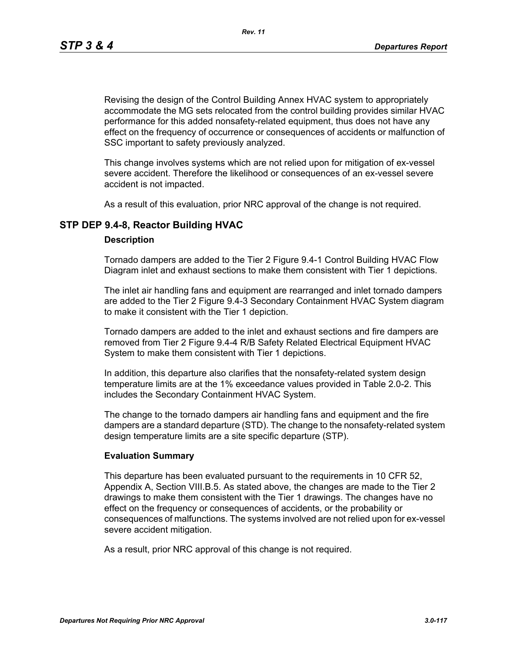Revising the design of the Control Building Annex HVAC system to appropriately accommodate the MG sets relocated from the control building provides similar HVAC performance for this added nonsafety-related equipment, thus does not have any effect on the frequency of occurrence or consequences of accidents or malfunction of SSC important to safety previously analyzed.

*Rev. 11*

This change involves systems which are not relied upon for mitigation of ex-vessel severe accident. Therefore the likelihood or consequences of an ex-vessel severe accident is not impacted.

As a result of this evaluation, prior NRC approval of the change is not required.

## **STP DEP 9.4-8, Reactor Building HVAC**

## **Description**

Tornado dampers are added to the Tier 2 Figure 9.4-1 Control Building HVAC Flow Diagram inlet and exhaust sections to make them consistent with Tier 1 depictions.

The inlet air handling fans and equipment are rearranged and inlet tornado dampers are added to the Tier 2 Figure 9.4-3 Secondary Containment HVAC System diagram to make it consistent with the Tier 1 depiction.

Tornado dampers are added to the inlet and exhaust sections and fire dampers are removed from Tier 2 Figure 9.4-4 R/B Safety Related Electrical Equipment HVAC System to make them consistent with Tier 1 depictions.

In addition, this departure also clarifies that the nonsafety-related system design temperature limits are at the 1% exceedance values provided in Table 2.0-2. This includes the Secondary Containment HVAC System.

The change to the tornado dampers air handling fans and equipment and the fire dampers are a standard departure (STD). The change to the nonsafety-related system design temperature limits are a site specific departure (STP).

## **Evaluation Summary**

This departure has been evaluated pursuant to the requirements in 10 CFR 52, Appendix A, Section VIII.B.5. As stated above, the changes are made to the Tier 2 drawings to make them consistent with the Tier 1 drawings. The changes have no effect on the frequency or consequences of accidents, or the probability or consequences of malfunctions. The systems involved are not relied upon for ex-vessel severe accident mitigation.

As a result, prior NRC approval of this change is not required.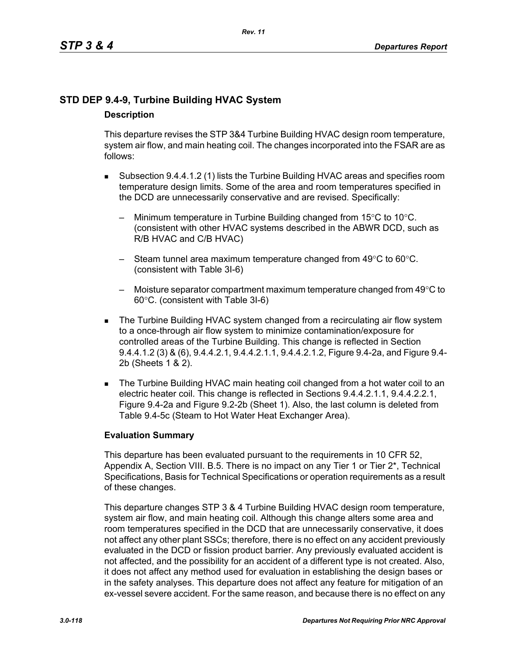# **STD DEP 9.4-9, Turbine Building HVAC System Description**

This departure revises the STP 3&4 Turbine Building HVAC design room temperature, system air flow, and main heating coil. The changes incorporated into the FSAR are as follows:

- Subsection 9.4.4.1.2 (1) lists the Turbine Building HVAC areas and specifies room temperature design limits. Some of the area and room temperatures specified in the DCD are unnecessarily conservative and are revised. Specifically:
	- Minimum temperature in Turbine Building changed from  $15^{\circ}$ C to  $10^{\circ}$ C. (consistent with other HVAC systems described in the ABWR DCD, such as R/B HVAC and C/B HVAC)
	- Steam tunnel area maximum temperature changed from 49°C to 60°C. (consistent with Table 3I-6)
	- Moisture separator compartment maximum temperature changed from  $49^{\circ}$ C to 60°C. (consistent with Table 3I-6)
- The Turbine Building HVAC system changed from a recirculating air flow system to a once-through air flow system to minimize contamination/exposure for controlled areas of the Turbine Building. This change is reflected in Section 9.4.4.1.2 (3) & (6), 9.4.4.2.1, 9.4.4.2.1.1, 9.4.4.2.1.2, Figure 9.4-2a, and Figure 9.4- 2b (Sheets 1 & 2).
- The Turbine Building HVAC main heating coil changed from a hot water coil to an electric heater coil. This change is reflected in Sections 9.4.4.2.1.1, 9.4.4.2.2.1, Figure 9.4-2a and Figure 9.2-2b (Sheet 1). Also, the last column is deleted from Table 9.4-5c (Steam to Hot Water Heat Exchanger Area).

## **Evaluation Summary**

This departure has been evaluated pursuant to the requirements in 10 CFR 52, Appendix A, Section VIII. B.5. There is no impact on any Tier 1 or Tier 2<sup>\*</sup>, Technical Specifications, Basis for Technical Specifications or operation requirements as a result of these changes.

This departure changes STP 3 & 4 Turbine Building HVAC design room temperature, system air flow, and main heating coil. Although this change alters some area and room temperatures specified in the DCD that are unnecessarily conservative, it does not affect any other plant SSCs; therefore, there is no effect on any accident previously evaluated in the DCD or fission product barrier. Any previously evaluated accident is not affected, and the possibility for an accident of a different type is not created. Also, it does not affect any method used for evaluation in establishing the design bases or in the safety analyses. This departure does not affect any feature for mitigation of an ex-vessel severe accident. For the same reason, and because there is no effect on any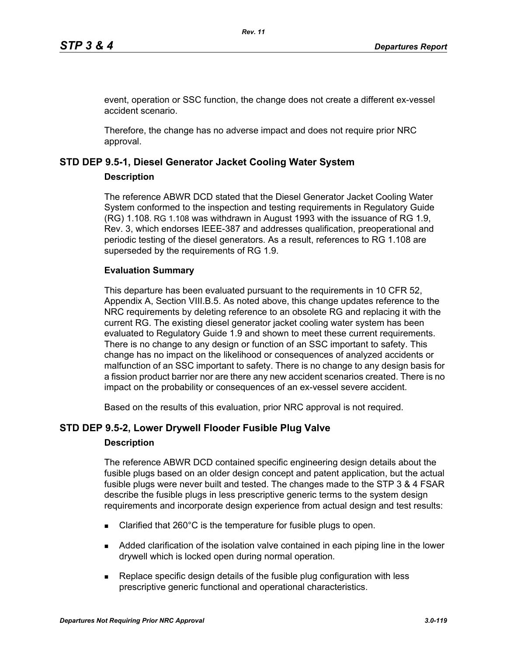event, operation or SSC function, the change does not create a different ex-vessel accident scenario.

Therefore, the change has no adverse impact and does not require prior NRC approval.

## **STD DEP 9.5-1, Diesel Generator Jacket Cooling Water System**

## **Description**

The reference ABWR DCD stated that the Diesel Generator Jacket Cooling Water System conformed to the inspection and testing requirements in Regulatory Guide (RG) 1.108. RG 1.108 was withdrawn in August 1993 with the issuance of RG 1.9, Rev. 3, which endorses IEEE-387 and addresses qualification, preoperational and periodic testing of the diesel generators. As a result, references to RG 1.108 are superseded by the requirements of RG 1.9.

## **Evaluation Summary**

This departure has been evaluated pursuant to the requirements in 10 CFR 52, Appendix A, Section VIII.B.5. As noted above, this change updates reference to the NRC requirements by deleting reference to an obsolete RG and replacing it with the current RG. The existing diesel generator jacket cooling water system has been evaluated to Regulatory Guide 1.9 and shown to meet these current requirements. There is no change to any design or function of an SSC important to safety. This change has no impact on the likelihood or consequences of analyzed accidents or malfunction of an SSC important to safety. There is no change to any design basis for a fission product barrier nor are there any new accident scenarios created. There is no impact on the probability or consequences of an ex-vessel severe accident.

Based on the results of this evaluation, prior NRC approval is not required.

## **STD DEP 9.5-2, Lower Drywell Flooder Fusible Plug Valve**

#### **Description**

The reference ABWR DCD contained specific engineering design details about the fusible plugs based on an older design concept and patent application, but the actual fusible plugs were never built and tested. The changes made to the STP 3 & 4 FSAR describe the fusible plugs in less prescriptive generic terms to the system design requirements and incorporate design experience from actual design and test results:

- Clarified that 260°C is the temperature for fusible plugs to open.
- Added clarification of the isolation valve contained in each piping line in the lower drywell which is locked open during normal operation.
- Replace specific design details of the fusible plug configuration with less prescriptive generic functional and operational characteristics.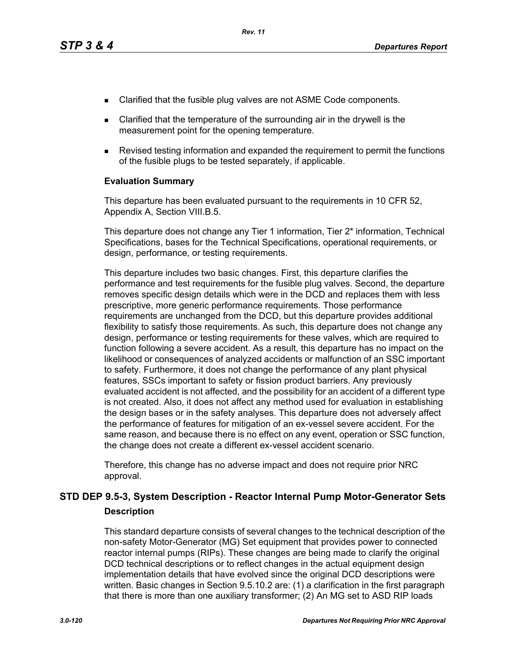- Clarified that the fusible plug valves are not ASME Code components.
- Clarified that the temperature of the surrounding air in the drywell is the measurement point for the opening temperature.
- Revised testing information and expanded the requirement to permit the functions of the fusible plugs to be tested separately, if applicable.

#### **Evaluation Summary**

This departure has been evaluated pursuant to the requirements in 10 CFR 52, Appendix A, Section VIII.B.5.

This departure does not change any Tier 1 information, Tier 2\* information, Technical Specifications, bases for the Technical Specifications, operational requirements, or design, performance, or testing requirements.

This departure includes two basic changes. First, this departure clarifies the performance and test requirements for the fusible plug valves. Second, the departure removes specific design details which were in the DCD and replaces them with less prescriptive, more generic performance requirements. Those performance requirements are unchanged from the DCD, but this departure provides additional flexibility to satisfy those requirements. As such, this departure does not change any design, performance or testing requirements for these valves, which are required to function following a severe accident. As a result, this departure has no impact on the likelihood or consequences of analyzed accidents or malfunction of an SSC important to safety. Furthermore, it does not change the performance of any plant physical features, SSCs important to safety or fission product barriers. Any previously evaluated accident is not affected, and the possibility for an accident of a different type is not created. Also, it does not affect any method used for evaluation in establishing the design bases or in the safety analyses. This departure does not adversely affect the performance of features for mitigation of an ex-vessel severe accident. For the same reason, and because there is no effect on any event, operation or SSC function, the change does not create a different ex-vessel accident scenario.

Therefore, this change has no adverse impact and does not require prior NRC approval.

# **STD DEP 9.5-3, System Description - Reactor Internal Pump Motor-Generator Sets Description**

This standard departure consists of several changes to the technical description of the non-safety Motor-Generator (MG) Set equipment that provides power to connected reactor internal pumps (RIPs). These changes are being made to clarify the original DCD technical descriptions or to reflect changes in the actual equipment design implementation details that have evolved since the original DCD descriptions were written. Basic changes in Section 9.5.10.2 are: (1) a clarification in the first paragraph that there is more than one auxiliary transformer; (2) An MG set to ASD RIP loads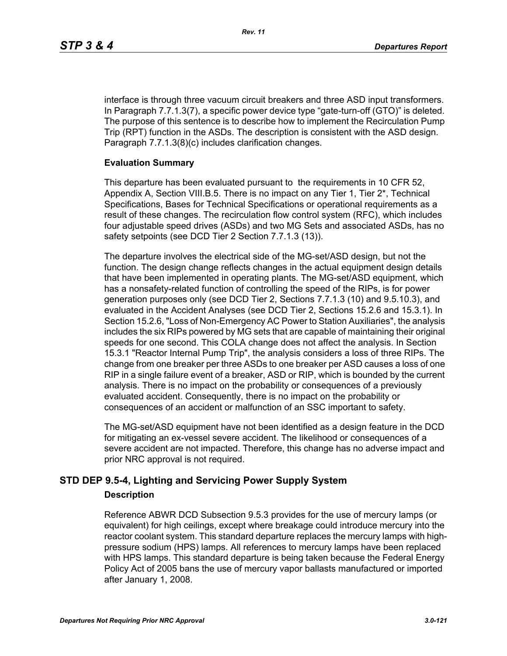interface is through three vacuum circuit breakers and three ASD input transformers. In Paragraph 7.7.1.3(7), a specific power device type "gate-turn-off (GTO)" is deleted. The purpose of this sentence is to describe how to implement the Recirculation Pump Trip (RPT) function in the ASDs. The description is consistent with the ASD design. Paragraph 7.7.1.3(8)(c) includes clarification changes.

## **Evaluation Summary**

This departure has been evaluated pursuant to the requirements in 10 CFR 52, Appendix A, Section VIII.B.5. There is no impact on any Tier 1, Tier 2\*, Technical Specifications, Bases for Technical Specifications or operational requirements as a result of these changes. The recirculation flow control system (RFC), which includes four adjustable speed drives (ASDs) and two MG Sets and associated ASDs, has no safety setpoints (see DCD Tier 2 Section 7.7.1.3 (13)).

The departure involves the electrical side of the MG-set/ASD design, but not the function. The design change reflects changes in the actual equipment design details that have been implemented in operating plants. The MG-set/ASD equipment, which has a nonsafety-related function of controlling the speed of the RIPs, is for power generation purposes only (see DCD Tier 2, Sections 7.7.1.3 (10) and 9.5.10.3), and evaluated in the Accident Analyses (see DCD Tier 2, Sections 15.2.6 and 15.3.1). In Section 15.2.6, "Loss of Non-Emergency AC Power to Station Auxiliaries", the analysis includes the six RIPs powered by MG sets that are capable of maintaining their original speeds for one second. This COLA change does not affect the analysis. In Section 15.3.1 "Reactor Internal Pump Trip", the analysis considers a loss of three RIPs. The change from one breaker per three ASDs to one breaker per ASD causes a loss of one RIP in a single failure event of a breaker, ASD or RIP, which is bounded by the current analysis. There is no impact on the probability or consequences of a previously evaluated accident. Consequently, there is no impact on the probability or consequences of an accident or malfunction of an SSC important to safety.

The MG-set/ASD equipment have not been identified as a design feature in the DCD for mitigating an ex-vessel severe accident. The likelihood or consequences of a severe accident are not impacted. Therefore, this change has no adverse impact and prior NRC approval is not required.

# **STD DEP 9.5-4, Lighting and Servicing Power Supply System**

## **Description**

Reference ABWR DCD Subsection 9.5.3 provides for the use of mercury lamps (or equivalent) for high ceilings, except where breakage could introduce mercury into the reactor coolant system. This standard departure replaces the mercury lamps with highpressure sodium (HPS) lamps. All references to mercury lamps have been replaced with HPS lamps. This standard departure is being taken because the Federal Energy Policy Act of 2005 bans the use of mercury vapor ballasts manufactured or imported after January 1, 2008.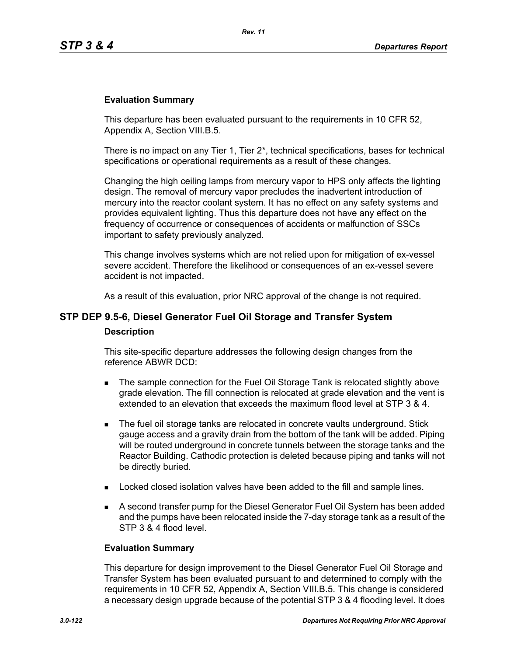## **Evaluation Summary**

This departure has been evaluated pursuant to the requirements in 10 CFR 52, Appendix A, Section VIII.B.5.

There is no impact on any Tier 1, Tier  $2^*$ , technical specifications, bases for technical specifications or operational requirements as a result of these changes.

Changing the high ceiling lamps from mercury vapor to HPS only affects the lighting design. The removal of mercury vapor precludes the inadvertent introduction of mercury into the reactor coolant system. It has no effect on any safety systems and provides equivalent lighting. Thus this departure does not have any effect on the frequency of occurrence or consequences of accidents or malfunction of SSCs important to safety previously analyzed.

This change involves systems which are not relied upon for mitigation of ex-vessel severe accident. Therefore the likelihood or consequences of an ex-vessel severe accident is not impacted.

As a result of this evaluation, prior NRC approval of the change is not required.

# **STP DEP 9.5-6, Diesel Generator Fuel Oil Storage and Transfer System Description**

This site-specific departure addresses the following design changes from the reference ABWR DCD:

- The sample connection for the Fuel Oil Storage Tank is relocated slightly above grade elevation. The fill connection is relocated at grade elevation and the vent is extended to an elevation that exceeds the maximum flood level at STP 3 & 4.
- **The fuel oil storage tanks are relocated in concrete vaults underground. Stick** gauge access and a gravity drain from the bottom of the tank will be added. Piping will be routed underground in concrete tunnels between the storage tanks and the Reactor Building. Cathodic protection is deleted because piping and tanks will not be directly buried.
- **Locked closed isolation valves have been added to the fill and sample lines.**
- A second transfer pump for the Diesel Generator Fuel Oil System has been added and the pumps have been relocated inside the 7-day storage tank as a result of the STP 3 & 4 flood level.

#### **Evaluation Summary**

This departure for design improvement to the Diesel Generator Fuel Oil Storage and Transfer System has been evaluated pursuant to and determined to comply with the requirements in 10 CFR 52, Appendix A, Section VIII.B.5. This change is considered a necessary design upgrade because of the potential STP 3 & 4 flooding level. It does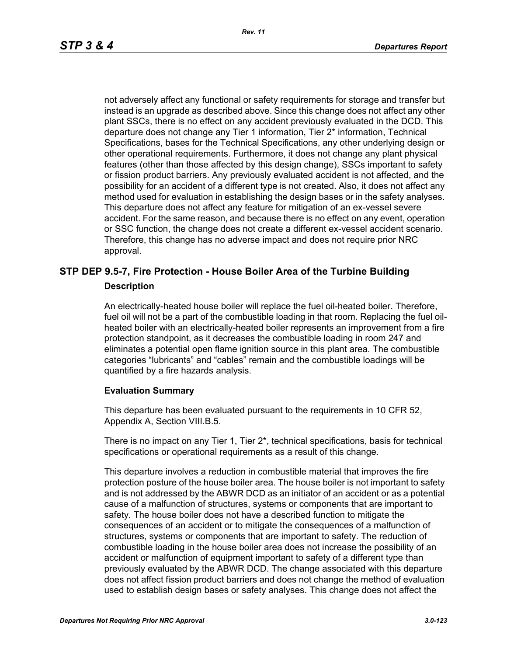not adversely affect any functional or safety requirements for storage and transfer but instead is an upgrade as described above. Since this change does not affect any other plant SSCs, there is no effect on any accident previously evaluated in the DCD. This departure does not change any Tier 1 information, Tier 2\* information, Technical Specifications, bases for the Technical Specifications, any other underlying design or other operational requirements. Furthermore, it does not change any plant physical features (other than those affected by this design change), SSCs important to safety or fission product barriers. Any previously evaluated accident is not affected, and the possibility for an accident of a different type is not created. Also, it does not affect any method used for evaluation in establishing the design bases or in the safety analyses. This departure does not affect any feature for mitigation of an ex-vessel severe accident. For the same reason, and because there is no effect on any event, operation or SSC function, the change does not create a different ex-vessel accident scenario. Therefore, this change has no adverse impact and does not require prior NRC approval.

## **STP DEP 9.5-7, Fire Protection - House Boiler Area of the Turbine Building Description**

An electrically-heated house boiler will replace the fuel oil-heated boiler. Therefore, fuel oil will not be a part of the combustible loading in that room. Replacing the fuel oilheated boiler with an electrically-heated boiler represents an improvement from a fire protection standpoint, as it decreases the combustible loading in room 247 and eliminates a potential open flame ignition source in this plant area. The combustible categories "lubricants" and "cables" remain and the combustible loadings will be quantified by a fire hazards analysis.

#### **Evaluation Summary**

This departure has been evaluated pursuant to the requirements in 10 CFR 52, Appendix A, Section VIII.B.5.

There is no impact on any Tier 1, Tier 2\*, technical specifications, basis for technical specifications or operational requirements as a result of this change.

This departure involves a reduction in combustible material that improves the fire protection posture of the house boiler area. The house boiler is not important to safety and is not addressed by the ABWR DCD as an initiator of an accident or as a potential cause of a malfunction of structures, systems or components that are important to safety. The house boiler does not have a described function to mitigate the consequences of an accident or to mitigate the consequences of a malfunction of structures, systems or components that are important to safety. The reduction of combustible loading in the house boiler area does not increase the possibility of an accident or malfunction of equipment important to safety of a different type than previously evaluated by the ABWR DCD. The change associated with this departure does not affect fission product barriers and does not change the method of evaluation used to establish design bases or safety analyses. This change does not affect the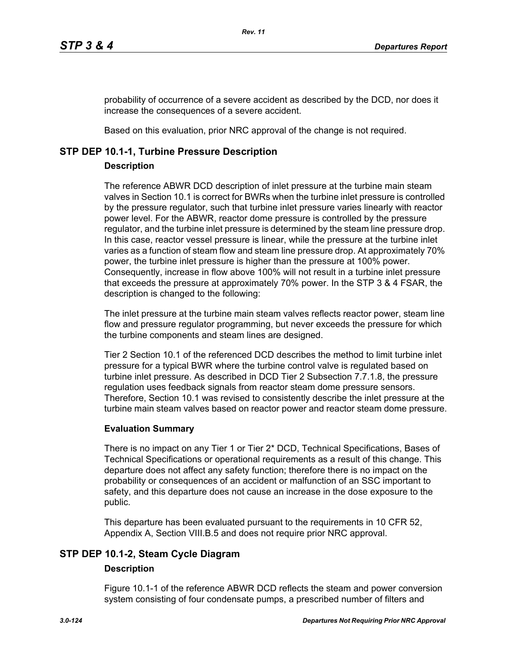probability of occurrence of a severe accident as described by the DCD, nor does it increase the consequences of a severe accident.

Based on this evaluation, prior NRC approval of the change is not required.

## **STP DEP 10.1-1, Turbine Pressure Description**

## **Description**

The reference ABWR DCD description of inlet pressure at the turbine main steam valves in Section 10.1 is correct for BWRs when the turbine inlet pressure is controlled by the pressure regulator, such that turbine inlet pressure varies linearly with reactor power level. For the ABWR, reactor dome pressure is controlled by the pressure regulator, and the turbine inlet pressure is determined by the steam line pressure drop. In this case, reactor vessel pressure is linear, while the pressure at the turbine inlet varies as a function of steam flow and steam line pressure drop. At approximately 70% power, the turbine inlet pressure is higher than the pressure at 100% power. Consequently, increase in flow above 100% will not result in a turbine inlet pressure that exceeds the pressure at approximately 70% power. In the STP 3 & 4 FSAR, the description is changed to the following:

The inlet pressure at the turbine main steam valves reflects reactor power, steam line flow and pressure regulator programming, but never exceeds the pressure for which the turbine components and steam lines are designed.

Tier 2 Section 10.1 of the referenced DCD describes the method to limit turbine inlet pressure for a typical BWR where the turbine control valve is regulated based on turbine inlet pressure. As described in DCD Tier 2 Subsection 7.7.1.8, the pressure regulation uses feedback signals from reactor steam dome pressure sensors. Therefore, Section 10.1 was revised to consistently describe the inlet pressure at the turbine main steam valves based on reactor power and reactor steam dome pressure.

## **Evaluation Summary**

There is no impact on any Tier 1 or Tier 2\* DCD, Technical Specifications, Bases of Technical Specifications or operational requirements as a result of this change. This departure does not affect any safety function; therefore there is no impact on the probability or consequences of an accident or malfunction of an SSC important to safety, and this departure does not cause an increase in the dose exposure to the public.

This departure has been evaluated pursuant to the requirements in 10 CFR 52, Appendix A, Section VIII.B.5 and does not require prior NRC approval.

# **STP DEP 10.1-2, Steam Cycle Diagram**

## **Description**

Figure 10.1-1 of the reference ABWR DCD reflects the steam and power conversion system consisting of four condensate pumps, a prescribed number of filters and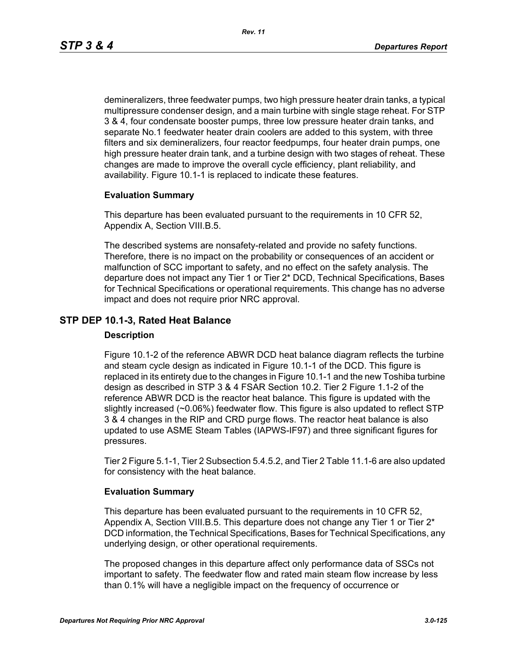demineralizers, three feedwater pumps, two high pressure heater drain tanks, a typical multipressure condenser design, and a main turbine with single stage reheat. For STP 3 & 4, four condensate booster pumps, three low pressure heater drain tanks, and separate No.1 feedwater heater drain coolers are added to this system, with three filters and six demineralizers, four reactor feedpumps, four heater drain pumps, one high pressure heater drain tank, and a turbine design with two stages of reheat. These changes are made to improve the overall cycle efficiency, plant reliability, and availability. Figure 10.1-1 is replaced to indicate these features.

#### **Evaluation Summary**

This departure has been evaluated pursuant to the requirements in 10 CFR 52, Appendix A, Section VIII.B.5.

The described systems are nonsafety-related and provide no safety functions. Therefore, there is no impact on the probability or consequences of an accident or malfunction of SCC important to safety, and no effect on the safety analysis. The departure does not impact any Tier 1 or Tier 2\* DCD, Technical Specifications, Bases for Technical Specifications or operational requirements. This change has no adverse impact and does not require prior NRC approval.

## **STP DEP 10.1-3, Rated Heat Balance**

#### **Description**

Figure 10.1-2 of the reference ABWR DCD heat balance diagram reflects the turbine and steam cycle design as indicated in Figure 10.1-1 of the DCD. This figure is replaced in its entirety due to the changes in Figure 10.1-1 and the new Toshiba turbine design as described in STP 3 & 4 FSAR Section 10.2. Tier 2 Figure 1.1-2 of the reference ABWR DCD is the reactor heat balance. This figure is updated with the slightly increased (~0.06%) feedwater flow. This figure is also updated to reflect STP 3 & 4 changes in the RIP and CRD purge flows. The reactor heat balance is also updated to use ASME Steam Tables (IAPWS-IF97) and three significant figures for pressures.

Tier 2 Figure 5.1-1, Tier 2 Subsection 5.4.5.2, and Tier 2 Table 11.1-6 are also updated for consistency with the heat balance.

#### **Evaluation Summary**

This departure has been evaluated pursuant to the requirements in 10 CFR 52, Appendix A, Section VIII.B.5. This departure does not change any Tier 1 or Tier  $2^*$ DCD information, the Technical Specifications, Bases for Technical Specifications, any underlying design, or other operational requirements.

The proposed changes in this departure affect only performance data of SSCs not important to safety. The feedwater flow and rated main steam flow increase by less than 0.1% will have a negligible impact on the frequency of occurrence or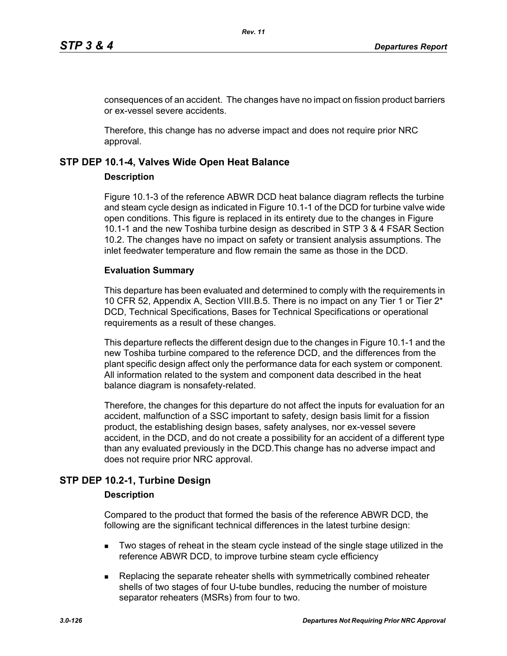consequences of an accident. The changes have no impact on fission product barriers or ex-vessel severe accidents.

Therefore, this change has no adverse impact and does not require prior NRC approval.

## **STP DEP 10.1-4, Valves Wide Open Heat Balance**

## **Description**

Figure 10.1-3 of the reference ABWR DCD heat balance diagram reflects the turbine and steam cycle design as indicated in Figure 10.1-1 of the DCD for turbine valve wide open conditions. This figure is replaced in its entirety due to the changes in Figure 10.1-1 and the new Toshiba turbine design as described in STP 3 & 4 FSAR Section 10.2. The changes have no impact on safety or transient analysis assumptions. The inlet feedwater temperature and flow remain the same as those in the DCD.

## **Evaluation Summary**

This departure has been evaluated and determined to comply with the requirements in 10 CFR 52, Appendix A, Section VIII.B.5. There is no impact on any Tier 1 or Tier 2\* DCD, Technical Specifications, Bases for Technical Specifications or operational requirements as a result of these changes.

This departure reflects the different design due to the changes in Figure 10.1-1 and the new Toshiba turbine compared to the reference DCD, and the differences from the plant specific design affect only the performance data for each system or component. All information related to the system and component data described in the heat balance diagram is nonsafety-related.

Therefore, the changes for this departure do not affect the inputs for evaluation for an accident, malfunction of a SSC important to safety, design basis limit for a fission product, the establishing design bases, safety analyses, nor ex-vessel severe accident, in the DCD, and do not create a possibility for an accident of a different type than any evaluated previously in the DCD.This change has no adverse impact and does not require prior NRC approval.

# **STP DEP 10.2-1, Turbine Design**

## **Description**

Compared to the product that formed the basis of the reference ABWR DCD, the following are the significant technical differences in the latest turbine design:

- **Two stages of reheat in the steam cycle instead of the single stage utilized in the** reference ABWR DCD, to improve turbine steam cycle efficiency
- **Replacing the separate reheater shells with symmetrically combined reheater** shells of two stages of four U-tube bundles, reducing the number of moisture separator reheaters (MSRs) from four to two.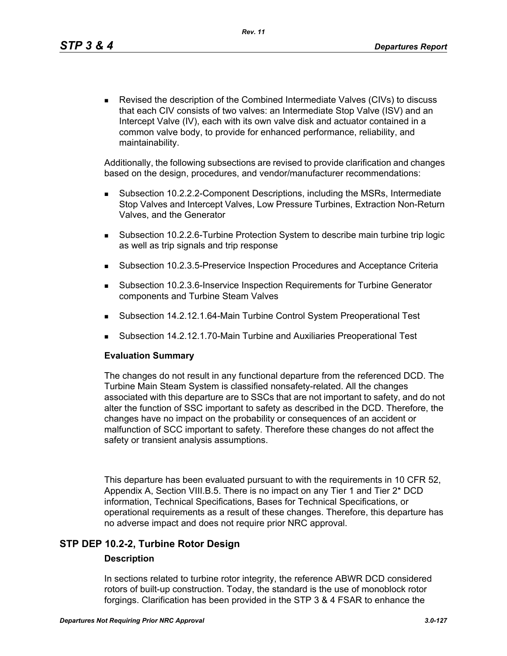Revised the description of the Combined Intermediate Valves (CIVs) to discuss that each CIV consists of two valves: an Intermediate Stop Valve (ISV) and an Intercept Valve (IV), each with its own valve disk and actuator contained in a common valve body, to provide for enhanced performance, reliability, and maintainability.

Additionally, the following subsections are revised to provide clarification and changes based on the design, procedures, and vendor/manufacturer recommendations:

- Subsection 10.2.2.2-Component Descriptions, including the MSRs, Intermediate Stop Valves and Intercept Valves, Low Pressure Turbines, Extraction Non-Return Valves, and the Generator
- Subsection 10.2.2.6-Turbine Protection System to describe main turbine trip logic as well as trip signals and trip response
- Subsection 10.2.3.5-Preservice Inspection Procedures and Acceptance Criteria
- Subsection 10.2.3.6-Inservice Inspection Requirements for Turbine Generator components and Turbine Steam Valves
- Subsection 14.2.12.1.64-Main Turbine Control System Preoperational Test
- Subsection 14.2.12.1.70-Main Turbine and Auxiliaries Preoperational Test

#### **Evaluation Summary**

The changes do not result in any functional departure from the referenced DCD. The Turbine Main Steam System is classified nonsafety-related. All the changes associated with this departure are to SSCs that are not important to safety, and do not alter the function of SSC important to safety as described in the DCD. Therefore, the changes have no impact on the probability or consequences of an accident or malfunction of SCC important to safety. Therefore these changes do not affect the safety or transient analysis assumptions.

This departure has been evaluated pursuant to with the requirements in 10 CFR 52, Appendix A, Section VIII.B.5. There is no impact on any Tier 1 and Tier 2\* DCD information, Technical Specifications, Bases for Technical Specifications, or operational requirements as a result of these changes. Therefore, this departure has no adverse impact and does not require prior NRC approval.

## **STP DEP 10.2-2, Turbine Rotor Design**

#### **Description**

In sections related to turbine rotor integrity, the reference ABWR DCD considered rotors of built-up construction. Today, the standard is the use of monoblock rotor forgings. Clarification has been provided in the STP 3 & 4 FSAR to enhance the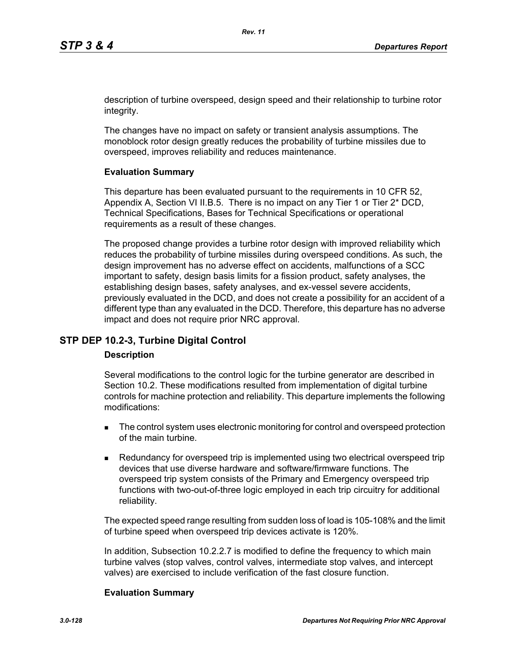description of turbine overspeed, design speed and their relationship to turbine rotor integrity.

The changes have no impact on safety or transient analysis assumptions. The monoblock rotor design greatly reduces the probability of turbine missiles due to overspeed, improves reliability and reduces maintenance.

## **Evaluation Summary**

This departure has been evaluated pursuant to the requirements in 10 CFR 52, Appendix A, Section VI II.B.5. There is no impact on any Tier 1 or Tier 2\* DCD, Technical Specifications, Bases for Technical Specifications or operational requirements as a result of these changes.

The proposed change provides a turbine rotor design with improved reliability which reduces the probability of turbine missiles during overspeed conditions. As such, the design improvement has no adverse effect on accidents, malfunctions of a SCC important to safety, design basis limits for a fission product, safety analyses, the establishing design bases, safety analyses, and ex-vessel severe accidents, previously evaluated in the DCD, and does not create a possibility for an accident of a different type than any evaluated in the DCD. Therefore, this departure has no adverse impact and does not require prior NRC approval.

## **STP DEP 10.2-3, Turbine Digital Control**

#### **Description**

Several modifications to the control logic for the turbine generator are described in Section 10.2. These modifications resulted from implementation of digital turbine controls for machine protection and reliability. This departure implements the following modifications:

- The control system uses electronic monitoring for control and overspeed protection of the main turbine.
- **Redundancy for overspeed trip is implemented using two electrical overspeed trip** devices that use diverse hardware and software/firmware functions. The overspeed trip system consists of the Primary and Emergency overspeed trip functions with two-out-of-three logic employed in each trip circuitry for additional reliability.

The expected speed range resulting from sudden loss of load is 105-108% and the limit of turbine speed when overspeed trip devices activate is 120%.

In addition, Subsection 10.2.2.7 is modified to define the frequency to which main turbine valves (stop valves, control valves, intermediate stop valves, and intercept valves) are exercised to include verification of the fast closure function.

#### **Evaluation Summary**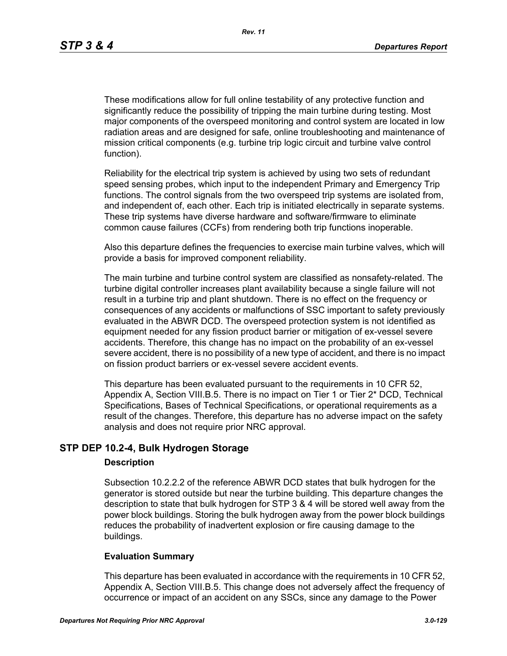These modifications allow for full online testability of any protective function and significantly reduce the possibility of tripping the main turbine during testing. Most major components of the overspeed monitoring and control system are located in low radiation areas and are designed for safe, online troubleshooting and maintenance of mission critical components (e.g. turbine trip logic circuit and turbine valve control function).

Reliability for the electrical trip system is achieved by using two sets of redundant speed sensing probes, which input to the independent Primary and Emergency Trip functions. The control signals from the two overspeed trip systems are isolated from, and independent of, each other. Each trip is initiated electrically in separate systems. These trip systems have diverse hardware and software/firmware to eliminate common cause failures (CCFs) from rendering both trip functions inoperable.

Also this departure defines the frequencies to exercise main turbine valves, which will provide a basis for improved component reliability.

The main turbine and turbine control system are classified as nonsafety-related. The turbine digital controller increases plant availability because a single failure will not result in a turbine trip and plant shutdown. There is no effect on the frequency or consequences of any accidents or malfunctions of SSC important to safety previously evaluated in the ABWR DCD. The overspeed protection system is not identified as equipment needed for any fission product barrier or mitigation of ex-vessel severe accidents. Therefore, this change has no impact on the probability of an ex-vessel severe accident, there is no possibility of a new type of accident, and there is no impact on fission product barriers or ex-vessel severe accident events.

This departure has been evaluated pursuant to the requirements in 10 CFR 52, Appendix A, Section VIII.B.5. There is no impact on Tier 1 or Tier 2\* DCD, Technical Specifications, Bases of Technical Specifications, or operational requirements as a result of the changes. Therefore, this departure has no adverse impact on the safety analysis and does not require prior NRC approval.

## **STP DEP 10.2-4, Bulk Hydrogen Storage**

#### **Description**

Subsection 10.2.2.2 of the reference ABWR DCD states that bulk hydrogen for the generator is stored outside but near the turbine building. This departure changes the description to state that bulk hydrogen for STP 3 & 4 will be stored well away from the power block buildings. Storing the bulk hydrogen away from the power block buildings reduces the probability of inadvertent explosion or fire causing damage to the buildings.

#### **Evaluation Summary**

This departure has been evaluated in accordance with the requirements in 10 CFR 52, Appendix A, Section VIII.B.5. This change does not adversely affect the frequency of occurrence or impact of an accident on any SSCs, since any damage to the Power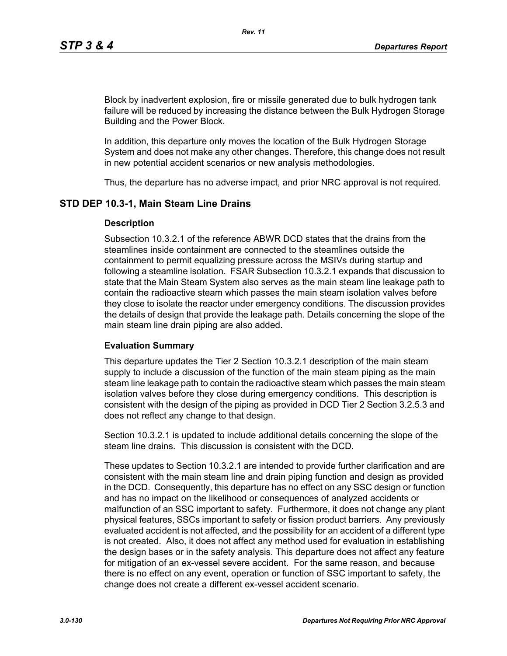Block by inadvertent explosion, fire or missile generated due to bulk hydrogen tank failure will be reduced by increasing the distance between the Bulk Hydrogen Storage Building and the Power Block.

In addition, this departure only moves the location of the Bulk Hydrogen Storage System and does not make any other changes. Therefore, this change does not result in new potential accident scenarios or new analysis methodologies.

Thus, the departure has no adverse impact, and prior NRC approval is not required.

## **STD DEP 10.3-1, Main Steam Line Drains**

#### **Description**

Subsection 10.3.2.1 of the reference ABWR DCD states that the drains from the steamlines inside containment are connected to the steamlines outside the containment to permit equalizing pressure across the MSIVs during startup and following a steamline isolation. FSAR Subsection 10.3.2.1 expands that discussion to state that the Main Steam System also serves as the main steam line leakage path to contain the radioactive steam which passes the main steam isolation valves before they close to isolate the reactor under emergency conditions. The discussion provides the details of design that provide the leakage path. Details concerning the slope of the main steam line drain piping are also added.

#### **Evaluation Summary**

This departure updates the Tier 2 Section 10.3.2.1 description of the main steam supply to include a discussion of the function of the main steam piping as the main steam line leakage path to contain the radioactive steam which passes the main steam isolation valves before they close during emergency conditions. This description is consistent with the design of the piping as provided in DCD Tier 2 Section 3.2.5.3 and does not reflect any change to that design.

Section 10.3.2.1 is updated to include additional details concerning the slope of the steam line drains. This discussion is consistent with the DCD.

These updates to Section 10.3.2.1 are intended to provide further clarification and are consistent with the main steam line and drain piping function and design as provided in the DCD. Consequently, this departure has no effect on any SSC design or function and has no impact on the likelihood or consequences of analyzed accidents or malfunction of an SSC important to safety. Furthermore, it does not change any plant physical features, SSCs important to safety or fission product barriers. Any previously evaluated accident is not affected, and the possibility for an accident of a different type is not created. Also, it does not affect any method used for evaluation in establishing the design bases or in the safety analysis. This departure does not affect any feature for mitigation of an ex-vessel severe accident. For the same reason, and because there is no effect on any event, operation or function of SSC important to safety, the change does not create a different ex-vessel accident scenario.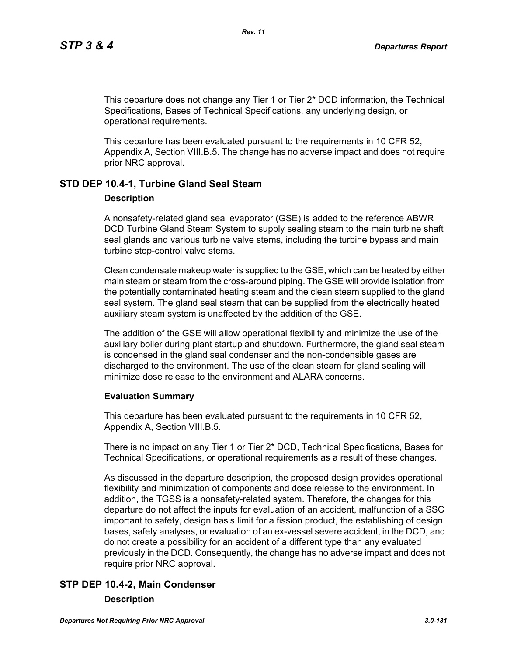This departure does not change any Tier 1 or Tier 2\* DCD information, the Technical Specifications, Bases of Technical Specifications, any underlying design, or operational requirements.

This departure has been evaluated pursuant to the requirements in 10 CFR 52, Appendix A, Section VIII.B.5. The change has no adverse impact and does not require prior NRC approval.

# **STD DEP 10.4-1, Turbine Gland Seal Steam**

## **Description**

A nonsafety-related gland seal evaporator (GSE) is added to the reference ABWR DCD Turbine Gland Steam System to supply sealing steam to the main turbine shaft seal glands and various turbine valve stems, including the turbine bypass and main turbine stop-control valve stems.

Clean condensate makeup water is supplied to the GSE, which can be heated by either main steam or steam from the cross-around piping. The GSE will provide isolation from the potentially contaminated heating steam and the clean steam supplied to the gland seal system. The gland seal steam that can be supplied from the electrically heated auxiliary steam system is unaffected by the addition of the GSE.

The addition of the GSE will allow operational flexibility and minimize the use of the auxiliary boiler during plant startup and shutdown. Furthermore, the gland seal steam is condensed in the gland seal condenser and the non-condensible gases are discharged to the environment. The use of the clean steam for gland sealing will minimize dose release to the environment and ALARA concerns.

## **Evaluation Summary**

This departure has been evaluated pursuant to the requirements in 10 CFR 52, Appendix A, Section VIII.B.5.

There is no impact on any Tier 1 or Tier 2\* DCD, Technical Specifications, Bases for Technical Specifications, or operational requirements as a result of these changes.

As discussed in the departure description, the proposed design provides operational flexibility and minimization of components and dose release to the environment. In addition, the TGSS is a nonsafety-related system. Therefore, the changes for this departure do not affect the inputs for evaluation of an accident, malfunction of a SSC important to safety, design basis limit for a fission product, the establishing of design bases, safety analyses, or evaluation of an ex-vessel severe accident, in the DCD, and do not create a possibility for an accident of a different type than any evaluated previously in the DCD. Consequently, the change has no adverse impact and does not require prior NRC approval.

# **STP DEP 10.4-2, Main Condenser**

## **Description**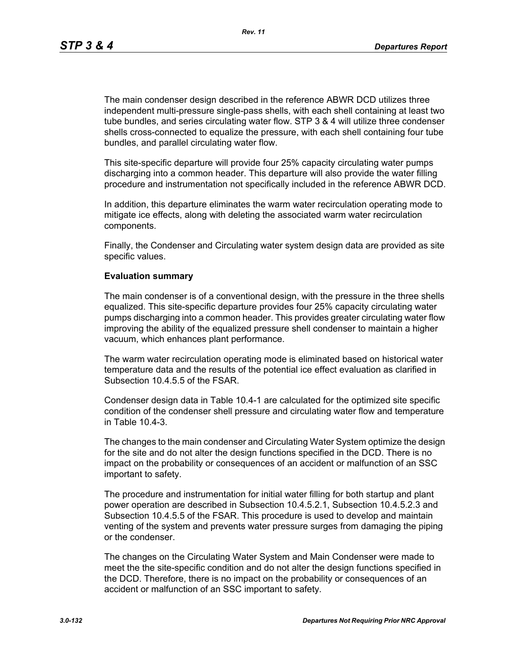*Rev. 11*

The main condenser design described in the reference ABWR DCD utilizes three independent multi-pressure single-pass shells, with each shell containing at least two tube bundles, and series circulating water flow. STP 3 & 4 will utilize three condenser shells cross-connected to equalize the pressure, with each shell containing four tube bundles, and parallel circulating water flow.

This site-specific departure will provide four 25% capacity circulating water pumps discharging into a common header. This departure will also provide the water filling procedure and instrumentation not specifically included in the reference ABWR DCD.

In addition, this departure eliminates the warm water recirculation operating mode to mitigate ice effects, along with deleting the associated warm water recirculation components.

Finally, the Condenser and Circulating water system design data are provided as site specific values.

#### **Evaluation summary**

The main condenser is of a conventional design, with the pressure in the three shells equalized. This site-specific departure provides four 25% capacity circulating water pumps discharging into a common header. This provides greater circulating water flow improving the ability of the equalized pressure shell condenser to maintain a higher vacuum, which enhances plant performance.

The warm water recirculation operating mode is eliminated based on historical water temperature data and the results of the potential ice effect evaluation as clarified in Subsection 10.4.5.5 of the FSAR.

Condenser design data in Table 10.4-1 are calculated for the optimized site specific condition of the condenser shell pressure and circulating water flow and temperature in Table 10.4-3.

The changes to the main condenser and Circulating Water System optimize the design for the site and do not alter the design functions specified in the DCD. There is no impact on the probability or consequences of an accident or malfunction of an SSC important to safety.

The procedure and instrumentation for initial water filling for both startup and plant power operation are described in Subsection 10.4.5.2.1, Subsection 10.4.5.2.3 and Subsection 10.4.5.5 of the FSAR. This procedure is used to develop and maintain venting of the system and prevents water pressure surges from damaging the piping or the condenser.

The changes on the Circulating Water System and Main Condenser were made to meet the the site-specific condition and do not alter the design functions specified in the DCD. Therefore, there is no impact on the probability or consequences of an accident or malfunction of an SSC important to safety.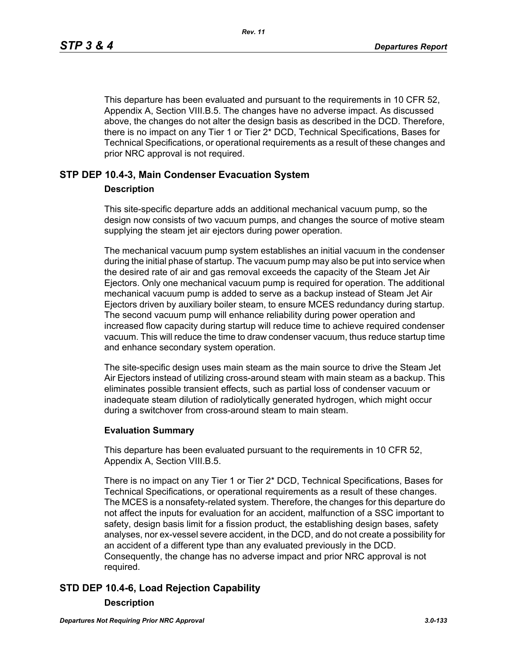This departure has been evaluated and pursuant to the requirements in 10 CFR 52, Appendix A, Section VIII.B.5. The changes have no adverse impact. As discussed above, the changes do not alter the design basis as described in the DCD. Therefore, there is no impact on any Tier 1 or Tier 2\* DCD, Technical Specifications, Bases for Technical Specifications, or operational requirements as a result of these changes and prior NRC approval is not required.

## **STP DEP 10.4-3, Main Condenser Evacuation System**

#### **Description**

This site-specific departure adds an additional mechanical vacuum pump, so the design now consists of two vacuum pumps, and changes the source of motive steam supplying the steam jet air ejectors during power operation.

The mechanical vacuum pump system establishes an initial vacuum in the condenser during the initial phase of startup. The vacuum pump may also be put into service when the desired rate of air and gas removal exceeds the capacity of the Steam Jet Air Ejectors. Only one mechanical vacuum pump is required for operation. The additional mechanical vacuum pump is added to serve as a backup instead of Steam Jet Air Ejectors driven by auxiliary boiler steam, to ensure MCES redundancy during startup. The second vacuum pump will enhance reliability during power operation and increased flow capacity during startup will reduce time to achieve required condenser vacuum. This will reduce the time to draw condenser vacuum, thus reduce startup time and enhance secondary system operation.

The site-specific design uses main steam as the main source to drive the Steam Jet Air Ejectors instead of utilizing cross-around steam with main steam as a backup. This eliminates possible transient effects, such as partial loss of condenser vacuum or inadequate steam dilution of radiolytically generated hydrogen, which might occur during a switchover from cross-around steam to main steam.

#### **Evaluation Summary**

This departure has been evaluated pursuant to the requirements in 10 CFR 52, Appendix A, Section VIII.B.5.

There is no impact on any Tier 1 or Tier 2\* DCD, Technical Specifications, Bases for Technical Specifications, or operational requirements as a result of these changes. The MCES is a nonsafety-related system. Therefore, the changes for this departure do not affect the inputs for evaluation for an accident, malfunction of a SSC important to safety, design basis limit for a fission product, the establishing design bases, safety analyses, nor ex-vessel severe accident, in the DCD, and do not create a possibility for an accident of a different type than any evaluated previously in the DCD. Consequently, the change has no adverse impact and prior NRC approval is not required.

# **STD DEP 10.4-6, Load Rejection Capability**

#### **Description**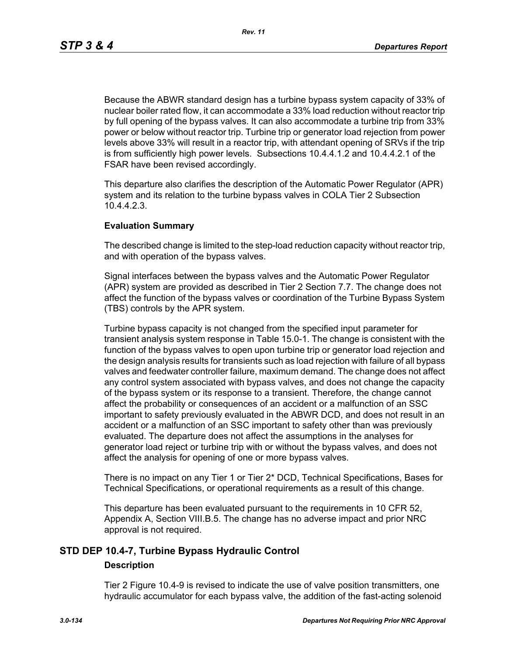Because the ABWR standard design has a turbine bypass system capacity of 33% of nuclear boiler rated flow, it can accommodate a 33% load reduction without reactor trip by full opening of the bypass valves. It can also accommodate a turbine trip from 33% power or below without reactor trip. Turbine trip or generator load rejection from power levels above 33% will result in a reactor trip, with attendant opening of SRVs if the trip is from sufficiently high power levels. Subsections 10.4.4.1.2 and 10.4.4.2.1 of the FSAR have been revised accordingly.

This departure also clarifies the description of the Automatic Power Regulator (APR) system and its relation to the turbine bypass valves in COLA Tier 2 Subsection 10.4.4.2.3.

#### **Evaluation Summary**

The described change is limited to the step-load reduction capacity without reactor trip, and with operation of the bypass valves.

Signal interfaces between the bypass valves and the Automatic Power Regulator (APR) system are provided as described in Tier 2 Section 7.7. The change does not affect the function of the bypass valves or coordination of the Turbine Bypass System (TBS) controls by the APR system.

Turbine bypass capacity is not changed from the specified input parameter for transient analysis system response in Table 15.0-1. The change is consistent with the function of the bypass valves to open upon turbine trip or generator load rejection and the design analysis results for transients such as load rejection with failure of all bypass valves and feedwater controller failure, maximum demand. The change does not affect any control system associated with bypass valves, and does not change the capacity of the bypass system or its response to a transient. Therefore, the change cannot affect the probability or consequences of an accident or a malfunction of an SSC important to safety previously evaluated in the ABWR DCD, and does not result in an accident or a malfunction of an SSC important to safety other than was previously evaluated. The departure does not affect the assumptions in the analyses for generator load reject or turbine trip with or without the bypass valves, and does not affect the analysis for opening of one or more bypass valves.

There is no impact on any Tier 1 or Tier 2\* DCD, Technical Specifications, Bases for Technical Specifications, or operational requirements as a result of this change.

This departure has been evaluated pursuant to the requirements in 10 CFR 52, Appendix A, Section VIII.B.5. The change has no adverse impact and prior NRC approval is not required.

# **STD DEP 10.4-7, Turbine Bypass Hydraulic Control**

#### **Description**

Tier 2 Figure 10.4-9 is revised to indicate the use of valve position transmitters, one hydraulic accumulator for each bypass valve, the addition of the fast-acting solenoid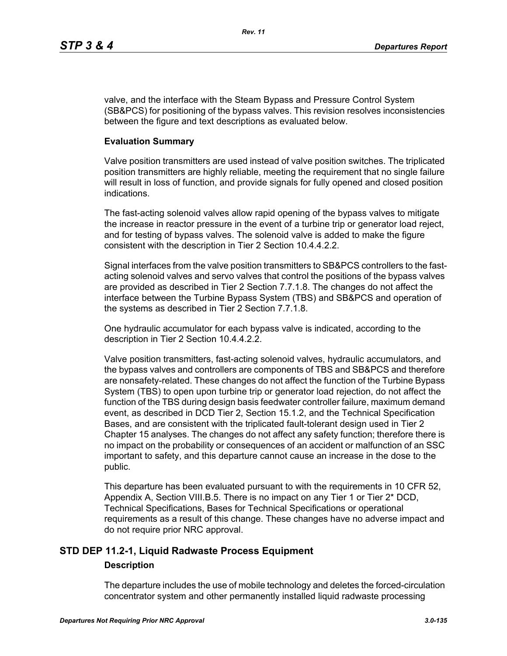valve, and the interface with the Steam Bypass and Pressure Control System (SB&PCS) for positioning of the bypass valves. This revision resolves inconsistencies between the figure and text descriptions as evaluated below.

## **Evaluation Summary**

Valve position transmitters are used instead of valve position switches. The triplicated position transmitters are highly reliable, meeting the requirement that no single failure will result in loss of function, and provide signals for fully opened and closed position indications.

The fast-acting solenoid valves allow rapid opening of the bypass valves to mitigate the increase in reactor pressure in the event of a turbine trip or generator load reject, and for testing of bypass valves. The solenoid valve is added to make the figure consistent with the description in Tier 2 Section 10.4.4.2.2.

Signal interfaces from the valve position transmitters to SB&PCS controllers to the fastacting solenoid valves and servo valves that control the positions of the bypass valves are provided as described in Tier 2 Section 7.7.1.8. The changes do not affect the interface between the Turbine Bypass System (TBS) and SB&PCS and operation of the systems as described in Tier 2 Section 7.7.1.8.

One hydraulic accumulator for each bypass valve is indicated, according to the description in Tier 2 Section 10.4.4.2.2.

Valve position transmitters, fast-acting solenoid valves, hydraulic accumulators, and the bypass valves and controllers are components of TBS and SB&PCS and therefore are nonsafety-related. These changes do not affect the function of the Turbine Bypass System (TBS) to open upon turbine trip or generator load rejection, do not affect the function of the TBS during design basis feedwater controller failure, maximum demand event, as described in DCD Tier 2, Section 15.1.2, and the Technical Specification Bases, and are consistent with the triplicated fault-tolerant design used in Tier 2 Chapter 15 analyses. The changes do not affect any safety function; therefore there is no impact on the probability or consequences of an accident or malfunction of an SSC important to safety, and this departure cannot cause an increase in the dose to the public.

This departure has been evaluated pursuant to with the requirements in 10 CFR 52, Appendix A, Section VIII.B.5. There is no impact on any Tier 1 or Tier 2\* DCD, Technical Specifications, Bases for Technical Specifications or operational requirements as a result of this change. These changes have no adverse impact and do not require prior NRC approval.

# **STD DEP 11.2-1, Liquid Radwaste Process Equipment**

## **Description**

The departure includes the use of mobile technology and deletes the forced-circulation concentrator system and other permanently installed liquid radwaste processing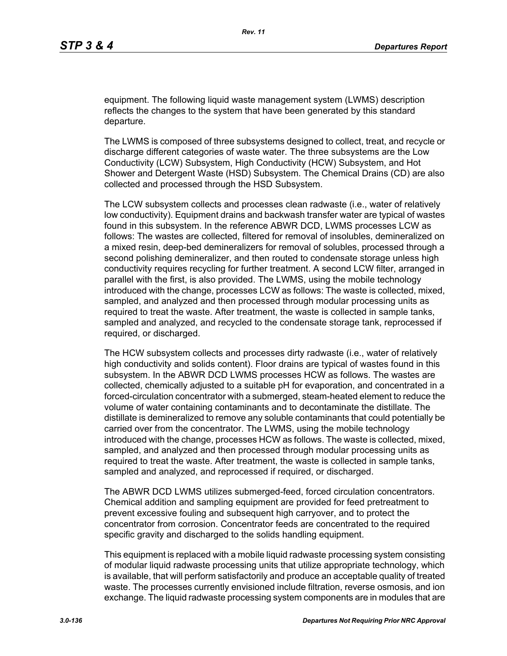equipment. The following liquid waste management system (LWMS) description reflects the changes to the system that have been generated by this standard departure.

The LWMS is composed of three subsystems designed to collect, treat, and recycle or discharge different categories of waste water. The three subsystems are the Low Conductivity (LCW) Subsystem, High Conductivity (HCW) Subsystem, and Hot Shower and Detergent Waste (HSD) Subsystem. The Chemical Drains (CD) are also collected and processed through the HSD Subsystem.

The LCW subsystem collects and processes clean radwaste (i.e., water of relatively low conductivity). Equipment drains and backwash transfer water are typical of wastes found in this subsystem. In the reference ABWR DCD, LWMS processes LCW as follows: The wastes are collected, filtered for removal of insolubles, demineralized on a mixed resin, deep-bed demineralizers for removal of solubles, processed through a second polishing demineralizer, and then routed to condensate storage unless high conductivity requires recycling for further treatment. A second LCW filter, arranged in parallel with the first, is also provided. The LWMS, using the mobile technology introduced with the change, processes LCW as follows: The waste is collected, mixed, sampled, and analyzed and then processed through modular processing units as required to treat the waste. After treatment, the waste is collected in sample tanks, sampled and analyzed, and recycled to the condensate storage tank, reprocessed if required, or discharged.

The HCW subsystem collects and processes dirty radwaste (i.e., water of relatively high conductivity and solids content). Floor drains are typical of wastes found in this subsystem. In the ABWR DCD LWMS processes HCW as follows. The wastes are collected, chemically adjusted to a suitable pH for evaporation, and concentrated in a forced-circulation concentrator with a submerged, steam-heated element to reduce the volume of water containing contaminants and to decontaminate the distillate. The distillate is demineralized to remove any soluble contaminants that could potentially be carried over from the concentrator. The LWMS, using the mobile technology introduced with the change, processes HCW as follows. The waste is collected, mixed, sampled, and analyzed and then processed through modular processing units as required to treat the waste. After treatment, the waste is collected in sample tanks, sampled and analyzed, and reprocessed if required, or discharged.

The ABWR DCD LWMS utilizes submerged-feed, forced circulation concentrators. Chemical addition and sampling equipment are provided for feed pretreatment to prevent excessive fouling and subsequent high carryover, and to protect the concentrator from corrosion. Concentrator feeds are concentrated to the required specific gravity and discharged to the solids handling equipment.

This equipment is replaced with a mobile liquid radwaste processing system consisting of modular liquid radwaste processing units that utilize appropriate technology, which is available, that will perform satisfactorily and produce an acceptable quality of treated waste. The processes currently envisioned include filtration, reverse osmosis, and ion exchange. The liquid radwaste processing system components are in modules that are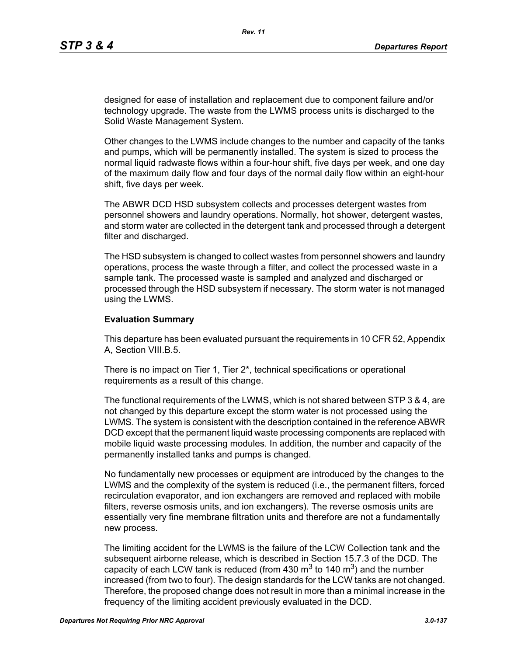designed for ease of installation and replacement due to component failure and/or technology upgrade. The waste from the LWMS process units is discharged to the Solid Waste Management System.

Other changes to the LWMS include changes to the number and capacity of the tanks and pumps, which will be permanently installed. The system is sized to process the normal liquid radwaste flows within a four-hour shift, five days per week, and one day of the maximum daily flow and four days of the normal daily flow within an eight-hour shift, five days per week.

The ABWR DCD HSD subsystem collects and processes detergent wastes from personnel showers and laundry operations. Normally, hot shower, detergent wastes, and storm water are collected in the detergent tank and processed through a detergent filter and discharged.

The HSD subsystem is changed to collect wastes from personnel showers and laundry operations, process the waste through a filter, and collect the processed waste in a sample tank. The processed waste is sampled and analyzed and discharged or processed through the HSD subsystem if necessary. The storm water is not managed using the LWMS.

#### **Evaluation Summary**

This departure has been evaluated pursuant the requirements in 10 CFR 52, Appendix A, Section VIII.B.5.

There is no impact on Tier 1, Tier 2\*, technical specifications or operational requirements as a result of this change.

The functional requirements of the LWMS, which is not shared between STP 3 & 4, are not changed by this departure except the storm water is not processed using the LWMS. The system is consistent with the description contained in the reference ABWR DCD except that the permanent liquid waste processing components are replaced with mobile liquid waste processing modules. In addition, the number and capacity of the permanently installed tanks and pumps is changed.

No fundamentally new processes or equipment are introduced by the changes to the LWMS and the complexity of the system is reduced (i.e., the permanent filters, forced recirculation evaporator, and ion exchangers are removed and replaced with mobile filters, reverse osmosis units, and ion exchangers). The reverse osmosis units are essentially very fine membrane filtration units and therefore are not a fundamentally new process.

The limiting accident for the LWMS is the failure of the LCW Collection tank and the subsequent airborne release, which is described in Section 15.7.3 of the DCD. The capacity of each LCW tank is reduced (from 430  $\text{m}^3$  to 140  $\text{m}^3$ ) and the number increased (from two to four). The design standards for the LCW tanks are not changed. Therefore, the proposed change does not result in more than a minimal increase in the frequency of the limiting accident previously evaluated in the DCD.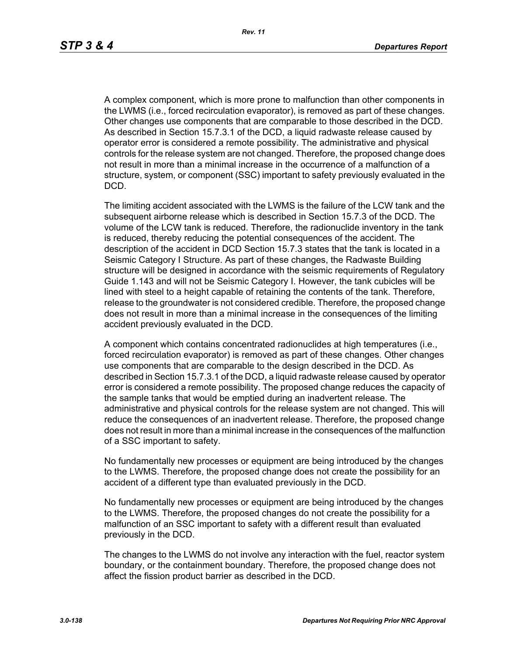A complex component, which is more prone to malfunction than other components in the LWMS (i.e., forced recirculation evaporator), is removed as part of these changes. Other changes use components that are comparable to those described in the DCD. As described in Section 15.7.3.1 of the DCD, a liquid radwaste release caused by operator error is considered a remote possibility. The administrative and physical controls for the release system are not changed. Therefore, the proposed change does not result in more than a minimal increase in the occurrence of a malfunction of a structure, system, or component (SSC) important to safety previously evaluated in the DCD.

The limiting accident associated with the LWMS is the failure of the LCW tank and the subsequent airborne release which is described in Section 15.7.3 of the DCD. The volume of the LCW tank is reduced. Therefore, the radionuclide inventory in the tank is reduced, thereby reducing the potential consequences of the accident. The description of the accident in DCD Section 15.7.3 states that the tank is located in a Seismic Category I Structure. As part of these changes, the Radwaste Building structure will be designed in accordance with the seismic requirements of Regulatory Guide 1.143 and will not be Seismic Category I. However, the tank cubicles will be lined with steel to a height capable of retaining the contents of the tank. Therefore, release to the groundwater is not considered credible. Therefore, the proposed change does not result in more than a minimal increase in the consequences of the limiting accident previously evaluated in the DCD.

A component which contains concentrated radionuclides at high temperatures (i.e., forced recirculation evaporator) is removed as part of these changes. Other changes use components that are comparable to the design described in the DCD. As described in Section 15.7.3.1 of the DCD, a liquid radwaste release caused by operator error is considered a remote possibility. The proposed change reduces the capacity of the sample tanks that would be emptied during an inadvertent release. The administrative and physical controls for the release system are not changed. This will reduce the consequences of an inadvertent release. Therefore, the proposed change does not result in more than a minimal increase in the consequences of the malfunction of a SSC important to safety.

No fundamentally new processes or equipment are being introduced by the changes to the LWMS. Therefore, the proposed change does not create the possibility for an accident of a different type than evaluated previously in the DCD.

No fundamentally new processes or equipment are being introduced by the changes to the LWMS. Therefore, the proposed changes do not create the possibility for a malfunction of an SSC important to safety with a different result than evaluated previously in the DCD.

The changes to the LWMS do not involve any interaction with the fuel, reactor system boundary, or the containment boundary. Therefore, the proposed change does not affect the fission product barrier as described in the DCD.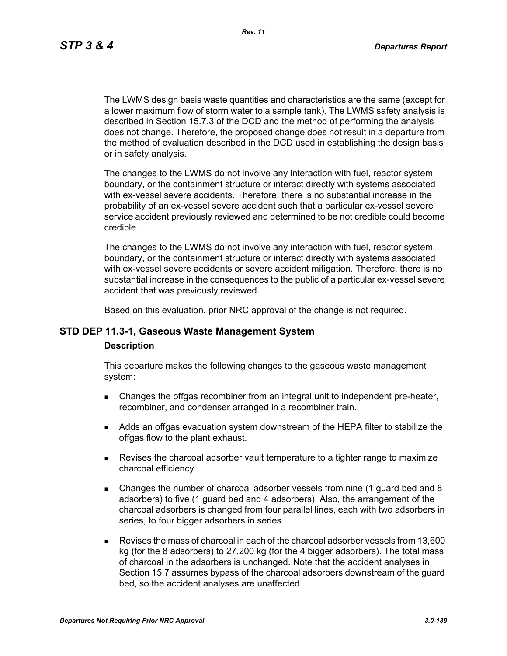The LWMS design basis waste quantities and characteristics are the same (except for a lower maximum flow of storm water to a sample tank). The LWMS safety analysis is described in Section 15.7.3 of the DCD and the method of performing the analysis does not change. Therefore, the proposed change does not result in a departure from the method of evaluation described in the DCD used in establishing the design basis or in safety analysis.

The changes to the LWMS do not involve any interaction with fuel, reactor system boundary, or the containment structure or interact directly with systems associated with ex-vessel severe accidents. Therefore, there is no substantial increase in the probability of an ex-vessel severe accident such that a particular ex-vessel severe service accident previously reviewed and determined to be not credible could become credible.

The changes to the LWMS do not involve any interaction with fuel, reactor system boundary, or the containment structure or interact directly with systems associated with ex-vessel severe accidents or severe accident mitigation. Therefore, there is no substantial increase in the consequences to the public of a particular ex-vessel severe accident that was previously reviewed.

Based on this evaluation, prior NRC approval of the change is not required.

## **STD DEP 11.3-1, Gaseous Waste Management System**

#### **Description**

This departure makes the following changes to the gaseous waste management system:

- **EXECH** Changes the offgas recombiner from an integral unit to independent pre-heater, recombiner, and condenser arranged in a recombiner train.
- Adds an offgas evacuation system downstream of the HEPA filter to stabilize the offgas flow to the plant exhaust.
- Revises the charcoal adsorber vault temperature to a tighter range to maximize charcoal efficiency.
- Changes the number of charcoal adsorber vessels from nine (1 guard bed and 8 adsorbers) to five (1 guard bed and 4 adsorbers). Also, the arrangement of the charcoal adsorbers is changed from four parallel lines, each with two adsorbers in series, to four bigger adsorbers in series.
- Revises the mass of charcoal in each of the charcoal adsorber vessels from 13,600 kg (for the 8 adsorbers) to 27,200 kg (for the 4 bigger adsorbers). The total mass of charcoal in the adsorbers is unchanged. Note that the accident analyses in Section 15.7 assumes bypass of the charcoal adsorbers downstream of the guard bed, so the accident analyses are unaffected.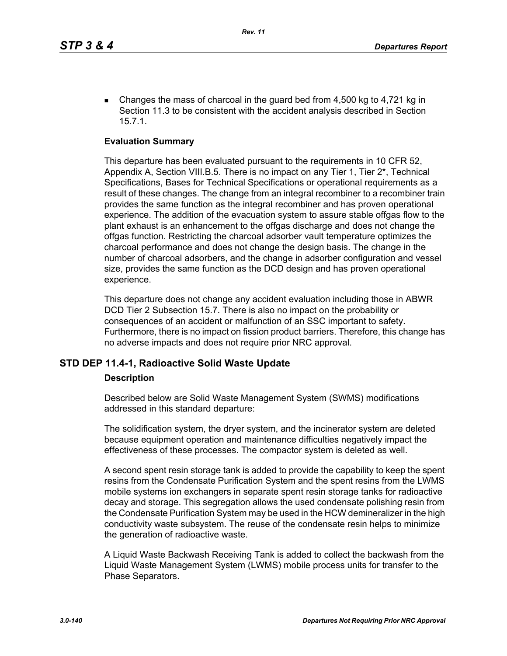Changes the mass of charcoal in the guard bed from  $4,500$  kg to  $4,721$  kg in Section 11.3 to be consistent with the accident analysis described in Section 15.7.1.

#### **Evaluation Summary**

This departure has been evaluated pursuant to the requirements in 10 CFR 52, Appendix A, Section VIII.B.5. There is no impact on any Tier 1, Tier 2\*, Technical Specifications, Bases for Technical Specifications or operational requirements as a result of these changes. The change from an integral recombiner to a recombiner train provides the same function as the integral recombiner and has proven operational experience. The addition of the evacuation system to assure stable offgas flow to the plant exhaust is an enhancement to the offgas discharge and does not change the offgas function. Restricting the charcoal adsorber vault temperature optimizes the charcoal performance and does not change the design basis. The change in the number of charcoal adsorbers, and the change in adsorber configuration and vessel size, provides the same function as the DCD design and has proven operational experience.

This departure does not change any accident evaluation including those in ABWR DCD Tier 2 Subsection 15.7. There is also no impact on the probability or consequences of an accident or malfunction of an SSC important to safety. Furthermore, there is no impact on fission product barriers. Therefore, this change has no adverse impacts and does not require prior NRC approval.

#### **STD DEP 11.4-1, Radioactive Solid Waste Update**

#### **Description**

Described below are Solid Waste Management System (SWMS) modifications addressed in this standard departure:

The solidification system, the dryer system, and the incinerator system are deleted because equipment operation and maintenance difficulties negatively impact the effectiveness of these processes. The compactor system is deleted as well.

A second spent resin storage tank is added to provide the capability to keep the spent resins from the Condensate Purification System and the spent resins from the LWMS mobile systems ion exchangers in separate spent resin storage tanks for radioactive decay and storage. This segregation allows the used condensate polishing resin from the Condensate Purification System may be used in the HCW demineralizer in the high conductivity waste subsystem. The reuse of the condensate resin helps to minimize the generation of radioactive waste.

A Liquid Waste Backwash Receiving Tank is added to collect the backwash from the Liquid Waste Management System (LWMS) mobile process units for transfer to the Phase Separators.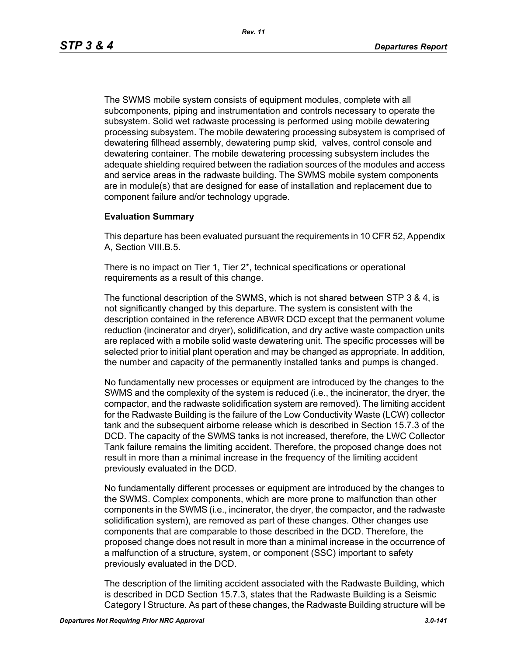The SWMS mobile system consists of equipment modules, complete with all subcomponents, piping and instrumentation and controls necessary to operate the subsystem. Solid wet radwaste processing is performed using mobile dewatering processing subsystem. The mobile dewatering processing subsystem is comprised of dewatering fillhead assembly, dewatering pump skid, valves, control console and dewatering container. The mobile dewatering processing subsystem includes the adequate shielding required between the radiation sources of the modules and access and service areas in the radwaste building. The SWMS mobile system components are in module(s) that are designed for ease of installation and replacement due to component failure and/or technology upgrade.

## **Evaluation Summary**

This departure has been evaluated pursuant the requirements in 10 CFR 52, Appendix A, Section VIII.B.5.

There is no impact on Tier 1, Tier 2\*, technical specifications or operational requirements as a result of this change.

The functional description of the SWMS, which is not shared between STP 3 & 4, is not significantly changed by this departure. The system is consistent with the description contained in the reference ABWR DCD except that the permanent volume reduction (incinerator and dryer), solidification, and dry active waste compaction units are replaced with a mobile solid waste dewatering unit. The specific processes will be selected prior to initial plant operation and may be changed as appropriate. In addition, the number and capacity of the permanently installed tanks and pumps is changed.

No fundamentally new processes or equipment are introduced by the changes to the SWMS and the complexity of the system is reduced (i.e., the incinerator, the dryer, the compactor, and the radwaste solidification system are removed). The limiting accident for the Radwaste Building is the failure of the Low Conductivity Waste (LCW) collector tank and the subsequent airborne release which is described in Section 15.7.3 of the DCD. The capacity of the SWMS tanks is not increased, therefore, the LWC Collector Tank failure remains the limiting accident. Therefore, the proposed change does not result in more than a minimal increase in the frequency of the limiting accident previously evaluated in the DCD.

No fundamentally different processes or equipment are introduced by the changes to the SWMS. Complex components, which are more prone to malfunction than other components in the SWMS (i.e., incinerator, the dryer, the compactor, and the radwaste solidification system), are removed as part of these changes. Other changes use components that are comparable to those described in the DCD. Therefore, the proposed change does not result in more than a minimal increase in the occurrence of a malfunction of a structure, system, or component (SSC) important to safety previously evaluated in the DCD.

The description of the limiting accident associated with the Radwaste Building, which is described in DCD Section 15.7.3, states that the Radwaste Building is a Seismic Category I Structure. As part of these changes, the Radwaste Building structure will be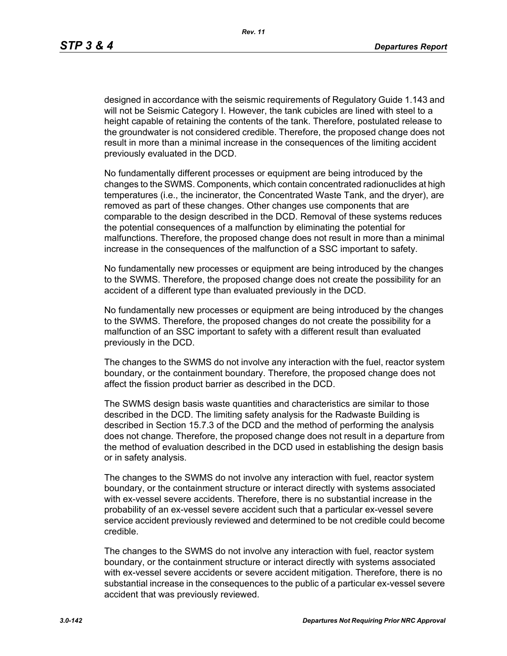designed in accordance with the seismic requirements of Regulatory Guide 1.143 and will not be Seismic Category I. However, the tank cubicles are lined with steel to a height capable of retaining the contents of the tank. Therefore, postulated release to the groundwater is not considered credible. Therefore, the proposed change does not result in more than a minimal increase in the consequences of the limiting accident previously evaluated in the DCD.

No fundamentally different processes or equipment are being introduced by the changes to the SWMS. Components, which contain concentrated radionuclides at high temperatures (i.e., the incinerator, the Concentrated Waste Tank, and the dryer), are removed as part of these changes. Other changes use components that are comparable to the design described in the DCD. Removal of these systems reduces the potential consequences of a malfunction by eliminating the potential for malfunctions. Therefore, the proposed change does not result in more than a minimal increase in the consequences of the malfunction of a SSC important to safety.

No fundamentally new processes or equipment are being introduced by the changes to the SWMS. Therefore, the proposed change does not create the possibility for an accident of a different type than evaluated previously in the DCD.

No fundamentally new processes or equipment are being introduced by the changes to the SWMS. Therefore, the proposed changes do not create the possibility for a malfunction of an SSC important to safety with a different result than evaluated previously in the DCD.

The changes to the SWMS do not involve any interaction with the fuel, reactor system boundary, or the containment boundary. Therefore, the proposed change does not affect the fission product barrier as described in the DCD.

The SWMS design basis waste quantities and characteristics are similar to those described in the DCD. The limiting safety analysis for the Radwaste Building is described in Section 15.7.3 of the DCD and the method of performing the analysis does not change. Therefore, the proposed change does not result in a departure from the method of evaluation described in the DCD used in establishing the design basis or in safety analysis.

The changes to the SWMS do not involve any interaction with fuel, reactor system boundary, or the containment structure or interact directly with systems associated with ex-vessel severe accidents. Therefore, there is no substantial increase in the probability of an ex-vessel severe accident such that a particular ex-vessel severe service accident previously reviewed and determined to be not credible could become credible.

The changes to the SWMS do not involve any interaction with fuel, reactor system boundary, or the containment structure or interact directly with systems associated with ex-vessel severe accidents or severe accident mitigation. Therefore, there is no substantial increase in the consequences to the public of a particular ex-vessel severe accident that was previously reviewed.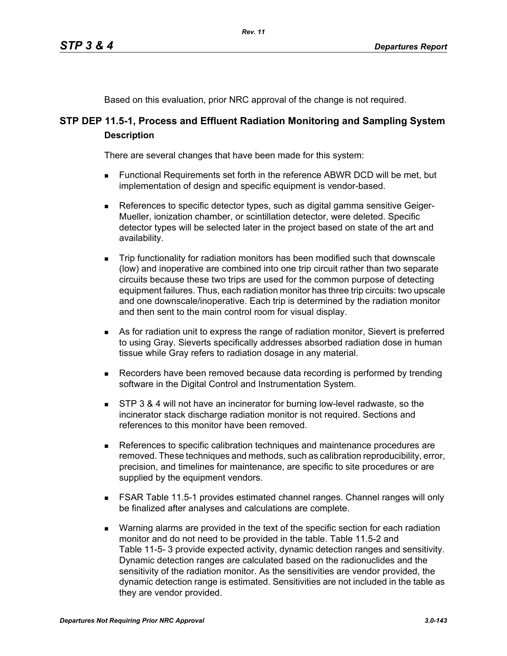Based on this evaluation, prior NRC approval of the change is not required.

# **STP DEP 11.5-1, Process and Effluent Radiation Monitoring and Sampling System Description**

There are several changes that have been made for this system:

- Functional Requirements set forth in the reference ABWR DCD will be met, but implementation of design and specific equipment is vendor-based.
- References to specific detector types, such as digital gamma sensitive Geiger-Mueller, ionization chamber, or scintillation detector, were deleted. Specific detector types will be selected later in the project based on state of the art and availability.
- Trip functionality for radiation monitors has been modified such that downscale (low) and inoperative are combined into one trip circuit rather than two separate circuits because these two trips are used for the common purpose of detecting equipment failures. Thus, each radiation monitor has three trip circuits: two upscale and one downscale/inoperative. Each trip is determined by the radiation monitor and then sent to the main control room for visual display.
- As for radiation unit to express the range of radiation monitor, Sievert is preferred to using Gray. Sieverts specifically addresses absorbed radiation dose in human tissue while Gray refers to radiation dosage in any material.
- **Recorders have been removed because data recording is performed by trending** software in the Digital Control and Instrumentation System.
- **STP 3 & 4 will not have an incinerator for burning low-level radwaste, so the** incinerator stack discharge radiation monitor is not required. Sections and references to this monitor have been removed.
- References to specific calibration techniques and maintenance procedures are removed. These techniques and methods, such as calibration reproducibility, error, precision, and timelines for maintenance, are specific to site procedures or are supplied by the equipment vendors.
- FSAR Table 11.5-1 provides estimated channel ranges. Channel ranges will only be finalized after analyses and calculations are complete.
- **Narning alarms are provided in the text of the specific section for each radiation** monitor and do not need to be provided in the table. Table 11.5-2 and Table 11-5- 3 provide expected activity, dynamic detection ranges and sensitivity. Dynamic detection ranges are calculated based on the radionuclides and the sensitivity of the radiation monitor. As the sensitivities are vendor provided, the dynamic detection range is estimated. Sensitivities are not included in the table as they are vendor provided.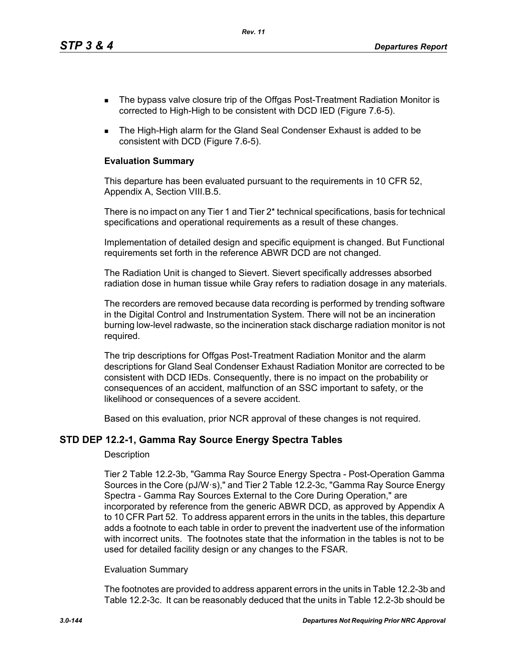*Rev. 11*

- The bypass valve closure trip of the Offgas Post-Treatment Radiation Monitor is corrected to High-High to be consistent with DCD IED (Figure 7.6-5).
- The High-High alarm for the Gland Seal Condenser Exhaust is added to be consistent with DCD (Figure 7.6-5).

## **Evaluation Summary**

This departure has been evaluated pursuant to the requirements in 10 CFR 52, Appendix A, Section VIII.B.5.

There is no impact on any Tier 1 and Tier 2\* technical specifications, basis for technical specifications and operational requirements as a result of these changes.

Implementation of detailed design and specific equipment is changed. But Functional requirements set forth in the reference ABWR DCD are not changed.

The Radiation Unit is changed to Sievert. Sievert specifically addresses absorbed radiation dose in human tissue while Gray refers to radiation dosage in any materials.

The recorders are removed because data recording is performed by trending software in the Digital Control and Instrumentation System. There will not be an incineration burning low-level radwaste, so the incineration stack discharge radiation monitor is not required.

The trip descriptions for Offgas Post-Treatment Radiation Monitor and the alarm descriptions for Gland Seal Condenser Exhaust Radiation Monitor are corrected to be consistent with DCD IEDs. Consequently, there is no impact on the probability or consequences of an accident, malfunction of an SSC important to safety, or the likelihood or consequences of a severe accident.

Based on this evaluation, prior NCR approval of these changes is not required.

## **STD DEP 12.2-1, Gamma Ray Source Energy Spectra Tables**

#### **Description**

Tier 2 Table 12.2-3b, "Gamma Ray Source Energy Spectra - Post-Operation Gamma Sources in the Core (pJ/W·s)," and Tier 2 Table 12.2-3c, "Gamma Ray Source Energy Spectra - Gamma Ray Sources External to the Core During Operation," are incorporated by reference from the generic ABWR DCD, as approved by Appendix A to 10 CFR Part 52. To address apparent errors in the units in the tables, this departure adds a footnote to each table in order to prevent the inadvertent use of the information with incorrect units. The footnotes state that the information in the tables is not to be used for detailed facility design or any changes to the FSAR.

#### Evaluation Summary

The footnotes are provided to address apparent errors in the units in Table 12.2-3b and Table 12.2-3c. It can be reasonably deduced that the units in Table 12.2-3b should be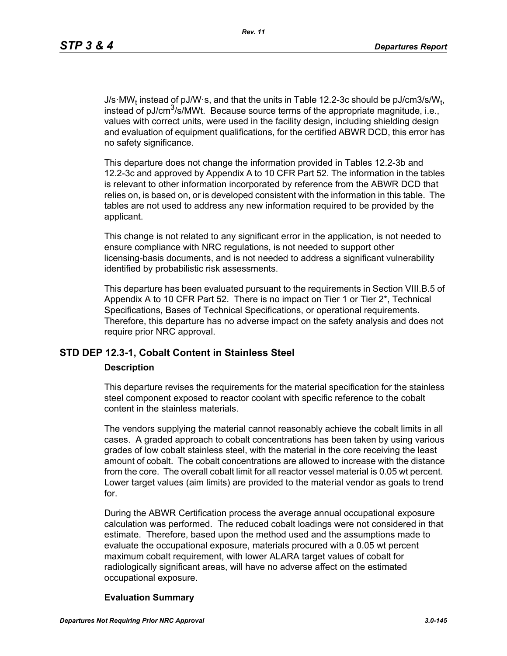J/s·MW<sub>t</sub> instead of pJ/W·s, and that the units in Table 12.2-3c should be pJ/cm3/s/W<sub>t</sub>, instead of pJ/cm<sup>3</sup>/s/MWt. Because source terms of the appropriate magnitude, i.e., values with correct units, were used in the facility design, including shielding design and evaluation of equipment qualifications, for the certified ABWR DCD, this error has no safety significance.

This departure does not change the information provided in Tables 12.2-3b and 12.2-3c and approved by Appendix A to 10 CFR Part 52. The information in the tables is relevant to other information incorporated by reference from the ABWR DCD that relies on, is based on, or is developed consistent with the information in this table. The tables are not used to address any new information required to be provided by the applicant.

This change is not related to any significant error in the application, is not needed to ensure compliance with NRC regulations, is not needed to support other licensing-basis documents, and is not needed to address a significant vulnerability identified by probabilistic risk assessments.

This departure has been evaluated pursuant to the requirements in Section VIII.B.5 of Appendix A to 10 CFR Part 52. There is no impact on Tier 1 or Tier 2<sup>\*</sup>, Technical Specifications, Bases of Technical Specifications, or operational requirements. Therefore, this departure has no adverse impact on the safety analysis and does not require prior NRC approval.

# **STD DEP 12.3-1, Cobalt Content in Stainless Steel**

#### **Description**

This departure revises the requirements for the material specification for the stainless steel component exposed to reactor coolant with specific reference to the cobalt content in the stainless materials.

The vendors supplying the material cannot reasonably achieve the cobalt limits in all cases. A graded approach to cobalt concentrations has been taken by using various grades of low cobalt stainless steel, with the material in the core receiving the least amount of cobalt. The cobalt concentrations are allowed to increase with the distance from the core. The overall cobalt limit for all reactor vessel material is 0.05 wt percent. Lower target values (aim limits) are provided to the material vendor as goals to trend for.

During the ABWR Certification process the average annual occupational exposure calculation was performed. The reduced cobalt loadings were not considered in that estimate. Therefore, based upon the method used and the assumptions made to evaluate the occupational exposure, materials procured with a 0.05 wt percent maximum cobalt requirement, with lower ALARA target values of cobalt for radiologically significant areas, will have no adverse affect on the estimated occupational exposure.

#### **Evaluation Summary**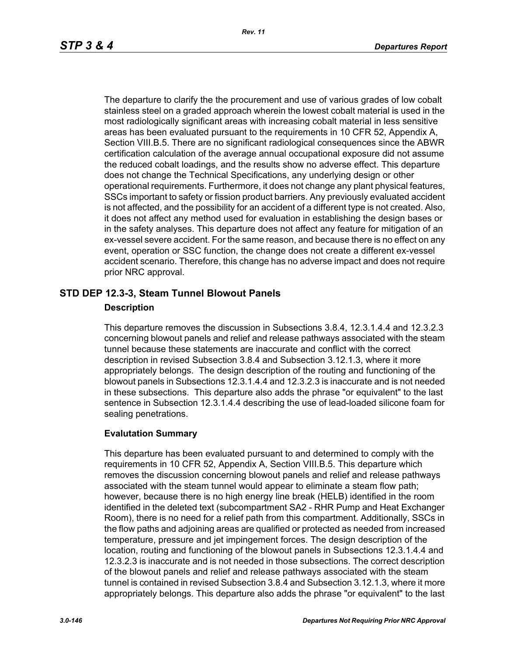The departure to clarify the the procurement and use of various grades of low cobalt stainless steel on a graded approach wherein the lowest cobalt material is used in the most radiologically significant areas with increasing cobalt material in less sensitive areas has been evaluated pursuant to the requirements in 10 CFR 52, Appendix A, Section VIII.B.5. There are no significant radiological consequences since the ABWR certification calculation of the average annual occupational exposure did not assume the reduced cobalt loadings, and the results show no adverse effect. This departure does not change the Technical Specifications, any underlying design or other operational requirements. Furthermore, it does not change any plant physical features, SSCs important to safety or fission product barriers. Any previously evaluated accident is not affected, and the possibility for an accident of a different type is not created. Also, it does not affect any method used for evaluation in establishing the design bases or in the safety analyses. This departure does not affect any feature for mitigation of an ex-vessel severe accident. For the same reason, and because there is no effect on any event, operation or SSC function, the change does not create a different ex-vessel accident scenario. Therefore, this change has no adverse impact and does not require prior NRC approval.

## **STD DEP 12.3-3, Steam Tunnel Blowout Panels**

## **Description**

This departure removes the discussion in Subsections 3.8.4, 12.3.1.4.4 and 12.3.2.3 concerning blowout panels and relief and release pathways associated with the steam tunnel because these statements are inaccurate and conflict with the correct description in revised Subsection 3.8.4 and Subsection 3.12.1.3, where it more appropriately belongs. The design description of the routing and functioning of the blowout panels in Subsections 12.3.1.4.4 and 12.3.2.3 is inaccurate and is not needed in these subsections. This departure also adds the phrase "or equivalent" to the last sentence in Subsection 12.3.1.4.4 describing the use of lead-loaded silicone foam for sealing penetrations.

## **Evalutation Summary**

This departure has been evaluated pursuant to and determined to comply with the requirements in 10 CFR 52, Appendix A, Section VIII.B.5. This departure which removes the discussion concerning blowout panels and relief and release pathways associated with the steam tunnel would appear to eliminate a steam flow path; however, because there is no high energy line break (HELB) identified in the room identified in the deleted text (subcompartment SA2 - RHR Pump and Heat Exchanger Room), there is no need for a relief path from this compartment. Additionally, SSCs in the flow paths and adjoining areas are qualified or protected as needed from increased temperature, pressure and jet impingement forces. The design description of the location, routing and functioning of the blowout panels in Subsections 12.3.1.4.4 and 12.3.2.3 is inaccurate and is not needed in those subsections. The correct description of the blowout panels and relief and release pathways associated with the steam tunnel is contained in revised Subsection 3.8.4 and Subsection 3.12.1.3, where it more appropriately belongs. This departure also adds the phrase "or equivalent" to the last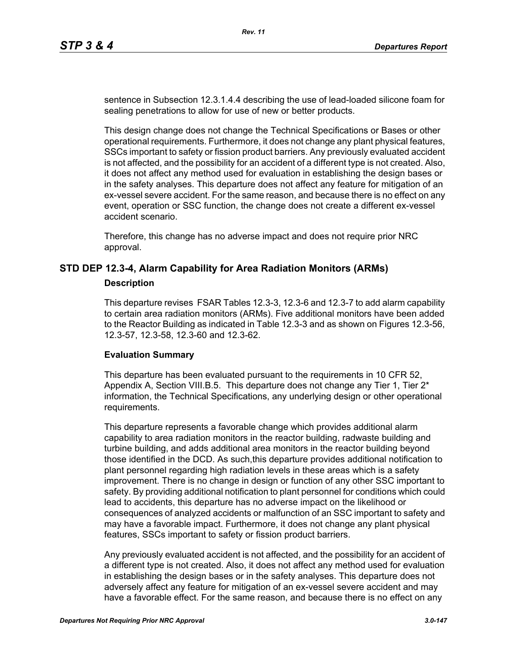sentence in Subsection 12.3.1.4.4 describing the use of lead-loaded silicone foam for sealing penetrations to allow for use of new or better products.

This design change does not change the Technical Specifications or Bases or other operational requirements. Furthermore, it does not change any plant physical features, SSCs important to safety or fission product barriers. Any previously evaluated accident is not affected, and the possibility for an accident of a different type is not created. Also, it does not affect any method used for evaluation in establishing the design bases or in the safety analyses. This departure does not affect any feature for mitigation of an ex-vessel severe accident. For the same reason, and because there is no effect on any event, operation or SSC function, the change does not create a different ex-vessel accident scenario.

Therefore, this change has no adverse impact and does not require prior NRC approval.

## **STD DEP 12.3-4, Alarm Capability for Area Radiation Monitors (ARMs)**

#### **Description**

This departure revises FSAR Tables 12.3-3, 12.3-6 and 12.3-7 to add alarm capability to certain area radiation monitors (ARMs). Five additional monitors have been added to the Reactor Building as indicated in Table 12.3-3 and as shown on Figures 12.3-56, 12.3-57, 12.3-58, 12.3-60 and 12.3-62.

#### **Evaluation Summary**

This departure has been evaluated pursuant to the requirements in 10 CFR 52, Appendix A, Section VIII.B.5. This departure does not change any Tier 1, Tier  $2^*$ information, the Technical Specifications, any underlying design or other operational requirements.

This departure represents a favorable change which provides additional alarm capability to area radiation monitors in the reactor building, radwaste building and turbine building, and adds additional area monitors in the reactor building beyond those identified in the DCD. As such,this departure provides additional notification to plant personnel regarding high radiation levels in these areas which is a safety improvement. There is no change in design or function of any other SSC important to safety. By providing additional notification to plant personnel for conditions which could lead to accidents, this departure has no adverse impact on the likelihood or consequences of analyzed accidents or malfunction of an SSC important to safety and may have a favorable impact. Furthermore, it does not change any plant physical features, SSCs important to safety or fission product barriers.

Any previously evaluated accident is not affected, and the possibility for an accident of a different type is not created. Also, it does not affect any method used for evaluation in establishing the design bases or in the safety analyses. This departure does not adversely affect any feature for mitigation of an ex-vessel severe accident and may have a favorable effect. For the same reason, and because there is no effect on any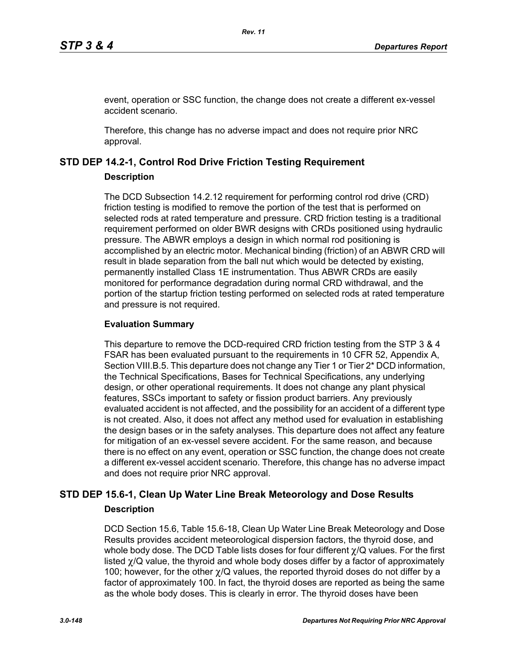event, operation or SSC function, the change does not create a different ex-vessel accident scenario.

Therefore, this change has no adverse impact and does not require prior NRC approval.

## **STD DEP 14.2-1, Control Rod Drive Friction Testing Requirement**

#### **Description**

The DCD Subsection 14.2.12 requirement for performing control rod drive (CRD) friction testing is modified to remove the portion of the test that is performed on selected rods at rated temperature and pressure. CRD friction testing is a traditional requirement performed on older BWR designs with CRDs positioned using hydraulic pressure. The ABWR employs a design in which normal rod positioning is accomplished by an electric motor. Mechanical binding (friction) of an ABWR CRD will result in blade separation from the ball nut which would be detected by existing, permanently installed Class 1E instrumentation. Thus ABWR CRDs are easily monitored for performance degradation during normal CRD withdrawal, and the portion of the startup friction testing performed on selected rods at rated temperature and pressure is not required.

### **Evaluation Summary**

This departure to remove the DCD-required CRD friction testing from the STP 3 & 4 FSAR has been evaluated pursuant to the requirements in 10 CFR 52, Appendix A, Section VIII.B.5. This departure does not change any Tier 1 or Tier 2<sup>\*</sup> DCD information, the Technical Specifications, Bases for Technical Specifications, any underlying design, or other operational requirements. It does not change any plant physical features, SSCs important to safety or fission product barriers. Any previously evaluated accident is not affected, and the possibility for an accident of a different type is not created. Also, it does not affect any method used for evaluation in establishing the design bases or in the safety analyses. This departure does not affect any feature for mitigation of an ex-vessel severe accident. For the same reason, and because there is no effect on any event, operation or SSC function, the change does not create a different ex-vessel accident scenario. Therefore, this change has no adverse impact and does not require prior NRC approval.

# **STD DEP 15.6-1, Clean Up Water Line Break Meteorology and Dose Results Description**

DCD Section 15.6, Table 15.6-18, Clean Up Water Line Break Meteorology and Dose Results provides accident meteorological dispersion factors, the thyroid dose, and whole body dose. The DCD Table lists doses for four different χ/Q values. For the first listed  $\gamma$ /Q value, the thyroid and whole body doses differ by a factor of approximately 100; however, for the other  $\gamma$ /Q values, the reported thyroid doses do not differ by a factor of approximately 100. In fact, the thyroid doses are reported as being the same as the whole body doses. This is clearly in error. The thyroid doses have been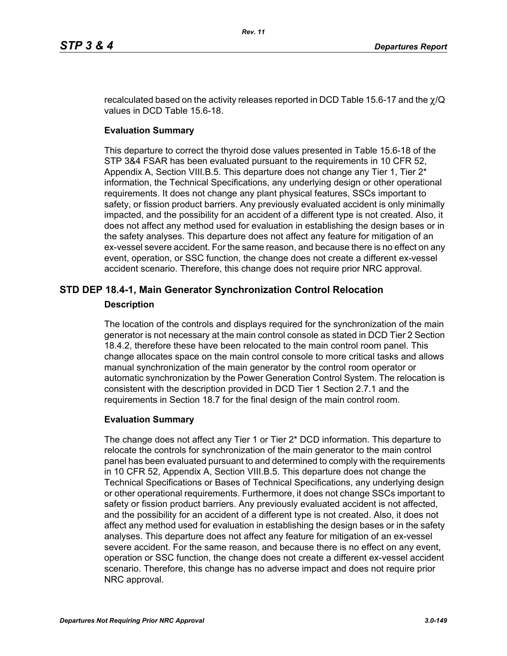recalculated based on the activity releases reported in DCD Table 15.6-17 and the  $\chi$ /Q values in DCD Table 15.6-18.

## **Evaluation Summary**

This departure to correct the thyroid dose values presented in Table 15.6-18 of the STP 3&4 FSAR has been evaluated pursuant to the requirements in 10 CFR 52, Appendix A, Section VIII.B.5. This departure does not change any Tier 1, Tier 2\* information, the Technical Specifications, any underlying design or other operational requirements. It does not change any plant physical features, SSCs important to safety, or fission product barriers. Any previously evaluated accident is only minimally impacted, and the possibility for an accident of a different type is not created. Also, it does not affect any method used for evaluation in establishing the design bases or in the safety analyses. This departure does not affect any feature for mitigation of an ex-vessel severe accident. For the same reason, and because there is no effect on any event, operation, or SSC function, the change does not create a different ex-vessel accident scenario. Therefore, this change does not require prior NRC approval.

# **STD DEP 18.4-1, Main Generator Synchronization Control Relocation**

## **Description**

The location of the controls and displays required for the synchronization of the main generator is not necessary at the main control console as stated in DCD Tier 2 Section 18.4.2, therefore these have been relocated to the main control room panel. This change allocates space on the main control console to more critical tasks and allows manual synchronization of the main generator by the control room operator or automatic synchronization by the Power Generation Control System. The relocation is consistent with the description provided in DCD Tier 1 Section 2.7.1 and the requirements in Section 18.7 for the final design of the main control room.

## **Evaluation Summary**

The change does not affect any Tier 1 or Tier 2\* DCD information. This departure to relocate the controls for synchronization of the main generator to the main control panel has been evaluated pursuant to and determined to comply with the requirements in 10 CFR 52, Appendix A, Section VIII.B.5. This departure does not change the Technical Specifications or Bases of Technical Specifications, any underlying design or other operational requirements. Furthermore, it does not change SSCs important to safety or fission product barriers. Any previously evaluated accident is not affected, and the possibility for an accident of a different type is not created. Also, it does not affect any method used for evaluation in establishing the design bases or in the safety analyses. This departure does not affect any feature for mitigation of an ex-vessel severe accident. For the same reason, and because there is no effect on any event, operation or SSC function, the change does not create a different ex-vessel accident scenario. Therefore, this change has no adverse impact and does not require prior NRC approval.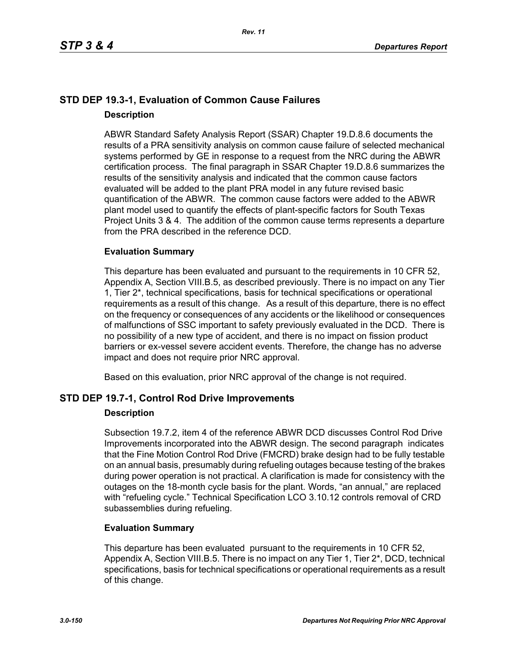## **STD DEP 19.3-1, Evaluation of Common Cause Failures Description**

ABWR Standard Safety Analysis Report (SSAR) Chapter 19.D.8.6 documents the results of a PRA sensitivity analysis on common cause failure of selected mechanical systems performed by GE in response to a request from the NRC during the ABWR certification process. The final paragraph in SSAR Chapter 19.D.8.6 summarizes the results of the sensitivity analysis and indicated that the common cause factors evaluated will be added to the plant PRA model in any future revised basic quantification of the ABWR. The common cause factors were added to the ABWR plant model used to quantify the effects of plant-specific factors for South Texas Project Units 3 & 4. The addition of the common cause terms represents a departure from the PRA described in the reference DCD.

## **Evaluation Summary**

This departure has been evaluated and pursuant to the requirements in 10 CFR 52, Appendix A, Section VIII.B.5, as described previously. There is no impact on any Tier 1, Tier 2\*, technical specifications, basis for technical specifications or operational requirements as a result of this change. As a result of this departure, there is no effect on the frequency or consequences of any accidents or the likelihood or consequences of malfunctions of SSC important to safety previously evaluated in the DCD. There is no possibility of a new type of accident, and there is no impact on fission product barriers or ex-vessel severe accident events. Therefore, the change has no adverse impact and does not require prior NRC approval.

Based on this evaluation, prior NRC approval of the change is not required.

## **STD DEP 19.7-1, Control Rod Drive Improvements**

## **Description**

Subsection 19.7.2, item 4 of the reference ABWR DCD discusses Control Rod Drive Improvements incorporated into the ABWR design. The second paragraph indicates that the Fine Motion Control Rod Drive (FMCRD) brake design had to be fully testable on an annual basis, presumably during refueling outages because testing of the brakes during power operation is not practical. A clarification is made for consistency with the outages on the 18-month cycle basis for the plant. Words, "an annual," are replaced with "refueling cycle." Technical Specification LCO 3.10.12 controls removal of CRD subassemblies during refueling.

## **Evaluation Summary**

This departure has been evaluated pursuant to the requirements in 10 CFR 52, Appendix A, Section VIII.B.5. There is no impact on any Tier 1, Tier 2<sup>\*</sup>, DCD, technical specifications, basis for technical specifications or operational requirements as a result of this change.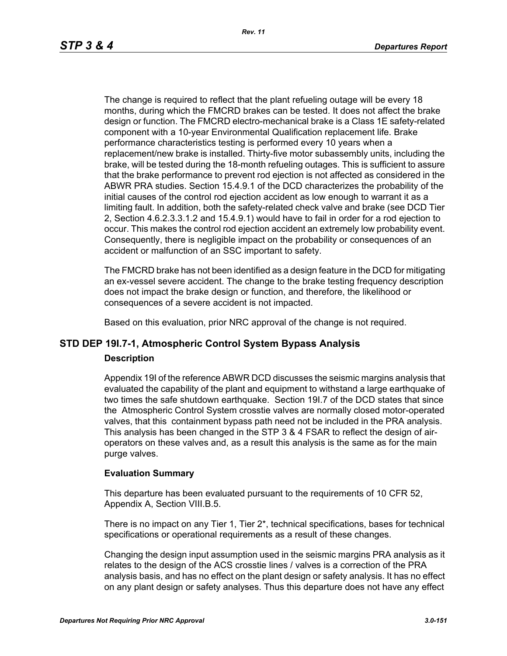The change is required to reflect that the plant refueling outage will be every 18 months, during which the FMCRD brakes can be tested. It does not affect the brake design or function. The FMCRD electro-mechanical brake is a Class 1E safety-related component with a 10-year Environmental Qualification replacement life. Brake performance characteristics testing is performed every 10 years when a replacement/new brake is installed. Thirty-five motor subassembly units, including the brake, will be tested during the 18-month refueling outages. This is sufficient to assure that the brake performance to prevent rod ejection is not affected as considered in the ABWR PRA studies. Section 15.4.9.1 of the DCD characterizes the probability of the initial causes of the control rod ejection accident as low enough to warrant it as a limiting fault. In addition, both the safety-related check valve and brake (see DCD Tier 2, Section 4.6.2.3.3.1.2 and 15.4.9.1) would have to fail in order for a rod ejection to occur. This makes the control rod ejection accident an extremely low probability event. Consequently, there is negligible impact on the probability or consequences of an accident or malfunction of an SSC important to safety.

The FMCRD brake has not been identified as a design feature in the DCD for mitigating an ex-vessel severe accident. The change to the brake testing frequency description does not impact the brake design or function, and therefore, the likelihood or consequences of a severe accident is not impacted.

Based on this evaluation, prior NRC approval of the change is not required.

# **STD DEP 19I.7-1, Atmospheric Control System Bypass Analysis**

#### **Description**

Appendix 19I of the reference ABWR DCD discusses the seismic margins analysis that evaluated the capability of the plant and equipment to withstand a large earthquake of two times the safe shutdown earthquake. Section 19I.7 of the DCD states that since the Atmospheric Control System crosstie valves are normally closed motor-operated valves, that this containment bypass path need not be included in the PRA analysis. This analysis has been changed in the STP 3 & 4 FSAR to reflect the design of airoperators on these valves and, as a result this analysis is the same as for the main purge valves.

#### **Evaluation Summary**

This departure has been evaluated pursuant to the requirements of 10 CFR 52, Appendix A, Section VIII.B.5.

There is no impact on any Tier 1, Tier 2\*, technical specifications, bases for technical specifications or operational requirements as a result of these changes.

Changing the design input assumption used in the seismic margins PRA analysis as it relates to the design of the ACS crosstie lines / valves is a correction of the PRA analysis basis, and has no effect on the plant design or safety analysis. It has no effect on any plant design or safety analyses. Thus this departure does not have any effect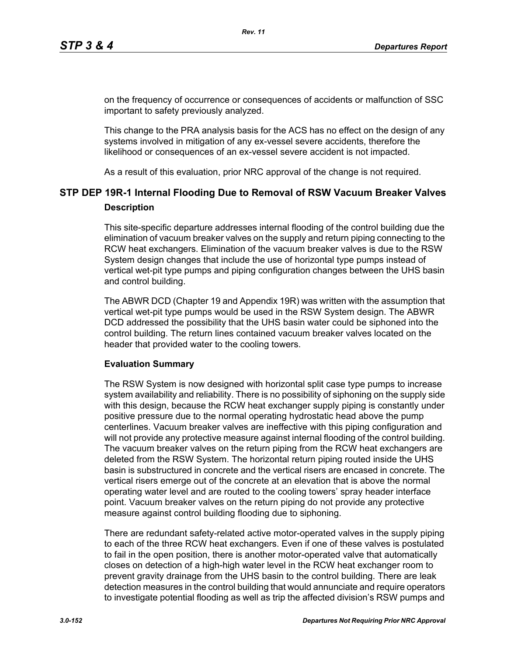on the frequency of occurrence or consequences of accidents or malfunction of SSC important to safety previously analyzed.

This change to the PRA analysis basis for the ACS has no effect on the design of any systems involved in mitigation of any ex-vessel severe accidents, therefore the likelihood or consequences of an ex-vessel severe accident is not impacted.

As a result of this evaluation, prior NRC approval of the change is not required.

# **STP DEP 19R-1 Internal Flooding Due to Removal of RSW Vacuum Breaker Valves Description**

This site-specific departure addresses internal flooding of the control building due the elimination of vacuum breaker valves on the supply and return piping connecting to the RCW heat exchangers. Elimination of the vacuum breaker valves is due to the RSW System design changes that include the use of horizontal type pumps instead of vertical wet-pit type pumps and piping configuration changes between the UHS basin and control building.

The ABWR DCD (Chapter 19 and Appendix 19R) was written with the assumption that vertical wet-pit type pumps would be used in the RSW System design. The ABWR DCD addressed the possibility that the UHS basin water could be siphoned into the control building. The return lines contained vacuum breaker valves located on the header that provided water to the cooling towers.

#### **Evaluation Summary**

The RSW System is now designed with horizontal split case type pumps to increase system availability and reliability. There is no possibility of siphoning on the supply side with this design, because the RCW heat exchanger supply piping is constantly under positive pressure due to the normal operating hydrostatic head above the pump centerlines. Vacuum breaker valves are ineffective with this piping configuration and will not provide any protective measure against internal flooding of the control building. The vacuum breaker valves on the return piping from the RCW heat exchangers are deleted from the RSW System. The horizontal return piping routed inside the UHS basin is substructured in concrete and the vertical risers are encased in concrete. The vertical risers emerge out of the concrete at an elevation that is above the normal operating water level and are routed to the cooling towers' spray header interface point. Vacuum breaker valves on the return piping do not provide any protective measure against control building flooding due to siphoning.

There are redundant safety-related active motor-operated valves in the supply piping to each of the three RCW heat exchangers. Even if one of these valves is postulated to fail in the open position, there is another motor-operated valve that automatically closes on detection of a high-high water level in the RCW heat exchanger room to prevent gravity drainage from the UHS basin to the control building. There are leak detection measures in the control building that would annunciate and require operators to investigate potential flooding as well as trip the affected division's RSW pumps and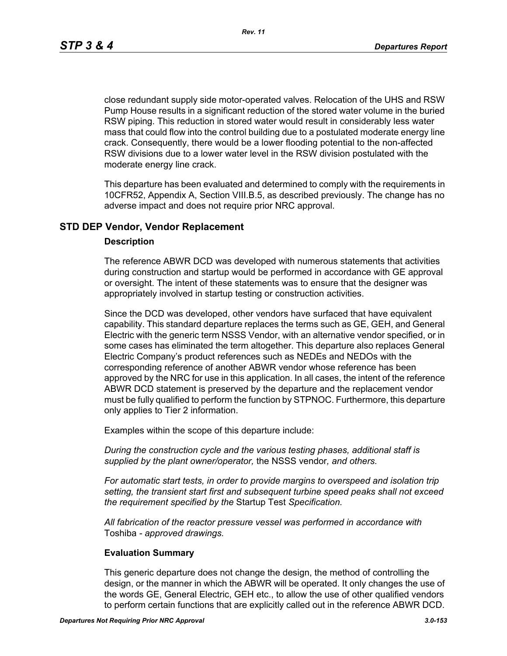*Rev. 11*

close redundant supply side motor-operated valves. Relocation of the UHS and RSW Pump House results in a significant reduction of the stored water volume in the buried RSW piping. This reduction in stored water would result in considerably less water mass that could flow into the control building due to a postulated moderate energy line crack. Consequently, there would be a lower flooding potential to the non-affected RSW divisions due to a lower water level in the RSW division postulated with the moderate energy line crack.

This departure has been evaluated and determined to comply with the requirements in 10CFR52, Appendix A, Section VIII.B.5, as described previously. The change has no adverse impact and does not require prior NRC approval.

## **STD DEP Vendor, Vendor Replacement**

#### **Description**

The reference ABWR DCD was developed with numerous statements that activities during construction and startup would be performed in accordance with GE approval or oversight. The intent of these statements was to ensure that the designer was appropriately involved in startup testing or construction activities.

Since the DCD was developed, other vendors have surfaced that have equivalent capability. This standard departure replaces the terms such as GE, GEH, and General Electric with the generic term NSSS Vendor, with an alternative vendor specified, or in some cases has eliminated the term altogether. This departure also replaces General Electric Company's product references such as NEDEs and NEDOs with the corresponding reference of another ABWR vendor whose reference has been approved by the NRC for use in this application. In all cases, the intent of the reference ABWR DCD statement is preserved by the departure and the replacement vendor must be fully qualified to perform the function by STPNOC. Furthermore, this departure only applies to Tier 2 information.

Examples within the scope of this departure include:

*During the construction cycle and the various testing phases, additional staff is supplied by the plant owner/operator,* the NSSS vendor*, and others.*

*For automatic start tests, in order to provide margins to overspeed and isolation trip setting, the transient start first and subsequent turbine speed peaks shall not exceed the requirement specified by the* Startup Test *Specification.*

*All fabrication of the reactor pressure vessel was performed in accordance with*  Toshiba *- approved drawings.*

#### **Evaluation Summary**

This generic departure does not change the design, the method of controlling the design, or the manner in which the ABWR will be operated. It only changes the use of the words GE, General Electric, GEH etc., to allow the use of other qualified vendors to perform certain functions that are explicitly called out in the reference ABWR DCD.